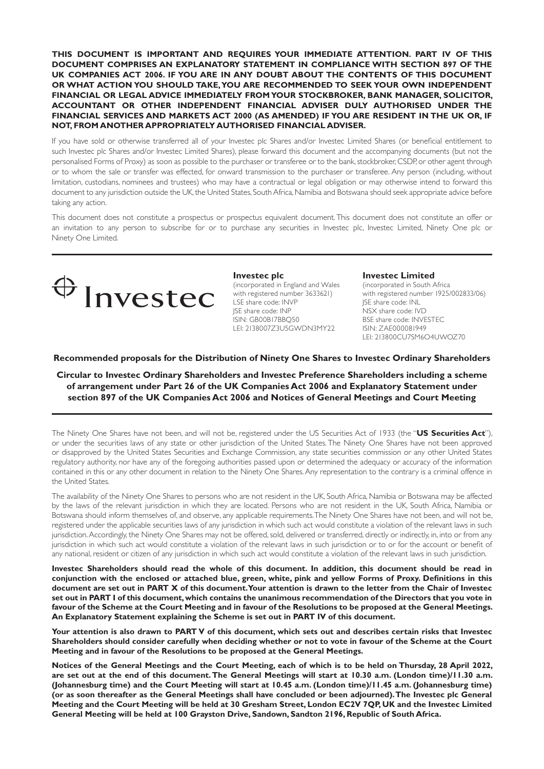**THIS DOCUMENT IS IMPORTANT AND REQUIRES YOUR IMMEDIATE ATTENTION. PART IV OF THIS DOCUMENT COMPRISES AN EXPLANATORY STATEMENT IN COMPLIANCE WITH SECTION 897 OF THE UK COMPANIES ACT 2006. IF YOU ARE IN ANY DOUBT ABOUT THE CONTENTS OF THIS DOCUMENT OR WHAT ACTION YOU SHOULD TAKE, YOU ARE RECOMMENDED TO SEEK YOUR OWN INDEPENDENT FINANCIAL OR LEGAL ADVICE IMMEDIATELY FROM YOUR STOCKBROKER, BANK MANAGER, SOLICITOR, ACCOUNTANT OR OTHER INDEPENDENT FINANCIAL ADVISER DULY AUTHORISED UNDER THE FINANCIAL SERVICES AND MARKETS ACT 2000 (AS AMENDED) IF YOU ARE RESIDENT IN THE UK OR, IF NOT, FROM ANOTHER APPROPRIATELY AUTHORISED FINANCIAL ADVISER.**

If you have sold or otherwise transferred all of your Investec plc Shares and/or Investec Limited Shares (or beneficial entitlement to such Investec plc Shares and/or Investec Limited Shares), please forward this document and the accompanying documents (but not the personalised Forms of Proxy) as soon as possible to the purchaser or transferee or to the bank, stockbroker, CSDP, or other agent through or to whom the sale or transfer was effected, for onward transmission to the purchaser or transferee. Any person (including, without limitation, custodians, nominees and trustees) who may have a contractual or legal obligation or may otherwise intend to forward this document to any jurisdiction outside the UK, the United States, South Africa, Namibia and Botswana should seek appropriate advice before taking any action.

This document does not constitute a prospectus or prospectus equivalent document. This document does not constitute an offer or an invitation to any person to subscribe for or to purchase any securities in Investec plc, Investec Limited, Ninety One plc or Ninety One Limited.



**Investec plc** (incorporated in England and Wales with registered number 3633621) LSE share code: INVP JSE share code: INP ISIN: GB00B17BBQ50 LEI: 2138007Z3U5GWDN3MY22

**Investec Limited**

(incorporated in South Africa with registered number 1925/002833/06) JSE share code: INL NSX share code: IVD BSE share code: INVESTEC ISIN: ZAE000081949 LEI: 213800CU7SM6O4UWOZ70

#### **Recommended proposals for the Distribution of Ninety One Shares to Investec Ordinary Shareholders**

**Circular to Investec Ordinary Shareholders and Investec Preference Shareholders including a scheme of arrangement under Part 26 of the UK Companies Act 2006 and Explanatory Statement under section 897 of the UK Companies Act 2006 and Notices of General Meetings and Court Meeting**

The Ninety One Shares have not been, and will not be, registered under the US Securities Act of 1933 (the "**US Securities Act**"), or under the securities laws of any state or other jurisdiction of the United States. The Ninety One Shares have not been approved or disapproved by the United States Securities and Exchange Commission, any state securities commission or any other United States regulatory authority, nor have any of the foregoing authorities passed upon or determined the adequacy or accuracy of the information contained in this or any other document in relation to the Ninety One Shares. Any representation to the contrary is a criminal offence in the United States.

The availability of the Ninety One Shares to persons who are not resident in the UK, South Africa, Namibia or Botswana may be affected by the laws of the relevant jurisdiction in which they are located. Persons who are not resident in the UK, South Africa, Namibia or Botswana should inform themselves of, and observe, any applicable requirements. The Ninety One Shares have not been, and will not be, registered under the applicable securities laws of any jurisdiction in which such act would constitute a violation of the relevant laws in such jurisdiction. Accordingly, the Ninety One Shares may not be offered, sold, delivered or transferred, directly or indirectly, in, into or from any jurisdiction in which such act would constitute a violation of the relevant laws in such jurisdiction or to or for the account or benefit of any national, resident or citizen of any jurisdiction in which such act would constitute a violation of the relevant laws in such jurisdiction.

**Investec Shareholders should read the whole of this document. In addition, this document should be read in conjunction with the enclosed or attached blue, green, white, pink and yellow Forms of Proxy. Definitions in this document are set out in PART X of this document. Your attention is drawn to the letter from the Chair of Investec set out in PART I of this document, which contains the unanimous recommendation of the Directors that you vote in favour of the Scheme at the Court Meeting and in favour of the Resolutions to be proposed at the General Meetings. An Explanatory Statement explaining the Scheme is set out in PART IV of this document.**

**Your attention is also drawn to PART V of this document, which sets out and describes certain risks that Investec Shareholders should consider carefully when deciding whether or not to vote in favour of the Scheme at the Court Meeting and in favour of the Resolutions to be proposed at the General Meetings.**

**Notices of the General Meetings and the Court Meeting, each of which is to be held on Thursday, 28 April 2022, are set out at the end of this document. The General Meetings will start at 10.30 a.m. (London time)/11.30 a.m. (Johannesburg time) and the Court Meeting will start at 10.45 a.m. (London time)/11.45 a.m. (Johannesburg time) (or as soon thereafter as the General Meetings shall have concluded or been adjourned). The Investec plc General Meeting and the Court Meeting will be held at 30 Gresham Street, London EC2V 7QP, UK and the Investec Limited General Meeting will be held at 100 Grayston Drive, Sandown, Sandton 2196, Republic of South Africa.**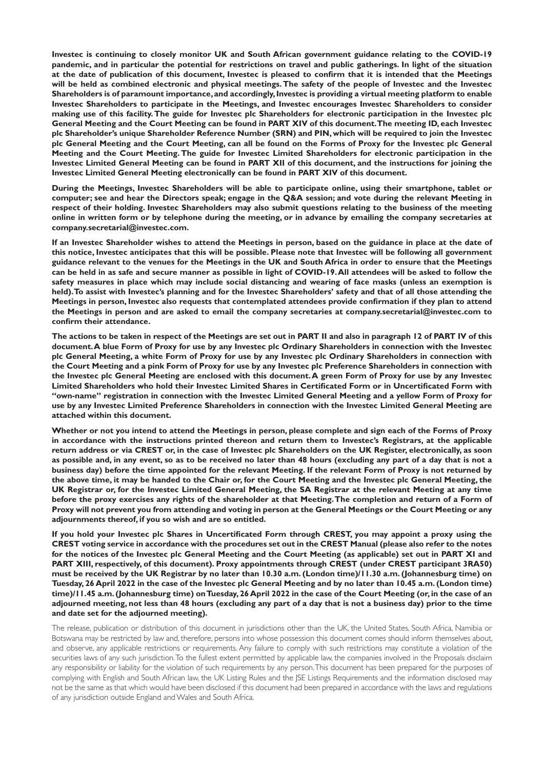**Investec is continuing to closely monitor UK and South African government guidance relating to the COVID-19 pandemic, and in particular the potential for restrictions on travel and public gatherings. In light of the situation at the date of publication of this document, Investec is pleased to confirm that it is intended that the Meetings will be held as combined electronic and physical meetings. The safety of the people of Investec and the Investec Shareholders is of paramount importance, and accordingly, Investec is providing a virtual meeting platform to enable Investec Shareholders to participate in the Meetings, and Investec encourages Investec Shareholders to consider making use of this facility. The guide for Investec plc Shareholders for electronic participation in the Investec plc General Meeting and the Court Meeting can be found in PART XIV of this document. The meeting ID, each Investec plc Shareholder's unique Shareholder Reference Number (SRN) and PIN, which will be required to join the Investec plc General Meeting and the Court Meeting, can all be found on the Forms of Proxy for the Investec plc General Meeting and the Court Meeting. The guide for Investec Limited Shareholders for electronic participation in the Investec Limited General Meeting can be found in PART XII of this document, and the instructions for joining the Investec Limited General Meeting electronically can be found in PART XIV of this document.**

**During the Meetings, Investec Shareholders will be able to participate online, using their smartphone, tablet or computer; see and hear the Directors speak; engage in the Q&A session; and vote during the relevant Meeting in respect of their holding. Investec Shareholders may also submit questions relating to the business of the meeting online in written form or by telephone during the meeting, or in advance by emailing the company secretaries at company.secretarial@investec.com.**

**If an Investec Shareholder wishes to attend the Meetings in person, based on the guidance in place at the date of this notice, Investec anticipates that this will be possible. Please note that Investec will be following all government guidance relevant to the venues for the Meetings in the UK and South Africa in order to ensure that the Meetings can be held in as safe and secure manner as possible in light of COVID-19. All attendees will be asked to follow the safety measures in place which may include social distancing and wearing of face masks (unless an exemption is held). To assist with Investec's planning and for the Investec Shareholders' safety and that of all those attending the Meetings in person, Investec also requests that contemplated attendees provide confirmation if they plan to attend the Meetings in person and are asked to email the company secretaries at company.secretarial@investec.com to confirm their attendance.**

**The actions to be taken in respect of the Meetings are set out in PART II and also in paragraph 12 of PART IV of this document. A blue Form of Proxy for use by any Investec plc Ordinary Shareholders in connection with the Investec plc General Meeting, a white Form of Proxy for use by any Investec plc Ordinary Shareholders in connection with the Court Meeting and a pink Form of Proxy for use by any Investec plc Preference Shareholders in connection with the Investec plc General Meeting are enclosed with this document. A green Form of Proxy for use by any Investec Limited Shareholders who hold their Investec Limited Shares in Certificated Form or in Uncertificated Form with "own-name" registration in connection with the Investec Limited General Meeting and a yellow Form of Proxy for use by any Investec Limited Preference Shareholders in connection with the Investec Limited General Meeting are attached within this document.**

**Whether or not you intend to attend the Meetings in person, please complete and sign each of the Forms of Proxy in accordance with the instructions printed thereon and return them to Investec's Registrars, at the applicable return address or via CREST or, in the case of Investec plc Shareholders on the UK Register, electronically, as soon as possible and, in any event, so as to be received no later than 48 hours (excluding any part of a day that is not a business day) before the time appointed for the relevant Meeting. If the relevant Form of Proxy is not returned by the above time, it may be handed to the Chair or, for the Court Meeting and the Investec plc General Meeting, the UK Registrar or, for the Investec Limited General Meeting, the SA Registrar at the relevant Meeting at any time before the proxy exercises any rights of the shareholder at that Meeting. The completion and return of a Form of Proxy will not prevent you from attending and voting in person at the General Meetings or the Court Meeting or any adjournments thereof, if you so wish and are so entitled.**

**If you hold your Investec plc Shares in Uncertificated Form through CREST, you may appoint a proxy using the CREST voting service in accordance with the procedures set out in the CREST Manual (please also refer to the notes for the notices of the Investec plc General Meeting and the Court Meeting (as applicable) set out in PART XI and PART XIII, respectively, of this document). Proxy appointments through CREST (under CREST participant 3RA50) must be received by the UK Registrar by no later than 10.30 a.m. (London time)/11.30 a.m. (Johannesburg time) on Tuesday, 26 April 2022 in the case of the Investec plc General Meeting and by no later than 10.45 a.m. (London time) time)/11.45 a.m. (Johannesburg time) on Tuesday, 26 April 2022 in the case of the Court Meeting (or, in the case of an adjourned meeting, not less than 48 hours (excluding any part of a day that is not a business day) prior to the time and date set for the adjourned meeting).**

The release, publication or distribution of this document in jurisdictions other than the UK, the United States, South Africa, Namibia or Botswana may be restricted by law and, therefore, persons into whose possession this document comes should inform themselves about, and observe, any applicable restrictions or requirements. Any failure to comply with such restrictions may constitute a violation of the securities laws of any such jurisdiction. To the fullest extent permitted by applicable law, the companies involved in the Proposals disclaim any responsibility or liability for the violation of such requirements by any person. This document has been prepared for the purposes of complying with English and South African law, the UK Listing Rules and the JSE Listings Requirements and the information disclosed may not be the same as that which would have been disclosed if this document had been prepared in accordance with the laws and regulations of any jurisdiction outside England and Wales and South Africa.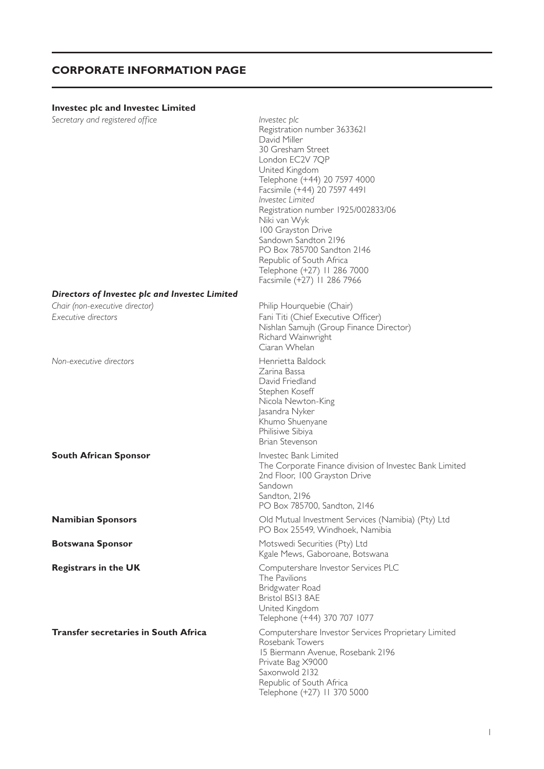# **CORPORATE INFORMATION PAGE**

# **Investec plc and Investec Limited**<br>Secretary and registered office

| Secretary and registered office                       | Investec plc<br>Registration number 3633621<br>David Miller<br>30 Gresham Street<br>London EC2V 7QP<br>United Kingdom<br>Telephone (+44) 20 7597 4000<br>Facsimile (+44) 20 7597 4491<br>Investec Limited<br>Registration number 1925/002833/06<br>Niki van Wyk<br>100 Grayston Drive<br>Sandown Sandton 2196<br>PO Box 785700 Sandton 2146<br>Republic of South Africa<br>Telephone (+27) 11 286 7000<br>Facsimile (+27) 11 286 7966 |
|-------------------------------------------------------|---------------------------------------------------------------------------------------------------------------------------------------------------------------------------------------------------------------------------------------------------------------------------------------------------------------------------------------------------------------------------------------------------------------------------------------|
| Directors of Investec plc and Investec Limited        |                                                                                                                                                                                                                                                                                                                                                                                                                                       |
| Chair (non-executive director)<br>Executive directors | Philip Hourquebie (Chair)<br>Fani Titi (Chief Executive Officer)<br>Nishlan Samujh (Group Finance Director)<br>Richard Wainwright<br>Ciaran Whelan                                                                                                                                                                                                                                                                                    |
| Non-executive directors                               | Henrietta Baldock<br>Zarina Bassa<br>David Friedland<br>Stephen Koseff<br>Nicola Newton-King<br>Jasandra Nyker<br>Khumo Shuenyane<br>Philisiwe Sibiya<br>Brian Stevenson                                                                                                                                                                                                                                                              |
| South African Sponsor                                 | Investec Bank Limited<br>The Corporate Finance division of Investec Bank Limited<br>2nd Floor, 100 Grayston Drive<br>Sandown<br>Sandton, 2196<br>PO Box 785700, Sandton, 2146                                                                                                                                                                                                                                                         |
| <b>Namibian Sponsors</b>                              | Old Mutual Investment Services (Namibia) (Pty) Ltd<br>PO Box 25549, Windhoek, Namibia                                                                                                                                                                                                                                                                                                                                                 |
| <b>Botswana Sponsor</b>                               | Motswedi Securities (Pty) Ltd<br>Kgale Mews, Gaboroane, Botswana                                                                                                                                                                                                                                                                                                                                                                      |
| <b>Registrars in the UK</b>                           | Computershare Investor Services PLC<br>The Pavilions<br>Bridgwater Road<br>Bristol BSI3 8AE<br>United Kingdom<br>Telephone (+44) 370 707 1077                                                                                                                                                                                                                                                                                         |
| <b>Transfer secretaries in South Africa</b>           | Computershare Investor Services Proprietary Limited<br>Rosebank Towers<br>15 Biermann Avenue, Rosebank 2196<br>Private Bag X9000<br>Saxonwold 2132<br>Republic of South Africa<br>Telephone (+27) 11 370 5000                                                                                                                                                                                                                         |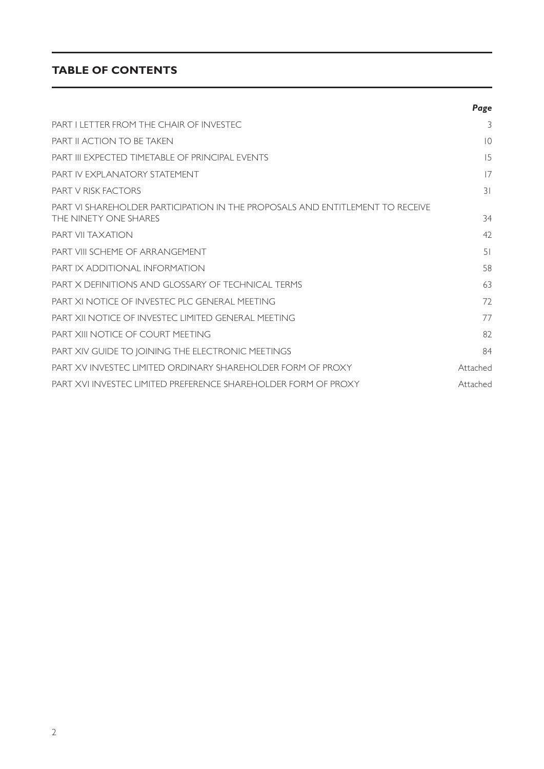# **TABLE OF CONTENTS**

|                                                                                                        | Page     |
|--------------------------------------------------------------------------------------------------------|----------|
| PART I LETTER FROM THE CHAIR OF INVESTEC                                                               | 3        |
| <b>PART II ACTION TO BE TAKEN</b>                                                                      | 10       |
| PART III EXPECTED TIMETABLE OF PRINCIPAL EVENTS                                                        | 15       |
| PART IV EXPLANATORY STATEMENT                                                                          | 17       |
| <b>PART V RISK FACTORS</b>                                                                             | 31       |
| PART VI SHAREHOLDER PARTICIPATION IN THE PROPOSALS AND ENTITLEMENT TO RECEIVE<br>THE NINETY ONE SHARES | 34       |
| PART VII TAXATION                                                                                      | 42       |
| PART VIII SCHEME OF ARRANGEMENT                                                                        | 51       |
| PART IX ADDITIONAL INFORMATION                                                                         | 58       |
| PART X DEFINITIONS AND GLOSSARY OF TECHNICAL TERMS                                                     | 63       |
| PART XI NOTICE OF INVESTEC PLC GENERAL MEETING                                                         | 72       |
| PART XII NOTICE OF INVESTEC LIMITED GENERAL MEETING                                                    | 77       |
| PART XIII NOTICE OF COURT MEETING                                                                      | 82       |
| PART XIV GUIDE TO JOINING THE ELECTRONIC MEETINGS                                                      | 84       |
| PART XV INVESTEC LIMITED ORDINARY SHAREHOLDER FORM OF PROXY                                            | Attached |
| PART XVI INVESTEC LIMITED PREFERENCE SHAREHOLDER FORM OF PROXY                                         | Attached |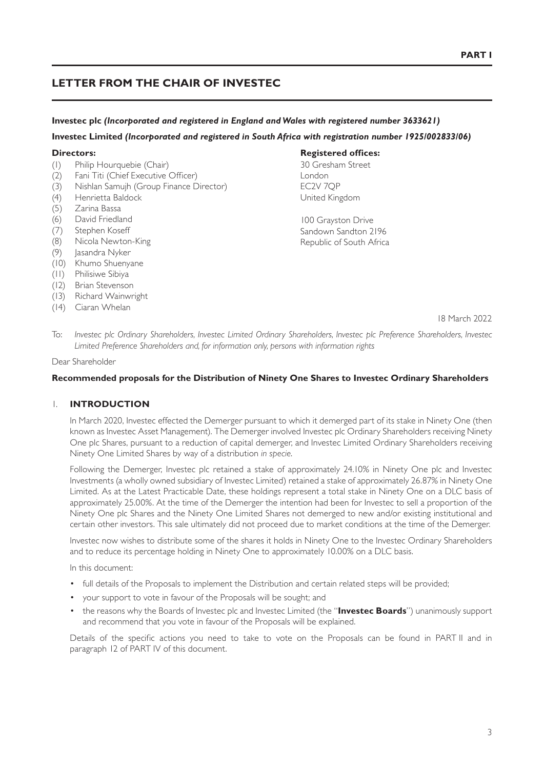# **LETTER FROM THE CHAIR OF INVESTEC**

#### **Investec plc** *(Incorporated and registered in England and Wales with registered number 3633621)*

#### **Investec Limited** *(Incorporated and registered in South Africa with registration number 1925/002833/06)*

- (1) Philip Hourquebie (Chair)
- (2) Fani Titi (Chief Executive Officer)
- (3) Nishlan Samujh (Group Finance Director)
- $(4)$ Henrietta Baldock
- (5) Zarina Bassa
- (6) David Friedland
- (7) Stephen Koseff
- (8) Nicola Newton-King
- (9) Jasandra Nyker
- (10) Khumo Shuenyane
- (11) Philisiwe Sibiya
- (12) Brian Stevenson
- (13) Richard Wainwright
- (14) Ciaran Whelan

#### **Directors: Registered offices:**

30 Gresham Street London EC2V 7QP United Kingdom

100 Grayston Drive Sandown Sandton 2196 Republic of South Africa

18 March 2022

To: *Investec plc Ordinary Shareholders, Investec Limited Ordinary Shareholders, Investec plc Preference Shareholders, Investec Limited Preference Shareholders and, for information only, persons with information rights*

Dear Shareholder

#### **Recommended proposals for the Distribution of Ninety One Shares to Investec Ordinary Shareholders**

#### 1. **INTRODUCTION**

In March 2020, Investec effected the Demerger pursuant to which it demerged part of its stake in Ninety One (then known as Investec Asset Management). The Demerger involved Investec plc Ordinary Shareholders receiving Ninety One plc Shares, pursuant to a reduction of capital demerger, and Investec Limited Ordinary Shareholders receiving Ninety One Limited Shares by way of a distribution *in specie*.

Following the Demerger, Investec plc retained a stake of approximately 24.10% in Ninety One plc and Investec Investments (a wholly owned subsidiary of Investec Limited) retained a stake of approximately 26.87% in Ninety One Limited. As at the Latest Practicable Date, these holdings represent a total stake in Ninety One on a DLC basis of approximately 25.00%. At the time of the Demerger the intention had been for Investec to sell a proportion of the Ninety One plc Shares and the Ninety One Limited Shares not demerged to new and/or existing institutional and certain other investors. This sale ultimately did not proceed due to market conditions at the time of the Demerger.

Investec now wishes to distribute some of the shares it holds in Ninety One to the Investec Ordinary Shareholders and to reduce its percentage holding in Ninety One to approximately 10.00% on a DLC basis.

In this document:

- full details of the Proposals to implement the Distribution and certain related steps will be provided;
- your support to vote in favour of the Proposals will be sought; and
- the reasons why the Boards of Investec plc and Investec Limited (the "**Investec Boards**") unanimously support and recommend that you vote in favour of the Proposals will be explained.

Details of the specific actions you need to take to vote on the Proposals can be found in PART II and in paragraph 12 of PART IV of this document.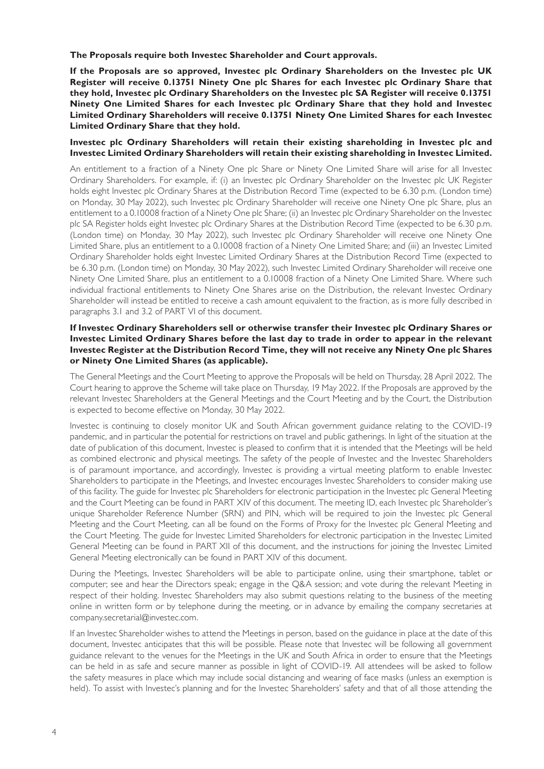**The Proposals require both Investec Shareholder and Court approvals.**

**If the Proposals are so approved, Investec plc Ordinary Shareholders on the Investec plc UK Register will receive 0.13751 Ninety One plc Shares for each Investec plc Ordinary Share that they hold, Investec plc Ordinary Shareholders on the Investec plc SA Register will receive 0.13751 Ninety One Limited Shares for each Investec plc Ordinary Share that they hold and Investec Limited Ordinary Shareholders will receive 0.13751 Ninety One Limited Shares for each Investec Limited Ordinary Share that they hold.**

#### **Investec plc Ordinary Shareholders will retain their existing shareholding in Investec plc and Investec Limited Ordinary Shareholders will retain their existing shareholding in Investec Limited.**

An entitlement to a fraction of a Ninety One plc Share or Ninety One Limited Share will arise for all Investec Ordinary Shareholders. For example, if: (i) an Investec plc Ordinary Shareholder on the Investec plc UK Register holds eight Investec plc Ordinary Shares at the Distribution Record Time (expected to be 6.30 p.m. (London time) on Monday, 30 May 2022), such Investec plc Ordinary Shareholder will receive one Ninety One plc Share, plus an entitlement to a 0.10008 fraction of a Ninety One plc Share; (ii) an Investec plc Ordinary Shareholder on the Investec plc SA Register holds eight Investec plc Ordinary Shares at the Distribution Record Time (expected to be 6.30 p.m. (London time) on Monday, 30 May 2022), such Investec plc Ordinary Shareholder will receive one Ninety One Limited Share, plus an entitlement to a 0.10008 fraction of a Ninety One Limited Share; and (iii) an Investec Limited Ordinary Shareholder holds eight Investec Limited Ordinary Shares at the Distribution Record Time (expected to be 6.30 p.m. (London time) on Monday, 30 May 2022), such Investec Limited Ordinary Shareholder will receive one Ninety One Limited Share, plus an entitlement to a 0.10008 fraction of a Ninety One Limited Share. Where such individual fractional entitlements to Ninety One Shares arise on the Distribution, the relevant Investec Ordinary Shareholder will instead be entitled to receive a cash amount equivalent to the fraction, as is more fully described in paragraphs 3.1 and 3.2 of PART VI of this document.

#### **If Investec Ordinary Shareholders sell or otherwise transfer their Investec plc Ordinary Shares or Investec Limited Ordinary Shares before the last day to trade in order to appear in the relevant Investec Register at the Distribution Record Time, they will not receive any Ninety One plc Shares or Ninety One Limited Shares (as applicable).**

The General Meetings and the Court Meeting to approve the Proposals will be held on Thursday, 28 April 2022. The Court hearing to approve the Scheme will take place on Thursday, 19 May 2022. If the Proposals are approved by the relevant Investec Shareholders at the General Meetings and the Court Meeting and by the Court, the Distribution is expected to become effective on Monday, 30 May 2022.

Investec is continuing to closely monitor UK and South African government guidance relating to the COVID-19 pandemic, and in particular the potential for restrictions on travel and public gatherings. In light of the situation at the date of publication of this document, Investec is pleased to confirm that it is intended that the Meetings will be held as combined electronic and physical meetings. The safety of the people of Investec and the Investec Shareholders is of paramount importance, and accordingly, Investec is providing a virtual meeting platform to enable Investec Shareholders to participate in the Meetings, and Investec encourages Investec Shareholders to consider making use of this facility. The guide for Investec plc Shareholders for electronic participation in the Investec plc General Meeting and the Court Meeting can be found in PART XIV of this document. The meeting ID, each Investec plc Shareholder's unique Shareholder Reference Number (SRN) and PIN, which will be required to join the Investec plc General Meeting and the Court Meeting, can all be found on the Forms of Proxy for the Investec plc General Meeting and the Court Meeting. The guide for Investec Limited Shareholders for electronic participation in the Investec Limited General Meeting can be found in PART XII of this document, and the instructions for joining the Investec Limited General Meeting electronically can be found in PART XIV of this document.

During the Meetings, Investec Shareholders will be able to participate online, using their smartphone, tablet or computer; see and hear the Directors speak; engage in the Q&A session; and vote during the relevant Meeting in respect of their holding. Investec Shareholders may also submit questions relating to the business of the meeting online in written form or by telephone during the meeting, or in advance by emailing the company secretaries at company.secretarial@investec.com.

If an Investec Shareholder wishes to attend the Meetings in person, based on the guidance in place at the date of this document, Investec anticipates that this will be possible. Please note that Investec will be following all government guidance relevant to the venues for the Meetings in the UK and South Africa in order to ensure that the Meetings can be held in as safe and secure manner as possible in light of COVID-19. All attendees will be asked to follow the safety measures in place which may include social distancing and wearing of face masks (unless an exemption is held). To assist with Investec's planning and for the Investec Shareholders' safety and that of all those attending the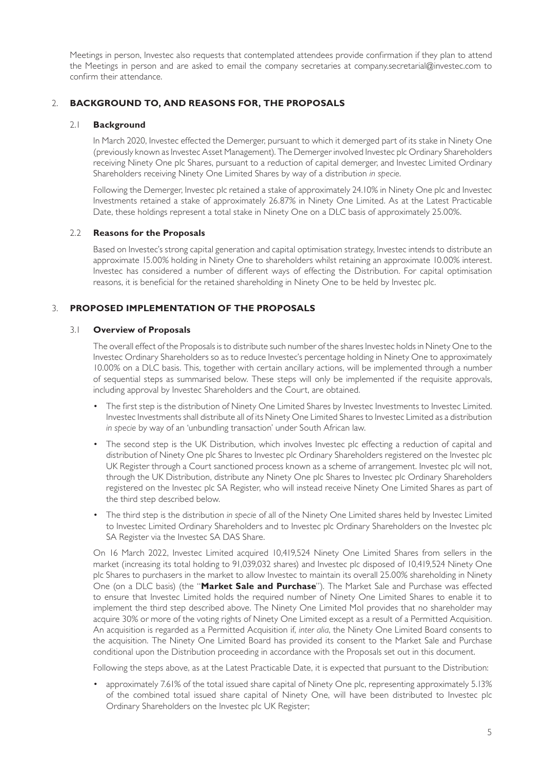Meetings in person, Investec also requests that contemplated attendees provide confirmation if they plan to attend the Meetings in person and are asked to email the company secretaries at company.secretarial@investec.com to confirm their attendance.

#### 2. **BACKGROUND TO, AND REASONS FOR, THE PROPOSALS**

#### 2.1 **Background**

In March 2020, Investec effected the Demerger, pursuant to which it demerged part of its stake in Ninety One (previously known as Investec Asset Management). The Demerger involved Investec plc Ordinary Shareholders receiving Ninety One plc Shares, pursuant to a reduction of capital demerger, and Investec Limited Ordinary Shareholders receiving Ninety One Limited Shares by way of a distribution *in specie*.

Following the Demerger, Investec plc retained a stake of approximately 24.10% in Ninety One plc and Investec Investments retained a stake of approximately 26.87% in Ninety One Limited. As at the Latest Practicable Date, these holdings represent a total stake in Ninety One on a DLC basis of approximately 25.00%.

#### 2.2 **Reasons for the Proposals**

Based on Investec's strong capital generation and capital optimisation strategy, Investec intends to distribute an approximate 15.00% holding in Ninety One to shareholders whilst retaining an approximate 10.00% interest. Investec has considered a number of different ways of effecting the Distribution. For capital optimisation reasons, it is beneficial for the retained shareholding in Ninety One to be held by Investec plc.

#### 3. **PROPOSED IMPLEMENTATION OF THE PROPOSALS**

#### 3.1 **Overview of Proposals**

The overall effect of the Proposals is to distribute such number of the shares Investec holds in Ninety One to the Investec Ordinary Shareholders so as to reduce Investec's percentage holding in Ninety One to approximately 10.00% on a DLC basis. This, together with certain ancillary actions, will be implemented through a number of sequential steps as summarised below. These steps will only be implemented if the requisite approvals, including approval by Investec Shareholders and the Court, are obtained.

- The first step is the distribution of Ninety One Limited Shares by Investec Investments to Investec Limited. Investec Investments shall distribute all of its Ninety One Limited Shares to Investec Limited as a distribution *in specie* by way of an 'unbundling transaction' under South African law.
- The second step is the UK Distribution, which involves Investec plc effecting a reduction of capital and distribution of Ninety One plc Shares to Investec plc Ordinary Shareholders registered on the Investec plc UK Register through a Court sanctioned process known as a scheme of arrangement. Investec plc will not, through the UK Distribution, distribute any Ninety One plc Shares to Investec plc Ordinary Shareholders registered on the Investec plc SA Register, who will instead receive Ninety One Limited Shares as part of the third step described below.
- The third step is the distribution *in specie* of all of the Ninety One Limited shares held by Investec Limited to Investec Limited Ordinary Shareholders and to Investec plc Ordinary Shareholders on the Investec plc SA Register via the Investec SA DAS Share.

On 16 March 2022, Investec Limited acquired 10,419,524 Ninety One Limited Shares from sellers in the market (increasing its total holding to 91,039,032 shares) and Investec plc disposed of 10,419,524 Ninety One plc Shares to purchasers in the market to allow Investec to maintain its overall 25.00% shareholding in Ninety One (on a DLC basis) (the "**Market Sale and Purchase**"). The Market Sale and Purchase was effected to ensure that Investec Limited holds the required number of Ninety One Limited Shares to enable it to implement the third step described above. The Ninety One Limited MoI provides that no shareholder may acquire 30% or more of the voting rights of Ninety One Limited except as a result of a Permitted Acquisition. An acquisition is regarded as a Permitted Acquisition if, *inter alia*, the Ninety One Limited Board consents to the acquisition. The Ninety One Limited Board has provided its consent to the Market Sale and Purchase conditional upon the Distribution proceeding in accordance with the Proposals set out in this document.

Following the steps above, as at the Latest Practicable Date, it is expected that pursuant to the Distribution:

• approximately 7.61% of the total issued share capital of Ninety One plc, representing approximately 5.13% of the combined total issued share capital of Ninety One, will have been distributed to Investec plc Ordinary Shareholders on the Investec plc UK Register;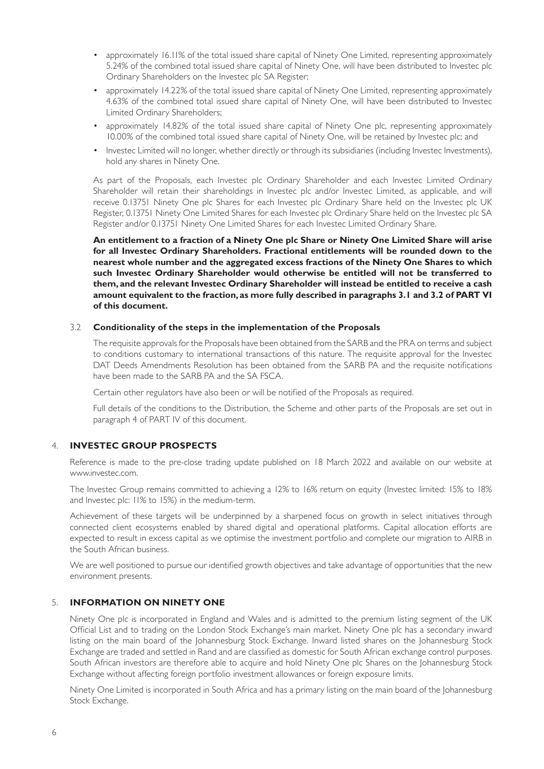- approximately 16.11% of the total issued share capital of Ninety One Limited, representing approximately 5.24% of the combined total issued share capital of Ninety One, will have been distributed to Investec plc Ordinary Shareholders on the Investec plc SA Register;
- approximately 14.22% of the total issued share capital of Ninety One Limited, representing approximately 4.63% of the combined total issued share capital of Ninety One, will have been distributed to Investec Limited Ordinary Shareholders;
- approximately 14.82% of the total issued share capital of Ninety One plc, representing approximately 10.00% of the combined total issued share capital of Ninety One, will be retained by Investec plc; and
- Investec Limited will no longer, whether directly or through its subsidiaries (including Investec Investments), hold any shares in Ninety One.

As part of the Proposals, each Investec plc Ordinary Shareholder and each Investec Limited Ordinary Shareholder will retain their shareholdings in Investec plc and/or Investec Limited, as applicable, and will receive 0.13751 Ninety One plc Shares for each Investec plc Ordinary Share held on the Investec plc UK Register, 0.13751 Ninety One Limited Shares for each Investec plc Ordinary Share held on the Investec plc SA Register and/or 0.13751 Ninety One Limited Shares for each Investec Limited Ordinary Share.

**An entitlement to a fraction of a Ninety One plc Share or Ninety One Limited Share will arise for all Investec Ordinary Shareholders. Fractional entitlements will be rounded down to the nearest whole number and the aggregated excess fractions of the Ninety One Shares to which such Investec Ordinary Shareholder would otherwise be entitled will not be transferred to them, and the relevant Investec Ordinary Shareholder will instead be entitled to receive a cash amount equivalent to the fraction, as more fully described in paragraphs 3.1 and 3.2 of PART VI of this document.**

#### 3.2 **Conditionality of the steps in the implementation of the Proposals**

The requisite approvals for the Proposals have been obtained from the SARB and the PRA on terms and subject to conditions customary to international transactions of this nature. The requisite approval for the Investec DAT Deeds Amendments Resolution has been obtained from the SARB PA and the requisite notifications have been made to the SARB PA and the SA FSCA.

Certain other regulators have also been or will be notified of the Proposals as required.

Full details of the conditions to the Distribution, the Scheme and other parts of the Proposals are set out in paragraph 4 of PART IV of this document.

#### 4. **INVESTEC GROUP PROSPECTS**

Reference is made to the pre-close trading update published on 18 March 2022 and available on our website at www.investec.com.

The Investec Group remains committed to achieving a 12% to 16% return on equity (Investec limited: 15% to 18% and Investec plc: 11% to 15%) in the medium-term.

Achievement of these targets will be underpinned by a sharpened focus on growth in select initiatives through connected client ecosystems enabled by shared digital and operational platforms. Capital allocation efforts are expected to result in excess capital as we optimise the investment portfolio and complete our migration to AIRB in the South African business.

We are well positioned to pursue our identified growth objectives and take advantage of opportunities that the new environment presents.

#### 5. **INFORMATION ON NINETY ONE**

Ninety One plc is incorporated in England and Wales and is admitted to the premium listing segment of the UK Official List and to trading on the London Stock Exchange's main market. Ninety One plc has a secondary inward listing on the main board of the Johannesburg Stock Exchange. Inward listed shares on the Johannesburg Stock Exchange are traded and settled in Rand and are classified as domestic for South African exchange control purposes. South African investors are therefore able to acquire and hold Ninety One plc Shares on the Johannesburg Stock Exchange without affecting foreign portfolio investment allowances or foreign exposure limits.

Ninety One Limited is incorporated in South Africa and has a primary listing on the main board of the Johannesburg Stock Exchange.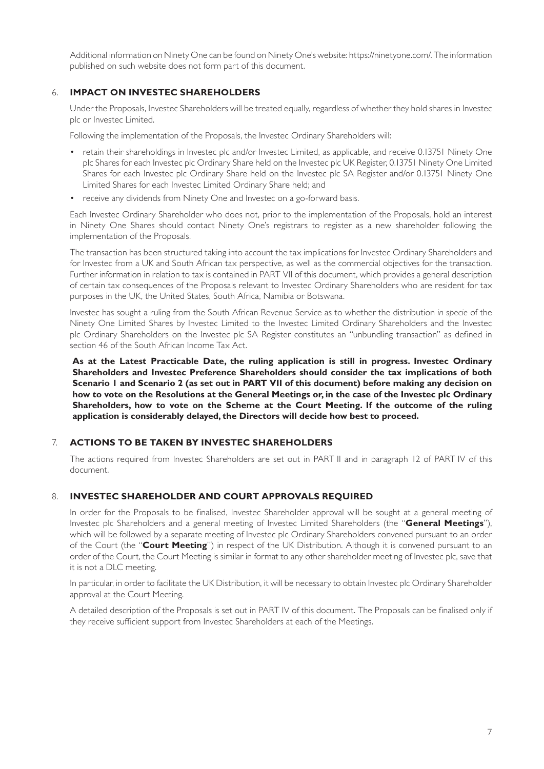Additional information on Ninety One can be found on Ninety One's website: https://ninetyone.com/. The information published on such website does not form part of this document.

#### 6. **IMPACT ON INVESTEC SHAREHOLDERS**

Under the Proposals, Investec Shareholders will be treated equally, regardless of whether they hold shares in Investec plc or Investec Limited.

Following the implementation of the Proposals, the Investec Ordinary Shareholders will:

- retain their shareholdings in Investec plc and/or Investec Limited, as applicable, and receive 0.13751 Ninety One plc Shares for each Investec plc Ordinary Share held on the Investec plc UK Register, 0.13751 Ninety One Limited Shares for each Investec plc Ordinary Share held on the Investec plc SA Register and/or 0.13751 Ninety One Limited Shares for each Investec Limited Ordinary Share held; and
- receive any dividends from Ninety One and Investec on a go-forward basis.

Each Investec Ordinary Shareholder who does not, prior to the implementation of the Proposals, hold an interest in Ninety One Shares should contact Ninety One's registrars to register as a new shareholder following the implementation of the Proposals.

The transaction has been structured taking into account the tax implications for Investec Ordinary Shareholders and for Investec from a UK and South African tax perspective, as well as the commercial objectives for the transaction. Further information in relation to tax is contained in PART VII of this document, which provides a general description of certain tax consequences of the Proposals relevant to Investec Ordinary Shareholders who are resident for tax purposes in the UK, the United States, South Africa, Namibia or Botswana.

Investec has sought a ruling from the South African Revenue Service as to whether the distribution *in specie* of the Ninety One Limited Shares by Investec Limited to the Investec Limited Ordinary Shareholders and the Investec plc Ordinary Shareholders on the Investec plc SA Register constitutes an "unbundling transaction" as defined in section 46 of the South African Income Tax Act.

**As at the Latest Practicable Date, the ruling application is still in progress. Investec Ordinary Shareholders and Investec Preference Shareholders should consider the tax implications of both Scenario 1 and Scenario 2 (as set out in PART VII of this document) before making any decision on how to vote on the Resolutions at the General Meetings or, in the case of the Investec plc Ordinary Shareholders, how to vote on the Scheme at the Court Meeting. If the outcome of the ruling application is considerably delayed, the Directors will decide how best to proceed.**

#### 7. **ACTIONS TO BE TAKEN BY INVESTEC SHAREHOLDERS**

The actions required from Investec Shareholders are set out in PART II and in paragraph 12 of PART IV of this document.

#### 8. **INVESTEC SHAREHOLDER AND COURT APPROVALS REQUIRED**

In order for the Proposals to be finalised, Investec Shareholder approval will be sought at a general meeting of Investec plc Shareholders and a general meeting of Investec Limited Shareholders (the "**General Meetings**"), which will be followed by a separate meeting of Investec plc Ordinary Shareholders convened pursuant to an order of the Court (the "**Court Meeting**") in respect of the UK Distribution. Although it is convened pursuant to an order of the Court, the Court Meeting is similar in format to any other shareholder meeting of Investec plc, save that it is not a DLC meeting.

In particular, in order to facilitate the UK Distribution, it will be necessary to obtain Investec plc Ordinary Shareholder approval at the Court Meeting.

A detailed description of the Proposals is set out in PART IV of this document. The Proposals can be finalised only if they receive sufficient support from Investec Shareholders at each of the Meetings.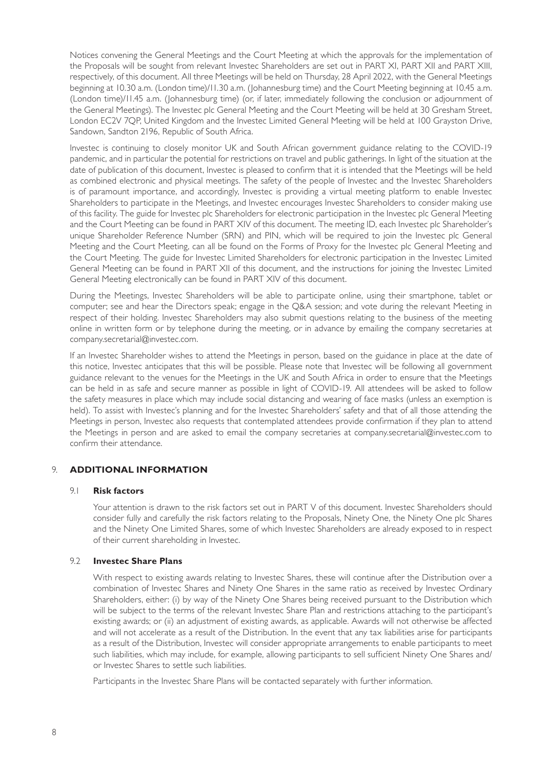Notices convening the General Meetings and the Court Meeting at which the approvals for the implementation of the Proposals will be sought from relevant Investec Shareholders are set out in PART XI, PART XII and PART XIII, respectively, of this document. All three Meetings will be held on Thursday, 28 April 2022, with the General Meetings beginning at 10.30 a.m. (London time)/11.30 a.m. (Johannesburg time) and the Court Meeting beginning at 10.45 a.m. (London time)/11.45 a.m. (Johannesburg time) (or, if later, immediately following the conclusion or adjournment of the General Meetings). The Investec plc General Meeting and the Court Meeting will be held at 30 Gresham Street, London EC2V 7QP, United Kingdom and the Investec Limited General Meeting will be held at 100 Grayston Drive, Sandown, Sandton 2196, Republic of South Africa.

Investec is continuing to closely monitor UK and South African government guidance relating to the COVID-19 pandemic, and in particular the potential for restrictions on travel and public gatherings. In light of the situation at the date of publication of this document, Investec is pleased to confirm that it is intended that the Meetings will be held as combined electronic and physical meetings. The safety of the people of Investec and the Investec Shareholders is of paramount importance, and accordingly, Investec is providing a virtual meeting platform to enable Investec Shareholders to participate in the Meetings, and Investec encourages Investec Shareholders to consider making use of this facility. The guide for Investec plc Shareholders for electronic participation in the Investec plc General Meeting and the Court Meeting can be found in PART XIV of this document. The meeting ID, each Investec plc Shareholder's unique Shareholder Reference Number (SRN) and PIN, which will be required to join the Investec plc General Meeting and the Court Meeting, can all be found on the Forms of Proxy for the Investec plc General Meeting and the Court Meeting. The guide for Investec Limited Shareholders for electronic participation in the Investec Limited General Meeting can be found in PART XII of this document, and the instructions for joining the Investec Limited General Meeting electronically can be found in PART XIV of this document.

During the Meetings, Investec Shareholders will be able to participate online, using their smartphone, tablet or computer; see and hear the Directors speak; engage in the Q&A session; and vote during the relevant Meeting in respect of their holding. Investec Shareholders may also submit questions relating to the business of the meeting online in written form or by telephone during the meeting, or in advance by emailing the company secretaries at company.secretarial@investec.com.

If an Investec Shareholder wishes to attend the Meetings in person, based on the guidance in place at the date of this notice, Investec anticipates that this will be possible. Please note that Investec will be following all government guidance relevant to the venues for the Meetings in the UK and South Africa in order to ensure that the Meetings can be held in as safe and secure manner as possible in light of COVID-19. All attendees will be asked to follow the safety measures in place which may include social distancing and wearing of face masks (unless an exemption is held). To assist with Investec's planning and for the Investec Shareholders' safety and that of all those attending the Meetings in person, Investec also requests that contemplated attendees provide confirmation if they plan to attend the Meetings in person and are asked to email the company secretaries at company.secretarial@investec.com to confirm their attendance.

#### 9. **ADDITIONAL INFORMATION**

#### 9.1 **Risk factors**

Your attention is drawn to the risk factors set out in PART V of this document. Investec Shareholders should consider fully and carefully the risk factors relating to the Proposals, Ninety One, the Ninety One plc Shares and the Ninety One Limited Shares, some of which Investec Shareholders are already exposed to in respect of their current shareholding in Investec.

#### 9.2 **Investec Share Plans**

With respect to existing awards relating to Investec Shares, these will continue after the Distribution over a combination of Investec Shares and Ninety One Shares in the same ratio as received by Investec Ordinary Shareholders, either: (i) by way of the Ninety One Shares being received pursuant to the Distribution which will be subject to the terms of the relevant Investec Share Plan and restrictions attaching to the participant's existing awards; or (ii) an adjustment of existing awards, as applicable. Awards will not otherwise be affected and will not accelerate as a result of the Distribution. In the event that any tax liabilities arise for participants as a result of the Distribution, Investec will consider appropriate arrangements to enable participants to meet such liabilities, which may include, for example, allowing participants to sell sufficient Ninety One Shares and/ or Investec Shares to settle such liabilities.

Participants in the Investec Share Plans will be contacted separately with further information.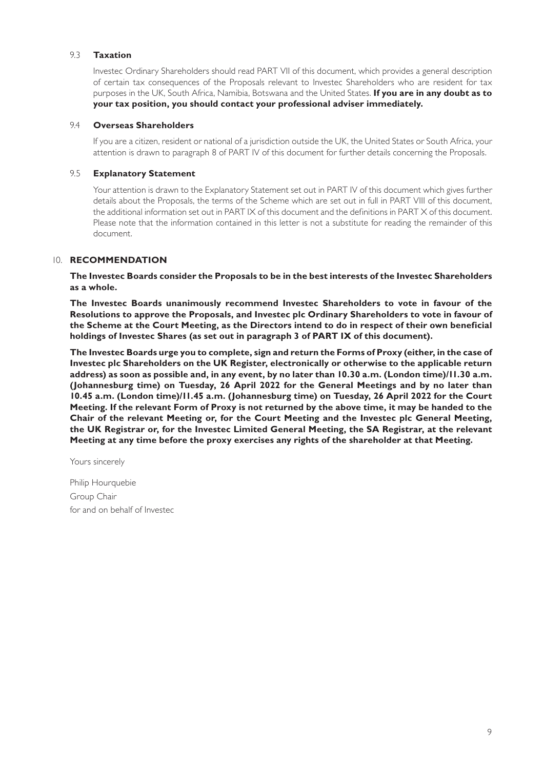#### 9.3 **Taxation**

Investec Ordinary Shareholders should read PART VII of this document, which provides a general description of certain tax consequences of the Proposals relevant to Investec Shareholders who are resident for tax purposes in the UK, South Africa, Namibia, Botswana and the United States. **If you are in any doubt as to your tax position, you should contact your professional adviser immediately.**

#### 9.4 **Overseas Shareholders**

If you are a citizen, resident or national of a jurisdiction outside the UK, the United States or South Africa, your attention is drawn to paragraph 8 of PART IV of this document for further details concerning the Proposals.

#### 9.5 **Explanatory Statement**

Your attention is drawn to the Explanatory Statement set out in PART IV of this document which gives further details about the Proposals, the terms of the Scheme which are set out in full in PART VIII of this document, the additional information set out in PART IX of this document and the definitions in PART X of this document. Please note that the information contained in this letter is not a substitute for reading the remainder of this document.

#### 10. **RECOMMENDATION**

**The Investec Boards consider the Proposals to be in the best interests of the Investec Shareholders as a whole.**

**The Investec Boards unanimously recommend Investec Shareholders to vote in favour of the Resolutions to approve the Proposals, and Investec plc Ordinary Shareholders to vote in favour of the Scheme at the Court Meeting, as the Directors intend to do in respect of their own beneficial holdings of Investec Shares (as set out in paragraph 3 of PART IX of this document).**

**The Investec Boards urge you to complete, sign and return the Forms of Proxy (either, in the case of Investec plc Shareholders on the UK Register, electronically or otherwise to the applicable return address) as soon as possible and, in any event, by no later than 10.30 a.m. (London time)/11.30 a.m. (Johannesburg time) on Tuesday, 26 April 2022 for the General Meetings and by no later than 10.45 a.m. (London time)/11.45 a.m. (Johannesburg time) on Tuesday, 26 April 2022 for the Court Meeting. If the relevant Form of Proxy is not returned by the above time, it may be handed to the Chair of the relevant Meeting or, for the Court Meeting and the Investec plc General Meeting, the UK Registrar or, for the Investec Limited General Meeting, the SA Registrar, at the relevant Meeting at any time before the proxy exercises any rights of the shareholder at that Meeting.**

Yours sincerely

Philip Hourquebie Group Chair for and on behalf of Investec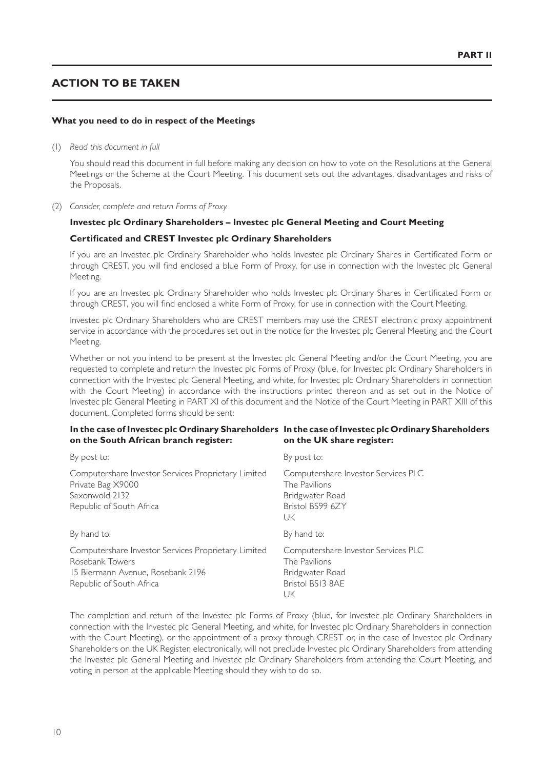# **ACTION TO BE TAKEN**

#### **What you need to do in respect of the Meetings**

(1) *Read this document in full*

You should read this document in full before making any decision on how to vote on the Resolutions at the General Meetings or the Scheme at the Court Meeting. This document sets out the advantages, disadvantages and risks of the Proposals.

(2) *Consider, complete and return Forms of Proxy*

#### **Investec plc Ordinary Shareholders – Investec plc General Meeting and Court Meeting**

#### **Certificated and CREST Investec plc Ordinary Shareholders**

If you are an Investec plc Ordinary Shareholder who holds Investec plc Ordinary Shares in Certificated Form or through CREST, you will find enclosed a blue Form of Proxy, for use in connection with the Investec plc General Meeting.

If you are an Investec plc Ordinary Shareholder who holds Investec plc Ordinary Shares in Certificated Form or through CREST, you will find enclosed a white Form of Proxy, for use in connection with the Court Meeting.

Investec plc Ordinary Shareholders who are CREST members may use the CREST electronic proxy appointment service in accordance with the procedures set out in the notice for the Investec plc General Meeting and the Court Meeting.

Whether or not you intend to be present at the Investec plc General Meeting and/or the Court Meeting, you are requested to complete and return the Investec plc Forms of Proxy (blue, for Investec plc Ordinary Shareholders in connection with the Investec plc General Meeting, and white, for Investec plc Ordinary Shareholders in connection with the Court Meeting) in accordance with the instructions printed thereon and as set out in the Notice of Investec plc General Meeting in PART XI of this document and the Notice of the Court Meeting in PART XIII of this document. Completed forms should be sent:

#### **In the case of Investec plc Ordinary Shareholders In the case of Investec plc Ordinary Shareholders on the South African branch register: on the UK share register:**

| By post to:                                                                                                                             | By post to:                                                                                        |
|-----------------------------------------------------------------------------------------------------------------------------------------|----------------------------------------------------------------------------------------------------|
| Computershare Investor Services Proprietary Limited<br>Private Bag X9000<br>Saxonwold 2132<br>Republic of South Africa                  | Computershare Investor Services PLC<br>The Pavilions<br>Bridgwater Road<br>Bristol BS99 6ZY<br>UK. |
| By hand to:                                                                                                                             | By hand to:                                                                                        |
| Computershare Investor Services Proprietary Limited<br>Rosebank Towers<br>15 Biermann Avenue, Rosebank 2196<br>Republic of South Africa | Computershare Investor Services PLC<br>The Pavilions<br>Bridgwater Road<br>Bristol BSI3 8AE<br>UK  |

The completion and return of the Investec plc Forms of Proxy (blue, for Investec plc Ordinary Shareholders in connection with the Investec plc General Meeting, and white, for Investec plc Ordinary Shareholders in connection with the Court Meeting), or the appointment of a proxy through CREST or, in the case of Investec plc Ordinary Shareholders on the UK Register, electronically, will not preclude Investec plc Ordinary Shareholders from attending the Investec plc General Meeting and Investec plc Ordinary Shareholders from attending the Court Meeting, and voting in person at the applicable Meeting should they wish to do so.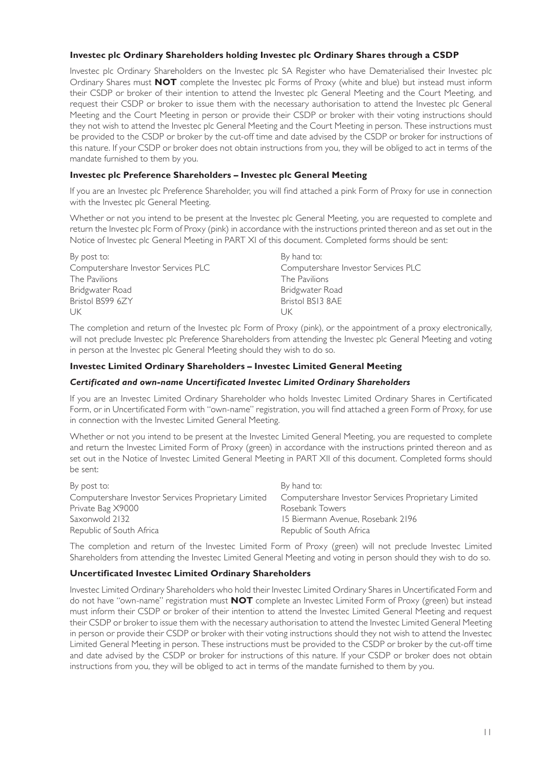#### **Investec plc Ordinary Shareholders holding Investec plc Ordinary Shares through a CSDP**

Investec plc Ordinary Shareholders on the Investec plc SA Register who have Dematerialised their Investec plc Ordinary Shares must **NOT** complete the Investec plc Forms of Proxy (white and blue) but instead must inform their CSDP or broker of their intention to attend the Investec plc General Meeting and the Court Meeting, and request their CSDP or broker to issue them with the necessary authorisation to attend the Investec plc General Meeting and the Court Meeting in person or provide their CSDP or broker with their voting instructions should they not wish to attend the Investec plc General Meeting and the Court Meeting in person. These instructions must be provided to the CSDP or broker by the cut-off time and date advised by the CSDP or broker for instructions of this nature. If your CSDP or broker does not obtain instructions from you, they will be obliged to act in terms of the mandate furnished to them by you.

#### **Investec plc Preference Shareholders – Investec plc General Meeting**

If you are an Investec plc Preference Shareholder, you will find attached a pink Form of Proxy for use in connection with the Investec plc General Meeting.

Whether or not you intend to be present at the Investec plc General Meeting, you are requested to complete and return the Investec plc Form of Proxy (pink) in accordance with the instructions printed thereon and as set out in the Notice of Investec plc General Meeting in PART XI of this document. Completed forms should be sent:

| By post to:                         | By hand to:                         |
|-------------------------------------|-------------------------------------|
| Computershare Investor Services PLC | Computershare Investor Services PLC |
| The Pavilions                       | The Pavilions                       |
| Bridgwater Road                     | Bridgwater Road                     |
| Bristol BS99 6ZY                    | Bristol BSI3 8AE                    |
| UK                                  | l Ik                                |

The completion and return of the Investec plc Form of Proxy (pink), or the appointment of a proxy electronically, will not preclude Investec plc Preference Shareholders from attending the Investec plc General Meeting and voting in person at the Investec plc General Meeting should they wish to do so.

#### **Investec Limited Ordinary Shareholders – Investec Limited General Meeting**

#### *Certificated and own-name Uncertificated Investec Limited Ordinary Shareholders*

If you are an Investec Limited Ordinary Shareholder who holds Investec Limited Ordinary Shares in Certificated Form, or in Uncertificated Form with "own-name" registration, you will find attached a green Form of Proxy, for use in connection with the Investec Limited General Meeting.

Whether or not you intend to be present at the Investec Limited General Meeting, you are requested to complete and return the Investec Limited Form of Proxy (green) in accordance with the instructions printed thereon and as set out in the Notice of Investec Limited General Meeting in PART XII of this document. Completed forms should be sent:

| By post to:                                         | By hand to:                                         |
|-----------------------------------------------------|-----------------------------------------------------|
| Computershare Investor Services Proprietary Limited | Computershare Investor Services Proprietary Limited |
| Private Bag X9000                                   | Rosebank Towers                                     |
| Saxonwold 2132                                      | 15 Biermann Avenue, Rosebank 2196                   |
| Republic of South Africa                            | Republic of South Africa                            |
|                                                     |                                                     |

The completion and return of the Investec Limited Form of Proxy (green) will not preclude Investec Limited Shareholders from attending the Investec Limited General Meeting and voting in person should they wish to do so.

#### **Uncertificated Investec Limited Ordinary Shareholders**

Investec Limited Ordinary Shareholders who hold their Investec Limited Ordinary Shares in Uncertificated Form and do not have "own-name" registration must **NOT** complete an Investec Limited Form of Proxy (green) but instead must inform their CSDP or broker of their intention to attend the Investec Limited General Meeting and request their CSDP or broker to issue them with the necessary authorisation to attend the Investec Limited General Meeting in person or provide their CSDP or broker with their voting instructions should they not wish to attend the Investec Limited General Meeting in person. These instructions must be provided to the CSDP or broker by the cut-off time and date advised by the CSDP or broker for instructions of this nature. If your CSDP or broker does not obtain instructions from you, they will be obliged to act in terms of the mandate furnished to them by you.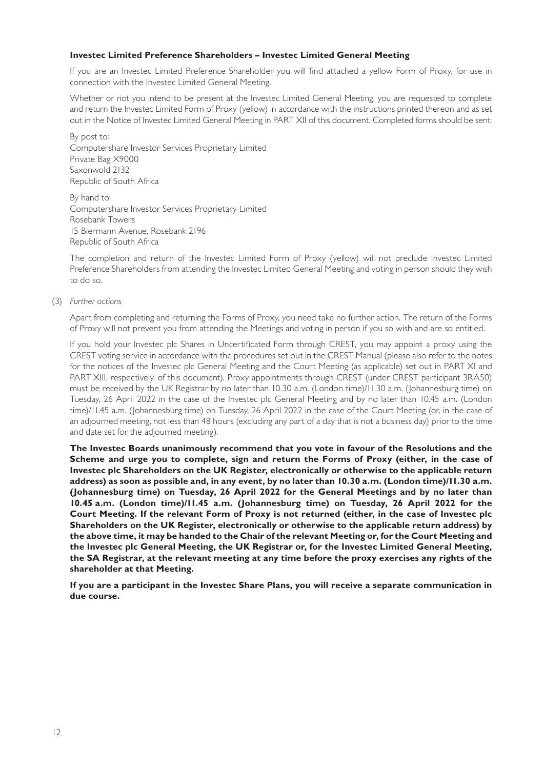#### **Investec Limited Preference Shareholders – Investec Limited General Meeting**

If you are an Investec Limited Preference Shareholder you will find attached a yellow Form of Proxy, for use in connection with the Investec Limited General Meeting.

Whether or not you intend to be present at the Investec Limited General Meeting, you are requested to complete and return the Investec Limited Form of Proxy (yellow) in accordance with the instructions printed thereon and as set out in the Notice of Investec Limited General Meeting in PART XII of this document. Completed forms should be sent:

By post to: Computershare Investor Services Proprietary Limited Private Bag X9000 Saxonwold 2132 Republic of South Africa

By hand to: Computershare Investor Services Proprietary Limited Rosebank Towers 15 Biermann Avenue, Rosebank 2196 Republic of South Africa

The completion and return of the Investec Limited Form of Proxy (yellow) will not preclude Investec Limited Preference Shareholders from attending the Investec Limited General Meeting and voting in person should they wish to do so.

#### (3) *Further actions*

Apart from completing and returning the Forms of Proxy, you need take no further action. The return of the Forms of Proxy will not prevent you from attending the Meetings and voting in person if you so wish and are so entitled.

If you hold your Investec plc Shares in Uncertificated Form through CREST, you may appoint a proxy using the CREST voting service in accordance with the procedures set out in the CREST Manual (please also refer to the notes for the notices of the Investec plc General Meeting and the Court Meeting (as applicable) set out in PART XI and PART XIII, respectively, of this document). Proxy appointments through CREST (under CREST participant 3RA50) must be received by the UK Registrar by no later than 10.30 a.m. (London time)/11.30 a.m. (Johannesburg time) on Tuesday, 26 April 2022 in the case of the Investec plc General Meeting and by no later than 10.45 a.m. (London time)/11.45 a.m. (Johannesburg time) on Tuesday, 26 April 2022 in the case of the Court Meeting (or, in the case of an adjourned meeting, not less than 48 hours (excluding any part of a day that is not a business day) prior to the time and date set for the adjourned meeting).

**The Investec Boards unanimously recommend that you vote in favour of the Resolutions and the Scheme and urge you to complete, sign and return the Forms of Proxy (either, in the case of Investec plc Shareholders on the UK Register, electronically or otherwise to the applicable return address) as soon as possible and, in any event, by no later than 10.30 a.m. (London time)/11.30 a.m. (Johannesburg time) on Tuesday, 26 April 2022 for the General Meetings and by no later than 10.45 a.m. (London time)/11.45 a.m. (Johannesburg time) on Tuesday, 26 April 2022 for the Court Meeting. If the relevant Form of Proxy is not returned (either, in the case of Investec plc Shareholders on the UK Register, electronically or otherwise to the applicable return address) by the above time, it may be handed to the Chair of the relevant Meeting or, for the Court Meeting and the Investec plc General Meeting, the UK Registrar or, for the Investec Limited General Meeting, the SA Registrar, at the relevant meeting at any time before the proxy exercises any rights of the shareholder at that Meeting.**

**If you are a participant in the Investec Share Plans, you will receive a separate communication in due course.**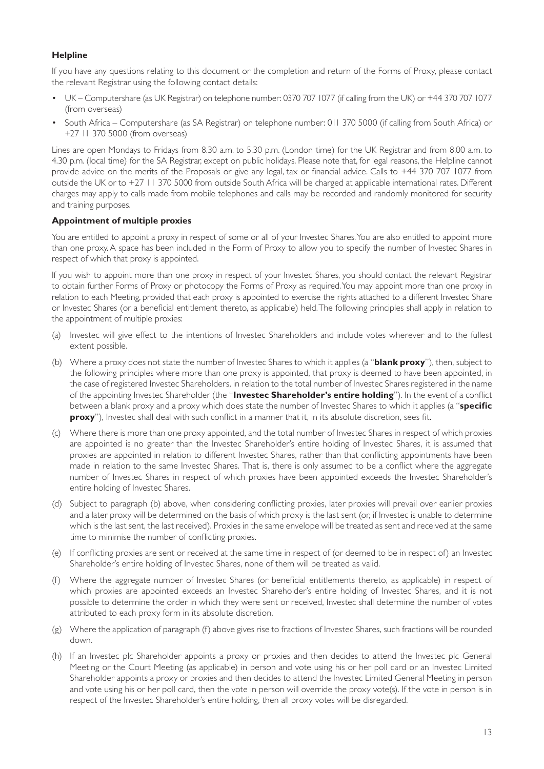#### **Helpline**

If you have any questions relating to this document or the completion and return of the Forms of Proxy, please contact the relevant Registrar using the following contact details:

- UK Computershare (as UK Registrar) on telephone number: 0370 707 1077 (if calling from the UK) or +44 370 707 1077 (from overseas)
- South Africa Computershare (as SA Registrar) on telephone number: 011 370 5000 (if calling from South Africa) or +27 11 370 5000 (from overseas)

Lines are open Mondays to Fridays from 8.30 a.m. to 5.30 p.m. (London time) for the UK Registrar and from 8.00 a.m. to 4.30 p.m. (local time) for the SA Registrar, except on public holidays. Please note that, for legal reasons, the Helpline cannot provide advice on the merits of the Proposals or give any legal, tax or financial advice. Calls to +44 370 707 1077 from outside the UK or to +27 11 370 5000 from outside South Africa will be charged at applicable international rates. Different charges may apply to calls made from mobile telephones and calls may be recorded and randomly monitored for security and training purposes.

#### **Appointment of multiple proxies**

You are entitled to appoint a proxy in respect of some or all of your Investec Shares. You are also entitled to appoint more than one proxy. A space has been included in the Form of Proxy to allow you to specify the number of Investec Shares in respect of which that proxy is appointed.

If you wish to appoint more than one proxy in respect of your Investec Shares, you should contact the relevant Registrar to obtain further Forms of Proxy or photocopy the Forms of Proxy as required. You may appoint more than one proxy in relation to each Meeting, provided that each proxy is appointed to exercise the rights attached to a different Investec Share or Investec Shares (or a beneficial entitlement thereto, as applicable) held. The following principles shall apply in relation to the appointment of multiple proxies:

- (a) Investec will give effect to the intentions of Investec Shareholders and include votes wherever and to the fullest extent possible.
- (b) Where a proxy does not state the number of Investec Shares to which it applies (a "**blank proxy**"), then, subject to the following principles where more than one proxy is appointed, that proxy is deemed to have been appointed, in the case of registered Investec Shareholders, in relation to the total number of Investec Shares registered in the name of the appointing Investec Shareholder (the "**Investec Shareholder's entire holding**"). In the event of a conflict between a blank proxy and a proxy which does state the number of Investec Shares to which it applies (a "**specific proxy**"), Investec shall deal with such conflict in a manner that it, in its absolute discretion, sees fit.
- (c) Where there is more than one proxy appointed, and the total number of Investec Shares in respect of which proxies are appointed is no greater than the Investec Shareholder's entire holding of Investec Shares, it is assumed that proxies are appointed in relation to different Investec Shares, rather than that conflicting appointments have been made in relation to the same Investec Shares. That is, there is only assumed to be a conflict where the aggregate number of Investec Shares in respect of which proxies have been appointed exceeds the Investec Shareholder's entire holding of Investec Shares.
- (d) Subject to paragraph (b) above, when considering conflicting proxies, later proxies will prevail over earlier proxies and a later proxy will be determined on the basis of which proxy is the last sent (or, if Investec is unable to determine which is the last sent, the last received). Proxies in the same envelope will be treated as sent and received at the same time to minimise the number of conflicting proxies.
- (e) If conflicting proxies are sent or received at the same time in respect of (or deemed to be in respect of) an Investec Shareholder's entire holding of Investec Shares, none of them will be treated as valid.
- (f) Where the aggregate number of Investec Shares (or beneficial entitlements thereto, as applicable) in respect of which proxies are appointed exceeds an Investec Shareholder's entire holding of Investec Shares, and it is not possible to determine the order in which they were sent or received, Investec shall determine the number of votes attributed to each proxy form in its absolute discretion.
- (g) Where the application of paragraph (f) above gives rise to fractions of Investec Shares, such fractions will be rounded down.
- (h) If an Investec plc Shareholder appoints a proxy or proxies and then decides to attend the Investec plc General Meeting or the Court Meeting (as applicable) in person and vote using his or her poll card or an Investec Limited Shareholder appoints a proxy or proxies and then decides to attend the Investec Limited General Meeting in person and vote using his or her poll card, then the vote in person will override the proxy vote(s). If the vote in person is in respect of the Investec Shareholder's entire holding, then all proxy votes will be disregarded.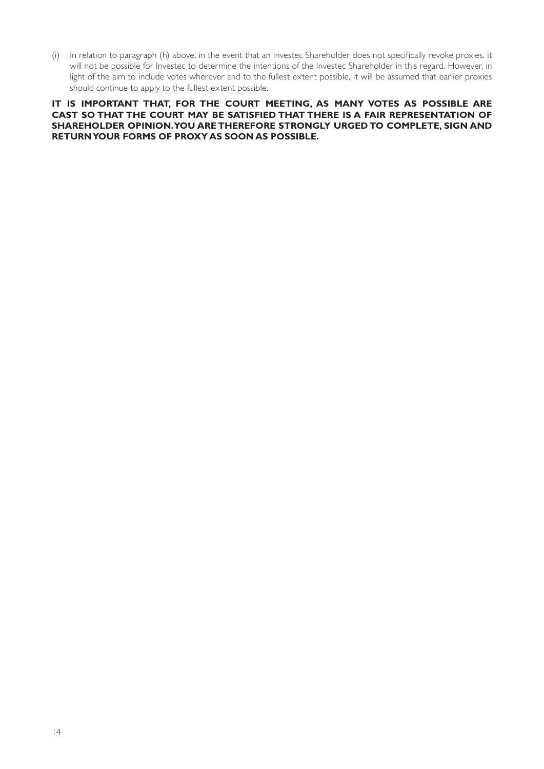(i) In relation to paragraph (h) above, in the event that an Investec Shareholder does not specifically revoke proxies, it will not be possible for Investec to determine the intentions of the Investec Shareholder in this regard. However, in light of the aim to include votes wherever and to the fullest extent possible, it will be assumed that earlier proxies should continue to apply to the fullest extent possible.

**IT IS IMPORTANT THAT, FOR THE COURT MEETING, AS MANY VOTES AS POSSIBLE ARE CAST SO THAT THE COURT MAY BE SATISFIED THAT THERE IS A FAIR REPRESENTATION OF SHAREHOLDER OPINION. YOU ARE THEREFORE STRONGLY URGED TO COMPLETE, SIGN AND RETURN YOUR FORMS OF PROXY AS SOON AS POSSIBLE.**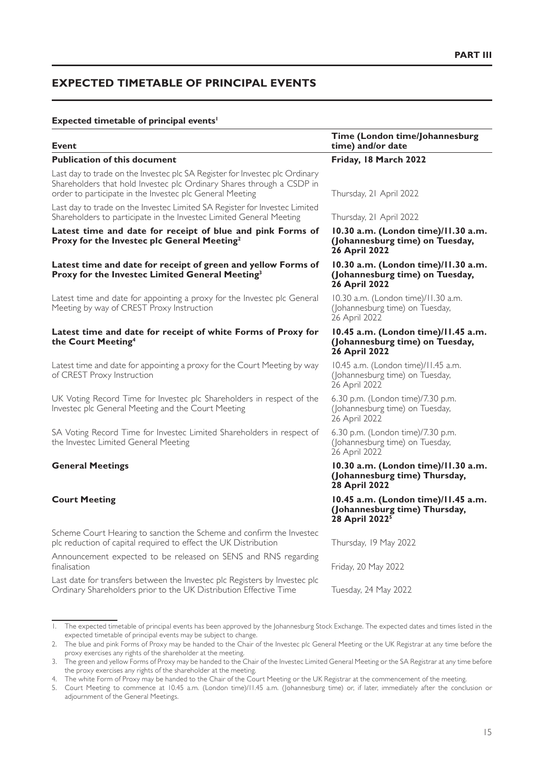# **EXPECTED TIMETABLE OF PRINCIPAL EVENTS**

#### **Expected timetable of principal events<sup>1</sup>**

| <b>Event</b>                                                                                                                                                                                                     | Time (London time/Johannesburg<br>time) and/or date                                                |
|------------------------------------------------------------------------------------------------------------------------------------------------------------------------------------------------------------------|----------------------------------------------------------------------------------------------------|
| <b>Publication of this document</b>                                                                                                                                                                              | Friday, 18 March 2022                                                                              |
| Last day to trade on the Investec plc SA Register for Investec plc Ordinary<br>Shareholders that hold Investec plc Ordinary Shares through a CSDP in<br>order to participate in the Investec plc General Meeting | Thursday, 21 April 2022                                                                            |
| Last day to trade on the Investec Limited SA Register for Investec Limited<br>Shareholders to participate in the Investec Limited General Meeting                                                                | Thursday, 21 April 2022                                                                            |
| Latest time and date for receipt of blue and pink Forms of<br>Proxy for the Investec plc General Meeting <sup>2</sup>                                                                                            | 10.30 a.m. (London time)/11.30 a.m.<br>(Johannesburg time) on Tuesday,<br><b>26 April 2022</b>     |
| Latest time and date for receipt of green and yellow Forms of<br>Proxy for the Investec Limited General Meeting <sup>3</sup>                                                                                     | 10.30 a.m. (London time)/11.30 a.m.<br>(Johannesburg time) on Tuesday,<br><b>26 April 2022</b>     |
| Latest time and date for appointing a proxy for the Investec plc General<br>Meeting by way of CREST Proxy Instruction                                                                                            | 10.30 a.m. (London time)/11.30 a.m.<br>(Johannesburg time) on Tuesday,<br>26 April 2022            |
| Latest time and date for receipt of white Forms of Proxy for<br>the Court Meeting <sup>4</sup>                                                                                                                   | 10.45 a.m. (London time)/11.45 a.m.<br>(Johannesburg time) on Tuesday,<br><b>26 April 2022</b>     |
| Latest time and date for appointing a proxy for the Court Meeting by way<br>of CREST Proxy Instruction                                                                                                           | 10.45 a.m. (London time)/11.45 a.m.<br>(Johannesburg time) on Tuesday,<br>26 April 2022            |
| UK Voting Record Time for Investec plc Shareholders in respect of the<br>Investec plc General Meeting and the Court Meeting                                                                                      | 6.30 p.m. (London time)/7.30 p.m.<br>(Johannesburg time) on Tuesday,<br>26 April 2022              |
| SA Voting Record Time for Investec Limited Shareholders in respect of<br>the Investec Limited General Meeting                                                                                                    | 6.30 p.m. (London time)/7.30 p.m.<br>(Johannesburg time) on Tuesday,<br>26 April 2022              |
| <b>General Meetings</b>                                                                                                                                                                                          | 10.30 a.m. (London time)/11.30 a.m.<br>(Johannesburg time) Thursday,<br><b>28 April 2022</b>       |
| <b>Court Meeting</b>                                                                                                                                                                                             | 10.45 a.m. (London time)/11.45 a.m.<br>(Johannesburg time) Thursday,<br>28 April 2022 <sup>5</sup> |
| Scheme Court Hearing to sanction the Scheme and confirm the Investec<br>plc reduction of capital required to effect the UK Distribution                                                                          | Thursday, 19 May 2022                                                                              |
| Announcement expected to be released on SENS and RNS regarding<br>finalisation                                                                                                                                   | Friday, 20 May 2022                                                                                |
| Last date for transfers between the Investec plc Registers by Investec plc<br>Ordinary Shareholders prior to the UK Distribution Effective Time                                                                  | Tuesday, 24 May 2022                                                                               |
|                                                                                                                                                                                                                  |                                                                                                    |

<sup>1.</sup> The expected timetable of principal events has been approved by the Johannesburg Stock Exchange. The expected dates and times listed in the expected timetable of principal events may be subject to change.

<sup>2.</sup> The blue and pink Forms of Proxy may be handed to the Chair of the Investec plc General Meeting or the UK Registrar at any time before the proxy exercises any rights of the shareholder at the meeting.

<sup>3.</sup> The green and yellow Forms of Proxy may be handed to the Chair of the Investec Limited General Meeting or the SA Registrar at any time before the proxy exercises any rights of the shareholder at the meeting.

<sup>4.</sup> The white Form of Proxy may be handed to the Chair of the Court Meeting or the UK Registrar at the commencement of the meeting.

<sup>5.</sup> Court Meeting to commence at 10.45 a.m. (London time)/11.45 a.m. (Johannesburg time) or, if later, immediately after the conclusion or adjournment of the General Meetings.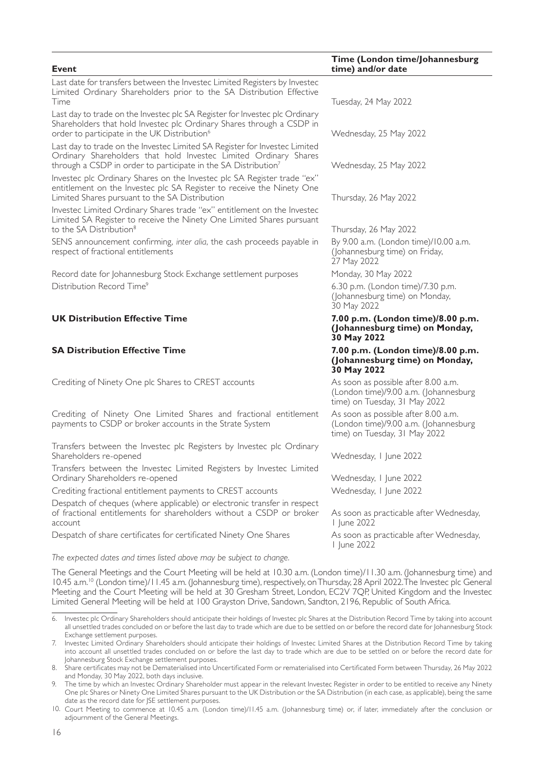| <b>Event</b>                                                                                                                                                                                                                 | Time (London time/Johannesburg<br>time) and/or date                                                           |  |
|------------------------------------------------------------------------------------------------------------------------------------------------------------------------------------------------------------------------------|---------------------------------------------------------------------------------------------------------------|--|
| Last date for transfers between the Investec Limited Registers by Investec<br>Limited Ordinary Shareholders prior to the SA Distribution Effective                                                                           |                                                                                                               |  |
| Time                                                                                                                                                                                                                         | Tuesday, 24 May 2022                                                                                          |  |
| Last day to trade on the Investec plc SA Register for Investec plc Ordinary<br>Shareholders that hold Investec plc Ordinary Shares through a CSDP in<br>order to participate in the UK Distribution <sup>6</sup>             | Wednesday, 25 May 2022                                                                                        |  |
| Last day to trade on the Investec Limited SA Register for Investec Limited<br>Ordinary Shareholders that hold Investec Limited Ordinary Shares<br>through a CSDP in order to participate in the SA Distribution <sup>7</sup> | Wednesday, 25 May 2022                                                                                        |  |
| Investec plc Ordinary Shares on the Investec plc SA Register trade "ex"<br>entitlement on the Investec plc SA Register to receive the Ninety One<br>Limited Shares pursuant to the SA Distribution                           | Thursday, 26 May 2022                                                                                         |  |
| Investec Limited Ordinary Shares trade "ex" entitlement on the Investec<br>Limited SA Register to receive the Ninety One Limited Shares pursuant<br>to the SA Distribution <sup>8</sup>                                      | Thursday, 26 May 2022                                                                                         |  |
| SENS announcement confirming, inter alia, the cash proceeds payable in<br>respect of fractional entitlements                                                                                                                 | By 9.00 a.m. (London time)/10.00 a.m.<br>(Johannesburg time) on Friday,<br>27 May 2022                        |  |
| Record date for Johannesburg Stock Exchange settlement purposes                                                                                                                                                              | Monday, 30 May 2022                                                                                           |  |
| Distribution Record Time <sup>9</sup>                                                                                                                                                                                        | 6.30 p.m. (London time)/7.30 p.m.<br>(Johannesburg time) on Monday,<br>30 May 2022                            |  |
| <b>UK Distribution Effective Time</b>                                                                                                                                                                                        | 7.00 p.m. (London time)/8.00 p.m.<br>(Johannesburg time) on Monday,<br>30 May 2022                            |  |
| <b>SA Distribution Effective Time</b>                                                                                                                                                                                        | 7.00 p.m. (London time)/8.00 p.m.<br>(Johannesburg time) on Monday,<br>30 May 2022                            |  |
| Crediting of Ninety One plc Shares to CREST accounts                                                                                                                                                                         | As soon as possible after 8.00 a.m.<br>(London time)/9.00 a.m. (Johannesburg<br>time) on Tuesday, 31 May 2022 |  |
| Crediting of Ninety One Limited Shares and fractional entitlement<br>payments to CSDP or broker accounts in the Strate System                                                                                                | As soon as possible after 8.00 a.m.<br>(London time)/9.00 a.m. (Johannesburg<br>time) on Tuesday, 31 May 2022 |  |
| Transfers between the Investec plc Registers by Investec plc Ordinary<br>Shareholders re-opened                                                                                                                              | Wednesday, I June 2022                                                                                        |  |
| Transfers between the Investec Limited Registers by Investec Limited<br>Ordinary Shareholders re-opened                                                                                                                      | Wednesday, I June 2022                                                                                        |  |
| Crediting fractional entitlement payments to CREST accounts                                                                                                                                                                  | Wednesday, I June 2022                                                                                        |  |
| Despatch of cheques (where applicable) or electronic transfer in respect<br>of fractional entitlements for shareholders without a CSDP or broker<br>account                                                                  | As soon as practicable after Wednesday,<br>  June 2022                                                        |  |
| Despatch of share certificates for certificated Ninety One Shares                                                                                                                                                            | As soon as practicable after Wednesday,<br>  June 2022                                                        |  |
| The expected dates and times listed above may be subject to change.                                                                                                                                                          |                                                                                                               |  |
| Count Mosting will be hold at 10.20 a.m. (Low<br>$\sqrt{(1120 - m)(100 - m)}$                                                                                                                                                |                                                                                                               |  |

The General Meetings and the Court Meeting will be held at 10.30 a.m. (London time)/11.30 a.m. (Johannesburg time) and 10.45 a.m.10 (London time)/11.45 a.m. (Johannesburg time), respectively, on Thursday, 28 April 2022. The Investec plc General Meeting and the Court Meeting will be held at 30 Gresham Street, London, EC2V 7QP, United Kingdom and the Investec Limited General Meeting will be held at 100 Grayston Drive, Sandown, Sandton, 2196, Republic of South Africa.

<sup>6.</sup> Investec plc Ordinary Shareholders should anticipate their holdings of Investec plc Shares at the Distribution Record Time by taking into account all unsettled trades concluded on or before the last day to trade which are due to be settled on or before the record date for Johannesburg Stock Exchange settlement purposes.

<sup>7.</sup> Investec Limited Ordinary Shareholders should anticipate their holdings of Investec Limited Shares at the Distribution Record Time by taking into account all unsettled trades concluded on or before the last day to trade which are due to be settled on or before the record date for Iohannesburg Stock Exchange settlement purposes.

<sup>8.</sup> Share certificates may not be Dematerialised into Uncertificated Form or rematerialised into Certificated Form between Thursday, 26 May 2022 and Monday, 30 May 2022, both days inclusive.

<sup>9.</sup> The time by which an Investec Ordinary Shareholder must appear in the relevant Investec Register in order to be entitled to receive any Ninety One plc Shares or Ninety One Limited Shares pursuant to the UK Distribution or the SA Distribution (in each case, as applicable), being the same date as the record date for JSE settlement purposes.

<sup>10.</sup> Court Meeting to commence at 10.45 a.m. (London time)/11.45 a.m. (Johannesburg time) or, if later, immediately after the conclusion or adjournment of the General Meetings.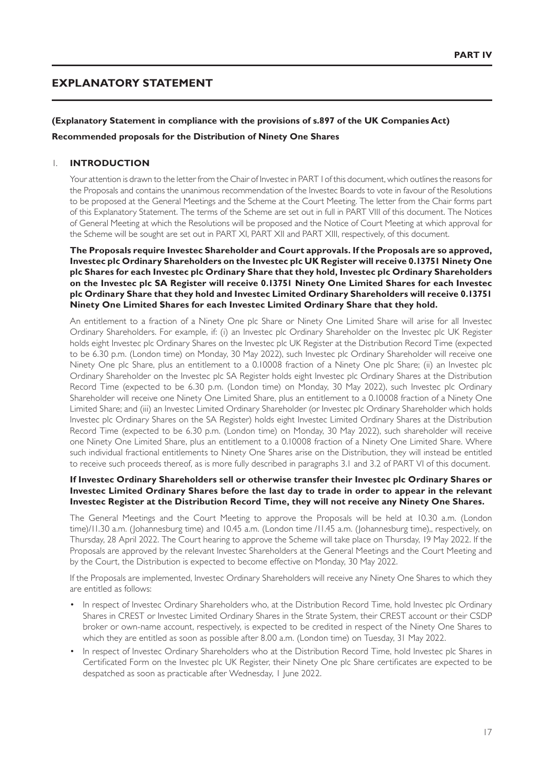# **EXPLANATORY STATEMENT**

#### **(Explanatory Statement in compliance with the provisions of s.897 of the UK Companies Act)**

#### **Recommended proposals for the Distribution of Ninety One Shares**

#### 1. **INTRODUCTION**

Your attention is drawn to the letter from the Chair of Investec in PART I of this document, which outlines the reasons for the Proposals and contains the unanimous recommendation of the Investec Boards to vote in favour of the Resolutions to be proposed at the General Meetings and the Scheme at the Court Meeting. The letter from the Chair forms part of this Explanatory Statement. The terms of the Scheme are set out in full in PART VIII of this document. The Notices of General Meeting at which the Resolutions will be proposed and the Notice of Court Meeting at which approval for the Scheme will be sought are set out in PART XI, PART XII and PART XIII, respectively, of this document.

**The Proposals require Investec Shareholder and Court approvals. If the Proposals are so approved, Investec plc Ordinary Shareholders on the Investec plc UK Register will receive 0.13751 Ninety One plc Shares for each Investec plc Ordinary Share that they hold, Investec plc Ordinary Shareholders on the Investec plc SA Register will receive 0.13751 Ninety One Limited Shares for each Investec plc Ordinary Share that they hold and Investec Limited Ordinary Shareholders will receive 0.13751 Ninety One Limited Shares for each Investec Limited Ordinary Share that they hold.**

An entitlement to a fraction of a Ninety One plc Share or Ninety One Limited Share will arise for all Investec Ordinary Shareholders. For example, if: (i) an Investec plc Ordinary Shareholder on the Investec plc UK Register holds eight Investec plc Ordinary Shares on the Investec plc UK Register at the Distribution Record Time (expected to be 6.30 p.m. (London time) on Monday, 30 May 2022), such Investec plc Ordinary Shareholder will receive one Ninety One plc Share, plus an entitlement to a 0.10008 fraction of a Ninety One plc Share; (ii) an Investec plc Ordinary Shareholder on the Investec plc SA Register holds eight Investec plc Ordinary Shares at the Distribution Record Time (expected to be 6.30 p.m. (London time) on Monday, 30 May 2022), such Investec plc Ordinary Shareholder will receive one Ninety One Limited Share, plus an entitlement to a 0.10008 fraction of a Ninety One Limited Share; and (iii) an Investec Limited Ordinary Shareholder (or Investec plc Ordinary Shareholder which holds Investec plc Ordinary Shares on the SA Register) holds eight Investec Limited Ordinary Shares at the Distribution Record Time (expected to be 6.30 p.m. (London time) on Monday, 30 May 2022), such shareholder will receive one Ninety One Limited Share, plus an entitlement to a 0.10008 fraction of a Ninety One Limited Share. Where such individual fractional entitlements to Ninety One Shares arise on the Distribution, they will instead be entitled to receive such proceeds thereof, as is more fully described in paragraphs 3.1 and 3.2 of PART VI of this document.

#### **If Investec Ordinary Shareholders sell or otherwise transfer their Investec plc Ordinary Shares or Investec Limited Ordinary Shares before the last day to trade in order to appear in the relevant Investec Register at the Distribution Record Time, they will not receive any Ninety One Shares.**

The General Meetings and the Court Meeting to approve the Proposals will be held at 10.30 a.m. (London time)/11.30 a.m. (Johannesburg time) and 10.45 a.m. (London time /11.45 a.m. (Johannesburg time),, respectively, on Thursday, 28 April 2022. The Court hearing to approve the Scheme will take place on Thursday, 19 May 2022. If the Proposals are approved by the relevant Investec Shareholders at the General Meetings and the Court Meeting and by the Court, the Distribution is expected to become effective on Monday, 30 May 2022.

If the Proposals are implemented, Investec Ordinary Shareholders will receive any Ninety One Shares to which they are entitled as follows:

- In respect of Investec Ordinary Shareholders who, at the Distribution Record Time, hold Investec plc Ordinary Shares in CREST or Investec Limited Ordinary Shares in the Strate System, their CREST account or their CSDP broker or own-name account, respectively, is expected to be credited in respect of the Ninety One Shares to which they are entitled as soon as possible after 8.00 a.m. (London time) on Tuesday, 31 May 2022.
- In respect of Investec Ordinary Shareholders who at the Distribution Record Time, hold Investec plc Shares in Certificated Form on the Investec plc UK Register, their Ninety One plc Share certificates are expected to be despatched as soon as practicable after Wednesday, 1 June 2022.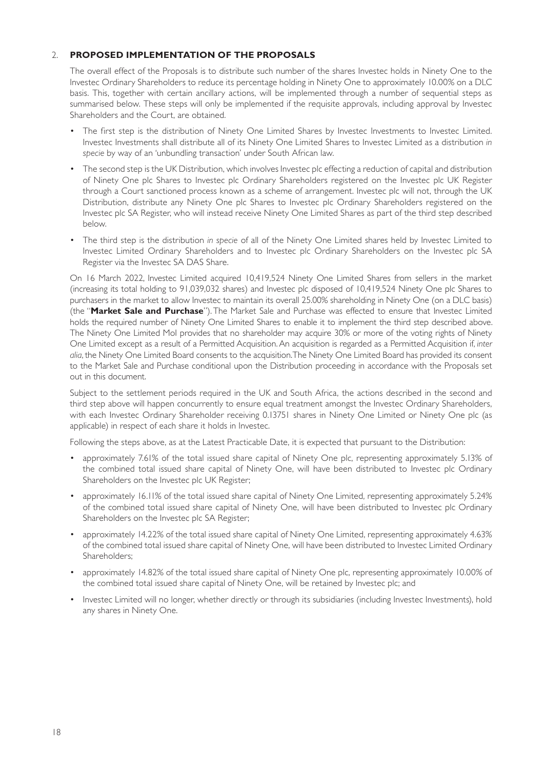#### 2. **PROPOSED IMPLEMENTATION OF THE PROPOSALS**

The overall effect of the Proposals is to distribute such number of the shares Investec holds in Ninety One to the Investec Ordinary Shareholders to reduce its percentage holding in Ninety One to approximately 10.00% on a DLC basis. This, together with certain ancillary actions, will be implemented through a number of sequential steps as summarised below. These steps will only be implemented if the requisite approvals, including approval by Investec Shareholders and the Court, are obtained.

- The first step is the distribution of Ninety One Limited Shares by Investec Investments to Investec Limited. Investec Investments shall distribute all of its Ninety One Limited Shares to Investec Limited as a distribution *in specie* by way of an 'unbundling transaction' under South African law.
- The second step is the UK Distribution, which involves Investec plc effecting a reduction of capital and distribution of Ninety One plc Shares to Investec plc Ordinary Shareholders registered on the Investec plc UK Register through a Court sanctioned process known as a scheme of arrangement. Investec plc will not, through the UK Distribution, distribute any Ninety One plc Shares to Investec plc Ordinary Shareholders registered on the Investec plc SA Register, who will instead receive Ninety One Limited Shares as part of the third step described below.
- The third step is the distribution *in specie* of all of the Ninety One Limited shares held by Investec Limited to Investec Limited Ordinary Shareholders and to Investec plc Ordinary Shareholders on the Investec plc SA Register via the Investec SA DAS Share.

On 16 March 2022, Investec Limited acquired 10,419,524 Ninety One Limited Shares from sellers in the market (increasing its total holding to 91,039,032 shares) and Investec plc disposed of 10,419,524 Ninety One plc Shares to purchasers in the market to allow Investec to maintain its overall 25.00% shareholding in Ninety One (on a DLC basis) (the "**Market Sale and Purchase**"). The Market Sale and Purchase was effected to ensure that Investec Limited holds the required number of Ninety One Limited Shares to enable it to implement the third step described above. The Ninety One Limited MoI provides that no shareholder may acquire 30% or more of the voting rights of Ninety One Limited except as a result of a Permitted Acquisition. An acquisition is regarded as a Permitted Acquisition if, *inter alia*, the Ninety One Limited Board consents to the acquisition. The Ninety One Limited Board has provided its consent to the Market Sale and Purchase conditional upon the Distribution proceeding in accordance with the Proposals set out in this document.

Subject to the settlement periods required in the UK and South Africa, the actions described in the second and third step above will happen concurrently to ensure equal treatment amongst the Investec Ordinary Shareholders, with each Investec Ordinary Shareholder receiving 0.13751 shares in Ninety One Limited or Ninety One plc (as applicable) in respect of each share it holds in Investec.

Following the steps above, as at the Latest Practicable Date, it is expected that pursuant to the Distribution:

- approximately 7.61% of the total issued share capital of Ninety One plc, representing approximately 5.13% of the combined total issued share capital of Ninety One, will have been distributed to Investec plc Ordinary Shareholders on the Investec plc UK Register;
- approximately 16.11% of the total issued share capital of Ninety One Limited, representing approximately 5.24% of the combined total issued share capital of Ninety One, will have been distributed to Investec plc Ordinary Shareholders on the Investec plc SA Register;
- approximately 14.22% of the total issued share capital of Ninety One Limited, representing approximately 4.63% of the combined total issued share capital of Ninety One, will have been distributed to Investec Limited Ordinary Shareholders;
- approximately 14.82% of the total issued share capital of Ninety One plc, representing approximately 10.00% of the combined total issued share capital of Ninety One, will be retained by Investec plc; and
- Investec Limited will no longer, whether directly or through its subsidiaries (including Investec Investments), hold any shares in Ninety One.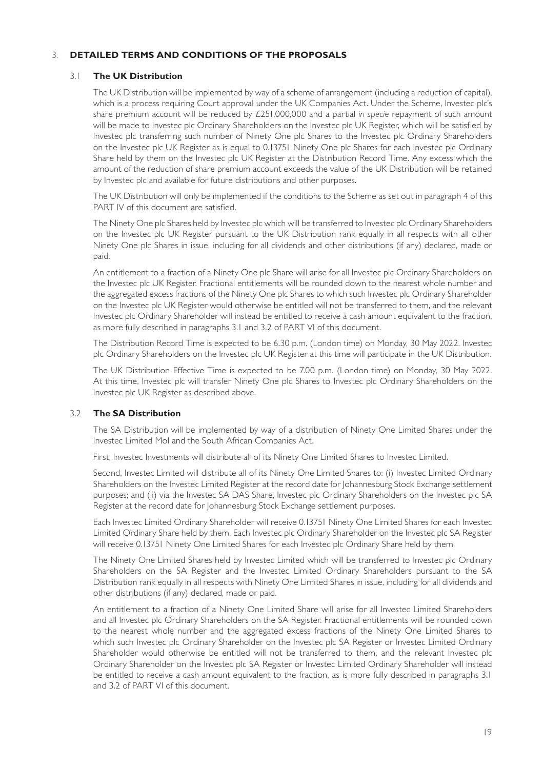#### 3. **DETAILED TERMS AND CONDITIONS OF THE PROPOSALS**

#### 3.1 **The UK Distribution**

The UK Distribution will be implemented by way of a scheme of arrangement (including a reduction of capital), which is a process requiring Court approval under the UK Companies Act. Under the Scheme, Investec plc's share premium account will be reduced by £251,000,000 and a partial *in specie* repayment of such amount will be made to Investec plc Ordinary Shareholders on the Investec plc UK Register, which will be satisfied by Investec plc transferring such number of Ninety One plc Shares to the Investec plc Ordinary Shareholders on the Investec plc UK Register as is equal to 0.13751 Ninety One plc Shares for each Investec plc Ordinary Share held by them on the Investec plc UK Register at the Distribution Record Time. Any excess which the amount of the reduction of share premium account exceeds the value of the UK Distribution will be retained by Investec plc and available for future distributions and other purposes.

The UK Distribution will only be implemented if the conditions to the Scheme as set out in paragraph 4 of this PART IV of this document are satisfied.

The Ninety One plc Shares held by Investec plc which will be transferred to Investec plc Ordinary Shareholders on the Investec plc UK Register pursuant to the UK Distribution rank equally in all respects with all other Ninety One plc Shares in issue, including for all dividends and other distributions (if any) declared, made or paid.

An entitlement to a fraction of a Ninety One plc Share will arise for all Investec plc Ordinary Shareholders on the Investec plc UK Register. Fractional entitlements will be rounded down to the nearest whole number and the aggregated excess fractions of the Ninety One plc Shares to which such Investec plc Ordinary Shareholder on the Investec plc UK Register would otherwise be entitled will not be transferred to them, and the relevant Investec plc Ordinary Shareholder will instead be entitled to receive a cash amount equivalent to the fraction, as more fully described in paragraphs 3.1 and 3.2 of PART VI of this document.

The Distribution Record Time is expected to be 6.30 p.m. (London time) on Monday, 30 May 2022. Investec plc Ordinary Shareholders on the Investec plc UK Register at this time will participate in the UK Distribution.

The UK Distribution Effective Time is expected to be 7.00 p.m. (London time) on Monday, 30 May 2022. At this time, Investec plc will transfer Ninety One plc Shares to Investec plc Ordinary Shareholders on the Investec plc UK Register as described above.

#### 3.2 **The SA Distribution**

The SA Distribution will be implemented by way of a distribution of Ninety One Limited Shares under the Investec Limited MoI and the South African Companies Act.

First, Investec Investments will distribute all of its Ninety One Limited Shares to Investec Limited.

Second, Investec Limited will distribute all of its Ninety One Limited Shares to: (i) Investec Limited Ordinary Shareholders on the Investec Limited Register at the record date for Johannesburg Stock Exchange settlement purposes; and (ii) via the Investec SA DAS Share, Investec plc Ordinary Shareholders on the Investec plc SA Register at the record date for Johannesburg Stock Exchange settlement purposes.

Each Investec Limited Ordinary Shareholder will receive 0.13751 Ninety One Limited Shares for each Investec Limited Ordinary Share held by them. Each Investec plc Ordinary Shareholder on the Investec plc SA Register will receive 0.13751 Ninety One Limited Shares for each Investec plc Ordinary Share held by them.

The Ninety One Limited Shares held by Investec Limited which will be transferred to Investec plc Ordinary Shareholders on the SA Register and the Investec Limited Ordinary Shareholders pursuant to the SA Distribution rank equally in all respects with Ninety One Limited Shares in issue, including for all dividends and other distributions (if any) declared, made or paid.

An entitlement to a fraction of a Ninety One Limited Share will arise for all Investec Limited Shareholders and all Investec plc Ordinary Shareholders on the SA Register. Fractional entitlements will be rounded down to the nearest whole number and the aggregated excess fractions of the Ninety One Limited Shares to which such Investec plc Ordinary Shareholder on the Investec plc SA Register or Investec Limited Ordinary Shareholder would otherwise be entitled will not be transferred to them, and the relevant Investec plc Ordinary Shareholder on the Investec plc SA Register or Investec Limited Ordinary Shareholder will instead be entitled to receive a cash amount equivalent to the fraction, as is more fully described in paragraphs 3.1 and 3.2 of PART VI of this document.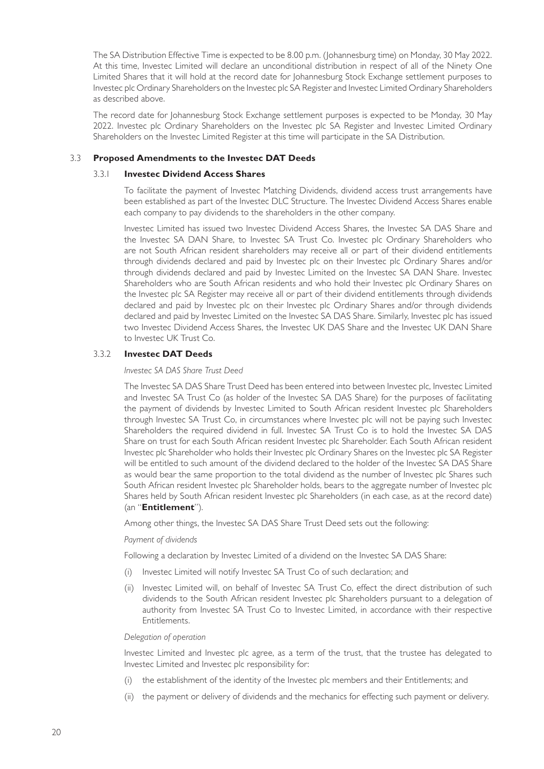The SA Distribution Effective Time is expected to be 8.00 p.m. (Johannesburg time) on Monday, 30 May 2022. At this time, Investec Limited will declare an unconditional distribution in respect of all of the Ninety One Limited Shares that it will hold at the record date for Johannesburg Stock Exchange settlement purposes to Investec plc Ordinary Shareholders on the Investec plc SA Register and Investec Limited Ordinary Shareholders as described above.

The record date for Johannesburg Stock Exchange settlement purposes is expected to be Monday, 30 May 2022. Investec plc Ordinary Shareholders on the Investec plc SA Register and Investec Limited Ordinary Shareholders on the Investec Limited Register at this time will participate in the SA Distribution.

#### 3.3 **Proposed Amendments to the Investec DAT Deeds**

#### 3.3.1 **Investec Dividend Access Shares**

To facilitate the payment of Investec Matching Dividends, dividend access trust arrangements have been established as part of the Investec DLC Structure. The Investec Dividend Access Shares enable each company to pay dividends to the shareholders in the other company.

Investec Limited has issued two Investec Dividend Access Shares, the Investec SA DAS Share and the Investec SA DAN Share, to Investec SA Trust Co. Investec plc Ordinary Shareholders who are not South African resident shareholders may receive all or part of their dividend entitlements through dividends declared and paid by Investec plc on their Investec plc Ordinary Shares and/or through dividends declared and paid by Investec Limited on the Investec SA DAN Share. Investec Shareholders who are South African residents and who hold their Investec plc Ordinary Shares on the Investec plc SA Register may receive all or part of their dividend entitlements through dividends declared and paid by Investec plc on their Investec plc Ordinary Shares and/or through dividends declared and paid by Investec Limited on the Investec SA DAS Share. Similarly, Investec plc has issued two Investec Dividend Access Shares, the Investec UK DAS Share and the Investec UK DAN Share to Investec UK Trust Co.

#### 3.3.2 **Investec DAT Deeds**

*Investec SA DAS Share Trust Deed*

The Investec SA DAS Share Trust Deed has been entered into between Investec plc, Investec Limited and Investec SA Trust Co (as holder of the Investec SA DAS Share) for the purposes of facilitating the payment of dividends by Investec Limited to South African resident Investec plc Shareholders through Investec SA Trust Co, in circumstances where Investec plc will not be paying such Investec Shareholders the required dividend in full. Investec SA Trust Co is to hold the Investec SA DAS Share on trust for each South African resident Investec plc Shareholder. Each South African resident Investec plc Shareholder who holds their Investec plc Ordinary Shares on the Investec plc SA Register will be entitled to such amount of the dividend declared to the holder of the Investec SA DAS Share as would bear the same proportion to the total dividend as the number of Investec plc Shares such South African resident Investec plc Shareholder holds, bears to the aggregate number of Investec plc Shares held by South African resident Investec plc Shareholders (in each case, as at the record date) (an "**Entitlement**").

Among other things, the Investec SA DAS Share Trust Deed sets out the following:

#### *Payment of dividends*

Following a declaration by Investec Limited of a dividend on the Investec SA DAS Share:

- (i) Investec Limited will notify Investec SA Trust Co of such declaration; and
- (ii) Investec Limited will, on behalf of Investec SA Trust Co, effect the direct distribution of such dividends to the South African resident Investec plc Shareholders pursuant to a delegation of authority from Investec SA Trust Co to Investec Limited, in accordance with their respective Entitlements.

#### *Delegation of operation*

Investec Limited and Investec plc agree, as a term of the trust, that the trustee has delegated to Investec Limited and Investec plc responsibility for:

- (i) the establishment of the identity of the Investec plc members and their Entitlements; and
- (ii) the payment or delivery of dividends and the mechanics for effecting such payment or delivery.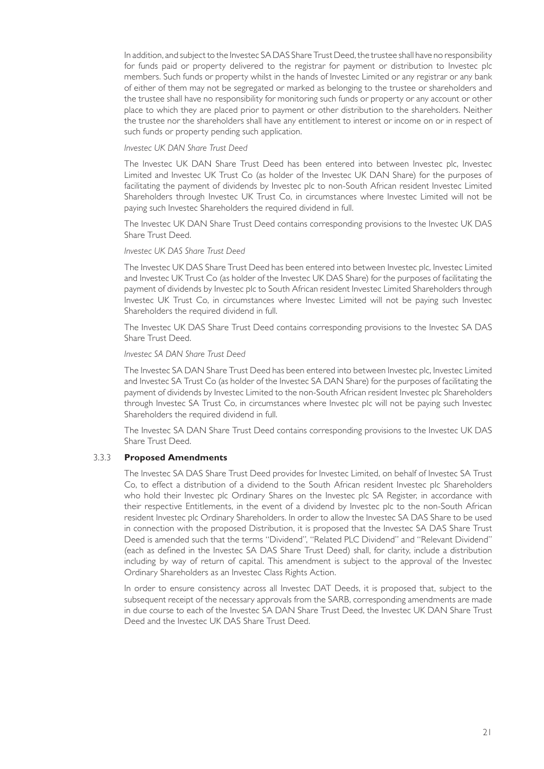In addition, and subject to the Investec SA DAS Share Trust Deed, the trustee shall have no responsibility for funds paid or property delivered to the registrar for payment or distribution to Investec plc members. Such funds or property whilst in the hands of Investec Limited or any registrar or any bank of either of them may not be segregated or marked as belonging to the trustee or shareholders and the trustee shall have no responsibility for monitoring such funds or property or any account or other place to which they are placed prior to payment or other distribution to the shareholders. Neither the trustee nor the shareholders shall have any entitlement to interest or income on or in respect of such funds or property pending such application.

#### *Investec UK DAN Share Trust Deed*

The Investec UK DAN Share Trust Deed has been entered into between Investec plc, Investec Limited and Investec UK Trust Co (as holder of the Investec UK DAN Share) for the purposes of facilitating the payment of dividends by Investec plc to non-South African resident Investec Limited Shareholders through Investec UK Trust Co, in circumstances where Investec Limited will not be paying such Investec Shareholders the required dividend in full.

The Investec UK DAN Share Trust Deed contains corresponding provisions to the Investec UK DAS Share Trust Deed.

#### *Investec UK DAS Share Trust Deed*

The Investec UK DAS Share Trust Deed has been entered into between Investec plc, Investec Limited and Investec UK Trust Co (as holder of the Investec UK DAS Share) for the purposes of facilitating the payment of dividends by Investec plc to South African resident Investec Limited Shareholders through Investec UK Trust Co, in circumstances where Investec Limited will not be paying such Investec Shareholders the required dividend in full.

The Investec UK DAS Share Trust Deed contains corresponding provisions to the Investec SA DAS Share Trust Deed.

#### *Investec SA DAN Share Trust Deed*

The Investec SA DAN Share Trust Deed has been entered into between Investec plc, Investec Limited and Investec SA Trust Co (as holder of the Investec SA DAN Share) for the purposes of facilitating the payment of dividends by Investec Limited to the non-South African resident Investec plc Shareholders through Investec SA Trust Co, in circumstances where Investec plc will not be paying such Investec Shareholders the required dividend in full.

The Investec SA DAN Share Trust Deed contains corresponding provisions to the Investec UK DAS Share Trust Deed.

#### 3.3.3 **Proposed Amendments**

The Investec SA DAS Share Trust Deed provides for Investec Limited, on behalf of Investec SA Trust Co, to effect a distribution of a dividend to the South African resident Investec plc Shareholders who hold their Investec plc Ordinary Shares on the Investec plc SA Register, in accordance with their respective Entitlements, in the event of a dividend by Investec plc to the non-South African resident Investec plc Ordinary Shareholders. In order to allow the Investec SA DAS Share to be used in connection with the proposed Distribution, it is proposed that the Investec SA DAS Share Trust Deed is amended such that the terms "Dividend", "Related PLC Dividend" and "Relevant Dividend" (each as defined in the Investec SA DAS Share Trust Deed) shall, for clarity, include a distribution including by way of return of capital. This amendment is subject to the approval of the Investec Ordinary Shareholders as an Investec Class Rights Action.

In order to ensure consistency across all Investec DAT Deeds, it is proposed that, subject to the subsequent receipt of the necessary approvals from the SARB, corresponding amendments are made in due course to each of the Investec SA DAN Share Trust Deed, the Investec UK DAN Share Trust Deed and the Investec UK DAS Share Trust Deed.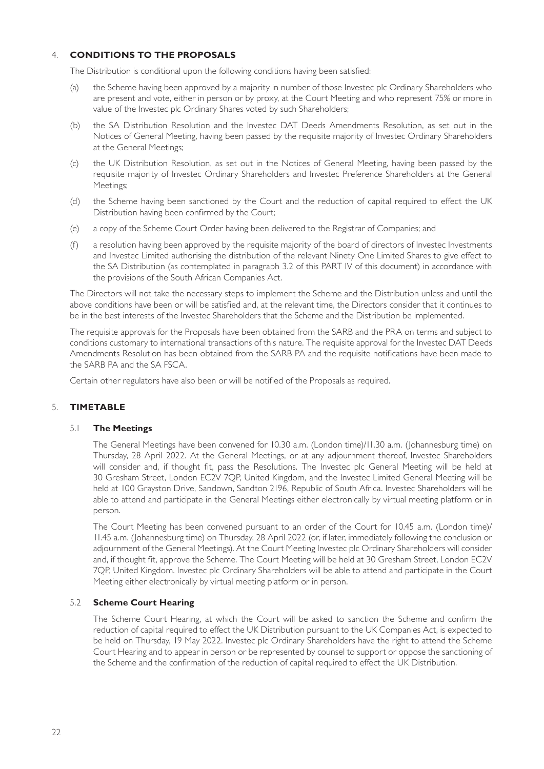#### 4. **CONDITIONS TO THE PROPOSALS**

The Distribution is conditional upon the following conditions having been satisfied:

- (a) the Scheme having been approved by a majority in number of those Investec plc Ordinary Shareholders who are present and vote, either in person or by proxy, at the Court Meeting and who represent 75% or more in value of the Investec plc Ordinary Shares voted by such Shareholders;
- (b) the SA Distribution Resolution and the Investec DAT Deeds Amendments Resolution, as set out in the Notices of General Meeting, having been passed by the requisite majority of Investec Ordinary Shareholders at the General Meetings;
- (c) the UK Distribution Resolution, as set out in the Notices of General Meeting, having been passed by the requisite majority of Investec Ordinary Shareholders and Investec Preference Shareholders at the General Meetings;
- (d) the Scheme having been sanctioned by the Court and the reduction of capital required to effect the UK Distribution having been confirmed by the Court;
- (e) a copy of the Scheme Court Order having been delivered to the Registrar of Companies; and
- (f) a resolution having been approved by the requisite majority of the board of directors of Investec Investments and Investec Limited authorising the distribution of the relevant Ninety One Limited Shares to give effect to the SA Distribution (as contemplated in paragraph 3.2 of this PART IV of this document) in accordance with the provisions of the South African Companies Act.

The Directors will not take the necessary steps to implement the Scheme and the Distribution unless and until the above conditions have been or will be satisfied and, at the relevant time, the Directors consider that it continues to be in the best interests of the Investec Shareholders that the Scheme and the Distribution be implemented.

The requisite approvals for the Proposals have been obtained from the SARB and the PRA on terms and subject to conditions customary to international transactions of this nature. The requisite approval for the Investec DAT Deeds Amendments Resolution has been obtained from the SARB PA and the requisite notifications have been made to the SARB PA and the SA FSCA.

Certain other regulators have also been or will be notified of the Proposals as required.

### 5. **TIMETABLE**

#### 5.1 **The Meetings**

The General Meetings have been convened for 10.30 a.m. (London time)/11.30 a.m. (Johannesburg time) on Thursday, 28 April 2022. At the General Meetings, or at any adjournment thereof, Investec Shareholders will consider and, if thought fit, pass the Resolutions. The Investec plc General Meeting will be held at 30 Gresham Street, London EC2V 7QP, United Kingdom, and the Investec Limited General Meeting will be held at 100 Grayston Drive, Sandown, Sandton 2196, Republic of South Africa. Investec Shareholders will be able to attend and participate in the General Meetings either electronically by virtual meeting platform or in person.

The Court Meeting has been convened pursuant to an order of the Court for 10.45 a.m. (London time)/ 11.45 a.m. (Johannesburg time) on Thursday, 28 April 2022 (or, if later, immediately following the conclusion or adjournment of the General Meetings). At the Court Meeting Investec plc Ordinary Shareholders will consider and, if thought fit, approve the Scheme. The Court Meeting will be held at 30 Gresham Street, London EC2V 7QP, United Kingdom. Investec plc Ordinary Shareholders will be able to attend and participate in the Court Meeting either electronically by virtual meeting platform or in person.

#### 5.2 **Scheme Court Hearing**

The Scheme Court Hearing, at which the Court will be asked to sanction the Scheme and confirm the reduction of capital required to effect the UK Distribution pursuant to the UK Companies Act, is expected to be held on Thursday, 19 May 2022. Investec plc Ordinary Shareholders have the right to attend the Scheme Court Hearing and to appear in person or be represented by counsel to support or oppose the sanctioning of the Scheme and the confirmation of the reduction of capital required to effect the UK Distribution.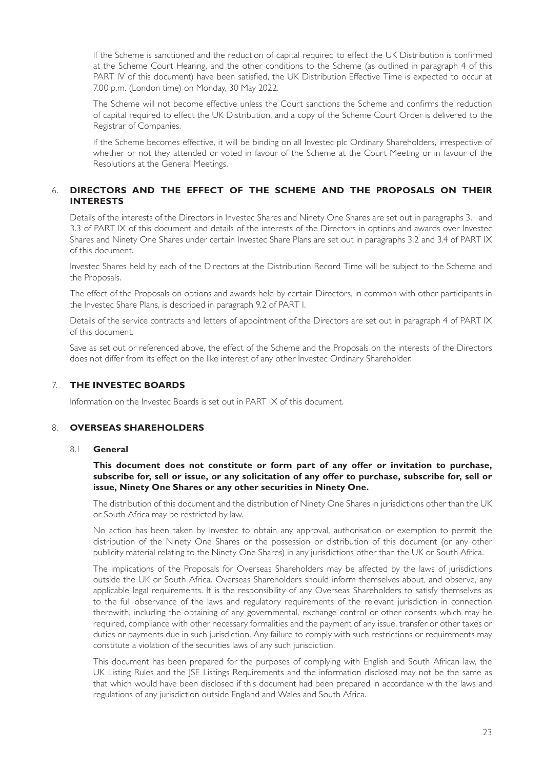If the Scheme is sanctioned and the reduction of capital required to effect the UK Distribution is confirmed at the Scheme Court Hearing, and the other conditions to the Scheme (as outlined in paragraph 4 of this PART IV of this document) have been satisfied, the UK Distribution Effective Time is expected to occur at 7.00 p.m. (London time) on Monday, 30 May 2022.

The Scheme will not become effective unless the Court sanctions the Scheme and confirms the reduction of capital required to effect the UK Distribution, and a copy of the Scheme Court Order is delivered to the Registrar of Companies.

If the Scheme becomes effective, it will be binding on all Investec plc Ordinary Shareholders, irrespective of whether or not they attended or voted in favour of the Scheme at the Court Meeting or in favour of the Resolutions at the General Meetings.

#### 6. **DIRECTORS AND THE EFFECT OF THE SCHEME AND THE PROPOSALS ON THEIR INTERESTS**

Details of the interests of the Directors in Investec Shares and Ninety One Shares are set out in paragraphs 3.1 and 3.3 of PART IX of this document and details of the interests of the Directors in options and awards over Investec Shares and Ninety One Shares under certain Investec Share Plans are set out in paragraphs 3.2 and 3.4 of PART IX of this document.

Investec Shares held by each of the Directors at the Distribution Record Time will be subject to the Scheme and the Proposals.

The effect of the Proposals on options and awards held by certain Directors, in common with other participants in the Investec Share Plans, is described in paragraph 9.2 of PART I.

Details of the service contracts and letters of appointment of the Directors are set out in paragraph 4 of PART IX of this document.

Save as set out or referenced above, the effect of the Scheme and the Proposals on the interests of the Directors does not differ from its effect on the like interest of any other Investec Ordinary Shareholder.

#### 7. **THE INVESTEC BOARDS**

Information on the Investec Boards is set out in PART IX of this document.

#### 8. **OVERSEAS SHAREHOLDERS**

#### 8.1 **General**

#### **This document does not constitute or form part of any offer or invitation to purchase, subscribe for, sell or issue, or any solicitation of any offer to purchase, subscribe for, sell or issue, Ninety One Shares or any other securities in Ninety One.**

The distribution of this document and the distribution of Ninety One Shares in jurisdictions other than the UK or South Africa may be restricted by law.

No action has been taken by Investec to obtain any approval, authorisation or exemption to permit the distribution of the Ninety One Shares or the possession or distribution of this document (or any other publicity material relating to the Ninety One Shares) in any jurisdictions other than the UK or South Africa.

The implications of the Proposals for Overseas Shareholders may be affected by the laws of jurisdictions outside the UK or South Africa. Overseas Shareholders should inform themselves about, and observe, any applicable legal requirements. It is the responsibility of any Overseas Shareholders to satisfy themselves as to the full observance of the laws and regulatory requirements of the relevant jurisdiction in connection therewith, including the obtaining of any governmental, exchange control or other consents which may be required, compliance with other necessary formalities and the payment of any issue, transfer or other taxes or duties or payments due in such jurisdiction. Any failure to comply with such restrictions or requirements may constitute a violation of the securities laws of any such jurisdiction.

This document has been prepared for the purposes of complying with English and South African law, the UK Listing Rules and the JSE Listings Requirements and the information disclosed may not be the same as that which would have been disclosed if this document had been prepared in accordance with the laws and regulations of any jurisdiction outside England and Wales and South Africa.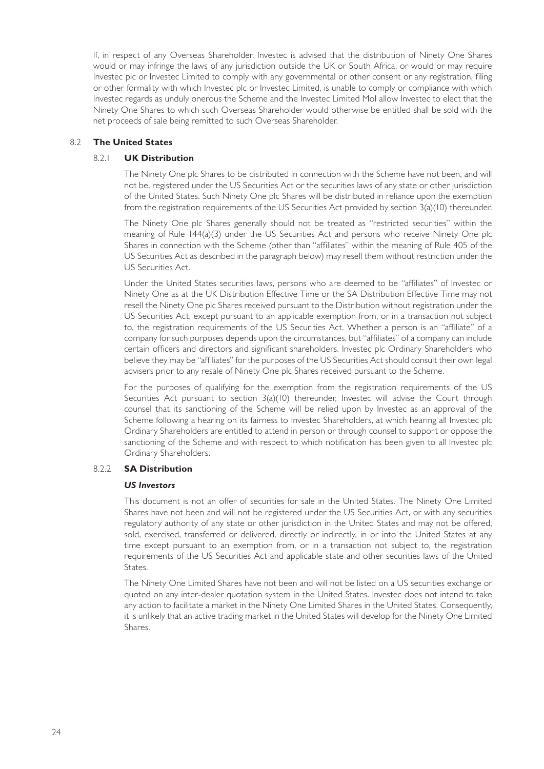If, in respect of any Overseas Shareholder, Investec is advised that the distribution of Ninety One Shares would or may infringe the laws of any jurisdiction outside the UK or South Africa, or would or may require Investec plc or Investec Limited to comply with any governmental or other consent or any registration, filing or other formality with which Investec plc or Investec Limited, is unable to comply or compliance with which Investec regards as unduly onerous the Scheme and the Investec Limited MoI allow Investec to elect that the Ninety One Shares to which such Overseas Shareholder would otherwise be entitled shall be sold with the net proceeds of sale being remitted to such Overseas Shareholder.

#### 8.2 **The United States**

#### 8.2.1 **UK Distribution**

The Ninety One plc Shares to be distributed in connection with the Scheme have not been, and will not be, registered under the US Securities Act or the securities laws of any state or other jurisdiction of the United States. Such Ninety One plc Shares will be distributed in reliance upon the exemption from the registration requirements of the US Securities Act provided by section 3(a)(10) thereunder.

The Ninety One plc Shares generally should not be treated as "restricted securities" within the meaning of Rule 144(a)(3) under the US Securities Act and persons who receive Ninety One plc Shares in connection with the Scheme (other than "affiliates" within the meaning of Rule 405 of the US Securities Act as described in the paragraph below) may resell them without restriction under the US Securities Act.

Under the United States securities laws, persons who are deemed to be "affiliates" of Investec or Ninety One as at the UK Distribution Effective Time or the SA Distribution Effective Time may not resell the Ninety One plc Shares received pursuant to the Distribution without registration under the US Securities Act, except pursuant to an applicable exemption from, or in a transaction not subject to, the registration requirements of the US Securities Act. Whether a person is an "affiliate" of a company for such purposes depends upon the circumstances, but "affiliates" of a company can include certain officers and directors and significant shareholders. Investec plc Ordinary Shareholders who believe they may be "affiliates" for the purposes of the US Securities Act should consult their own legal advisers prior to any resale of Ninety One plc Shares received pursuant to the Scheme.

For the purposes of qualifying for the exemption from the registration requirements of the US Securities Act pursuant to section 3(a)(10) thereunder, Investec will advise the Court through counsel that its sanctioning of the Scheme will be relied upon by Investec as an approval of the Scheme following a hearing on its fairness to Investec Shareholders, at which hearing all Investec plc Ordinary Shareholders are entitled to attend in person or through counsel to support or oppose the sanctioning of the Scheme and with respect to which notification has been given to all Investec plc Ordinary Shareholders.

#### 8.2.2 **SA Distribution**

#### *US Investors*

This document is not an offer of securities for sale in the United States. The Ninety One Limited Shares have not been and will not be registered under the US Securities Act, or with any securities regulatory authority of any state or other jurisdiction in the United States and may not be offered, sold, exercised, transferred or delivered, directly or indirectly, in or into the United States at any time except pursuant to an exemption from, or in a transaction not subject to, the registration requirements of the US Securities Act and applicable state and other securities laws of the United States.

The Ninety One Limited Shares have not been and will not be listed on a US securities exchange or quoted on any inter-dealer quotation system in the United States. Investec does not intend to take any action to facilitate a market in the Ninety One Limited Shares in the United States. Consequently, it is unlikely that an active trading market in the United States will develop for the Ninety One Limited Shares.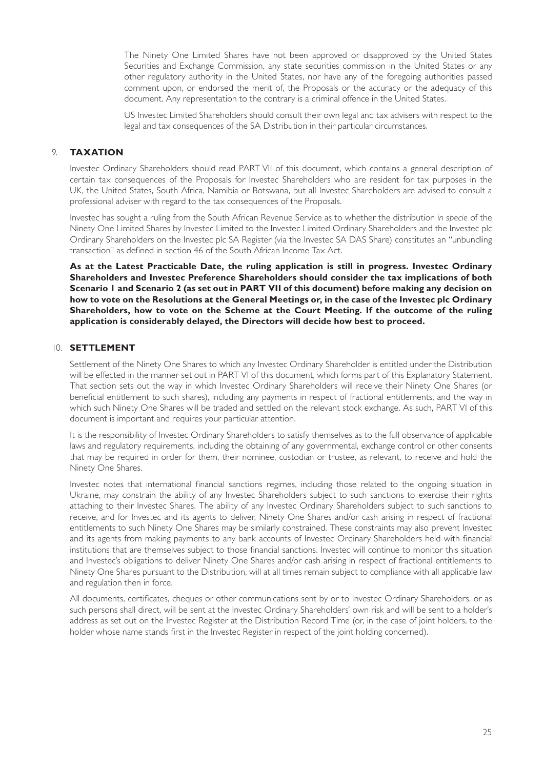The Ninety One Limited Shares have not been approved or disapproved by the United States Securities and Exchange Commission, any state securities commission in the United States or any other regulatory authority in the United States, nor have any of the foregoing authorities passed comment upon, or endorsed the merit of, the Proposals or the accuracy or the adequacy of this document. Any representation to the contrary is a criminal offence in the United States.

US Investec Limited Shareholders should consult their own legal and tax advisers with respect to the legal and tax consequences of the SA Distribution in their particular circumstances.

#### 9. **TAXATION**

Investec Ordinary Shareholders should read PART VII of this document, which contains a general description of certain tax consequences of the Proposals for Investec Shareholders who are resident for tax purposes in the UK, the United States, South Africa, Namibia or Botswana, but all Investec Shareholders are advised to consult a professional adviser with regard to the tax consequences of the Proposals.

Investec has sought a ruling from the South African Revenue Service as to whether the distribution *in specie* of the Ninety One Limited Shares by Investec Limited to the Investec Limited Ordinary Shareholders and the Investec plc Ordinary Shareholders on the Investec plc SA Register (via the Investec SA DAS Share) constitutes an "unbundling transaction" as defined in section 46 of the South African Income Tax Act.

**As at the Latest Practicable Date, the ruling application is still in progress. Investec Ordinary Shareholders and Investec Preference Shareholders should consider the tax implications of both Scenario 1 and Scenario 2 (as set out in PART VII of this document) before making any decision on how to vote on the Resolutions at the General Meetings or, in the case of the Investec plc Ordinary Shareholders, how to vote on the Scheme at the Court Meeting. If the outcome of the ruling application is considerably delayed, the Directors will decide how best to proceed.**

#### 10. **SETTLEMENT**

Settlement of the Ninety One Shares to which any Investec Ordinary Shareholder is entitled under the Distribution will be effected in the manner set out in PART VI of this document, which forms part of this Explanatory Statement. That section sets out the way in which Investec Ordinary Shareholders will receive their Ninety One Shares (or beneficial entitlement to such shares), including any payments in respect of fractional entitlements, and the way in which such Ninety One Shares will be traded and settled on the relevant stock exchange. As such, PART VI of this document is important and requires your particular attention.

It is the responsibility of Investec Ordinary Shareholders to satisfy themselves as to the full observance of applicable laws and regulatory requirements, including the obtaining of any governmental, exchange control or other consents that may be required in order for them, their nominee, custodian or trustee, as relevant, to receive and hold the Ninety One Shares.

Investec notes that international financial sanctions regimes, including those related to the ongoing situation in Ukraine, may constrain the ability of any Investec Shareholders subject to such sanctions to exercise their rights attaching to their Investec Shares. The ability of any Investec Ordinary Shareholders subject to such sanctions to receive, and for Investec and its agents to deliver, Ninety One Shares and/or cash arising in respect of fractional entitlements to such Ninety One Shares may be similarly constrained. These constraints may also prevent Investec and its agents from making payments to any bank accounts of Investec Ordinary Shareholders held with financial institutions that are themselves subject to those financial sanctions. Investec will continue to monitor this situation and Investec's obligations to deliver Ninety One Shares and/or cash arising in respect of fractional entitlements to Ninety One Shares pursuant to the Distribution, will at all times remain subject to compliance with all applicable law and regulation then in force.

All documents, certificates, cheques or other communications sent by or to Investec Ordinary Shareholders, or as such persons shall direct, will be sent at the Investec Ordinary Shareholders' own risk and will be sent to a holder's address as set out on the Investec Register at the Distribution Record Time (or, in the case of joint holders, to the holder whose name stands first in the Investec Register in respect of the joint holding concerned).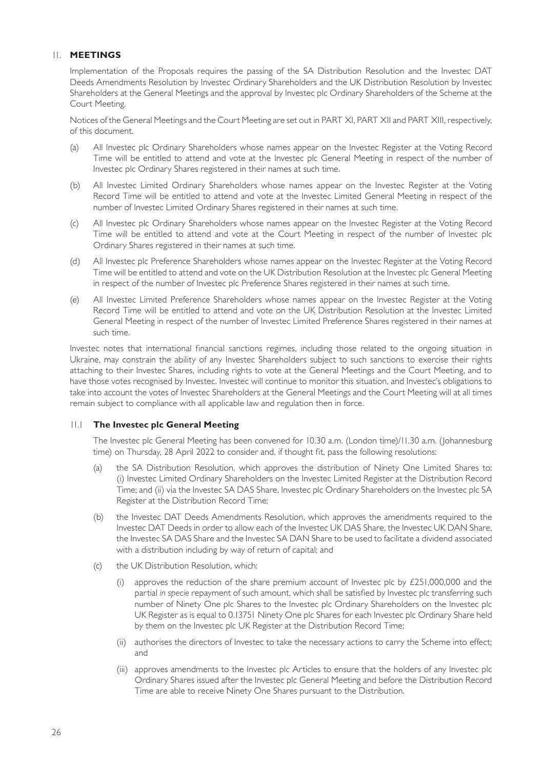#### 11. **MEETINGS**

Implementation of the Proposals requires the passing of the SA Distribution Resolution and the Investec DAT Deeds Amendments Resolution by Investec Ordinary Shareholders and the UK Distribution Resolution by Investec Shareholders at the General Meetings and the approval by Investec plc Ordinary Shareholders of the Scheme at the Court Meeting.

Notices of the General Meetings and the Court Meeting are set out in PART XI, PART XII and PART XIII, respectively, of this document.

- (a) All Investec plc Ordinary Shareholders whose names appear on the Investec Register at the Voting Record Time will be entitled to attend and vote at the Investec plc General Meeting in respect of the number of Investec plc Ordinary Shares registered in their names at such time.
- (b) All Investec Limited Ordinary Shareholders whose names appear on the Investec Register at the Voting Record Time will be entitled to attend and vote at the Investec Limited General Meeting in respect of the number of Investec Limited Ordinary Shares registered in their names at such time.
- (c) All Investec plc Ordinary Shareholders whose names appear on the Investec Register at the Voting Record Time will be entitled to attend and vote at the Court Meeting in respect of the number of Investec plc Ordinary Shares registered in their names at such time.
- (d) All Investec plc Preference Shareholders whose names appear on the Investec Register at the Voting Record Time will be entitled to attend and vote on the UK Distribution Resolution at the Investec plc General Meeting in respect of the number of Investec plc Preference Shares registered in their names at such time.
- (e) All Investec Limited Preference Shareholders whose names appear on the Investec Register at the Voting Record Time will be entitled to attend and vote on the UK Distribution Resolution at the Investec Limited General Meeting in respect of the number of Investec Limited Preference Shares registered in their names at such time.

Investec notes that international financial sanctions regimes, including those related to the ongoing situation in Ukraine, may constrain the ability of any Investec Shareholders subject to such sanctions to exercise their rights attaching to their Investec Shares, including rights to vote at the General Meetings and the Court Meeting, and to have those votes recognised by Investec. Investec will continue to monitor this situation, and Investec's obligations to take into account the votes of Investec Shareholders at the General Meetings and the Court Meeting will at all times remain subject to compliance with all applicable law and regulation then in force.

#### 11.1 **The Investec plc General Meeting**

The Investec plc General Meeting has been convened for 10.30 a.m. (London time)/11.30 a.m. (Johannesburg time) on Thursday, 28 April 2022 to consider and, if thought fit, pass the following resolutions:

- (a) the SA Distribution Resolution, which approves the distribution of Ninety One Limited Shares to: (i) Investec Limited Ordinary Shareholders on the Investec Limited Register at the Distribution Record Time; and (ii) via the Investec SA DAS Share, Investec plc Ordinary Shareholders on the Investec plc SA Register at the Distribution Record Time;
- (b) the Investec DAT Deeds Amendments Resolution, which approves the amendments required to the Investec DAT Deeds in order to allow each of the Investec UK DAS Share, the Investec UK DAN Share, the Investec SA DAS Share and the Investec SA DAN Share to be used to facilitate a dividend associated with a distribution including by way of return of capital; and
- (c) the UK Distribution Resolution, which:
	- (i) approves the reduction of the share premium account of Investec plc by  $£251,000,000$  and the partial *in specie* repayment of such amount, which shall be satisfied by Investec plc transferring such number of Ninety One plc Shares to the Investec plc Ordinary Shareholders on the Investec plc UK Register as is equal to 0.13751 Ninety One plc Shares for each Investec plc Ordinary Share held by them on the Investec plc UK Register at the Distribution Record Time;
	- (ii) authorises the directors of Investec to take the necessary actions to carry the Scheme into effect; and
	- (iii) approves amendments to the Investec plc Articles to ensure that the holders of any Investec plc Ordinary Shares issued after the Investec plc General Meeting and before the Distribution Record Time are able to receive Ninety One Shares pursuant to the Distribution.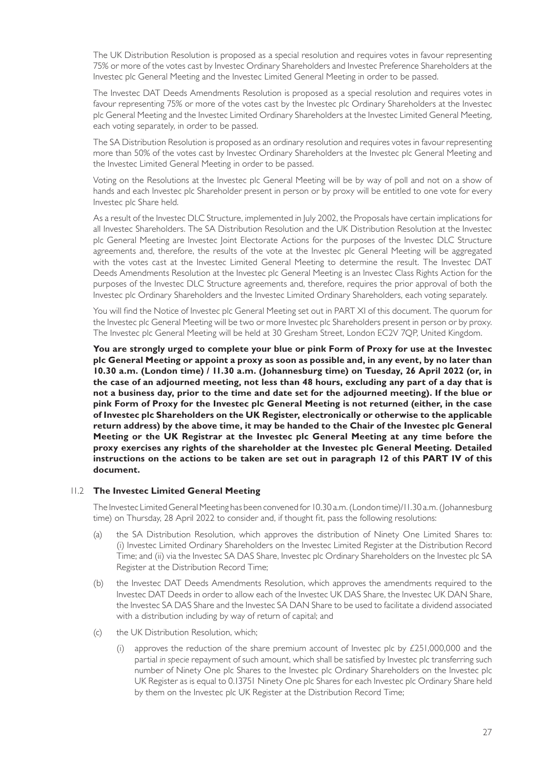The UK Distribution Resolution is proposed as a special resolution and requires votes in favour representing 75% or more of the votes cast by Investec Ordinary Shareholders and Investec Preference Shareholders at the Investec plc General Meeting and the Investec Limited General Meeting in order to be passed.

The Investec DAT Deeds Amendments Resolution is proposed as a special resolution and requires votes in favour representing 75% or more of the votes cast by the Investec plc Ordinary Shareholders at the Investec plc General Meeting and the Investec Limited Ordinary Shareholders at the Investec Limited General Meeting, each voting separately, in order to be passed.

The SA Distribution Resolution is proposed as an ordinary resolution and requires votes in favour representing more than 50% of the votes cast by Investec Ordinary Shareholders at the Investec plc General Meeting and the Investec Limited General Meeting in order to be passed.

Voting on the Resolutions at the Investec plc General Meeting will be by way of poll and not on a show of hands and each Investec plc Shareholder present in person or by proxy will be entitled to one vote for every Investec plc Share held.

As a result of the Investec DLC Structure, implemented in July 2002, the Proposals have certain implications for all Investec Shareholders. The SA Distribution Resolution and the UK Distribution Resolution at the Investec plc General Meeting are Investec Joint Electorate Actions for the purposes of the Investec DLC Structure agreements and, therefore, the results of the vote at the Investec plc General Meeting will be aggregated with the votes cast at the Investec Limited General Meeting to determine the result. The Investec DAT Deeds Amendments Resolution at the Investec plc General Meeting is an Investec Class Rights Action for the purposes of the Investec DLC Structure agreements and, therefore, requires the prior approval of both the Investec plc Ordinary Shareholders and the Investec Limited Ordinary Shareholders, each voting separately.

You will find the Notice of Investec plc General Meeting set out in PART XI of this document. The quorum for the Investec plc General Meeting will be two or more Investec plc Shareholders present in person or by proxy. The Investec plc General Meeting will be held at 30 Gresham Street, London EC2V 7QP, United Kingdom.

**You are strongly urged to complete your blue or pink Form of Proxy for use at the Investec plc General Meeting or appoint a proxy as soon as possible and, in any event, by no later than 10.30 a.m. (London time) / 11.30 a.m. (Johannesburg time) on Tuesday, 26 April 2022 (or, in the case of an adjourned meeting, not less than 48 hours, excluding any part of a day that is not a business day, prior to the time and date set for the adjourned meeting). If the blue or pink Form of Proxy for the Investec plc General Meeting is not returned (either, in the case of Investec plc Shareholders on the UK Register, electronically or otherwise to the applicable return address) by the above time, it may be handed to the Chair of the Investec plc General Meeting or the UK Registrar at the Investec plc General Meeting at any time before the proxy exercises any rights of the shareholder at the Investec plc General Meeting. Detailed instructions on the actions to be taken are set out in paragraph 12 of this PART IV of this document.**

#### 11.2 **The Investec Limited General Meeting**

The Investec Limited General Meeting has been convened for 10.30 a.m. (London time)/11.30 a.m. (Johannesburg time) on Thursday, 28 April 2022 to consider and, if thought fit, pass the following resolutions:

- (a) the SA Distribution Resolution, which approves the distribution of Ninety One Limited Shares to: (i) Investec Limited Ordinary Shareholders on the Investec Limited Register at the Distribution Record Time; and (ii) via the Investec SA DAS Share, Investec plc Ordinary Shareholders on the Investec plc SA Register at the Distribution Record Time;
- (b) the Investec DAT Deeds Amendments Resolution, which approves the amendments required to the Investec DAT Deeds in order to allow each of the Investec UK DAS Share, the Investec UK DAN Share, the Investec SA DAS Share and the Investec SA DAN Share to be used to facilitate a dividend associated with a distribution including by way of return of capital; and
- (c) the UK Distribution Resolution, which;
	- (i) approves the reduction of the share premium account of Investec plc by  $\text{\textsterling}251,000,000$  and the partial *in specie* repayment of such amount, which shall be satisfied by Investec plc transferring such number of Ninety One plc Shares to the Investec plc Ordinary Shareholders on the Investec plc UK Register as is equal to 0.13751 Ninety One plc Shares for each Investec plc Ordinary Share held by them on the Investec plc UK Register at the Distribution Record Time;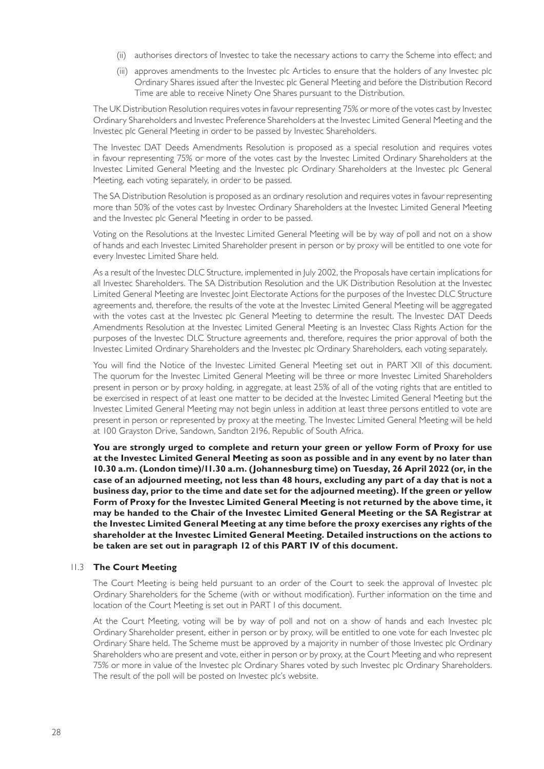- (ii) authorises directors of Investec to take the necessary actions to carry the Scheme into effect; and
- (iii) approves amendments to the Investec plc Articles to ensure that the holders of any Investec plc Ordinary Shares issued after the Investec plc General Meeting and before the Distribution Record Time are able to receive Ninety One Shares pursuant to the Distribution.

The UK Distribution Resolution requires votes in favour representing 75% or more of the votes cast by Investec Ordinary Shareholders and Investec Preference Shareholders at the Investec Limited General Meeting and the Investec plc General Meeting in order to be passed by Investec Shareholders.

The Investec DAT Deeds Amendments Resolution is proposed as a special resolution and requires votes in favour representing 75% or more of the votes cast by the Investec Limited Ordinary Shareholders at the Investec Limited General Meeting and the Investec plc Ordinary Shareholders at the Investec plc General Meeting, each voting separately, in order to be passed.

The SA Distribution Resolution is proposed as an ordinary resolution and requires votes in favour representing more than 50% of the votes cast by Investec Ordinary Shareholders at the Investec Limited General Meeting and the Investec plc General Meeting in order to be passed.

Voting on the Resolutions at the Investec Limited General Meeting will be by way of poll and not on a show of hands and each Investec Limited Shareholder present in person or by proxy will be entitled to one vote for every Investec Limited Share held.

As a result of the Investec DLC Structure, implemented in July 2002, the Proposals have certain implications for all Investec Shareholders. The SA Distribution Resolution and the UK Distribution Resolution at the Investec Limited General Meeting are Investec Joint Electorate Actions for the purposes of the Investec DLC Structure agreements and, therefore, the results of the vote at the Investec Limited General Meeting will be aggregated with the votes cast at the Investec plc General Meeting to determine the result. The Investec DAT Deeds Amendments Resolution at the Investec Limited General Meeting is an Investec Class Rights Action for the purposes of the Investec DLC Structure agreements and, therefore, requires the prior approval of both the Investec Limited Ordinary Shareholders and the Investec plc Ordinary Shareholders, each voting separately.

You will find the Notice of the Investec Limited General Meeting set out in PART XII of this document. The quorum for the Investec Limited General Meeting will be three or more Investec Limited Shareholders present in person or by proxy holding, in aggregate, at least 25% of all of the voting rights that are entitled to be exercised in respect of at least one matter to be decided at the Investec Limited General Meeting but the Investec Limited General Meeting may not begin unless in addition at least three persons entitled to vote are present in person or represented by proxy at the meeting. The Investec Limited General Meeting will be held at 100 Grayston Drive, Sandown, Sandton 2196, Republic of South Africa.

**You are strongly urged to complete and return your green or yellow Form of Proxy for use at the Investec Limited General Meeting as soon as possible and in any event by no later than 10.30 a.m. (London time)/11.30 a.m. (Johannesburg time) on Tuesday, 26 April 2022 (or, in the case of an adjourned meeting, not less than 48 hours, excluding any part of a day that is not a business day, prior to the time and date set for the adjourned meeting). If the green or yellow Form of Proxy for the Investec Limited General Meeting is not returned by the above time, it may be handed to the Chair of the Investec Limited General Meeting or the SA Registrar at the Investec Limited General Meeting at any time before the proxy exercises any rights of the shareholder at the Investec Limited General Meeting. Detailed instructions on the actions to be taken are set out in paragraph 12 of this PART IV of this document.**

#### 11.3 **The Court Meeting**

The Court Meeting is being held pursuant to an order of the Court to seek the approval of Investec plc Ordinary Shareholders for the Scheme (with or without modification). Further information on the time and location of the Court Meeting is set out in PART I of this document.

At the Court Meeting, voting will be by way of poll and not on a show of hands and each Investec plc Ordinary Shareholder present, either in person or by proxy, will be entitled to one vote for each Investec plc Ordinary Share held. The Scheme must be approved by a majority in number of those Investec plc Ordinary Shareholders who are present and vote, either in person or by proxy, at the Court Meeting and who represent 75% or more in value of the Investec plc Ordinary Shares voted by such Investec plc Ordinary Shareholders. The result of the poll will be posted on Investec plc's website.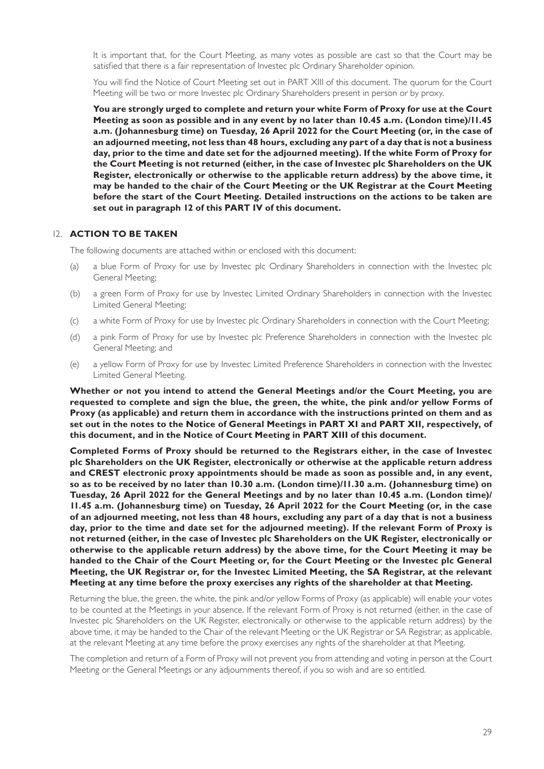It is important that, for the Court Meeting, as many votes as possible are cast so that the Court may be satisfied that there is a fair representation of Investec plc Ordinary Shareholder opinion.

You will find the Notice of Court Meeting set out in PART XIII of this document. The quorum for the Court Meeting will be two or more Investec plc Ordinary Shareholders present in person or by proxy.

**You are strongly urged to complete and return your white Form of Proxy for use at the Court Meeting as soon as possible and in any event by no later than 10.45 a.m. (London time)/11.45 a.m. (Johannesburg time) on Tuesday, 26 April 2022 for the Court Meeting (or, in the case of an adjourned meeting, not less than 48 hours, excluding any part of a day that is not a business day, prior to the time and date set for the adjourned meeting). If the white Form of Proxy for the Court Meeting is not returned (either, in the case of Investec plc Shareholders on the UK Register, electronically or otherwise to the applicable return address) by the above time, it may be handed to the chair of the Court Meeting or the UK Registrar at the Court Meeting before the start of the Court Meeting. Detailed instructions on the actions to be taken are set out in paragraph 12 of this PART IV of this document.**

#### 12. **ACTION TO BE TAKEN**

The following documents are attached within or enclosed with this document:

- (a) a blue Form of Proxy for use by Investec plc Ordinary Shareholders in connection with the Investec plc General Meeting;
- (b) a green Form of Proxy for use by Investec Limited Ordinary Shareholders in connection with the Investec Limited General Meeting;
- (c) a white Form of Proxy for use by Investec plc Ordinary Shareholders in connection with the Court Meeting;
- (d) a pink Form of Proxy for use by Investec plc Preference Shareholders in connection with the Investec plc General Meeting; and
- (e) a yellow Form of Proxy for use by Investec Limited Preference Shareholders in connection with the Investec Limited General Meeting.

**Whether or not you intend to attend the General Meetings and/or the Court Meeting, you are requested to complete and sign the blue, the green, the white, the pink and/or yellow Forms of Proxy (as applicable) and return them in accordance with the instructions printed on them and as set out in the notes to the Notice of General Meetings in PART XI and PART XII, respectively, of this document, and in the Notice of Court Meeting in PART XIII of this document.**

**Completed Forms of Proxy should be returned to the Registrars either, in the case of Investec plc Shareholders on the UK Register, electronically or otherwise at the applicable return address and CREST electronic proxy appointments should be made as soon as possible and, in any event, so as to be received by no later than 10.30 a.m. (London time)/11.30 a.m. (Johannesburg time) on Tuesday, 26 April 2022 for the General Meetings and by no later than 10.45 a.m. (London time)/ 11.45 a.m. (Johannesburg time) on Tuesday, 26 April 2022 for the Court Meeting (or, in the case of an adjourned meeting, not less than 48 hours, excluding any part of a day that is not a business day, prior to the time and date set for the adjourned meeting). If the relevant Form of Proxy is not returned (either, in the case of Investec plc Shareholders on the UK Register, electronically or otherwise to the applicable return address) by the above time, for the Court Meeting it may be handed to the Chair of the Court Meeting or, for the Court Meeting or the Investec plc General Meeting, the UK Registrar or, for the Investec Limited Meeting, the SA Registrar, at the relevant Meeting at any time before the proxy exercises any rights of the shareholder at that Meeting.**

Returning the blue, the green, the white, the pink and/or yellow Forms of Proxy (as applicable) will enable your votes to be counted at the Meetings in your absence. If the relevant Form of Proxy is not returned (either, in the case of Investec plc Shareholders on the UK Register, electronically or otherwise to the applicable return address) by the above time, it may be handed to the Chair of the relevant Meeting or the UK Registrar or SA Registrar, as applicable, at the relevant Meeting at any time before the proxy exercises any rights of the shareholder at that Meeting.

The completion and return of a Form of Proxy will not prevent you from attending and voting in person at the Court Meeting or the General Meetings or any adjournments thereof, if you so wish and are so entitled.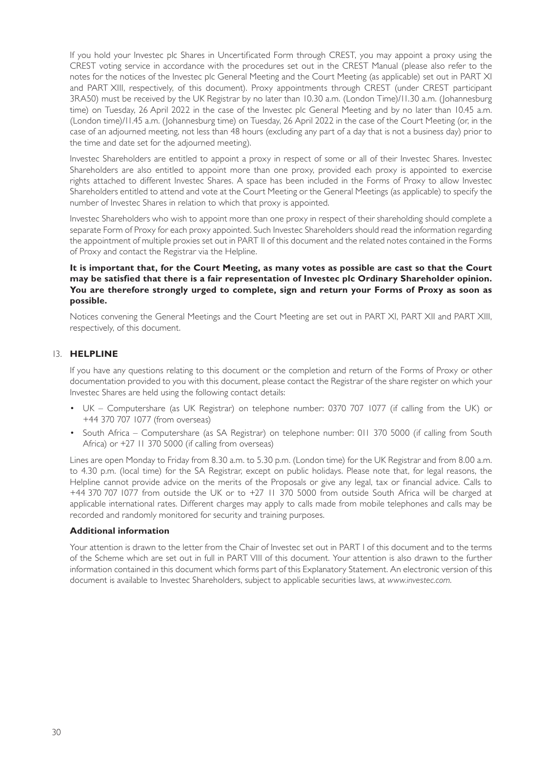If you hold your Investec plc Shares in Uncertificated Form through CREST, you may appoint a proxy using the CREST voting service in accordance with the procedures set out in the CREST Manual (please also refer to the notes for the notices of the Investec plc General Meeting and the Court Meeting (as applicable) set out in PART XI and PART XIII, respectively, of this document). Proxy appointments through CREST (under CREST participant 3RA50) must be received by the UK Registrar by no later than 10.30 a.m. (London Time)/11.30 a.m. (Johannesburg time) on Tuesday, 26 April 2022 in the case of the Investec plc General Meeting and by no later than 10.45 a.m. (London time)/11.45 a.m. (Johannesburg time) on Tuesday, 26 April 2022 in the case of the Court Meeting (or, in the case of an adjourned meeting, not less than 48 hours (excluding any part of a day that is not a business day) prior to the time and date set for the adjourned meeting).

Investec Shareholders are entitled to appoint a proxy in respect of some or all of their Investec Shares. Investec Shareholders are also entitled to appoint more than one proxy, provided each proxy is appointed to exercise rights attached to different Investec Shares. A space has been included in the Forms of Proxy to allow Investec Shareholders entitled to attend and vote at the Court Meeting or the General Meetings (as applicable) to specify the number of Investec Shares in relation to which that proxy is appointed.

Investec Shareholders who wish to appoint more than one proxy in respect of their shareholding should complete a separate Form of Proxy for each proxy appointed. Such Investec Shareholders should read the information regarding the appointment of multiple proxies set out in PART II of this document and the related notes contained in the Forms of Proxy and contact the Registrar via the Helpline.

#### **It is important that, for the Court Meeting, as many votes as possible are cast so that the Court may be satisfied that there is a fair representation of Investec plc Ordinary Shareholder opinion. You are therefore strongly urged to complete, sign and return your Forms of Proxy as soon as possible.**

Notices convening the General Meetings and the Court Meeting are set out in PART XI, PART XII and PART XIII, respectively, of this document.

#### 13. **HELPLINE**

If you have any questions relating to this document or the completion and return of the Forms of Proxy or other documentation provided to you with this document, please contact the Registrar of the share register on which your Investec Shares are held using the following contact details:

- UK Computershare (as UK Registrar) on telephone number: 0370 707 1077 (if calling from the UK) or +44 370 707 1077 (from overseas)
- South Africa Computershare (as SA Registrar) on telephone number: 011 370 5000 (if calling from South Africa) or +27 11 370 5000 (if calling from overseas)

Lines are open Monday to Friday from 8.30 a.m. to 5.30 p.m. (London time) for the UK Registrar and from 8.00 a.m. to 4.30 p.m. (local time) for the SA Registrar, except on public holidays. Please note that, for legal reasons, the Helpline cannot provide advice on the merits of the Proposals or give any legal, tax or financial advice. Calls to +44 370 707 1077 from outside the UK or to +27 11 370 5000 from outside South Africa will be charged at applicable international rates. Different charges may apply to calls made from mobile telephones and calls may be recorded and randomly monitored for security and training purposes.

#### **Additional information**

Your attention is drawn to the letter from the Chair of Investec set out in PART I of this document and to the terms of the Scheme which are set out in full in PART VIII of this document. Your attention is also drawn to the further information contained in this document which forms part of this Explanatory Statement. An electronic version of this document is available to Investec Shareholders, subject to applicable securities laws, at *www.investec.com*.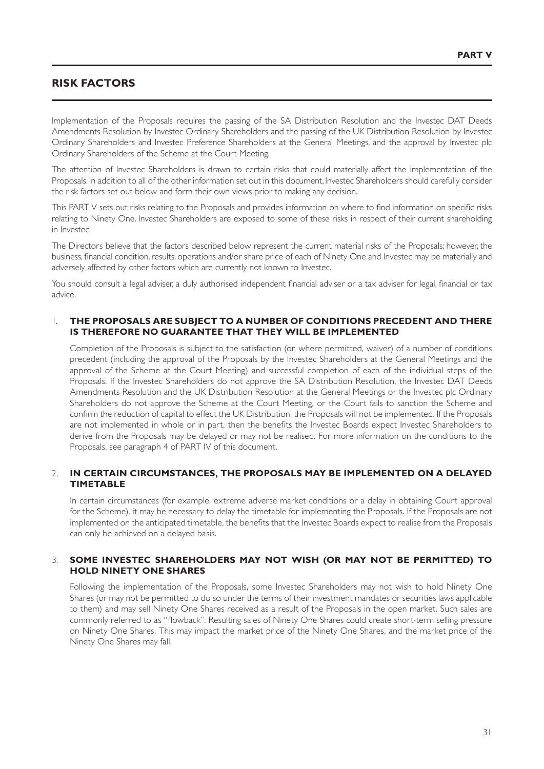## **RISK FACTORS**

Implementation of the Proposals requires the passing of the SA Distribution Resolution and the Investec DAT Deeds Amendments Resolution by Investec Ordinary Shareholders and the passing of the UK Distribution Resolution by Investec Ordinary Shareholders and Investec Preference Shareholders at the General Meetings, and the approval by Investec plc Ordinary Shareholders of the Scheme at the Court Meeting.

The attention of Investec Shareholders is drawn to certain risks that could materially affect the implementation of the Proposals. In addition to all of the other information set out in this document, Investec Shareholders should carefully consider the risk factors set out below and form their own views prior to making any decision.

This PART V sets out risks relating to the Proposals and provides information on where to find information on specific risks relating to Ninety One. Investec Shareholders are exposed to some of these risks in respect of their current shareholding in Investec.

The Directors believe that the factors described below represent the current material risks of the Proposals; however, the business, financial condition, results, operations and/or share price of each of Ninety One and Investec may be materially and adversely affected by other factors which are currently not known to Investec.

You should consult a legal adviser, a duly authorised independent financial adviser or a tax adviser for legal, financial or tax advice.

#### 1. **THE PROPOSALS ARE SUBJECT TO A NUMBER OF CONDITIONS PRECEDENT AND THERE IS THEREFORE NO GUARANTEE THAT THEY WILL BE IMPLEMENTED**

Completion of the Proposals is subject to the satisfaction (or, where permitted, waiver) of a number of conditions precedent (including the approval of the Proposals by the Investec Shareholders at the General Meetings and the approval of the Scheme at the Court Meeting) and successful completion of each of the individual steps of the Proposals. If the Investec Shareholders do not approve the SA Distribution Resolution, the Investec DAT Deeds Amendments Resolution and the UK Distribution Resolution at the General Meetings or the Investec plc Ordinary Shareholders do not approve the Scheme at the Court Meeting, or the Court fails to sanction the Scheme and confirm the reduction of capital to effect the UK Distribution, the Proposals will not be implemented. If the Proposals are not implemented in whole or in part, then the benefits the Investec Boards expect Investec Shareholders to derive from the Proposals may be delayed or may not be realised. For more information on the conditions to the Proposals, see paragraph 4 of PART IV of this document.

#### 2. **IN CERTAIN CIRCUMSTANCES, THE PROPOSALS MAY BE IMPLEMENTED ON A DELAYED TIMETABLE**

In certain circumstances (for example, extreme adverse market conditions or a delay in obtaining Court approval for the Scheme), it may be necessary to delay the timetable for implementing the Proposals. If the Proposals are not implemented on the anticipated timetable, the benefits that the Investec Boards expect to realise from the Proposals can only be achieved on a delayed basis.

#### 3. **SOME INVESTEC SHAREHOLDERS MAY NOT WISH (OR MAY NOT BE PERMITTED) TO HOLD NINETY ONE SHARES**

Following the implementation of the Proposals, some Investec Shareholders may not wish to hold Ninety One Shares (or may not be permitted to do so under the terms of their investment mandates or securities laws applicable to them) and may sell Ninety One Shares received as a result of the Proposals in the open market. Such sales are commonly referred to as "flowback". Resulting sales of Ninety One Shares could create short-term selling pressure on Ninety One Shares. This may impact the market price of the Ninety One Shares, and the market price of the Ninety One Shares may fall.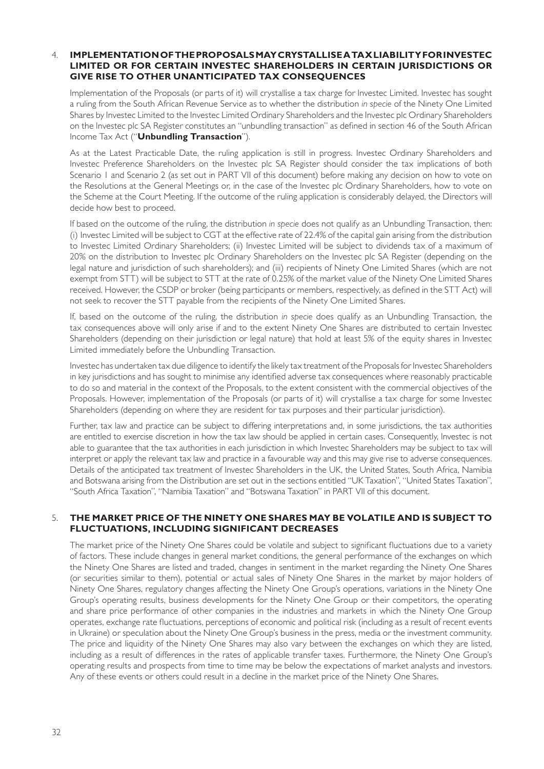#### 4. **IMPLEMENTATION OF THE PROPOSALS MAY CRYSTALLISE A TAX LIABILITY FOR INVESTEC LIMITED OR FOR CERTAIN INVESTEC SHAREHOLDERS IN CERTAIN JURISDICTIONS OR GIVE RISE TO OTHER UNANTICIPATED TAX CONSEQUENCES**

Implementation of the Proposals (or parts of it) will crystallise a tax charge for Investec Limited. Investec has sought a ruling from the South African Revenue Service as to whether the distribution *in specie* of the Ninety One Limited Shares by Investec Limited to the Investec Limited Ordinary Shareholders and the Investec plc Ordinary Shareholders on the Investec plc SA Register constitutes an "unbundling transaction" as defined in section 46 of the South African Income Tax Act ("**Unbundling Transaction**").

As at the Latest Practicable Date, the ruling application is still in progress. Investec Ordinary Shareholders and Investec Preference Shareholders on the Investec plc SA Register should consider the tax implications of both Scenario 1 and Scenario 2 (as set out in PART VII of this document) before making any decision on how to vote on the Resolutions at the General Meetings or, in the case of the Investec plc Ordinary Shareholders, how to vote on the Scheme at the Court Meeting. If the outcome of the ruling application is considerably delayed, the Directors will decide how best to proceed.

If based on the outcome of the ruling, the distribution *in specie* does not qualify as an Unbundling Transaction, then: (i) Investec Limited will be subject to CGT at the effective rate of 22.4% of the capital gain arising from the distribution to Investec Limited Ordinary Shareholders; (ii) Investec Limited will be subject to dividends tax of a maximum of 20% on the distribution to Investec plc Ordinary Shareholders on the Investec plc SA Register (depending on the legal nature and jurisdiction of such shareholders); and (iii) recipients of Ninety One Limited Shares (which are not exempt from STT) will be subject to STT at the rate of 0.25% of the market value of the Ninety One Limited Shares received. However, the CSDP or broker (being participants or members, respectively, as defined in the STT Act) will not seek to recover the STT payable from the recipients of the Ninety One Limited Shares.

If, based on the outcome of the ruling, the distribution *in specie* does qualify as an Unbundling Transaction, the tax consequences above will only arise if and to the extent Ninety One Shares are distributed to certain Investec Shareholders (depending on their jurisdiction or legal nature) that hold at least 5% of the equity shares in Investec Limited immediately before the Unbundling Transaction.

Investec has undertaken tax due diligence to identify the likely tax treatment of the Proposals for Investec Shareholders in key jurisdictions and has sought to minimise any identified adverse tax consequences where reasonably practicable to do so and material in the context of the Proposals, to the extent consistent with the commercial objectives of the Proposals. However, implementation of the Proposals (or parts of it) will crystallise a tax charge for some Investec Shareholders (depending on where they are resident for tax purposes and their particular jurisdiction).

Further, tax law and practice can be subject to differing interpretations and, in some jurisdictions, the tax authorities are entitled to exercise discretion in how the tax law should be applied in certain cases. Consequently, Investec is not able to guarantee that the tax authorities in each jurisdiction in which Investec Shareholders may be subject to tax will interpret or apply the relevant tax law and practice in a favourable way and this may give rise to adverse consequences. Details of the anticipated tax treatment of Investec Shareholders in the UK, the United States, South Africa, Namibia and Botswana arising from the Distribution are set out in the sections entitled "UK Taxation", "United States Taxation", "South Africa Taxation", "Namibia Taxation" and "Botswana Taxation" in PART VII of this document.

#### 5. **THE MARKET PRICE OF THE NINETY ONE SHARES MAY BE VOLATILE AND IS SUBJECT TO FLUCTUATIONS, INCLUDING SIGNIFICANT DECREASES**

The market price of the Ninety One Shares could be volatile and subject to significant fluctuations due to a variety of factors. These include changes in general market conditions, the general performance of the exchanges on which the Ninety One Shares are listed and traded, changes in sentiment in the market regarding the Ninety One Shares (or securities similar to them), potential or actual sales of Ninety One Shares in the market by major holders of Ninety One Shares, regulatory changes affecting the Ninety One Group's operations, variations in the Ninety One Group's operating results, business developments for the Ninety One Group or their competitors, the operating and share price performance of other companies in the industries and markets in which the Ninety One Group operates, exchange rate fluctuations, perceptions of economic and political risk (including as a result of recent events in Ukraine) or speculation about the Ninety One Group's business in the press, media or the investment community. The price and liquidity of the Ninety One Shares may also vary between the exchanges on which they are listed, including as a result of differences in the rates of applicable transfer taxes. Furthermore, the Ninety One Group's operating results and prospects from time to time may be below the expectations of market analysts and investors. Any of these events or others could result in a decline in the market price of the Ninety One Shares.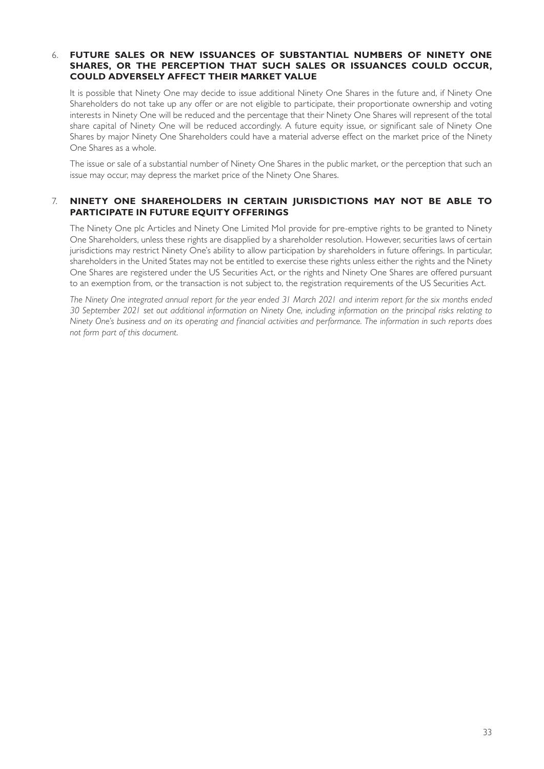#### 6. **FUTURE SALES OR NEW ISSUANCES OF SUBSTANTIAL NUMBERS OF NINETY ONE SHARES, OR THE PERCEPTION THAT SUCH SALES OR ISSUANCES COULD OCCUR, COULD ADVERSELY AFFECT THEIR MARKET VALUE**

It is possible that Ninety One may decide to issue additional Ninety One Shares in the future and, if Ninety One Shareholders do not take up any offer or are not eligible to participate, their proportionate ownership and voting interests in Ninety One will be reduced and the percentage that their Ninety One Shares will represent of the total share capital of Ninety One will be reduced accordingly. A future equity issue, or significant sale of Ninety One Shares by major Ninety One Shareholders could have a material adverse effect on the market price of the Ninety One Shares as a whole.

The issue or sale of a substantial number of Ninety One Shares in the public market, or the perception that such an issue may occur, may depress the market price of the Ninety One Shares.

#### 7. **NINETY ONE SHAREHOLDERS IN CERTAIN JURISDICTIONS MAY NOT BE ABLE TO PARTICIPATE IN FUTURE EQUITY OFFERINGS**

The Ninety One plc Articles and Ninety One Limited MoI provide for pre-emptive rights to be granted to Ninety One Shareholders, unless these rights are disapplied by a shareholder resolution. However, securities laws of certain jurisdictions may restrict Ninety One's ability to allow participation by shareholders in future offerings. In particular, shareholders in the United States may not be entitled to exercise these rights unless either the rights and the Ninety One Shares are registered under the US Securities Act, or the rights and Ninety One Shares are offered pursuant to an exemption from, or the transaction is not subject to, the registration requirements of the US Securities Act.

*The Ninety One integrated annual report for the year ended 31 March 2021 and interim report for the six months ended 30 September 2021 set out additional information on Ninety One, including information on the principal risks relating to Ninety One's business and on its operating and financial activities and performance. The information in such reports does not form part of this document.*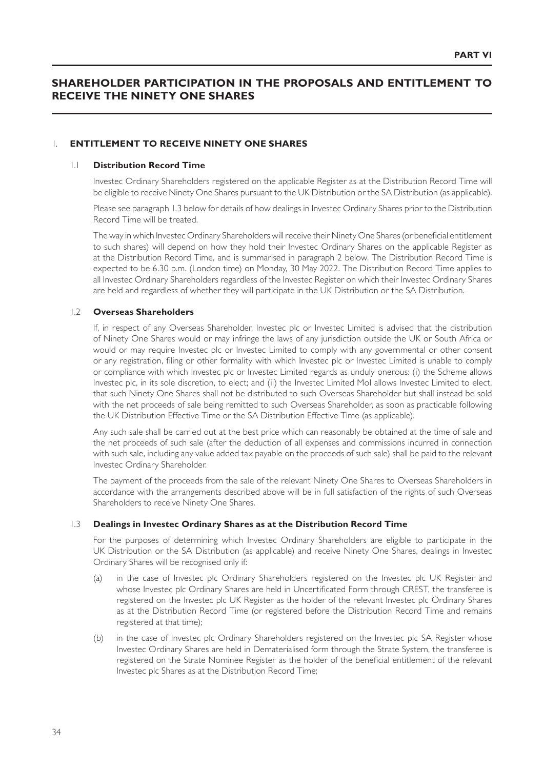# **SHAREHOLDER PARTICIPATION IN THE PROPOSALS AND ENTITLEMENT TO RECEIVE THE NINETY ONE SHARES**

#### 1. **ENTITLEMENT TO RECEIVE NINETY ONE SHARES**

#### 1.1 **Distribution Record Time**

Investec Ordinary Shareholders registered on the applicable Register as at the Distribution Record Time will be eligible to receive Ninety One Shares pursuant to the UK Distribution or the SA Distribution (as applicable).

Please see paragraph 1.3 below for details of how dealings in Investec Ordinary Shares prior to the Distribution Record Time will be treated.

The way in which Investec Ordinary Shareholders will receive their Ninety One Shares (or beneficial entitlement to such shares) will depend on how they hold their Investec Ordinary Shares on the applicable Register as at the Distribution Record Time, and is summarised in paragraph 2 below. The Distribution Record Time is expected to be 6.30 p.m. (London time) on Monday, 30 May 2022. The Distribution Record Time applies to all Investec Ordinary Shareholders regardless of the Investec Register on which their Investec Ordinary Shares are held and regardless of whether they will participate in the UK Distribution or the SA Distribution.

#### 1.2 **Overseas Shareholders**

If, in respect of any Overseas Shareholder, Investec plc or Investec Limited is advised that the distribution of Ninety One Shares would or may infringe the laws of any jurisdiction outside the UK or South Africa or would or may require Investec plc or Investec Limited to comply with any governmental or other consent or any registration, filing or other formality with which Investec plc or Investec Limited is unable to comply or compliance with which Investec plc or Investec Limited regards as unduly onerous: (i) the Scheme allows Investec plc, in its sole discretion, to elect; and (ii) the Investec Limited MoI allows Investec Limited to elect, that such Ninety One Shares shall not be distributed to such Overseas Shareholder but shall instead be sold with the net proceeds of sale being remitted to such Overseas Shareholder, as soon as practicable following the UK Distribution Effective Time or the SA Distribution Effective Time (as applicable).

Any such sale shall be carried out at the best price which can reasonably be obtained at the time of sale and the net proceeds of such sale (after the deduction of all expenses and commissions incurred in connection with such sale, including any value added tax payable on the proceeds of such sale) shall be paid to the relevant Investec Ordinary Shareholder.

The payment of the proceeds from the sale of the relevant Ninety One Shares to Overseas Shareholders in accordance with the arrangements described above will be in full satisfaction of the rights of such Overseas Shareholders to receive Ninety One Shares.

#### 1.3 **Dealings in Investec Ordinary Shares as at the Distribution Record Time**

For the purposes of determining which Investec Ordinary Shareholders are eligible to participate in the UK Distribution or the SA Distribution (as applicable) and receive Ninety One Shares, dealings in Investec Ordinary Shares will be recognised only if:

- (a) in the case of Investec plc Ordinary Shareholders registered on the Investec plc UK Register and whose Investec plc Ordinary Shares are held in Uncertificated Form through CREST, the transferee is registered on the Investec plc UK Register as the holder of the relevant Investec plc Ordinary Shares as at the Distribution Record Time (or registered before the Distribution Record Time and remains registered at that time);
- (b) in the case of Investec plc Ordinary Shareholders registered on the Investec plc SA Register whose Investec Ordinary Shares are held in Dematerialised form through the Strate System, the transferee is registered on the Strate Nominee Register as the holder of the beneficial entitlement of the relevant Investec plc Shares as at the Distribution Record Time;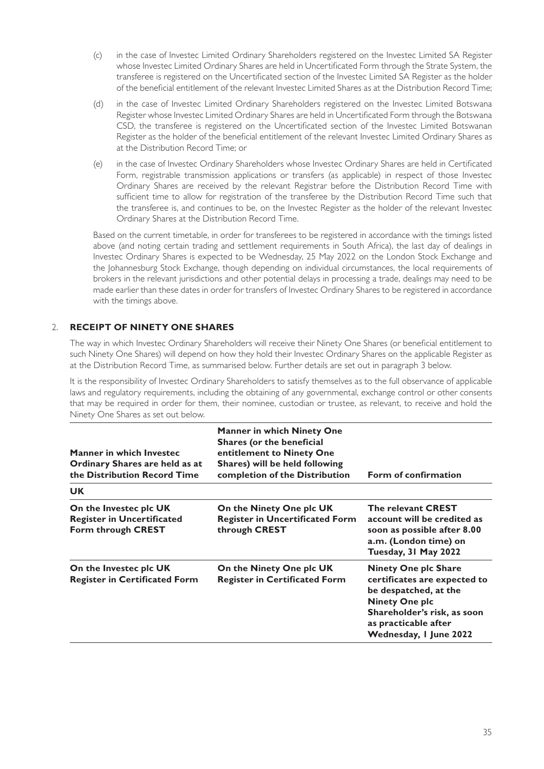- (c) in the case of Investec Limited Ordinary Shareholders registered on the Investec Limited SA Register whose Investec Limited Ordinary Shares are held in Uncertificated Form through the Strate System, the transferee is registered on the Uncertificated section of the Investec Limited SA Register as the holder of the beneficial entitlement of the relevant Investec Limited Shares as at the Distribution Record Time;
- (d) in the case of Investec Limited Ordinary Shareholders registered on the Investec Limited Botswana Register whose Investec Limited Ordinary Shares are held in Uncertificated Form through the Botswana CSD, the transferee is registered on the Uncertificated section of the Investec Limited Botswanan Register as the holder of the beneficial entitlement of the relevant Investec Limited Ordinary Shares as at the Distribution Record Time; or
- (e) in the case of Investec Ordinary Shareholders whose Investec Ordinary Shares are held in Certificated Form, registrable transmission applications or transfers (as applicable) in respect of those Investec Ordinary Shares are received by the relevant Registrar before the Distribution Record Time with sufficient time to allow for registration of the transferee by the Distribution Record Time such that the transferee is, and continues to be, on the Investec Register as the holder of the relevant Investec Ordinary Shares at the Distribution Record Time.

Based on the current timetable, in order for transferees to be registered in accordance with the timings listed above (and noting certain trading and settlement requirements in South Africa), the last day of dealings in Investec Ordinary Shares is expected to be Wednesday, 25 May 2022 on the London Stock Exchange and the Johannesburg Stock Exchange, though depending on individual circumstances, the local requirements of brokers in the relevant jurisdictions and other potential delays in processing a trade, dealings may need to be made earlier than these dates in order for transfers of Investec Ordinary Shares to be registered in accordance with the timings above.

# 2. **RECEIPT OF NINETY ONE SHARES**

The way in which Investec Ordinary Shareholders will receive their Ninety One Shares (or beneficial entitlement to such Ninety One Shares) will depend on how they hold their Investec Ordinary Shares on the applicable Register as at the Distribution Record Time, as summarised below. Further details are set out in paragraph 3 below.

It is the responsibility of Investec Ordinary Shareholders to satisfy themselves as to the full observance of applicable laws and regulatory requirements, including the obtaining of any governmental, exchange control or other consents that may be required in order for them, their nominee, custodian or trustee, as relevant, to receive and hold the Ninety One Shares as set out below.

| <b>Manner in which Investec</b><br>Ordinary Shares are held as at<br>the Distribution Record Time | <b>Manner in which Ninety One</b><br>Shares (or the beneficial<br>entitlement to Ninety One<br>Shares) will be held following<br>completion of the Distribution | Form of confirmation                                                                                                                                                                           |
|---------------------------------------------------------------------------------------------------|-----------------------------------------------------------------------------------------------------------------------------------------------------------------|------------------------------------------------------------------------------------------------------------------------------------------------------------------------------------------------|
| <b>UK</b>                                                                                         |                                                                                                                                                                 |                                                                                                                                                                                                |
| On the Investec plc UK<br><b>Register in Uncertificated</b><br>Form through CREST                 | On the Ninety One plc UK<br><b>Register in Uncertificated Form</b><br>through CREST                                                                             | The relevant CREST<br>account will be credited as<br>soon as possible after 8.00<br>a.m. (London time) on<br>Tuesday, 31 May 2022                                                              |
| On the Investec plc UK<br><b>Register in Certificated Form</b>                                    | On the Ninety One plc UK<br><b>Register in Certificated Form</b>                                                                                                | <b>Ninety One plc Share</b><br>certificates are expected to<br>be despatched, at the<br><b>Ninety One plc</b><br>Shareholder's risk, as soon<br>as practicable after<br>Wednesday, I June 2022 |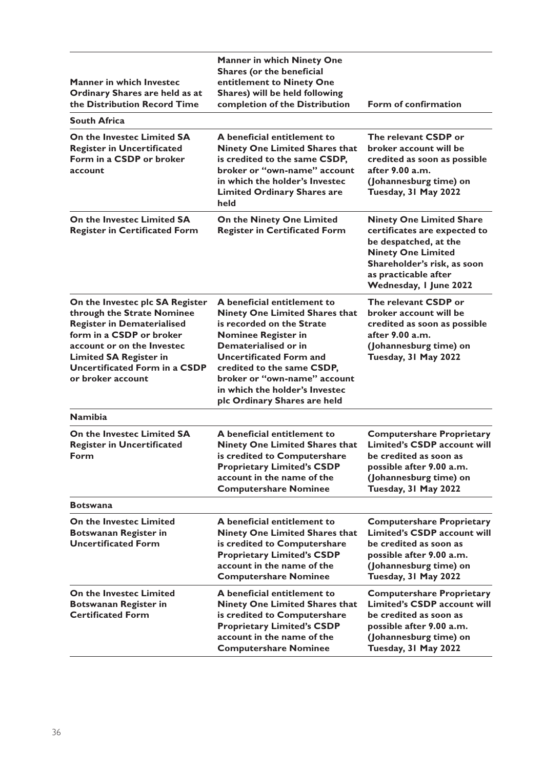| <b>Manner in which Investec</b><br>Ordinary Shares are held as at<br>the Distribution Record Time                                                                                                                                                   | <b>Manner in which Ninety One</b><br>Shares (or the beneficial<br>entitlement to Ninety One<br>Shares) will be held following<br>completion of the Distribution                                                                                                                                                           | Form of confirmation                                                                                                                                                                                   |
|-----------------------------------------------------------------------------------------------------------------------------------------------------------------------------------------------------------------------------------------------------|---------------------------------------------------------------------------------------------------------------------------------------------------------------------------------------------------------------------------------------------------------------------------------------------------------------------------|--------------------------------------------------------------------------------------------------------------------------------------------------------------------------------------------------------|
| South Africa                                                                                                                                                                                                                                        |                                                                                                                                                                                                                                                                                                                           |                                                                                                                                                                                                        |
| On the Investec Limited SA<br><b>Register in Uncertificated</b><br>Form in a CSDP or broker<br>account                                                                                                                                              | A beneficial entitlement to<br><b>Ninety One Limited Shares that</b><br>is credited to the same CSDP,<br>broker or "own-name" account<br>in which the holder's Investec<br><b>Limited Ordinary Shares are</b><br>held                                                                                                     | The relevant CSDP or<br>broker account will be<br>credited as soon as possible<br>after 9.00 a.m.<br>(Johannesburg time) on<br>Tuesday, 31 May 2022                                                    |
| <b>On the Investec Limited SA</b><br><b>Register in Certificated Form</b>                                                                                                                                                                           | On the Ninety One Limited<br><b>Register in Certificated Form</b>                                                                                                                                                                                                                                                         | <b>Ninety One Limited Share</b><br>certificates are expected to<br>be despatched, at the<br><b>Ninety One Limited</b><br>Shareholder's risk, as soon<br>as practicable after<br>Wednesday, I June 2022 |
| On the Investec plc SA Register<br>through the Strate Nominee<br><b>Register in Dematerialised</b><br>form in a CSDP or broker<br>account or on the Investec<br><b>Limited SA Register in</b><br>Uncertificated Form in a CSDP<br>or broker account | A beneficial entitlement to<br><b>Ninety One Limited Shares that</b><br>is recorded on the Strate<br><b>Nominee Register in</b><br>Dematerialised or in<br><b>Uncertificated Form and</b><br>credited to the same CSDP,<br>broker or "own-name" account<br>in which the holder's Investec<br>plc Ordinary Shares are held | The relevant CSDP or<br>broker account will be<br>credited as soon as possible<br>after 9.00 a.m.<br>(Johannesburg time) on<br>Tuesday, 31 May 2022                                                    |
| <b>Namibia</b>                                                                                                                                                                                                                                      |                                                                                                                                                                                                                                                                                                                           |                                                                                                                                                                                                        |
| <b>On the Investec Limited SA</b><br><b>Register in Uncertificated</b><br>Form                                                                                                                                                                      | A beneficial entitlement to<br><b>Ninety One Limited Shares that</b><br>is credited to Computershare<br><b>Proprietary Limited's CSDP</b><br>account in the name of the<br><b>Computershare Nominee</b>                                                                                                                   | <b>Computershare Proprietary</b><br><b>Limited's CSDP account will</b><br>be credited as soon as<br>possible after 9.00 a.m.<br>(Johannesburg time) on<br>Tuesday, 31 May 2022                         |
| <b>Botswana</b>                                                                                                                                                                                                                                     |                                                                                                                                                                                                                                                                                                                           |                                                                                                                                                                                                        |
| <b>On the Investec Limited</b><br><b>Botswanan Register in</b><br><b>Uncertificated Form</b>                                                                                                                                                        | A beneficial entitlement to<br><b>Ninety One Limited Shares that</b><br>is credited to Computershare<br><b>Proprietary Limited's CSDP</b><br>account in the name of the<br><b>Computershare Nominee</b>                                                                                                                   | <b>Computershare Proprietary</b><br><b>Limited's CSDP account will</b><br>be credited as soon as<br>possible after 9.00 a.m.<br>(Johannesburg time) on<br>Tuesday, 31 May 2022                         |
| <b>On the Investec Limited</b><br><b>Botswanan Register in</b><br><b>Certificated Form</b>                                                                                                                                                          | A beneficial entitlement to<br><b>Ninety One Limited Shares that</b><br>is credited to Computershare<br><b>Proprietary Limited's CSDP</b><br>account in the name of the<br><b>Computershare Nominee</b>                                                                                                                   | <b>Computershare Proprietary</b><br>Limited's CSDP account will<br>be credited as soon as<br>possible after 9.00 a.m.<br>(Johannesburg time) on<br>Tuesday, 31 May 2022                                |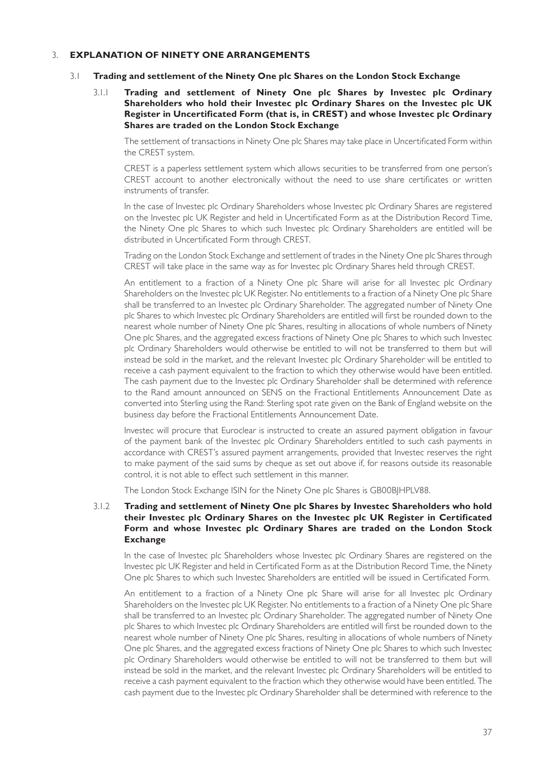## 3. **EXPLANATION OF NINETY ONE ARRANGEMENTS**

#### 3.1 **Trading and settlement of the Ninety One plc Shares on the London Stock Exchange**

## 3.1.1 **Trading and settlement of Ninety One plc Shares by Investec plc Ordinary Shareholders who hold their Investec plc Ordinary Shares on the Investec plc UK Register in Uncertificated Form (that is, in CREST) and whose Investec plc Ordinary Shares are traded on the London Stock Exchange**

The settlement of transactions in Ninety One plc Shares may take place in Uncertificated Form within the CREST system.

CREST is a paperless settlement system which allows securities to be transferred from one person's CREST account to another electronically without the need to use share certificates or written instruments of transfer.

In the case of Investec plc Ordinary Shareholders whose Investec plc Ordinary Shares are registered on the Investec plc UK Register and held in Uncertificated Form as at the Distribution Record Time, the Ninety One plc Shares to which such Investec plc Ordinary Shareholders are entitled will be distributed in Uncertificated Form through CREST.

Trading on the London Stock Exchange and settlement of trades in the Ninety One plc Shares through CREST will take place in the same way as for Investec plc Ordinary Shares held through CREST.

An entitlement to a fraction of a Ninety One plc Share will arise for all Investec plc Ordinary Shareholders on the Investec plc UK Register. No entitlements to a fraction of a Ninety One plc Share shall be transferred to an Investec plc Ordinary Shareholder. The aggregated number of Ninety One plc Shares to which Investec plc Ordinary Shareholders are entitled will first be rounded down to the nearest whole number of Ninety One plc Shares, resulting in allocations of whole numbers of Ninety One plc Shares, and the aggregated excess fractions of Ninety One plc Shares to which such Investec plc Ordinary Shareholders would otherwise be entitled to will not be transferred to them but will instead be sold in the market, and the relevant Investec plc Ordinary Shareholder will be entitled to receive a cash payment equivalent to the fraction to which they otherwise would have been entitled. The cash payment due to the Investec plc Ordinary Shareholder shall be determined with reference to the Rand amount announced on SENS on the Fractional Entitlements Announcement Date as converted into Sterling using the Rand: Sterling spot rate given on the Bank of England website on the business day before the Fractional Entitlements Announcement Date.

Investec will procure that Euroclear is instructed to create an assured payment obligation in favour of the payment bank of the Investec plc Ordinary Shareholders entitled to such cash payments in accordance with CREST's assured payment arrangements, provided that Investec reserves the right to make payment of the said sums by cheque as set out above if, for reasons outside its reasonable control, it is not able to effect such settlement in this manner.

The London Stock Exchange ISIN for the Ninety One plc Shares is GB00BJHPLV88.

## 3.1.2 **Trading and settlement of Ninety One plc Shares by Investec Shareholders who hold their Investec plc Ordinary Shares on the Investec plc UK Register in Certificated Form and whose Investec plc Ordinary Shares are traded on the London Stock Exchange**

In the case of Investec plc Shareholders whose Investec plc Ordinary Shares are registered on the Investec plc UK Register and held in Certificated Form as at the Distribution Record Time, the Ninety One plc Shares to which such Investec Shareholders are entitled will be issued in Certificated Form.

An entitlement to a fraction of a Ninety One plc Share will arise for all Investec plc Ordinary Shareholders on the Investec plc UK Register. No entitlements to a fraction of a Ninety One plc Share shall be transferred to an Investec plc Ordinary Shareholder. The aggregated number of Ninety One plc Shares to which Investec plc Ordinary Shareholders are entitled will first be rounded down to the nearest whole number of Ninety One plc Shares, resulting in allocations of whole numbers of Ninety One plc Shares, and the aggregated excess fractions of Ninety One plc Shares to which such Investec plc Ordinary Shareholders would otherwise be entitled to will not be transferred to them but will instead be sold in the market, and the relevant Investec plc Ordinary Shareholders will be entitled to receive a cash payment equivalent to the fraction which they otherwise would have been entitled. The cash payment due to the Investec plc Ordinary Shareholder shall be determined with reference to the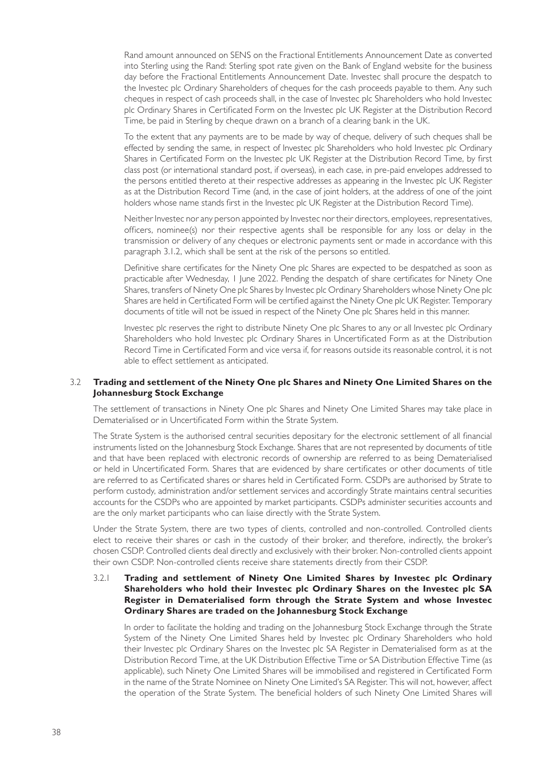Rand amount announced on SENS on the Fractional Entitlements Announcement Date as converted into Sterling using the Rand: Sterling spot rate given on the Bank of England website for the business day before the Fractional Entitlements Announcement Date. Investec shall procure the despatch to the Investec plc Ordinary Shareholders of cheques for the cash proceeds payable to them. Any such cheques in respect of cash proceeds shall, in the case of Investec plc Shareholders who hold Investec plc Ordinary Shares in Certificated Form on the Investec plc UK Register at the Distribution Record Time, be paid in Sterling by cheque drawn on a branch of a clearing bank in the UK.

To the extent that any payments are to be made by way of cheque, delivery of such cheques shall be effected by sending the same, in respect of Investec plc Shareholders who hold Investec plc Ordinary Shares in Certificated Form on the Investec plc UK Register at the Distribution Record Time, by first class post (or international standard post, if overseas), in each case, in pre-paid envelopes addressed to the persons entitled thereto at their respective addresses as appearing in the Investec plc UK Register as at the Distribution Record Time (and, in the case of joint holders, at the address of one of the joint holders whose name stands first in the Investec plc UK Register at the Distribution Record Time).

Neither Investec nor any person appointed by Investec nor their directors, employees, representatives, officers, nominee(s) nor their respective agents shall be responsible for any loss or delay in the transmission or delivery of any cheques or electronic payments sent or made in accordance with this paragraph 3.1.2, which shall be sent at the risk of the persons so entitled.

Definitive share certificates for the Ninety One plc Shares are expected to be despatched as soon as practicable after Wednesday, 1 June 2022. Pending the despatch of share certificates for Ninety One Shares, transfers of Ninety One plc Shares by Investec plc Ordinary Shareholders whose Ninety One plc Shares are held in Certificated Form will be certified against the Ninety One plc UK Register. Temporary documents of title will not be issued in respect of the Ninety One plc Shares held in this manner.

Investec plc reserves the right to distribute Ninety One plc Shares to any or all Investec plc Ordinary Shareholders who hold Investec plc Ordinary Shares in Uncertificated Form as at the Distribution Record Time in Certificated Form and vice versa if, for reasons outside its reasonable control, it is not able to effect settlement as anticipated.

## 3.2 **Trading and settlement of the Ninety One plc Shares and Ninety One Limited Shares on the Johannesburg Stock Exchange**

The settlement of transactions in Ninety One plc Shares and Ninety One Limited Shares may take place in Dematerialised or in Uncertificated Form within the Strate System.

The Strate System is the authorised central securities depositary for the electronic settlement of all financial instruments listed on the Johannesburg Stock Exchange. Shares that are not represented by documents of title and that have been replaced with electronic records of ownership are referred to as being Dematerialised or held in Uncertificated Form. Shares that are evidenced by share certificates or other documents of title are referred to as Certificated shares or shares held in Certificated Form. CSDPs are authorised by Strate to perform custody, administration and/or settlement services and accordingly Strate maintains central securities accounts for the CSDPs who are appointed by market participants. CSDPs administer securities accounts and are the only market participants who can liaise directly with the Strate System.

Under the Strate System, there are two types of clients, controlled and non-controlled. Controlled clients elect to receive their shares or cash in the custody of their broker, and therefore, indirectly, the broker's chosen CSDP. Controlled clients deal directly and exclusively with their broker. Non-controlled clients appoint their own CSDP. Non-controlled clients receive share statements directly from their CSDP.

## 3.2.1 **Trading and settlement of Ninety One Limited Shares by Investec plc Ordinary Shareholders who hold their Investec plc Ordinary Shares on the Investec plc SA Register in Dematerialised form through the Strate System and whose Investec Ordinary Shares are traded on the Johannesburg Stock Exchange**

In order to facilitate the holding and trading on the Johannesburg Stock Exchange through the Strate System of the Ninety One Limited Shares held by Investec plc Ordinary Shareholders who hold their Investec plc Ordinary Shares on the Investec plc SA Register in Dematerialised form as at the Distribution Record Time, at the UK Distribution Effective Time or SA Distribution Effective Time (as applicable), such Ninety One Limited Shares will be immobilised and registered in Certificated Form in the name of the Strate Nominee on Ninety One Limited's SA Register. This will not, however, affect the operation of the Strate System. The beneficial holders of such Ninety One Limited Shares will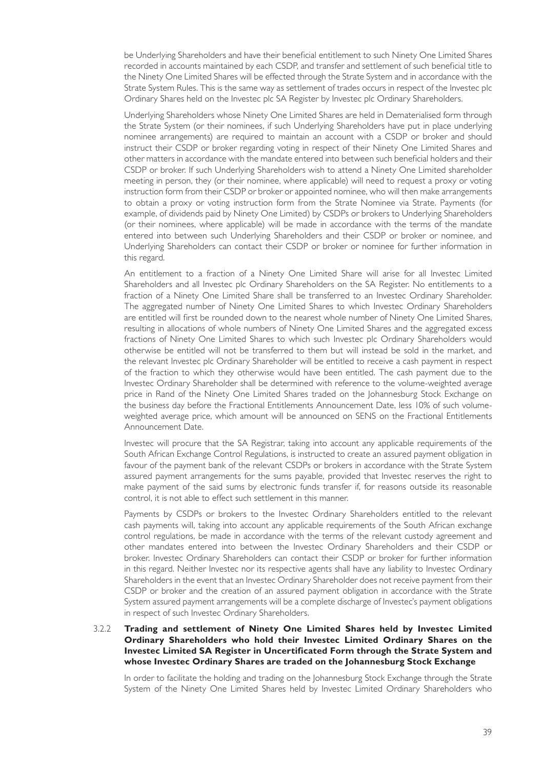be Underlying Shareholders and have their beneficial entitlement to such Ninety One Limited Shares recorded in accounts maintained by each CSDP, and transfer and settlement of such beneficial title to the Ninety One Limited Shares will be effected through the Strate System and in accordance with the Strate System Rules. This is the same way as settlement of trades occurs in respect of the Investec plc Ordinary Shares held on the Investec plc SA Register by Investec plc Ordinary Shareholders.

Underlying Shareholders whose Ninety One Limited Shares are held in Dematerialised form through the Strate System (or their nominees, if such Underlying Shareholders have put in place underlying nominee arrangements) are required to maintain an account with a CSDP or broker and should instruct their CSDP or broker regarding voting in respect of their Ninety One Limited Shares and other matters in accordance with the mandate entered into between such beneficial holders and their CSDP or broker. If such Underlying Shareholders wish to attend a Ninety One Limited shareholder meeting in person, they (or their nominee, where applicable) will need to request a proxy or voting instruction form from their CSDP or broker or appointed nominee, who will then make arrangements to obtain a proxy or voting instruction form from the Strate Nominee via Strate. Payments (for example, of dividends paid by Ninety One Limited) by CSDPs or brokers to Underlying Shareholders (or their nominees, where applicable) will be made in accordance with the terms of the mandate entered into between such Underlying Shareholders and their CSDP or broker or nominee, and Underlying Shareholders can contact their CSDP or broker or nominee for further information in this regard.

An entitlement to a fraction of a Ninety One Limited Share will arise for all Investec Limited Shareholders and all Investec plc Ordinary Shareholders on the SA Register. No entitlements to a fraction of a Ninety One Limited Share shall be transferred to an Investec Ordinary Shareholder. The aggregated number of Ninety One Limited Shares to which Investec Ordinary Shareholders are entitled will first be rounded down to the nearest whole number of Ninety One Limited Shares, resulting in allocations of whole numbers of Ninety One Limited Shares and the aggregated excess fractions of Ninety One Limited Shares to which such Investec plc Ordinary Shareholders would otherwise be entitled will not be transferred to them but will instead be sold in the market, and the relevant Investec plc Ordinary Shareholder will be entitled to receive a cash payment in respect of the fraction to which they otherwise would have been entitled. The cash payment due to the Investec Ordinary Shareholder shall be determined with reference to the volume-weighted average price in Rand of the Ninety One Limited Shares traded on the Johannesburg Stock Exchange on the business day before the Fractional Entitlements Announcement Date, less 10% of such volumeweighted average price, which amount will be announced on SENS on the Fractional Entitlements Announcement Date.

Investec will procure that the SA Registrar, taking into account any applicable requirements of the South African Exchange Control Regulations, is instructed to create an assured payment obligation in favour of the payment bank of the relevant CSDPs or brokers in accordance with the Strate System assured payment arrangements for the sums payable, provided that Investec reserves the right to make payment of the said sums by electronic funds transfer if, for reasons outside its reasonable control, it is not able to effect such settlement in this manner.

Payments by CSDPs or brokers to the Investec Ordinary Shareholders entitled to the relevant cash payments will, taking into account any applicable requirements of the South African exchange control regulations, be made in accordance with the terms of the relevant custody agreement and other mandates entered into between the Investec Ordinary Shareholders and their CSDP or broker. Investec Ordinary Shareholders can contact their CSDP or broker for further information in this regard. Neither Investec nor its respective agents shall have any liability to Investec Ordinary Shareholders in the event that an Investec Ordinary Shareholder does not receive payment from their CSDP or broker and the creation of an assured payment obligation in accordance with the Strate System assured payment arrangements will be a complete discharge of Investec's payment obligations in respect of such Investec Ordinary Shareholders.

## 3.2.2 **Trading and settlement of Ninety One Limited Shares held by Investec Limited Ordinary Shareholders who hold their Investec Limited Ordinary Shares on the Investec Limited SA Register in Uncertificated Form through the Strate System and whose Investec Ordinary Shares are traded on the Johannesburg Stock Exchange**

In order to facilitate the holding and trading on the Johannesburg Stock Exchange through the Strate System of the Ninety One Limited Shares held by Investec Limited Ordinary Shareholders who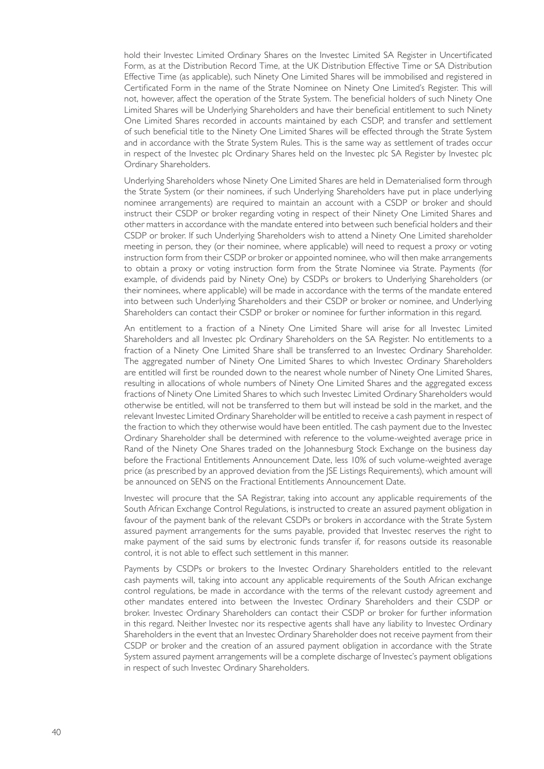hold their Investec Limited Ordinary Shares on the Investec Limited SA Register in Uncertificated Form, as at the Distribution Record Time, at the UK Distribution Effective Time or SA Distribution Effective Time (as applicable), such Ninety One Limited Shares will be immobilised and registered in Certificated Form in the name of the Strate Nominee on Ninety One Limited's Register. This will not, however, affect the operation of the Strate System. The beneficial holders of such Ninety One Limited Shares will be Underlying Shareholders and have their beneficial entitlement to such Ninety One Limited Shares recorded in accounts maintained by each CSDP, and transfer and settlement of such beneficial title to the Ninety One Limited Shares will be effected through the Strate System and in accordance with the Strate System Rules. This is the same way as settlement of trades occur in respect of the Investec plc Ordinary Shares held on the Investec plc SA Register by Investec plc Ordinary Shareholders.

Underlying Shareholders whose Ninety One Limited Shares are held in Dematerialised form through the Strate System (or their nominees, if such Underlying Shareholders have put in place underlying nominee arrangements) are required to maintain an account with a CSDP or broker and should instruct their CSDP or broker regarding voting in respect of their Ninety One Limited Shares and other matters in accordance with the mandate entered into between such beneficial holders and their CSDP or broker. If such Underlying Shareholders wish to attend a Ninety One Limited shareholder meeting in person, they (or their nominee, where applicable) will need to request a proxy or voting instruction form from their CSDP or broker or appointed nominee, who will then make arrangements to obtain a proxy or voting instruction form from the Strate Nominee via Strate. Payments (for example, of dividends paid by Ninety One) by CSDPs or brokers to Underlying Shareholders (or their nominees, where applicable) will be made in accordance with the terms of the mandate entered into between such Underlying Shareholders and their CSDP or broker or nominee, and Underlying Shareholders can contact their CSDP or broker or nominee for further information in this regard.

An entitlement to a fraction of a Ninety One Limited Share will arise for all Investec Limited Shareholders and all Investec plc Ordinary Shareholders on the SA Register. No entitlements to a fraction of a Ninety One Limited Share shall be transferred to an Investec Ordinary Shareholder. The aggregated number of Ninety One Limited Shares to which Investec Ordinary Shareholders are entitled will first be rounded down to the nearest whole number of Ninety One Limited Shares, resulting in allocations of whole numbers of Ninety One Limited Shares and the aggregated excess fractions of Ninety One Limited Shares to which such Investec Limited Ordinary Shareholders would otherwise be entitled, will not be transferred to them but will instead be sold in the market, and the relevant Investec Limited Ordinary Shareholder will be entitled to receive a cash payment in respect of the fraction to which they otherwise would have been entitled. The cash payment due to the Investec Ordinary Shareholder shall be determined with reference to the volume-weighted average price in Rand of the Ninety One Shares traded on the Johannesburg Stock Exchange on the business day before the Fractional Entitlements Announcement Date, less 10% of such volume-weighted average price (as prescribed by an approved deviation from the JSE Listings Requirements), which amount will be announced on SENS on the Fractional Entitlements Announcement Date.

Investec will procure that the SA Registrar, taking into account any applicable requirements of the South African Exchange Control Regulations, is instructed to create an assured payment obligation in favour of the payment bank of the relevant CSDPs or brokers in accordance with the Strate System assured payment arrangements for the sums payable, provided that Investec reserves the right to make payment of the said sums by electronic funds transfer if, for reasons outside its reasonable control, it is not able to effect such settlement in this manner.

Payments by CSDPs or brokers to the Investec Ordinary Shareholders entitled to the relevant cash payments will, taking into account any applicable requirements of the South African exchange control regulations, be made in accordance with the terms of the relevant custody agreement and other mandates entered into between the Investec Ordinary Shareholders and their CSDP or broker. Investec Ordinary Shareholders can contact their CSDP or broker for further information in this regard. Neither Investec nor its respective agents shall have any liability to Investec Ordinary Shareholders in the event that an Investec Ordinary Shareholder does not receive payment from their CSDP or broker and the creation of an assured payment obligation in accordance with the Strate System assured payment arrangements will be a complete discharge of Investec's payment obligations in respect of such Investec Ordinary Shareholders.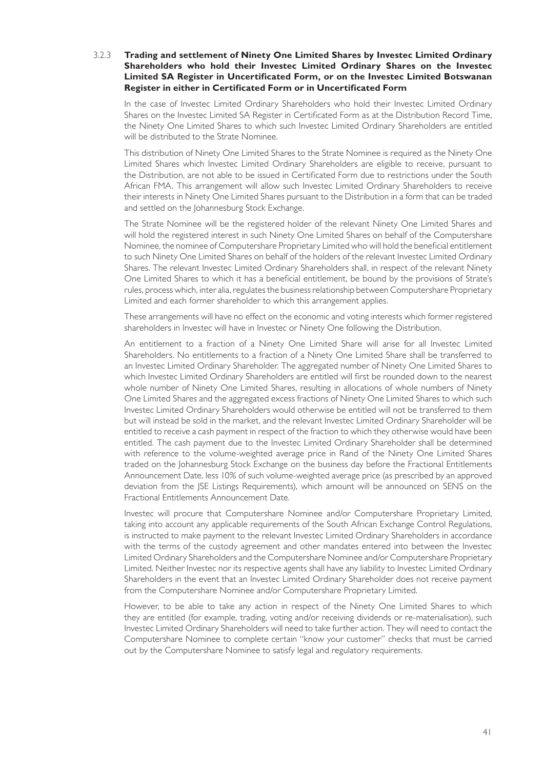#### 3.2.3 **Trading and settlement of Ninety One Limited Shares by Investec Limited Ordinary Shareholders who hold their Investec Limited Ordinary Shares on the Investec Limited SA Register in Uncertificated Form, or on the Investec Limited Botswanan Register in either in Certificated Form or in Uncertificated Form**

In the case of Investec Limited Ordinary Shareholders who hold their Investec Limited Ordinary Shares on the Investec Limited SA Register in Certificated Form as at the Distribution Record Time, the Ninety One Limited Shares to which such Investec Limited Ordinary Shareholders are entitled will be distributed to the Strate Nominee.

This distribution of Ninety One Limited Shares to the Strate Nominee is required as the Ninety One Limited Shares which Investec Limited Ordinary Shareholders are eligible to receive, pursuant to the Distribution, are not able to be issued in Certificated Form due to restrictions under the South African FMA. This arrangement will allow such Investec Limited Ordinary Shareholders to receive their interests in Ninety One Limited Shares pursuant to the Distribution in a form that can be traded and settled on the Johannesburg Stock Exchange.

The Strate Nominee will be the registered holder of the relevant Ninety One Limited Shares and will hold the registered interest in such Ninety One Limited Shares on behalf of the Computershare Nominee, the nominee of Computershare Proprietary Limited who will hold the beneficial entitlement to such Ninety One Limited Shares on behalf of the holders of the relevant Investec Limited Ordinary Shares. The relevant Investec Limited Ordinary Shareholders shall, in respect of the relevant Ninety One Limited Shares to which it has a beneficial entitlement, be bound by the provisions of Strate's rules, process which, inter alia, regulates the business relationship between Computershare Proprietary Limited and each former shareholder to which this arrangement applies.

These arrangements will have no effect on the economic and voting interests which former registered shareholders in Investec will have in Investec or Ninety One following the Distribution.

An entitlement to a fraction of a Ninety One Limited Share will arise for all Investec Limited Shareholders. No entitlements to a fraction of a Ninety One Limited Share shall be transferred to an Investec Limited Ordinary Shareholder. The aggregated number of Ninety One Limited Shares to which Investec Limited Ordinary Shareholders are entitled will first be rounded down to the nearest whole number of Ninety One Limited Shares, resulting in allocations of whole numbers of Ninety One Limited Shares and the aggregated excess fractions of Ninety One Limited Shares to which such Investec Limited Ordinary Shareholders would otherwise be entitled will not be transferred to them but will instead be sold in the market, and the relevant Investec Limited Ordinary Shareholder will be entitled to receive a cash payment in respect of the fraction to which they otherwise would have been entitled. The cash payment due to the Investec Limited Ordinary Shareholder shall be determined with reference to the volume-weighted average price in Rand of the Ninety One Limited Shares traded on the Johannesburg Stock Exchange on the business day before the Fractional Entitlements Announcement Date, less 10% of such volume-weighted average price (as prescribed by an approved deviation from the JSE Listings Requirements), which amount will be announced on SENS on the Fractional Entitlements Announcement Date.

Investec will procure that Computershare Nominee and/or Computershare Proprietary Limited, taking into account any applicable requirements of the South African Exchange Control Regulations, is instructed to make payment to the relevant Investec Limited Ordinary Shareholders in accordance with the terms of the custody agreement and other mandates entered into between the Investec Limited Ordinary Shareholders and the Computershare Nominee and/or Computershare Proprietary Limited. Neither Investec nor its respective agents shall have any liability to Investec Limited Ordinary Shareholders in the event that an Investec Limited Ordinary Shareholder does not receive payment from the Computershare Nominee and/or Computershare Proprietary Limited.

However, to be able to take any action in respect of the Ninety One Limited Shares to which they are entitled (for example, trading, voting and/or receiving dividends or re-materialisation), such Investec Limited Ordinary Shareholders will need to take further action. They will need to contact the Computershare Nominee to complete certain "know your customer" checks that must be carried out by the Computershare Nominee to satisfy legal and regulatory requirements.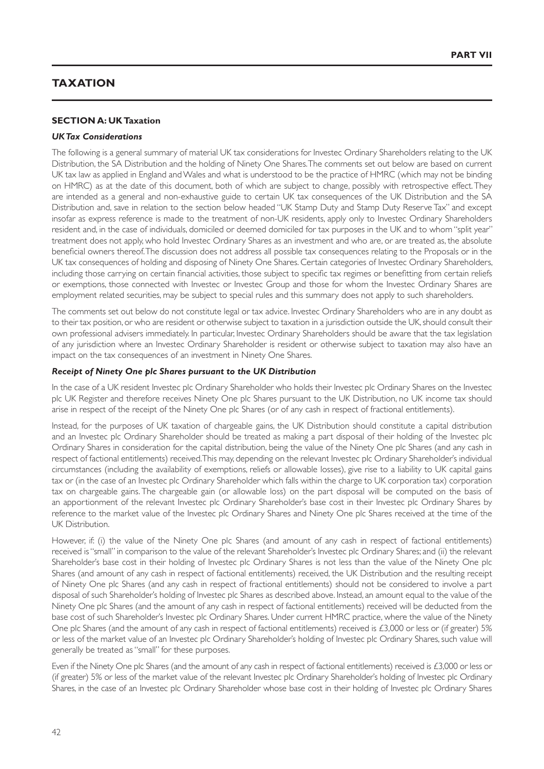# **TAXATION**

# **SECTION A: UK Taxation**

## *UK Tax Considerations*

The following is a general summary of material UK tax considerations for Investec Ordinary Shareholders relating to the UK Distribution, the SA Distribution and the holding of Ninety One Shares. The comments set out below are based on current UK tax law as applied in England and Wales and what is understood to be the practice of HMRC (which may not be binding on HMRC) as at the date of this document, both of which are subject to change, possibly with retrospective effect. They are intended as a general and non-exhaustive guide to certain UK tax consequences of the UK Distribution and the SA Distribution and, save in relation to the section below headed "UK Stamp Duty and Stamp Duty Reserve Tax" and except insofar as express reference is made to the treatment of non-UK residents, apply only to Investec Ordinary Shareholders resident and, in the case of individuals, domiciled or deemed domiciled for tax purposes in the UK and to whom "split year" treatment does not apply, who hold Investec Ordinary Shares as an investment and who are, or are treated as, the absolute beneficial owners thereof. The discussion does not address all possible tax consequences relating to the Proposals or in the UK tax consequences of holding and disposing of Ninety One Shares. Certain categories of Investec Ordinary Shareholders, including those carrying on certain financial activities, those subject to specific tax regimes or benefitting from certain reliefs or exemptions, those connected with Investec or Investec Group and those for whom the Investec Ordinary Shares are employment related securities, may be subject to special rules and this summary does not apply to such shareholders.

The comments set out below do not constitute legal or tax advice. Investec Ordinary Shareholders who are in any doubt as to their tax position, or who are resident or otherwise subject to taxation in a jurisdiction outside the UK, should consult their own professional advisers immediately. In particular, Investec Ordinary Shareholders should be aware that the tax legislation of any jurisdiction where an Investec Ordinary Shareholder is resident or otherwise subject to taxation may also have an impact on the tax consequences of an investment in Ninety One Shares.

## *Receipt of Ninety One plc Shares pursuant to the UK Distribution*

In the case of a UK resident Investec plc Ordinary Shareholder who holds their Investec plc Ordinary Shares on the Investec plc UK Register and therefore receives Ninety One plc Shares pursuant to the UK Distribution, no UK income tax should arise in respect of the receipt of the Ninety One plc Shares (or of any cash in respect of fractional entitlements).

Instead, for the purposes of UK taxation of chargeable gains, the UK Distribution should constitute a capital distribution and an Investec plc Ordinary Shareholder should be treated as making a part disposal of their holding of the Investec plc Ordinary Shares in consideration for the capital distribution, being the value of the Ninety One plc Shares (and any cash in respect of factional entitlements) received. This may, depending on the relevant Investec plc Ordinary Shareholder's individual circumstances (including the availability of exemptions, reliefs or allowable losses), give rise to a liability to UK capital gains tax or (in the case of an Investec plc Ordinary Shareholder which falls within the charge to UK corporation tax) corporation tax on chargeable gains. The chargeable gain (or allowable loss) on the part disposal will be computed on the basis of an apportionment of the relevant Investec plc Ordinary Shareholder's base cost in their Investec plc Ordinary Shares by reference to the market value of the Investec plc Ordinary Shares and Ninety One plc Shares received at the time of the UK Distribution.

However, if: (i) the value of the Ninety One plc Shares (and amount of any cash in respect of factional entitlements) received is "small" in comparison to the value of the relevant Shareholder's Investec plc Ordinary Shares; and (ii) the relevant Shareholder's base cost in their holding of Investec plc Ordinary Shares is not less than the value of the Ninety One plc Shares (and amount of any cash in respect of factional entitlements) received, the UK Distribution and the resulting receipt of Ninety One plc Shares (and any cash in respect of fractional entitlements) should not be considered to involve a part disposal of such Shareholder's holding of Investec plc Shares as described above. Instead, an amount equal to the value of the Ninety One plc Shares (and the amount of any cash in respect of factional entitlements) received will be deducted from the base cost of such Shareholder's Investec plc Ordinary Shares. Under current HMRC practice, where the value of the Ninety One plc Shares (and the amount of any cash in respect of factional entitlements) received is £3,000 or less or (if greater) 5% or less of the market value of an Investec plc Ordinary Shareholder's holding of Investec plc Ordinary Shares, such value will generally be treated as "small" for these purposes.

Even if the Ninety One plc Shares (and the amount of any cash in respect of factional entitlements) received is £3,000 or less or (if greater) 5% or less of the market value of the relevant Investec plc Ordinary Shareholder's holding of Investec plc Ordinary Shares, in the case of an Investec plc Ordinary Shareholder whose base cost in their holding of Investec plc Ordinary Shares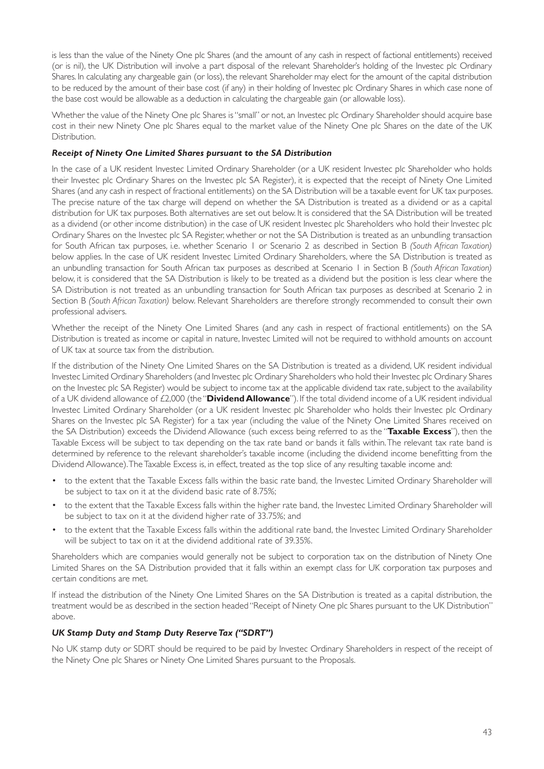is less than the value of the Ninety One plc Shares (and the amount of any cash in respect of factional entitlements) received (or is nil), the UK Distribution will involve a part disposal of the relevant Shareholder's holding of the Investec plc Ordinary Shares. In calculating any chargeable gain (or loss), the relevant Shareholder may elect for the amount of the capital distribution to be reduced by the amount of their base cost (if any) in their holding of Investec plc Ordinary Shares in which case none of the base cost would be allowable as a deduction in calculating the chargeable gain (or allowable loss).

Whether the value of the Ninety One plc Shares is "small" or not, an Investec plc Ordinary Shareholder should acquire base cost in their new Ninety One plc Shares equal to the market value of the Ninety One plc Shares on the date of the UK Distribution.

#### *Receipt of Ninety One Limited Shares pursuant to the SA Distribution*

In the case of a UK resident Investec Limited Ordinary Shareholder (or a UK resident Investec plc Shareholder who holds their Investec plc Ordinary Shares on the Investec plc SA Register), it is expected that the receipt of Ninety One Limited Shares (and any cash in respect of fractional entitlements) on the SA Distribution will be a taxable event for UK tax purposes. The precise nature of the tax charge will depend on whether the SA Distribution is treated as a dividend or as a capital distribution for UK tax purposes. Both alternatives are set out below. It is considered that the SA Distribution will be treated as a dividend (or other income distribution) in the case of UK resident Investec plc Shareholders who hold their Investec plc Ordinary Shares on the Investec plc SA Register, whether or not the SA Distribution is treated as an unbundling transaction for South African tax purposes, i.e. whether Scenario 1 or Scenario 2 as described in Section B *(South African Taxation)* below applies. In the case of UK resident Investec Limited Ordinary Shareholders, where the SA Distribution is treated as an unbundling transaction for South African tax purposes as described at Scenario 1 in Section B *(South African Taxation)* below, it is considered that the SA Distribution is likely to be treated as a dividend but the position is less clear where the SA Distribution is not treated as an unbundling transaction for South African tax purposes as described at Scenario 2 in Section B *(South African Taxation)* below. Relevant Shareholders are therefore strongly recommended to consult their own professional advisers.

Whether the receipt of the Ninety One Limited Shares (and any cash in respect of fractional entitlements) on the SA Distribution is treated as income or capital in nature, Investec Limited will not be required to withhold amounts on account of UK tax at source tax from the distribution.

If the distribution of the Ninety One Limited Shares on the SA Distribution is treated as a dividend, UK resident individual Investec Limited Ordinary Shareholders (and Investec plc Ordinary Shareholders who hold their Investec plc Ordinary Shares on the Investec plc SA Register) would be subject to income tax at the applicable dividend tax rate, subject to the availability of a UK dividend allowance of £2,000 (the "**Dividend Allowance**"). If the total dividend income of a UK resident individual Investec Limited Ordinary Shareholder (or a UK resident Investec plc Shareholder who holds their Investec plc Ordinary Shares on the Investec plc SA Register) for a tax year (including the value of the Ninety One Limited Shares received on the SA Distribution) exceeds the Dividend Allowance (such excess being referred to as the "**Taxable Excess**"), then the Taxable Excess will be subject to tax depending on the tax rate band or bands it falls within. The relevant tax rate band is determined by reference to the relevant shareholder's taxable income (including the dividend income benefitting from the Dividend Allowance). The Taxable Excess is, in effect, treated as the top slice of any resulting taxable income and:

- to the extent that the Taxable Excess falls within the basic rate band, the Investec Limited Ordinary Shareholder will be subject to tax on it at the dividend basic rate of 8.75%;
- to the extent that the Taxable Excess falls within the higher rate band, the Investec Limited Ordinary Shareholder will be subject to tax on it at the dividend higher rate of 33.75%; and
- to the extent that the Taxable Excess falls within the additional rate band, the Investec Limited Ordinary Shareholder will be subject to tax on it at the dividend additional rate of 39.35%.

Shareholders which are companies would generally not be subject to corporation tax on the distribution of Ninety One Limited Shares on the SA Distribution provided that it falls within an exempt class for UK corporation tax purposes and certain conditions are met.

If instead the distribution of the Ninety One Limited Shares on the SA Distribution is treated as a capital distribution, the treatment would be as described in the section headed "Receipt of Ninety One plc Shares pursuant to the UK Distribution" above.

#### *UK Stamp Duty and Stamp Duty Reserve Tax ("SDRT")*

No UK stamp duty or SDRT should be required to be paid by Investec Ordinary Shareholders in respect of the receipt of the Ninety One plc Shares or Ninety One Limited Shares pursuant to the Proposals.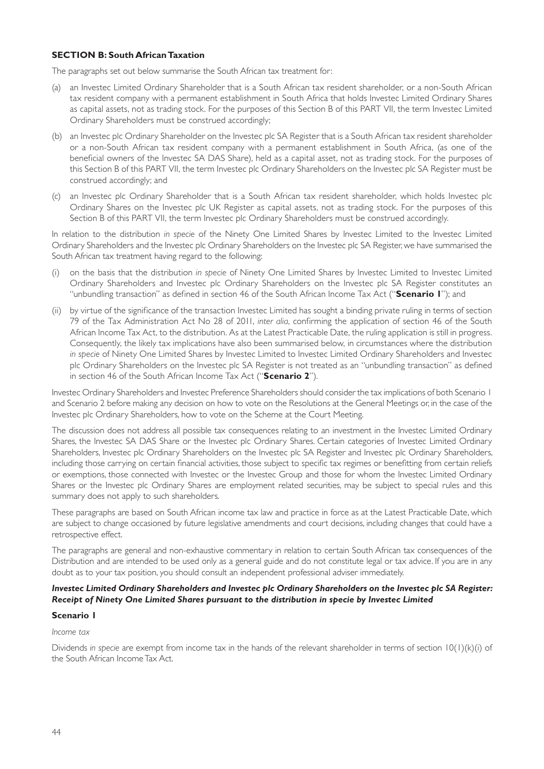## **SECTION B: South African Taxation**

The paragraphs set out below summarise the South African tax treatment for:

- (a) an Investec Limited Ordinary Shareholder that is a South African tax resident shareholder, or a non-South African tax resident company with a permanent establishment in South Africa that holds Investec Limited Ordinary Shares as capital assets, not as trading stock. For the purposes of this Section B of this PART VII, the term Investec Limited Ordinary Shareholders must be construed accordingly;
- (b) an Investec plc Ordinary Shareholder on the Investec plc SA Register that is a South African tax resident shareholder or a non-South African tax resident company with a permanent establishment in South Africa, (as one of the beneficial owners of the Investec SA DAS Share), held as a capital asset, not as trading stock. For the purposes of this Section B of this PART VII, the term Investec plc Ordinary Shareholders on the Investec plc SA Register must be construed accordingly; and
- (c) an Investec plc Ordinary Shareholder that is a South African tax resident shareholder, which holds Investec plc Ordinary Shares on the Investec plc UK Register as capital assets, not as trading stock. For the purposes of this Section B of this PART VII, the term Investec plc Ordinary Shareholders must be construed accordingly.

In relation to the distribution *in specie* of the Ninety One Limited Shares by Investec Limited to the Investec Limited Ordinary Shareholders and the Investec plc Ordinary Shareholders on the Investec plc SA Register, we have summarised the South African tax treatment having regard to the following:

- (i) on the basis that the distribution *in specie* of Ninety One Limited Shares by Investec Limited to Investec Limited Ordinary Shareholders and Investec plc Ordinary Shareholders on the Investec plc SA Register constitutes an "unbundling transaction" as defined in section 46 of the South African Income Tax Act ("**Scenario 1**"); and
- (ii) by virtue of the significance of the transaction Investec Limited has sought a binding private ruling in terms of section 79 of the Tax Administration Act No 28 of 2011, *inter alia*, confirming the application of section 46 of the South African Income Tax Act, to the distribution. As at the Latest Practicable Date, the ruling application is still in progress. Consequently, the likely tax implications have also been summarised below, in circumstances where the distribution *in specie* of Ninety One Limited Shares by Investec Limited to Investec Limited Ordinary Shareholders and Investec plc Ordinary Shareholders on the Investec plc SA Register is not treated as an "unbundling transaction" as defined in section 46 of the South African Income Tax Act ("**Scenario 2**").

Investec Ordinary Shareholders and Investec Preference Shareholders should consider the tax implications of both Scenario 1 and Scenario 2 before making any decision on how to vote on the Resolutions at the General Meetings or, in the case of the Investec plc Ordinary Shareholders, how to vote on the Scheme at the Court Meeting.

The discussion does not address all possible tax consequences relating to an investment in the Investec Limited Ordinary Shares, the Investec SA DAS Share or the Investec plc Ordinary Shares. Certain categories of Investec Limited Ordinary Shareholders, Investec plc Ordinary Shareholders on the Investec plc SA Register and Investec plc Ordinary Shareholders, including those carrying on certain financial activities, those subject to specific tax regimes or benefitting from certain reliefs or exemptions, those connected with Investec or the Investec Group and those for whom the Investec Limited Ordinary Shares or the Investec plc Ordinary Shares are employment related securities, may be subject to special rules and this summary does not apply to such shareholders.

These paragraphs are based on South African income tax law and practice in force as at the Latest Practicable Date, which are subject to change occasioned by future legislative amendments and court decisions, including changes that could have a retrospective effect.

The paragraphs are general and non-exhaustive commentary in relation to certain South African tax consequences of the Distribution and are intended to be used only as a general guide and do not constitute legal or tax advice. If you are in any doubt as to your tax position, you should consult an independent professional adviser immediately.

## *Investec Limited Ordinary Shareholders and Investec plc Ordinary Shareholders on the Investec plc SA Register: Receipt of Ninety One Limited Shares pursuant to the distribution in specie by Investec Limited*

#### **Scenario 1**

#### *Income tax*

Dividends *in specie* are exempt from income tax in the hands of the relevant shareholder in terms of section 10(1)(k)(i) of the South African Income Tax Act.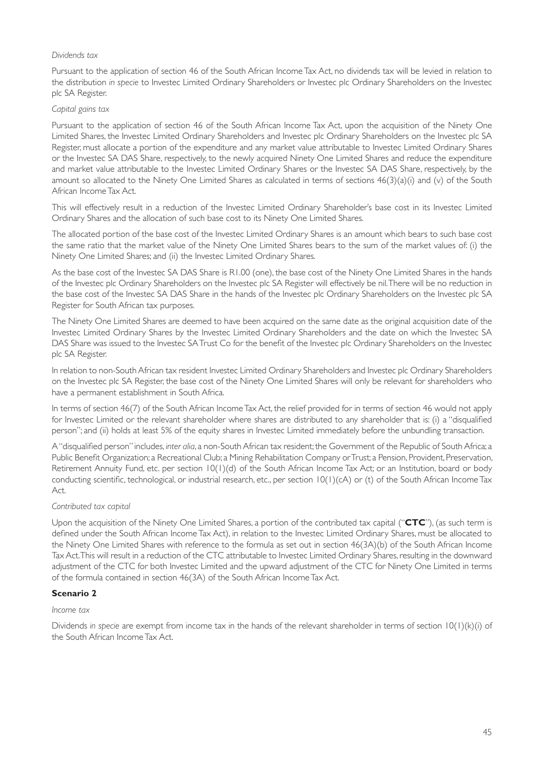#### *Dividends tax*

Pursuant to the application of section 46 of the South African Income Tax Act, no dividends tax will be levied in relation to the distribution *in specie* to Investec Limited Ordinary Shareholders or Investec plc Ordinary Shareholders on the Investec plc SA Register.

#### *Capital gains tax*

Pursuant to the application of section 46 of the South African Income Tax Act, upon the acquisition of the Ninety One Limited Shares, the Investec Limited Ordinary Shareholders and Investec plc Ordinary Shareholders on the Investec plc SA Register, must allocate a portion of the expenditure and any market value attributable to Investec Limited Ordinary Shares or the Investec SA DAS Share, respectively, to the newly acquired Ninety One Limited Shares and reduce the expenditure and market value attributable to the Investec Limited Ordinary Shares or the Investec SA DAS Share, respectively, by the amount so allocated to the Ninety One Limited Shares as calculated in terms of sections  $46(3)(a)(i)$  and  $(v)$  of the South African Income Tax Act.

This will effectively result in a reduction of the Investec Limited Ordinary Shareholder's base cost in its Investec Limited Ordinary Shares and the allocation of such base cost to its Ninety One Limited Shares.

The allocated portion of the base cost of the Investec Limited Ordinary Shares is an amount which bears to such base cost the same ratio that the market value of the Ninety One Limited Shares bears to the sum of the market values of: (i) the Ninety One Limited Shares; and (ii) the Investec Limited Ordinary Shares.

As the base cost of the Investec SA DAS Share is R1.00 (one), the base cost of the Ninety One Limited Shares in the hands of the Investec plc Ordinary Shareholders on the Investec plc SA Register will effectively be nil. There will be no reduction in the base cost of the Investec SA DAS Share in the hands of the Investec plc Ordinary Shareholders on the Investec plc SA Register for South African tax purposes.

The Ninety One Limited Shares are deemed to have been acquired on the same date as the original acquisition date of the Investec Limited Ordinary Shares by the Investec Limited Ordinary Shareholders and the date on which the Investec SA DAS Share was issued to the Investec SA Trust Co for the benefit of the Investec plc Ordinary Shareholders on the Investec plc SA Register.

In relation to non-South African tax resident Investec Limited Ordinary Shareholders and Investec plc Ordinary Shareholders on the Investec plc SA Register, the base cost of the Ninety One Limited Shares will only be relevant for shareholders who have a permanent establishment in South Africa.

In terms of section 46(7) of the South African Income Tax Act, the relief provided for in terms of section 46 would not apply for Investec Limited or the relevant shareholder where shares are distributed to any shareholder that is: (i) a "disqualified person"; and (ii) holds at least 5% of the equity shares in Investec Limited immediately before the unbundling transaction.

A "disqualified person" includes, *inter alia*, a non-South African tax resident; the Government of the Republic of South Africa; a Public Benefit Organization; a Recreational Club; a Mining Rehabilitation Company or Trust; a Pension, Provident, Preservation, Retirement Annuity Fund, etc. per section 10(1)(d) of the South African Income Tax Act; or an Institution, board or body conducting scientific, technological, or industrial research, etc., per section  $10(1)(cA)$  or (t) of the South African Income Tax Act.

#### *Contributed tax capital*

Upon the acquisition of the Ninety One Limited Shares, a portion of the contributed tax capital ("**CTC**"), (as such term is defined under the South African Income Tax Act), in relation to the Investec Limited Ordinary Shares, must be allocated to the Ninety One Limited Shares with reference to the formula as set out in section 46(3A)(b) of the South African Income Tax Act. This will result in a reduction of the CTC attributable to Investec Limited Ordinary Shares, resulting in the downward adjustment of the CTC for both Investec Limited and the upward adjustment of the CTC for Ninety One Limited in terms of the formula contained in section 46(3A) of the South African Income Tax Act.

#### **Scenario 2**

#### *Income tax*

Dividends *in specie* are exempt from income tax in the hands of the relevant shareholder in terms of section 10(1)(k)(i) of the South African Income Tax Act.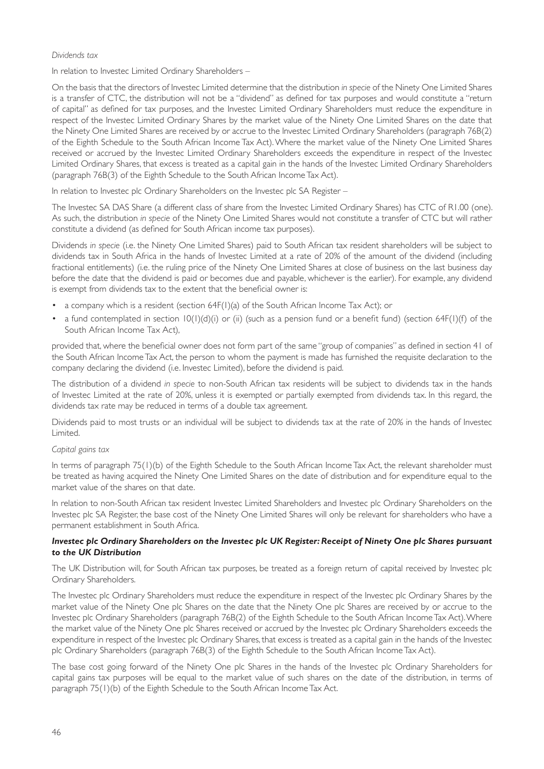#### *Dividends tax*

In relation to Investec Limited Ordinary Shareholders –

On the basis that the directors of Investec Limited determine that the distribution *in specie* of the Ninety One Limited Shares is a transfer of CTC, the distribution will not be a "dividend" as defined for tax purposes and would constitute a "return of capital" as defined for tax purposes, and the Investec Limited Ordinary Shareholders must reduce the expenditure in respect of the Investec Limited Ordinary Shares by the market value of the Ninety One Limited Shares on the date that the Ninety One Limited Shares are received by or accrue to the Investec Limited Ordinary Shareholders (paragraph 76B(2) of the Eighth Schedule to the South African Income Tax Act). Where the market value of the Ninety One Limited Shares received or accrued by the Investec Limited Ordinary Shareholders exceeds the expenditure in respect of the Investec Limited Ordinary Shares, that excess is treated as a capital gain in the hands of the Investec Limited Ordinary Shareholders (paragraph 76B(3) of the Eighth Schedule to the South African Income Tax Act).

In relation to Investec plc Ordinary Shareholders on the Investec plc SA Register –

The Investec SA DAS Share (a different class of share from the Investec Limited Ordinary Shares) has CTC of R1.00 (one). As such, the distribution *in specie* of the Ninety One Limited Shares would not constitute a transfer of CTC but will rather constitute a dividend (as defined for South African income tax purposes).

Dividends *in specie* (i.e. the Ninety One Limited Shares) paid to South African tax resident shareholders will be subject to dividends tax in South Africa in the hands of Investec Limited at a rate of 20% of the amount of the dividend (including fractional entitlements) (i.e. the ruling price of the Ninety One Limited Shares at close of business on the last business day before the date that the dividend is paid or becomes due and payable, whichever is the earlier). For example, any dividend is exempt from dividends tax to the extent that the beneficial owner is:

- a company which is a resident (section 64F(1)(a) of the South African Income Tax Act); or
- a fund contemplated in section  $10(1)(d)(i)$  or (ii) (such as a pension fund or a benefit fund) (section 64F(1)(f) of the South African Income Tax Act),

provided that, where the beneficial owner does not form part of the same "group of companies" as defined in section 41 of the South African Income Tax Act, the person to whom the payment is made has furnished the requisite declaration to the company declaring the dividend (i.e. Investec Limited), before the dividend is paid.

The distribution of a dividend *in specie* to non-South African tax residents will be subject to dividends tax in the hands of Investec Limited at the rate of 20%, unless it is exempted or partially exempted from dividends tax. In this regard, the dividends tax rate may be reduced in terms of a double tax agreement.

Dividends paid to most trusts or an individual will be subject to dividends tax at the rate of 20% in the hands of Investec Limited.

#### *Capital gains tax*

In terms of paragraph 75(1)(b) of the Eighth Schedule to the South African Income Tax Act, the relevant shareholder must be treated as having acquired the Ninety One Limited Shares on the date of distribution and for expenditure equal to the market value of the shares on that date.

In relation to non-South African tax resident Investec Limited Shareholders and Investec plc Ordinary Shareholders on the Investec plc SA Register, the base cost of the Ninety One Limited Shares will only be relevant for shareholders who have a permanent establishment in South Africa.

# *Investec plc Ordinary Shareholders on the Investec plc UK Register: Receipt of Ninety One plc Shares pursuant to the UK Distribution*

The UK Distribution will, for South African tax purposes, be treated as a foreign return of capital received by Investec plc Ordinary Shareholders.

The Investec plc Ordinary Shareholders must reduce the expenditure in respect of the Investec plc Ordinary Shares by the market value of the Ninety One plc Shares on the date that the Ninety One plc Shares are received by or accrue to the Investec plc Ordinary Shareholders (paragraph 76B(2) of the Eighth Schedule to the South African Income Tax Act). Where the market value of the Ninety One plc Shares received or accrued by the Investec plc Ordinary Shareholders exceeds the expenditure in respect of the Investec plc Ordinary Shares, that excess is treated as a capital gain in the hands of the Investec plc Ordinary Shareholders (paragraph 76B(3) of the Eighth Schedule to the South African Income Tax Act).

The base cost going forward of the Ninety One plc Shares in the hands of the Investec plc Ordinary Shareholders for capital gains tax purposes will be equal to the market value of such shares on the date of the distribution, in terms of paragraph 75(1)(b) of the Eighth Schedule to the South African Income Tax Act.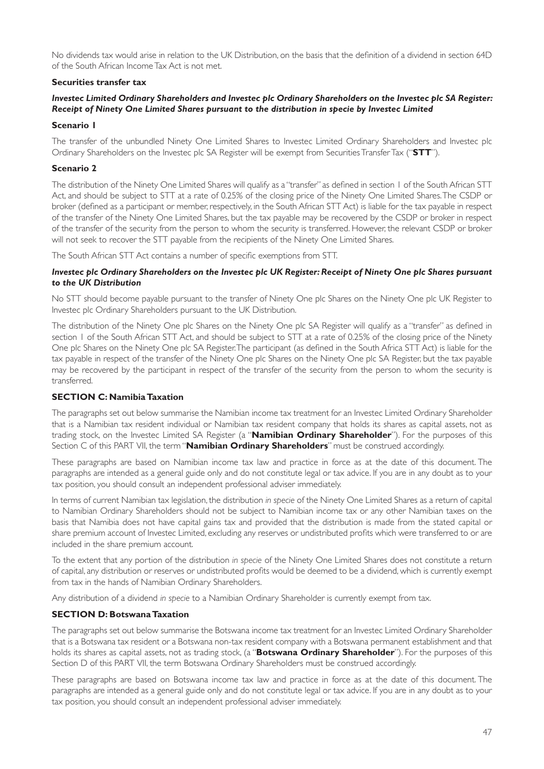No dividends tax would arise in relation to the UK Distribution, on the basis that the definition of a dividend in section 64D of the South African Income Tax Act is not met.

#### **Securities transfer tax**

## *Investec Limited Ordinary Shareholders and Investec plc Ordinary Shareholders on the Investec plc SA Register: Receipt of Ninety One Limited Shares pursuant to the distribution in specie by Investec Limited*

#### **Scenario 1**

The transfer of the unbundled Ninety One Limited Shares to Investec Limited Ordinary Shareholders and Investec plc Ordinary Shareholders on the Investec plc SA Register will be exempt from Securities Transfer Tax ("**STT**").

# **Scenario 2**

The distribution of the Ninety One Limited Shares will qualify as a "transfer" as defined in section 1 of the South African STT Act, and should be subject to STT at a rate of 0.25% of the closing price of the Ninety One Limited Shares. The CSDP or broker (defined as a participant or member, respectively, in the South African STT Act) is liable for the tax payable in respect of the transfer of the Ninety One Limited Shares, but the tax payable may be recovered by the CSDP or broker in respect of the transfer of the security from the person to whom the security is transferred. However, the relevant CSDP or broker will not seek to recover the STT payable from the recipients of the Ninety One Limited Shares.

The South African STT Act contains a number of specific exemptions from STT.

## *Investec plc Ordinary Shareholders on the Investec plc UK Register: Receipt of Ninety One plc Shares pursuant to the UK Distribution*

No STT should become payable pursuant to the transfer of Ninety One plc Shares on the Ninety One plc UK Register to Investec plc Ordinary Shareholders pursuant to the UK Distribution.

The distribution of the Ninety One plc Shares on the Ninety One plc SA Register will qualify as a "transfer" as defined in section 1 of the South African STT Act, and should be subject to STT at a rate of 0.25% of the closing price of the Ninety One plc Shares on the Ninety One plc SA Register. The participant (as defined in the South Africa STT Act) is liable for the tax payable in respect of the transfer of the Ninety One plc Shares on the Ninety One plc SA Register, but the tax payable may be recovered by the participant in respect of the transfer of the security from the person to whom the security is transferred.

# **SECTION C: Namibia Taxation**

The paragraphs set out below summarise the Namibian income tax treatment for an Investec Limited Ordinary Shareholder that is a Namibian tax resident individual or Namibian tax resident company that holds its shares as capital assets, not as trading stock, on the Investec Limited SA Register (a "**Namibian Ordinary Shareholder**"). For the purposes of this Section C of this PART VII, the term "**Namibian Ordinary Shareholders**" must be construed accordingly.

These paragraphs are based on Namibian income tax law and practice in force as at the date of this document. The paragraphs are intended as a general guide only and do not constitute legal or tax advice. If you are in any doubt as to your tax position, you should consult an independent professional adviser immediately.

In terms of current Namibian tax legislation, the distribution *in specie* of the Ninety One Limited Shares as a return of capital to Namibian Ordinary Shareholders should not be subject to Namibian income tax or any other Namibian taxes on the basis that Namibia does not have capital gains tax and provided that the distribution is made from the stated capital or share premium account of Investec Limited, excluding any reserves or undistributed profits which were transferred to or are included in the share premium account.

To the extent that any portion of the distribution *in specie* of the Ninety One Limited Shares does not constitute a return of capital, any distribution or reserves or undistributed profits would be deemed to be a dividend, which is currently exempt from tax in the hands of Namibian Ordinary Shareholders.

Any distribution of a dividend *in specie* to a Namibian Ordinary Shareholder is currently exempt from tax.

# **SECTION D: Botswana Taxation**

The paragraphs set out below summarise the Botswana income tax treatment for an Investec Limited Ordinary Shareholder that is a Botswana tax resident or a Botswana non-tax resident company with a Botswana permanent establishment and that holds its shares as capital assets, not as trading stock, (a "**Botswana Ordinary Shareholder**"). For the purposes of this Section D of this PART VII, the term Botswana Ordinary Shareholders must be construed accordingly.

These paragraphs are based on Botswana income tax law and practice in force as at the date of this document. The paragraphs are intended as a general guide only and do not constitute legal or tax advice. If you are in any doubt as to your tax position, you should consult an independent professional adviser immediately.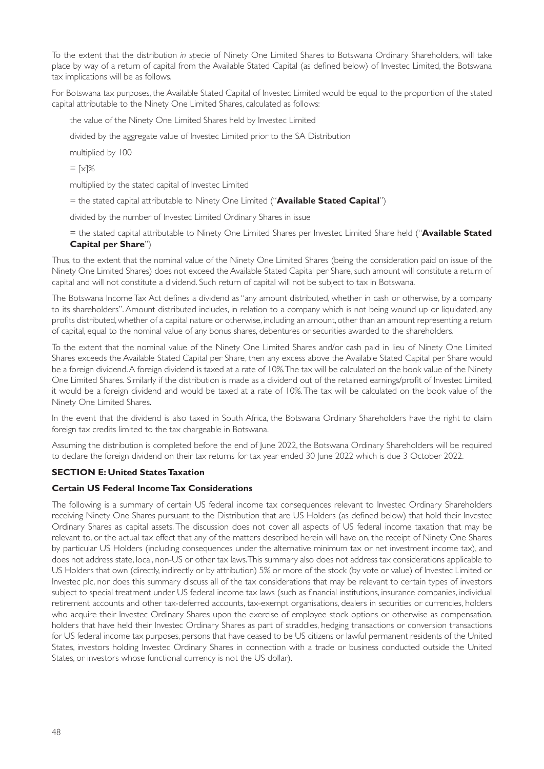To the extent that the distribution *in specie* of Ninety One Limited Shares to Botswana Ordinary Shareholders, will take place by way of a return of capital from the Available Stated Capital (as defined below) of Investec Limited, the Botswana tax implications will be as follows.

For Botswana tax purposes, the Available Stated Capital of Investec Limited would be equal to the proportion of the stated capital attributable to the Ninety One Limited Shares, calculated as follows:

the value of the Ninety One Limited Shares held by Investec Limited

divided by the aggregate value of Investec Limited prior to the SA Distribution

multiplied by 100

 $=$   $\lceil x \rceil\%$ 

multiplied by the stated capital of Investec Limited

= the stated capital attributable to Ninety One Limited ("**Available Stated Capital**")

divided by the number of Investec Limited Ordinary Shares in issue

= the stated capital attributable to Ninety One Limited Shares per Investec Limited Share held ("**Available Stated Capital per Share**")

Thus, to the extent that the nominal value of the Ninety One Limited Shares (being the consideration paid on issue of the Ninety One Limited Shares) does not exceed the Available Stated Capital per Share, such amount will constitute a return of capital and will not constitute a dividend. Such return of capital will not be subject to tax in Botswana.

The Botswana Income Tax Act defines a dividend as "any amount distributed, whether in cash or otherwise, by a company to its shareholders". Amount distributed includes, in relation to a company which is not being wound up or liquidated, any profits distributed, whether of a capital nature or otherwise, including an amount, other than an amount representing a return of capital, equal to the nominal value of any bonus shares, debentures or securities awarded to the shareholders.

To the extent that the nominal value of the Ninety One Limited Shares and/or cash paid in lieu of Ninety One Limited Shares exceeds the Available Stated Capital per Share, then any excess above the Available Stated Capital per Share would be a foreign dividend. A foreign dividend is taxed at a rate of 10%. The tax will be calculated on the book value of the Ninety One Limited Shares. Similarly if the distribution is made as a dividend out of the retained earnings/profit of Investec Limited, it would be a foreign dividend and would be taxed at a rate of 10%. The tax will be calculated on the book value of the Ninety One Limited Shares.

In the event that the dividend is also taxed in South Africa, the Botswana Ordinary Shareholders have the right to claim foreign tax credits limited to the tax chargeable in Botswana.

Assuming the distribution is completed before the end of June 2022, the Botswana Ordinary Shareholders will be required to declare the foreign dividend on their tax returns for tax year ended 30 June 2022 which is due 3 October 2022.

# **SECTION E: United States Taxation**

# **Certain US Federal Income Tax Considerations**

The following is a summary of certain US federal income tax consequences relevant to Investec Ordinary Shareholders receiving Ninety One Shares pursuant to the Distribution that are US Holders (as defined below) that hold their Investec Ordinary Shares as capital assets. The discussion does not cover all aspects of US federal income taxation that may be relevant to, or the actual tax effect that any of the matters described herein will have on, the receipt of Ninety One Shares by particular US Holders (including consequences under the alternative minimum tax or net investment income tax), and does not address state, local, non-US or other tax laws. This summary also does not address tax considerations applicable to US Holders that own (directly, indirectly or by attribution) 5% or more of the stock (by vote or value) of Investec Limited or Investec plc, nor does this summary discuss all of the tax considerations that may be relevant to certain types of investors subject to special treatment under US federal income tax laws (such as financial institutions, insurance companies, individual retirement accounts and other tax-deferred accounts, tax-exempt organisations, dealers in securities or currencies, holders who acquire their Investec Ordinary Shares upon the exercise of employee stock options or otherwise as compensation, holders that have held their Investec Ordinary Shares as part of straddles, hedging transactions or conversion transactions for US federal income tax purposes, persons that have ceased to be US citizens or lawful permanent residents of the United States, investors holding Investec Ordinary Shares in connection with a trade or business conducted outside the United States, or investors whose functional currency is not the US dollar).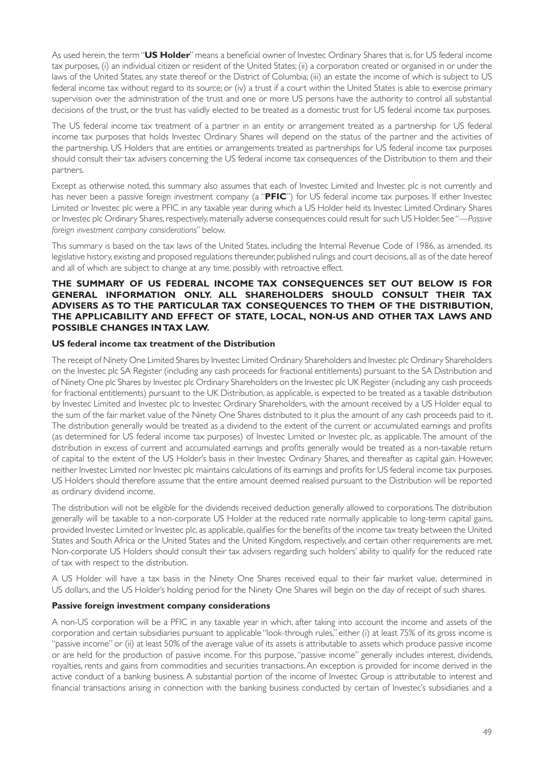As used herein, the term "**US Holder**" means a beneficial owner of Investec Ordinary Shares that is, for US federal income tax purposes, (i) an individual citizen or resident of the United States; (ii) a corporation created or organised in or under the laws of the United States, any state thereof or the District of Columbia; (iii) an estate the income of which is subject to US federal income tax without regard to its source; or (iv) a trust if a court within the United States is able to exercise primary supervision over the administration of the trust and one or more US persons have the authority to control all substantial decisions of the trust, or the trust has validly elected to be treated as a domestic trust for US federal income tax purposes.

The US federal income tax treatment of a partner in an entity or arrangement treated as a partnership for US federal income tax purposes that holds Investec Ordinary Shares will depend on the status of the partner and the activities of the partnership. US Holders that are entities or arrangements treated as partnerships for US federal income tax purposes should consult their tax advisers concerning the US federal income tax consequences of the Distribution to them and their partners.

Except as otherwise noted, this summary also assumes that each of Investec Limited and Investec plc is not currently and has never been a passive foreign investment company (a "**PFIC**") for US federal income tax purposes. If either Investec Limited or Investec plc were a PFIC in any taxable year during which a US Holder held its Investec Limited Ordinary Shares or Investec plc Ordinary Shares, respectively, materially adverse consequences could result for such US Holder. See "—*Passive foreign investment company considerations*" below.

This summary is based on the tax laws of the United States, including the Internal Revenue Code of 1986, as amended, its legislative history, existing and proposed regulations thereunder, published rulings and court decisions, all as of the date hereof and all of which are subject to change at any time, possibly with retroactive effect.

## **THE SUMMARY OF US FEDERAL INCOME TAX CONSEQUENCES SET OUT BELOW IS FOR GENERAL INFORMATION ONLY. ALL SHAREHOLDERS SHOULD CONSULT THEIR TAX ADVISERS AS TO THE PARTICULAR TAX CONSEQUENCES TO THEM OF THE DISTRIBUTION, THE APPLICABILITY AND EFFECT OF STATE, LOCAL, NON-US AND OTHER TAX LAWS AND POSSIBLE CHANGES IN TAX LAW.**

## **US federal income tax treatment of the Distribution**

The receipt of Ninety One Limited Shares by Investec Limited Ordinary Shareholders and Investec plc Ordinary Shareholders on the Investec plc SA Register (including any cash proceeds for fractional entitlements) pursuant to the SA Distribution and of Ninety One plc Shares by Investec plc Ordinary Shareholders on the Investec plc UK Register (including any cash proceeds for fractional entitlements) pursuant to the UK Distribution, as applicable, is expected to be treated as a taxable distribution by Investec Limited and Investec plc to Investec Ordinary Shareholders, with the amount received by a US Holder equal to the sum of the fair market value of the Ninety One Shares distributed to it plus the amount of any cash proceeds paid to it. The distribution generally would be treated as a dividend to the extent of the current or accumulated earnings and profits (as determined for US federal income tax purposes) of Investec Limited or Investec plc, as applicable. The amount of the distribution in excess of current and accumulated earnings and profits generally would be treated as a non-taxable return of capital to the extent of the US Holder's basis in their Investec Ordinary Shares, and thereafter as capital gain. However, neither Investec Limited nor Investec plc maintains calculations of its earnings and profits for US federal income tax purposes. US Holders should therefore assume that the entire amount deemed realised pursuant to the Distribution will be reported as ordinary dividend income.

The distribution will not be eligible for the dividends received deduction generally allowed to corporations. The distribution generally will be taxable to a non-corporate US Holder at the reduced rate normally applicable to long-term capital gains, provided Investec Limited or Investec plc, as applicable, qualifies for the benefits of the income tax treaty between the United States and South Africa or the United States and the United Kingdom, respectively, and certain other requirements are met. Non-corporate US Holders should consult their tax advisers regarding such holders' ability to qualify for the reduced rate of tax with respect to the distribution.

A US Holder will have a tax basis in the Ninety One Shares received equal to their fair market value, determined in US dollars, and the US Holder's holding period for the Ninety One Shares will begin on the day of receipt of such shares.

#### **Passive foreign investment company considerations**

A non-US corporation will be a PFIC in any taxable year in which, after taking into account the income and assets of the corporation and certain subsidiaries pursuant to applicable "look-through rules," either (i) at least 75% of its gross income is "passive income" or (ii) at least 50% of the average value of its assets is attributable to assets which produce passive income or are held for the production of passive income. For this purpose, "passive income" generally includes interest, dividends, royalties, rents and gains from commodities and securities transactions. An exception is provided for income derived in the active conduct of a banking business. A substantial portion of the income of Investec Group is attributable to interest and financial transactions arising in connection with the banking business conducted by certain of Investec's subsidiaries and a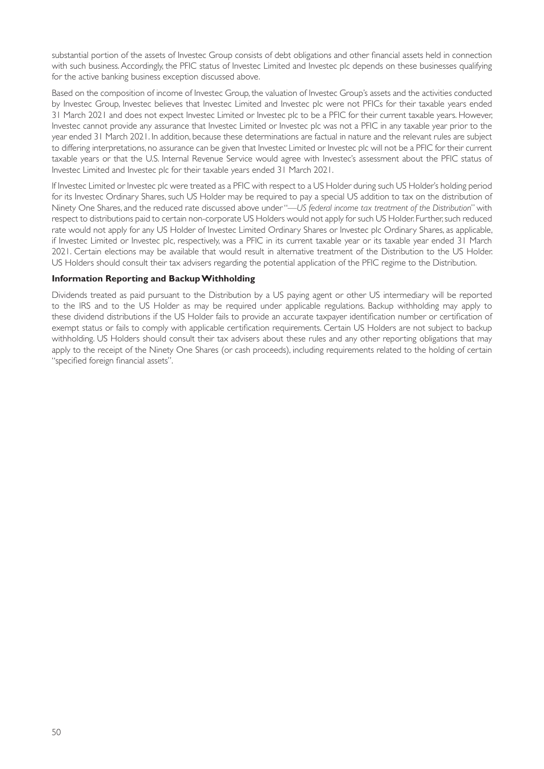substantial portion of the assets of Investec Group consists of debt obligations and other financial assets held in connection with such business. Accordingly, the PFIC status of Investec Limited and Investec plc depends on these businesses qualifying for the active banking business exception discussed above.

Based on the composition of income of Investec Group, the valuation of Investec Group's assets and the activities conducted by Investec Group, Investec believes that Investec Limited and Investec plc were not PFICs for their taxable years ended 31 March 2021 and does not expect Investec Limited or Investec plc to be a PFIC for their current taxable years. However, Investec cannot provide any assurance that Investec Limited or Investec plc was not a PFIC in any taxable year prior to the year ended 31 March 2021. In addition, because these determinations are factual in nature and the relevant rules are subject to differing interpretations, no assurance can be given that Investec Limited or Investec plc will not be a PFIC for their current taxable years or that the U.S. Internal Revenue Service would agree with Investec's assessment about the PFIC status of Investec Limited and Investec plc for their taxable years ended 31 March 2021.

If Investec Limited or Investec plc were treated as a PFIC with respect to a US Holder during such US Holder's holding period for its Investec Ordinary Shares, such US Holder may be required to pay a special US addition to tax on the distribution of Ninety One Shares, and the reduced rate discussed above under "—*US federal income tax treatment of the Distribution*" with respect to distributions paid to certain non-corporate US Holders would not apply for such US Holder. Further, such reduced rate would not apply for any US Holder of Investec Limited Ordinary Shares or Investec plc Ordinary Shares, as applicable, if Investec Limited or Investec plc, respectively, was a PFIC in its current taxable year or its taxable year ended 31 March 2021. Certain elections may be available that would result in alternative treatment of the Distribution to the US Holder. US Holders should consult their tax advisers regarding the potential application of the PFIC regime to the Distribution.

# **Information Reporting and Backup Withholding**

Dividends treated as paid pursuant to the Distribution by a US paying agent or other US intermediary will be reported to the IRS and to the US Holder as may be required under applicable regulations. Backup withholding may apply to these dividend distributions if the US Holder fails to provide an accurate taxpayer identification number or certification of exempt status or fails to comply with applicable certification requirements. Certain US Holders are not subject to backup withholding. US Holders should consult their tax advisers about these rules and any other reporting obligations that may apply to the receipt of the Ninety One Shares (or cash proceeds), including requirements related to the holding of certain "specified foreign financial assets".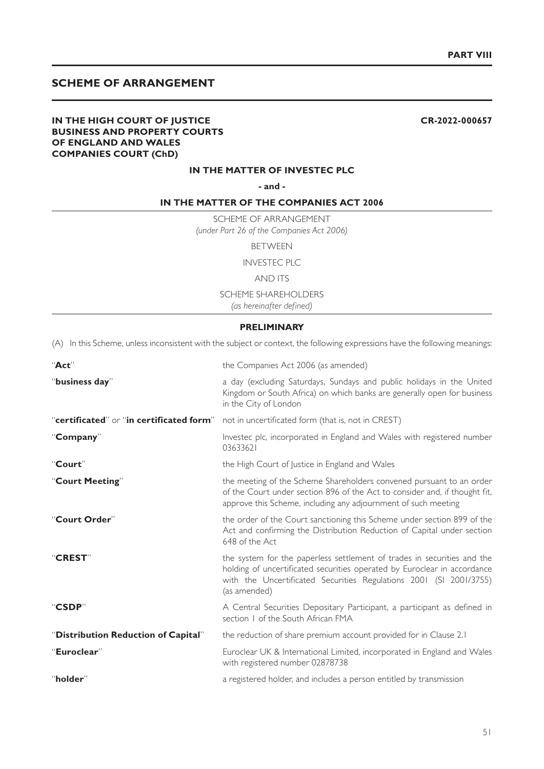# **SCHEME OF ARRANGEMENT**

## **IN THE HIGH COURT OF JUSTICE BUSINESS AND PROPERTY COURTS OF ENGLAND AND WALES COMPANIES COURT (ChD)**

**CR-2022-000657**

#### **IN THE MATTER OF INVESTEC PLC**

**- and -**

#### **IN THE MATTER OF THE COMPANIES ACT 2006**

SCHEME OF ARRANGEMENT *(under Part 26 of the Companies Act 2006)*

**BETWEEN** 

INVESTEC PLC

AND ITS

SCHEME SHAREHOLDERS

*(as hereinafter defined)*

#### **PRELIMINARY**

(A) In this Scheme, unless inconsistent with the subject or context, the following expressions have the following meanings:

| "Act"                                          | the Companies Act 2006 (as amended)                                                                                                                                                                                                       |
|------------------------------------------------|-------------------------------------------------------------------------------------------------------------------------------------------------------------------------------------------------------------------------------------------|
| "business day"                                 | a day (excluding Saturdays, Sundays and public holidays in the United<br>Kingdom or South Africa) on which banks are generally open for business<br>in the City of London                                                                 |
| $"$ certificated" or "in certificated form $"$ | not in uncertificated form (that is, not in CREST)                                                                                                                                                                                        |
| "Company"                                      | Investec plc, incorporated in England and Wales with registered number<br>03633621                                                                                                                                                        |
| "Court"                                        | the High Court of Justice in England and Wales                                                                                                                                                                                            |
| "Court Meeting"                                | the meeting of the Scheme Shareholders convened pursuant to an order<br>of the Court under section 896 of the Act to consider and, if thought fit,<br>approve this Scheme, including any adjournment of such meeting                      |
| "Court Order"                                  | the order of the Court sanctioning this Scheme under section 899 of the<br>Act and confirming the Distribution Reduction of Capital under section<br>648 of the Act                                                                       |
| "CREST"                                        | the system for the paperless settlement of trades in securities and the<br>holding of uncertificated securities operated by Euroclear in accordance<br>with the Uncertificated Securities Regulations 2001 (SI 2001/3755)<br>(as amended) |
| "CSDP"                                         | A Central Securities Depositary Participant, a participant as defined in<br>section 1 of the South African FMA                                                                                                                            |
| "Distribution Reduction of Capital"            | the reduction of share premium account provided for in Clause 2.1                                                                                                                                                                         |
| "Euroclear"                                    | Euroclear UK & International Limited, incorporated in England and Wales<br>with registered number 02878738                                                                                                                                |
| "holder"                                       | a registered holder, and includes a person entitled by transmission                                                                                                                                                                       |
|                                                |                                                                                                                                                                                                                                           |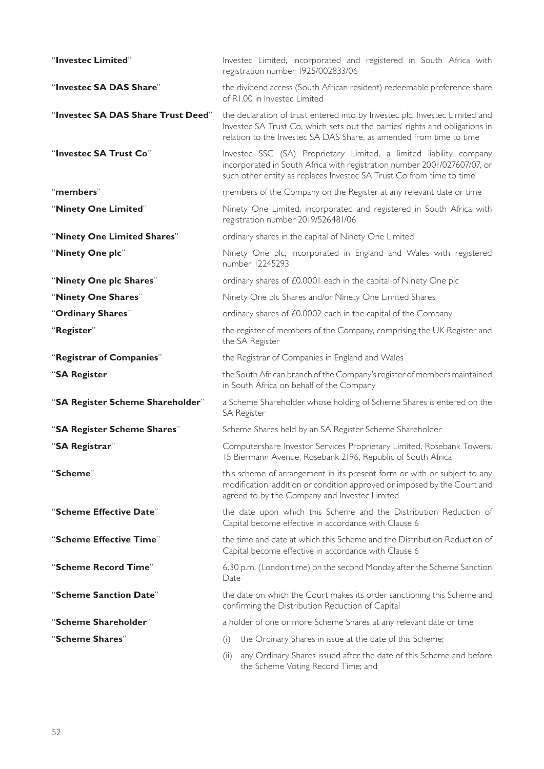| "Investec Limited"                 | Investec Limited, incorporated and registered in South Africa with<br>registration number 1925/002833/06                                                                                                                          |  |
|------------------------------------|-----------------------------------------------------------------------------------------------------------------------------------------------------------------------------------------------------------------------------------|--|
| "Investec SA DAS Share"            | the dividend access (South African resident) redeemable preference share<br>of RI.00 in Investec Limited                                                                                                                          |  |
| "Investec SA DAS Share Trust Deed" | the declaration of trust entered into by Investec plc, Investec Limited and<br>Investec SA Trust Co, which sets out the parties' rights and obligations in<br>relation to the Investec SA DAS Share, as amended from time to time |  |
| "Investec SA Trust Co"             | Investec SSC (SA) Proprietary Limited, a limited liability company<br>incorporated in South Africa with registration number 2001/027607/07, or<br>such other entity as replaces Investec SA Trust Co from time to time            |  |
| "members"                          | members of the Company on the Register at any relevant date or time                                                                                                                                                               |  |
| "Ninety One Limited"               | Ninety One Limited, incorporated and registered in South Africa with<br>registration number 2019/526481/06                                                                                                                        |  |
| "Ninety One Limited Shares"        | ordinary shares in the capital of Ninety One Limited                                                                                                                                                                              |  |
| "Ninety One plc"                   | Ninety One plc, incorporated in England and Wales with registered<br>number 12245293                                                                                                                                              |  |
| "Ninety One plc Shares"            | ordinary shares of £0.0001 each in the capital of Ninety One plc                                                                                                                                                                  |  |
| "Ninety One Shares"                | Ninety One plc Shares and/or Ninety One Limited Shares                                                                                                                                                                            |  |
| "Ordinary Shares"                  | ordinary shares of £0.0002 each in the capital of the Company                                                                                                                                                                     |  |
| "Register"                         | the register of members of the Company, comprising the UK Register and<br>the SA Register                                                                                                                                         |  |
| "Registrar of Companies"           | the Registrar of Companies in England and Wales                                                                                                                                                                                   |  |
| "SA Register"                      | the South African branch of the Company's register of members maintained<br>in South Africa on behalf of the Company                                                                                                              |  |
| "SA Register Scheme Shareholder"   | a Scheme Shareholder whose holding of Scheme Shares is entered on the<br>SA Register                                                                                                                                              |  |
| "SA Register Scheme Shares"        | Scheme Shares held by an SA Register Scheme Shareholder                                                                                                                                                                           |  |
| "SA Registrar"                     | Computershare Investor Services Proprietary Limited, Rosebank Towers,<br>15 Biermann Avenue, Rosebank 2196, Republic of South Africa                                                                                              |  |
| "Scheme"                           | this scheme of arrangement in its present form or with or subject to any<br>modification, addition or condition approved or imposed by the Court and<br>agreed to by the Company and Investec Limited                             |  |
| "Scheme Effective Date"            | the date upon which this Scheme and the Distribution Reduction of<br>Capital become effective in accordance with Clause 6                                                                                                         |  |
| "Scheme Effective Time"            | the time and date at which this Scheme and the Distribution Reduction of<br>Capital become effective in accordance with Clause 6                                                                                                  |  |
| "Scheme Record Time"               | 6.30 p.m. (London time) on the second Monday after the Scheme Sanction<br>Date                                                                                                                                                    |  |
| "Scheme Sanction Date"             | the date on which the Court makes its order sanctioning this Scheme and<br>confirming the Distribution Reduction of Capital                                                                                                       |  |
| "Scheme Shareholder"               | a holder of one or more Scheme Shares at any relevant date or time                                                                                                                                                                |  |
| "Scheme Shares"                    | the Ordinary Shares in issue at the date of this Scheme;<br>(i)                                                                                                                                                                   |  |
|                                    | any Ordinary Shares issued after the date of this Scheme and before<br>(ii)<br>the Scheme Voting Record Time; and                                                                                                                 |  |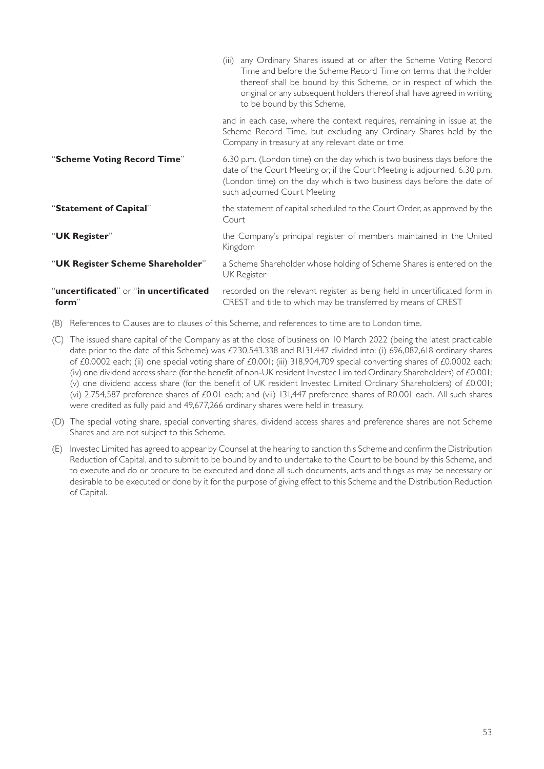|                                                 | (iii) any Ordinary Shares issued at or after the Scheme Voting Record<br>Time and before the Scheme Record Time on terms that the holder<br>thereof shall be bound by this Scheme, or in respect of which the<br>original or any subsequent holders thereof shall have agreed in writing<br>to be bound by this Scheme, |
|-------------------------------------------------|-------------------------------------------------------------------------------------------------------------------------------------------------------------------------------------------------------------------------------------------------------------------------------------------------------------------------|
|                                                 | and in each case, where the context requires, remaining in issue at the<br>Scheme Record Time, but excluding any Ordinary Shares held by the<br>Company in treasury at any relevant date or time                                                                                                                        |
| "Scheme Voting Record Time"                     | 6.30 p.m. (London time) on the day which is two business days before the<br>date of the Court Meeting or, if the Court Meeting is adjourned, 6.30 p.m.<br>(London time) on the day which is two business days before the date of<br>such adjourned Court Meeting                                                        |
| "Statement of Capital"                          | the statement of capital scheduled to the Court Order, as approved by the<br>Court                                                                                                                                                                                                                                      |
| "UK Register"                                   | the Company's principal register of members maintained in the United<br>Kingdom                                                                                                                                                                                                                                         |
| "UK Register Scheme Shareholder"                | a Scheme Shareholder whose holding of Scheme Shares is entered on the<br>UK Register                                                                                                                                                                                                                                    |
| "uncertificated" or "in uncertificated<br>form" | recorded on the relevant register as being held in uncertificated form in<br>CREST and title to which may be transferred by means of CREST                                                                                                                                                                              |

- (B) References to Clauses are to clauses of this Scheme, and references to time are to London time.
- (C) The issued share capital of the Company as at the close of business on 10 March 2022 (being the latest practicable date prior to the date of this Scheme) was £230,543.338 and R131.447 divided into: (i) 696,082,618 ordinary shares of £0.0002 each; (ii) one special voting share of £0.001; (iii) 318,904,709 special converting shares of £0.0002 each; (iv) one dividend access share (for the benefit of non-UK resident Investec Limited Ordinary Shareholders) of £0.001; (v) one dividend access share (for the benefit of UK resident Investec Limited Ordinary Shareholders) of £0.001; (vi) 2,754,587 preference shares of £0.01 each; and (vii) 131,447 preference shares of R0.001 each. All such shares were credited as fully paid and 49,677,266 ordinary shares were held in treasury.
- (D) The special voting share, special converting shares, dividend access shares and preference shares are not Scheme Shares and are not subject to this Scheme.
- (E) Investec Limited has agreed to appear by Counsel at the hearing to sanction this Scheme and confirm the Distribution Reduction of Capital, and to submit to be bound by and to undertake to the Court to be bound by this Scheme, and to execute and do or procure to be executed and done all such documents, acts and things as may be necessary or desirable to be executed or done by it for the purpose of giving effect to this Scheme and the Distribution Reduction of Capital.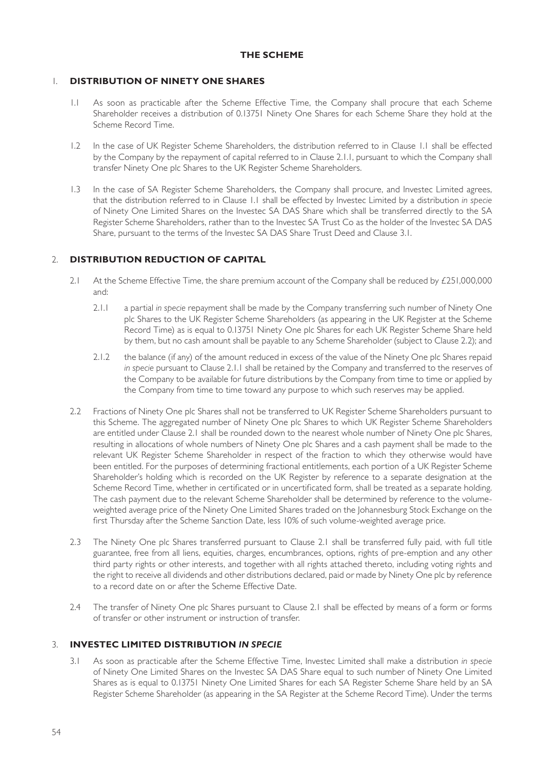# 1. **DISTRIBUTION OF NINETY ONE SHARES**

- 1.1 As soon as practicable after the Scheme Effective Time, the Company shall procure that each Scheme Shareholder receives a distribution of 0.13751 Ninety One Shares for each Scheme Share they hold at the Scheme Record Time.
- 1.2 In the case of UK Register Scheme Shareholders, the distribution referred to in Clause 1.1 shall be effected by the Company by the repayment of capital referred to in Clause 2.1.1, pursuant to which the Company shall transfer Ninety One plc Shares to the UK Register Scheme Shareholders.
- 1.3 In the case of SA Register Scheme Shareholders, the Company shall procure, and Investec Limited agrees, that the distribution referred to in Clause 1.1 shall be effected by Investec Limited by a distribution *in specie* of Ninety One Limited Shares on the Investec SA DAS Share which shall be transferred directly to the SA Register Scheme Shareholders, rather than to the Investec SA Trust Co as the holder of the Investec SA DAS Share, pursuant to the terms of the Investec SA DAS Share Trust Deed and Clause 3.1.

# 2. **DISTRIBUTION REDUCTION OF CAPITAL**

- 2.1 At the Scheme Effective Time, the share premium account of the Company shall be reduced by £251,000,000 and:
	- 2.1.1 a partial *in specie* repayment shall be made by the Company transferring such number of Ninety One plc Shares to the UK Register Scheme Shareholders (as appearing in the UK Register at the Scheme Record Time) as is equal to 0.13751 Ninety One plc Shares for each UK Register Scheme Share held by them, but no cash amount shall be payable to any Scheme Shareholder (subject to Clause 2.2); and
	- 2.1.2 the balance (if any) of the amount reduced in excess of the value of the Ninety One plc Shares repaid *in specie* pursuant to Clause 2.1.1 shall be retained by the Company and transferred to the reserves of the Company to be available for future distributions by the Company from time to time or applied by the Company from time to time toward any purpose to which such reserves may be applied.
- 2.2 Fractions of Ninety One plc Shares shall not be transferred to UK Register Scheme Shareholders pursuant to this Scheme. The aggregated number of Ninety One plc Shares to which UK Register Scheme Shareholders are entitled under Clause 2.1 shall be rounded down to the nearest whole number of Ninety One plc Shares, resulting in allocations of whole numbers of Ninety One plc Shares and a cash payment shall be made to the relevant UK Register Scheme Shareholder in respect of the fraction to which they otherwise would have been entitled. For the purposes of determining fractional entitlements, each portion of a UK Register Scheme Shareholder's holding which is recorded on the UK Register by reference to a separate designation at the Scheme Record Time, whether in certificated or in uncertificated form, shall be treated as a separate holding. The cash payment due to the relevant Scheme Shareholder shall be determined by reference to the volumeweighted average price of the Ninety One Limited Shares traded on the Johannesburg Stock Exchange on the first Thursday after the Scheme Sanction Date, less 10% of such volume-weighted average price.
- 2.3 The Ninety One plc Shares transferred pursuant to Clause 2.1 shall be transferred fully paid, with full title guarantee, free from all liens, equities, charges, encumbrances, options, rights of pre-emption and any other third party rights or other interests, and together with all rights attached thereto, including voting rights and the right to receive all dividends and other distributions declared, paid or made by Ninety One plc by reference to a record date on or after the Scheme Effective Date.
- 2.4 The transfer of Ninety One plc Shares pursuant to Clause 2.1 shall be effected by means of a form or forms of transfer or other instrument or instruction of transfer.

# 3. **INVESTEC LIMITED DISTRIBUTION** *IN SPECIE*

3.1 As soon as practicable after the Scheme Effective Time, Investec Limited shall make a distribution *in specie* of Ninety One Limited Shares on the Investec SA DAS Share equal to such number of Ninety One Limited Shares as is equal to 0.13751 Ninety One Limited Shares for each SA Register Scheme Share held by an SA Register Scheme Shareholder (as appearing in the SA Register at the Scheme Record Time). Under the terms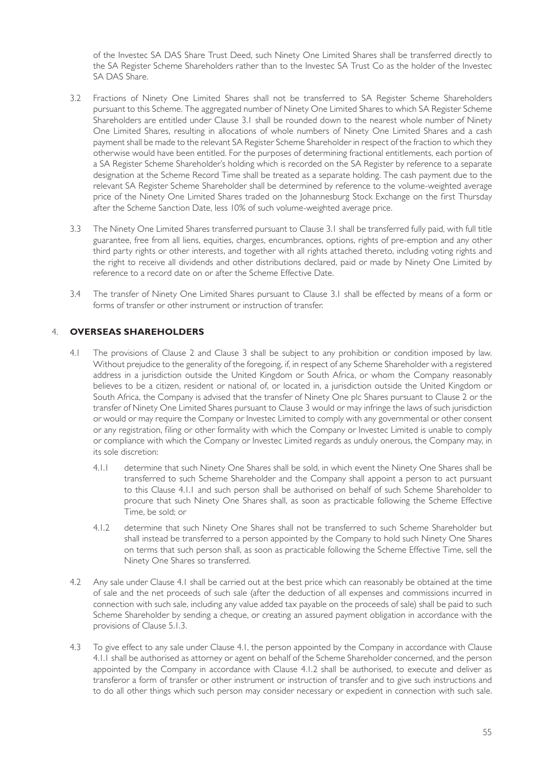of the Investec SA DAS Share Trust Deed, such Ninety One Limited Shares shall be transferred directly to the SA Register Scheme Shareholders rather than to the Investec SA Trust Co as the holder of the Investec SA DAS Share.

- 3.2 Fractions of Ninety One Limited Shares shall not be transferred to SA Register Scheme Shareholders pursuant to this Scheme. The aggregated number of Ninety One Limited Shares to which SA Register Scheme Shareholders are entitled under Clause 3.1 shall be rounded down to the nearest whole number of Ninety One Limited Shares, resulting in allocations of whole numbers of Ninety One Limited Shares and a cash payment shall be made to the relevant SA Register Scheme Shareholder in respect of the fraction to which they otherwise would have been entitled. For the purposes of determining fractional entitlements, each portion of a SA Register Scheme Shareholder's holding which is recorded on the SA Register by reference to a separate designation at the Scheme Record Time shall be treated as a separate holding. The cash payment due to the relevant SA Register Scheme Shareholder shall be determined by reference to the volume-weighted average price of the Ninety One Limited Shares traded on the Johannesburg Stock Exchange on the first Thursday after the Scheme Sanction Date, less 10% of such volume-weighted average price.
- 3.3 The Ninety One Limited Shares transferred pursuant to Clause 3.1 shall be transferred fully paid, with full title guarantee, free from all liens, equities, charges, encumbrances, options, rights of pre-emption and any other third party rights or other interests, and together with all rights attached thereto, including voting rights and the right to receive all dividends and other distributions declared, paid or made by Ninety One Limited by reference to a record date on or after the Scheme Effective Date.
- 3.4 The transfer of Ninety One Limited Shares pursuant to Clause 3.1 shall be effected by means of a form or forms of transfer or other instrument or instruction of transfer.

# 4. **OVERSEAS SHAREHOLDERS**

- 4.1 The provisions of Clause 2 and Clause 3 shall be subject to any prohibition or condition imposed by law. Without prejudice to the generality of the foregoing, if, in respect of any Scheme Shareholder with a registered address in a jurisdiction outside the United Kingdom or South Africa, or whom the Company reasonably believes to be a citizen, resident or national of, or located in, a jurisdiction outside the United Kingdom or South Africa, the Company is advised that the transfer of Ninety One plc Shares pursuant to Clause 2 or the transfer of Ninety One Limited Shares pursuant to Clause 3 would or may infringe the laws of such jurisdiction or would or may require the Company or Investec Limited to comply with any governmental or other consent or any registration, filing or other formality with which the Company or Investec Limited is unable to comply or compliance with which the Company or Investec Limited regards as unduly onerous, the Company may, in its sole discretion:
	- 4.1.1 determine that such Ninety One Shares shall be sold, in which event the Ninety One Shares shall be transferred to such Scheme Shareholder and the Company shall appoint a person to act pursuant to this Clause 4.1.1 and such person shall be authorised on behalf of such Scheme Shareholder to procure that such Ninety One Shares shall, as soon as practicable following the Scheme Effective Time, be sold; or
	- 4.1.2 determine that such Ninety One Shares shall not be transferred to such Scheme Shareholder but shall instead be transferred to a person appointed by the Company to hold such Ninety One Shares on terms that such person shall, as soon as practicable following the Scheme Effective Time, sell the Ninety One Shares so transferred.
- 4.2 Any sale under Clause 4.1 shall be carried out at the best price which can reasonably be obtained at the time of sale and the net proceeds of such sale (after the deduction of all expenses and commissions incurred in connection with such sale, including any value added tax payable on the proceeds of sale) shall be paid to such Scheme Shareholder by sending a cheque, or creating an assured payment obligation in accordance with the provisions of Clause 5.1.3.
- 4.3 To give effect to any sale under Clause 4.1, the person appointed by the Company in accordance with Clause 4.1.1 shall be authorised as attorney or agent on behalf of the Scheme Shareholder concerned, and the person appointed by the Company in accordance with Clause 4.1.2 shall be authorised, to execute and deliver as transferor a form of transfer or other instrument or instruction of transfer and to give such instructions and to do all other things which such person may consider necessary or expedient in connection with such sale.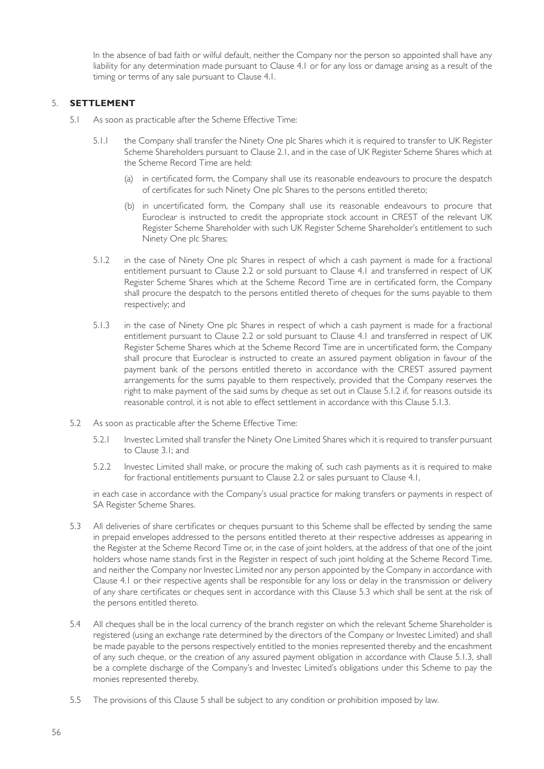In the absence of bad faith or wilful default, neither the Company nor the person so appointed shall have any liability for any determination made pursuant to Clause 4.1 or for any loss or damage arising as a result of the timing or terms of any sale pursuant to Clause 4.1.

# 5. **SETTLEMENT**

- 5.1 As soon as practicable after the Scheme Effective Time:
	- 5.1.1 the Company shall transfer the Ninety One plc Shares which it is required to transfer to UK Register Scheme Shareholders pursuant to Clause 2.1, and in the case of UK Register Scheme Shares which at the Scheme Record Time are held:
		- (a) in certificated form, the Company shall use its reasonable endeavours to procure the despatch of certificates for such Ninety One plc Shares to the persons entitled thereto;
		- (b) in uncertificated form, the Company shall use its reasonable endeavours to procure that Euroclear is instructed to credit the appropriate stock account in CREST of the relevant UK Register Scheme Shareholder with such UK Register Scheme Shareholder's entitlement to such Ninety One plc Shares;
	- 5.1.2 in the case of Ninety One plc Shares in respect of which a cash payment is made for a fractional entitlement pursuant to Clause 2.2 or sold pursuant to Clause 4.1 and transferred in respect of UK Register Scheme Shares which at the Scheme Record Time are in certificated form, the Company shall procure the despatch to the persons entitled thereto of cheques for the sums payable to them respectively; and
	- 5.1.3 in the case of Ninety One plc Shares in respect of which a cash payment is made for a fractional entitlement pursuant to Clause 2.2 or sold pursuant to Clause 4.1 and transferred in respect of UK Register Scheme Shares which at the Scheme Record Time are in uncertificated form, the Company shall procure that Euroclear is instructed to create an assured payment obligation in favour of the payment bank of the persons entitled thereto in accordance with the CREST assured payment arrangements for the sums payable to them respectively, provided that the Company reserves the right to make payment of the said sums by cheque as set out in Clause 5.1.2 if, for reasons outside its reasonable control, it is not able to effect settlement in accordance with this Clause 5.1.3.
- 5.2 As soon as practicable after the Scheme Effective Time:
	- 5.2.1 Investec Limited shall transfer the Ninety One Limited Shares which it is required to transfer pursuant to Clause 3.1; and
	- 5.2.2 Investec Limited shall make, or procure the making of, such cash payments as it is required to make for fractional entitlements pursuant to Clause 2.2 or sales pursuant to Clause 4.1,

in each case in accordance with the Company's usual practice for making transfers or payments in respect of SA Register Scheme Shares.

- 5.3 All deliveries of share certificates or cheques pursuant to this Scheme shall be effected by sending the same in prepaid envelopes addressed to the persons entitled thereto at their respective addresses as appearing in the Register at the Scheme Record Time or, in the case of joint holders, at the address of that one of the joint holders whose name stands first in the Register in respect of such joint holding at the Scheme Record Time, and neither the Company nor Investec Limited nor any person appointed by the Company in accordance with Clause 4.1 or their respective agents shall be responsible for any loss or delay in the transmission or delivery of any share certificates or cheques sent in accordance with this Clause 5.3 which shall be sent at the risk of the persons entitled thereto.
- 5.4 All cheques shall be in the local currency of the branch register on which the relevant Scheme Shareholder is registered (using an exchange rate determined by the directors of the Company or Investec Limited) and shall be made payable to the persons respectively entitled to the monies represented thereby and the encashment of any such cheque, or the creation of any assured payment obligation in accordance with Clause 5.1.3, shall be a complete discharge of the Company's and Investec Limited's obligations under this Scheme to pay the monies represented thereby.
- 5.5 The provisions of this Clause 5 shall be subject to any condition or prohibition imposed by law.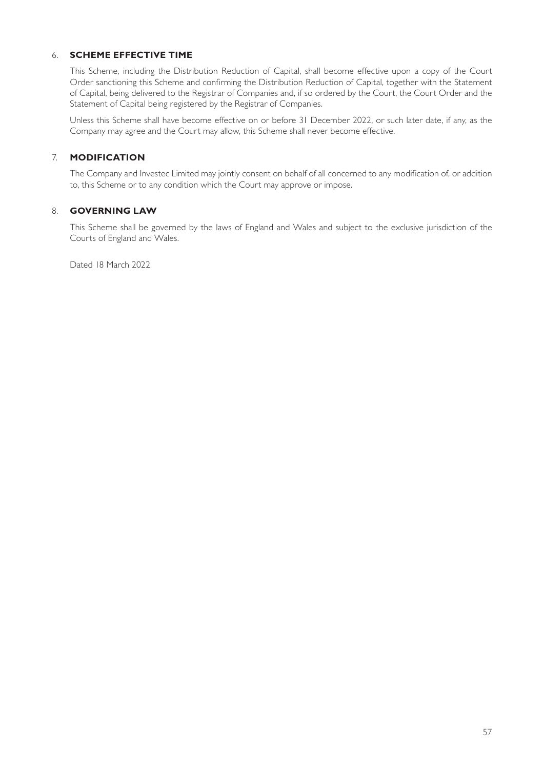# 6. **SCHEME EFFECTIVE TIME**

This Scheme, including the Distribution Reduction of Capital, shall become effective upon a copy of the Court Order sanctioning this Scheme and confirming the Distribution Reduction of Capital, together with the Statement of Capital, being delivered to the Registrar of Companies and, if so ordered by the Court, the Court Order and the Statement of Capital being registered by the Registrar of Companies.

Unless this Scheme shall have become effective on or before 31 December 2022, or such later date, if any, as the Company may agree and the Court may allow, this Scheme shall never become effective.

# 7. **MODIFICATION**

The Company and Investec Limited may jointly consent on behalf of all concerned to any modification of, or addition to, this Scheme or to any condition which the Court may approve or impose.

# 8. **GOVERNING LAW**

This Scheme shall be governed by the laws of England and Wales and subject to the exclusive jurisdiction of the Courts of England and Wales.

Dated 18 March 2022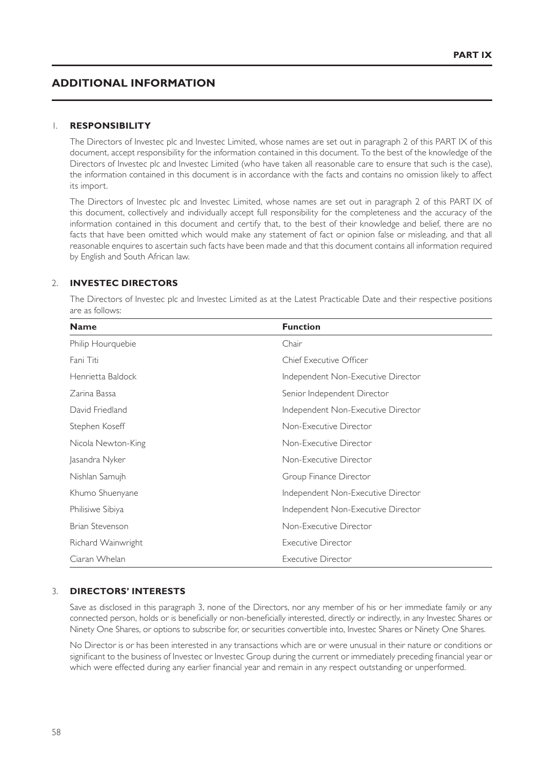# **ADDITIONAL INFORMATION**

## 1. **RESPONSIBILITY**

The Directors of Investec plc and Investec Limited, whose names are set out in paragraph 2 of this PART IX of this document, accept responsibility for the information contained in this document. To the best of the knowledge of the Directors of Investec plc and Investec Limited (who have taken all reasonable care to ensure that such is the case), the information contained in this document is in accordance with the facts and contains no omission likely to affect its import.

The Directors of Investec plc and Investec Limited, whose names are set out in paragraph 2 of this PART IX of this document, collectively and individually accept full responsibility for the completeness and the accuracy of the information contained in this document and certify that, to the best of their knowledge and belief, there are no facts that have been omitted which would make any statement of fact or opinion false or misleading, and that all reasonable enquires to ascertain such facts have been made and that this document contains all information required by English and South African law.

## 2. **INVESTEC DIRECTORS**

The Directors of Investec plc and Investec Limited as at the Latest Practicable Date and their respective positions are as follows:

| <b>Name</b>        | <b>Function</b>                    |
|--------------------|------------------------------------|
| Philip Hourquebie  | Chair                              |
| Fani Titi          | Chief Executive Officer            |
| Henrietta Baldock  | Independent Non-Executive Director |
| Zarina Bassa       | Senior Independent Director        |
| David Friedland    | Independent Non-Executive Director |
| Stephen Koseff     | Non-Executive Director             |
| Nicola Newton-King | Non-Executive Director             |
| Jasandra Nyker     | Non-Executive Director             |
| Nishlan Samujh     | Group Finance Director             |
| Khumo Shuenyane    | Independent Non-Executive Director |
| Philisiwe Sibiya   | Independent Non-Executive Director |
| Brian Stevenson    | Non-Executive Director             |
| Richard Wainwright | Executive Director                 |
| Ciaran Whelan      | Executive Director                 |

#### 3. **DIRECTORS' INTERESTS**

Save as disclosed in this paragraph 3, none of the Directors, nor any member of his or her immediate family or any connected person, holds or is beneficially or non-beneficially interested, directly or indirectly, in any Investec Shares or Ninety One Shares, or options to subscribe for, or securities convertible into, Investec Shares or Ninety One Shares.

No Director is or has been interested in any transactions which are or were unusual in their nature or conditions or significant to the business of Investec or Investec Group during the current or immediately preceding financial year or which were effected during any earlier financial year and remain in any respect outstanding or unperformed.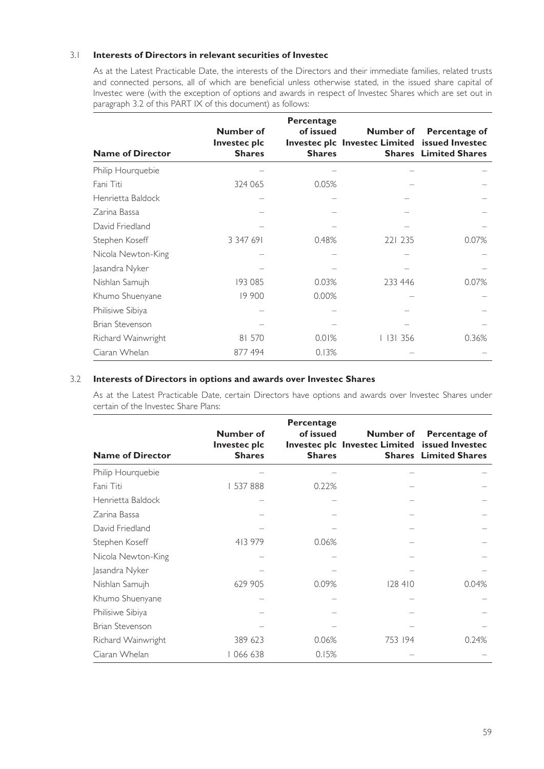# 3.1 **Interests of Directors in relevant securities of Investec**

As at the Latest Practicable Date, the interests of the Directors and their immediate families, related trusts and connected persons, all of which are beneficial unless otherwise stated, in the issued share capital of Investec were (with the exception of options and awards in respect of Investec Shares which are set out in paragraph 3.2 of this PART IX of this document) as follows:

| <b>Name of Director</b> | Number of<br>Investec plc<br><b>Shares</b> | Percentage<br>of issued<br><b>Shares</b> | Number of<br><b>Investec plc Investec Limited</b> | Percentage of<br>issued Investec<br><b>Shares</b> Limited Shares |
|-------------------------|--------------------------------------------|------------------------------------------|---------------------------------------------------|------------------------------------------------------------------|
| Philip Hourquebie       |                                            |                                          |                                                   |                                                                  |
| Fani Titi               | 324 065                                    | 0.05%                                    |                                                   |                                                                  |
| Henrietta Baldock       |                                            |                                          |                                                   |                                                                  |
| Zarina Bassa            |                                            |                                          |                                                   |                                                                  |
| David Friedland         |                                            |                                          |                                                   |                                                                  |
| Stephen Koseff          | 3 3 4 7 6 9 1                              | 0.48%                                    | 221 235                                           | 0.07%                                                            |
| Nicola Newton-King      |                                            |                                          |                                                   |                                                                  |
| Jasandra Nyker          |                                            |                                          |                                                   |                                                                  |
| Nishlan Samujh          | 193 085                                    | 0.03%                                    | 233 446                                           | 0.07%                                                            |
| Khumo Shuenyane         | 19 900                                     | 0.00%                                    |                                                   |                                                                  |
| Philisiwe Sibiya        |                                            |                                          |                                                   |                                                                  |
| Brian Stevenson         |                                            |                                          |                                                   |                                                                  |
| Richard Wainwright      | 81 570                                     | 0.01%                                    | 3 356                                             | 0.36%                                                            |
| Ciaran Whelan           | 877 494                                    | 0.13%                                    |                                                   |                                                                  |

## 3.2 **Interests of Directors in options and awards over Investec Shares**

As at the Latest Practicable Date, certain Directors have options and awards over Investec Shares under certain of the Investec Share Plans:

| <b>Name of Director</b> | <b>Number of</b><br><b>Investec plc</b><br><b>Shares</b> | Percentage<br>of issued<br><b>Shares</b> | Number of<br>Investec plc Investec Limited issued Investec<br><b>Shares</b> | Percentage of<br><b>Limited Shares</b> |
|-------------------------|----------------------------------------------------------|------------------------------------------|-----------------------------------------------------------------------------|----------------------------------------|
| Philip Hourquebie       |                                                          |                                          |                                                                             |                                        |
| Fani Titi               | 537888                                                   | 0.22%                                    |                                                                             |                                        |
| Henrietta Baldock       |                                                          |                                          |                                                                             |                                        |
| Zarina Bassa            |                                                          |                                          |                                                                             |                                        |
| David Friedland         |                                                          |                                          |                                                                             |                                        |
| Stephen Koseff          | 413 979                                                  | 0.06%                                    |                                                                             |                                        |
| Nicola Newton-King      |                                                          |                                          |                                                                             |                                        |
| Jasandra Nyker          |                                                          |                                          |                                                                             |                                        |
| Nishlan Samujh          | 629 905                                                  | 0.09%                                    | 128410                                                                      | 0.04%                                  |
| Khumo Shuenyane         |                                                          |                                          |                                                                             |                                        |
| Philisiwe Sibiya        |                                                          |                                          |                                                                             |                                        |
| Brian Stevenson         |                                                          |                                          |                                                                             |                                        |
| Richard Wainwright      | 389 623                                                  | 0.06%                                    | 753 194                                                                     | 0.24%                                  |
| Ciaran Whelan           | 066 638                                                  | 0.15%                                    |                                                                             |                                        |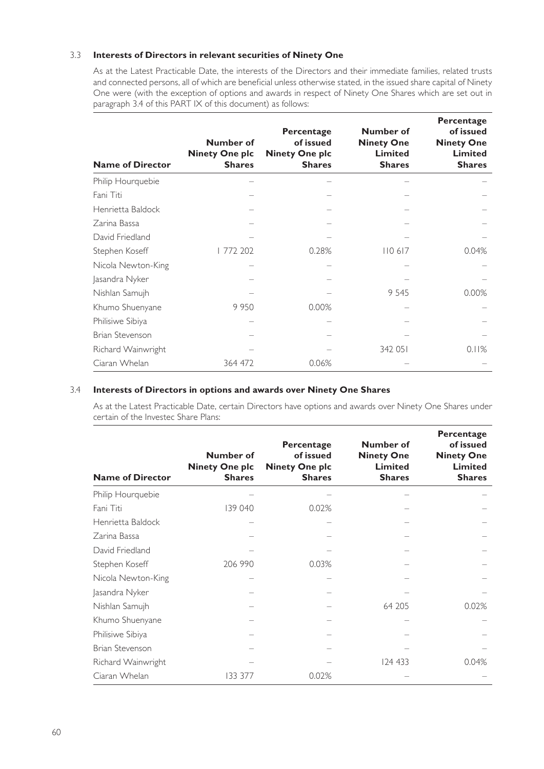# 3.3 **Interests of Directors in relevant securities of Ninety One**

As at the Latest Practicable Date, the interests of the Directors and their immediate families, related trusts and connected persons, all of which are beneficial unless otherwise stated, in the issued share capital of Ninety One were (with the exception of options and awards in respect of Ninety One Shares which are set out in paragraph 3.4 of this PART IX of this document) as follows:

| <b>Name of Director</b> | <b>Number of</b><br><b>Ninety One plc</b><br><b>Shares</b> | Percentage<br>of issued<br><b>Ninety One plc</b><br><b>Shares</b> | Number of<br><b>Ninety One</b><br><b>Limited</b><br><b>Shares</b> | Percentage<br>of issued<br><b>Ninety One</b><br><b>Limited</b><br><b>Shares</b> |
|-------------------------|------------------------------------------------------------|-------------------------------------------------------------------|-------------------------------------------------------------------|---------------------------------------------------------------------------------|
| Philip Hourquebie       |                                                            |                                                                   |                                                                   |                                                                                 |
| Fani Titi               |                                                            |                                                                   |                                                                   |                                                                                 |
| Henrietta Baldock       |                                                            |                                                                   |                                                                   |                                                                                 |
| Zarina Bassa            |                                                            |                                                                   |                                                                   |                                                                                 |
| David Friedland         |                                                            |                                                                   |                                                                   |                                                                                 |
| Stephen Koseff          | 772 202                                                    | 0.28%                                                             | 110617                                                            | 0.04%                                                                           |
| Nicola Newton-King      |                                                            |                                                                   |                                                                   |                                                                                 |
| Jasandra Nyker          |                                                            |                                                                   |                                                                   |                                                                                 |
| Nishlan Samujh          |                                                            |                                                                   | 9 5 4 5                                                           | 0.00%                                                                           |
| Khumo Shuenyane         | 9950                                                       | 0.00%                                                             |                                                                   |                                                                                 |
| Philisiwe Sibiya        |                                                            |                                                                   |                                                                   |                                                                                 |
| Brian Stevenson         |                                                            |                                                                   |                                                                   |                                                                                 |
| Richard Wainwright      |                                                            |                                                                   | 342 051                                                           | $1\%$<br>$\Omega$ .                                                             |
| Ciaran Whelan           | 364 472                                                    | 0.06%                                                             |                                                                   |                                                                                 |

# 3.4 **Interests of Directors in options and awards over Ninety One Shares**

As at the Latest Practicable Date, certain Directors have options and awards over Ninety One Shares under certain of the Investec Share Plans:

| <b>Name of Director</b> | Number of<br><b>Ninety One plc</b><br><b>Shares</b> | Percentage<br>of issued<br><b>Ninety One plc</b><br><b>Shares</b> | Number of<br><b>Ninety One</b><br><b>Limited</b><br><b>Shares</b> | Percentage<br>of issued<br><b>Ninety One</b><br><b>Limited</b><br><b>Shares</b> |
|-------------------------|-----------------------------------------------------|-------------------------------------------------------------------|-------------------------------------------------------------------|---------------------------------------------------------------------------------|
| Philip Hourquebie       |                                                     |                                                                   |                                                                   |                                                                                 |
| Fani Titi               | 139 040                                             | 0.02%                                                             |                                                                   |                                                                                 |
| Henrietta Baldock       |                                                     |                                                                   |                                                                   |                                                                                 |
| Zarina Bassa            |                                                     |                                                                   |                                                                   |                                                                                 |
| David Friedland         |                                                     |                                                                   |                                                                   |                                                                                 |
| Stephen Koseff          | 206 990                                             | 0.03%                                                             |                                                                   |                                                                                 |
| Nicola Newton-King      |                                                     |                                                                   |                                                                   |                                                                                 |
| Jasandra Nyker          |                                                     |                                                                   |                                                                   |                                                                                 |
| Nishlan Samujh          |                                                     |                                                                   | 64 205                                                            | 0.02%                                                                           |
| Khumo Shuenyane         |                                                     |                                                                   |                                                                   |                                                                                 |
| Philisiwe Sibiya        |                                                     |                                                                   |                                                                   |                                                                                 |
| Brian Stevenson         |                                                     |                                                                   |                                                                   |                                                                                 |
| Richard Wainwright      |                                                     |                                                                   | 124 433                                                           | 0.04%                                                                           |
| Ciaran Whelan           | 133 377                                             | 0.02%                                                             |                                                                   |                                                                                 |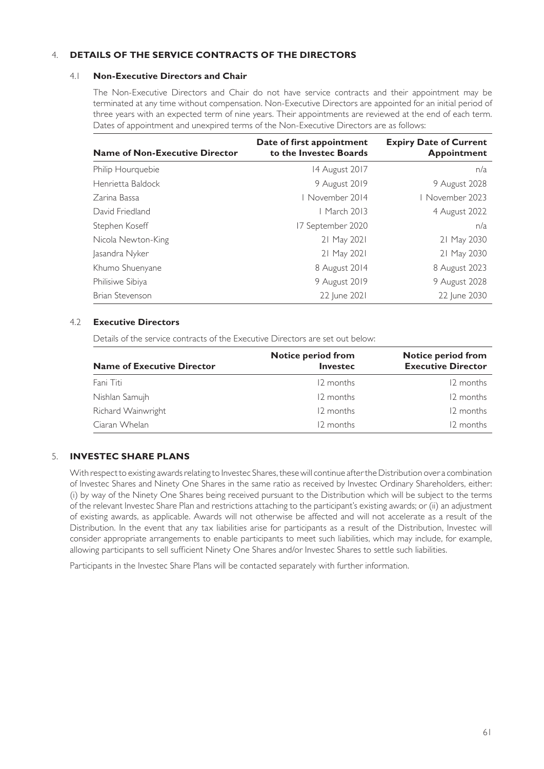# 4. **DETAILS OF THE SERVICE CONTRACTS OF THE DIRECTORS**

#### 4.1 **Non-Executive Directors and Chair**

The Non-Executive Directors and Chair do not have service contracts and their appointment may be terminated at any time without compensation. Non-Executive Directors are appointed for an initial period of three years with an expected term of nine years. Their appointments are reviewed at the end of each term. Dates of appointment and unexpired terms of the Non-Executive Directors are as follows:

| <b>Name of Non-Executive Director</b> | Date of first appointment<br>to the Investec Boards | <b>Expiry Date of Current</b><br><b>Appointment</b> |
|---------------------------------------|-----------------------------------------------------|-----------------------------------------------------|
| Philip Hourquebie                     | 14 August 2017                                      | n/a                                                 |
| Henrietta Baldock                     | 9 August 2019                                       | 9 August 2028                                       |
| Zarina Bassa                          | 1 November 2014                                     | 1 November 2023                                     |
| David Friedland                       | 1 March 2013                                        | 4 August 2022                                       |
| Stephen Koseff                        | I7 September 2020                                   | n/a                                                 |
| Nicola Newton-King                    | 21 May 2021                                         | 21 May 2030                                         |
| Jasandra Nyker                        | 21 May 2021                                         | 21 May 2030                                         |
| Khumo Shuenyane                       | 8 August 2014                                       | 8 August 2023                                       |
| Philisiwe Sibiya                      | 9 August 2019                                       | 9 August 2028                                       |
| Brian Stevenson                       | 22 June 2021                                        | 22 June 2030                                        |

## 4.2 **Executive Directors**

Details of the service contracts of the Executive Directors are set out below:

| <b>Name of Executive Director</b> | <b>Notice period from</b><br><b>Investec</b> | <b>Notice period from</b><br><b>Executive Director</b> |
|-----------------------------------|----------------------------------------------|--------------------------------------------------------|
| Fani Titi                         | 12 months                                    | 12 months                                              |
| Nishlan Samujh                    | 12 months                                    | 12 months                                              |
| Richard Wainwright                | 12 months                                    | 12 months                                              |
| Ciaran Whelan                     | 12 months                                    | 12 months                                              |

#### 5. **INVESTEC SHARE PLANS**

With respect to existing awards relating to Investec Shares, these will continue after the Distribution over a combination of Investec Shares and Ninety One Shares in the same ratio as received by Investec Ordinary Shareholders, either: (i) by way of the Ninety One Shares being received pursuant to the Distribution which will be subject to the terms of the relevant Investec Share Plan and restrictions attaching to the participant's existing awards; or (ii) an adjustment of existing awards, as applicable. Awards will not otherwise be affected and will not accelerate as a result of the Distribution. In the event that any tax liabilities arise for participants as a result of the Distribution, Investec will consider appropriate arrangements to enable participants to meet such liabilities, which may include, for example, allowing participants to sell sufficient Ninety One Shares and/or Investec Shares to settle such liabilities.

Participants in the Investec Share Plans will be contacted separately with further information.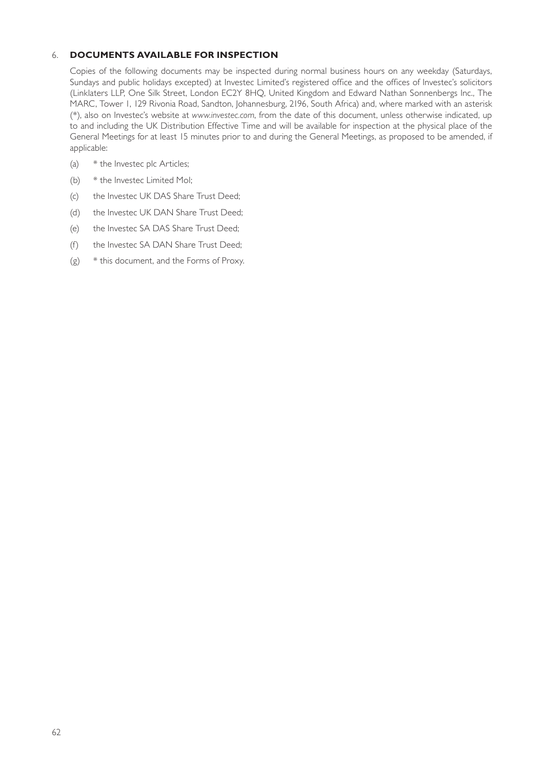# 6. **DOCUMENTS AVAILABLE FOR INSPECTION**

Copies of the following documents may be inspected during normal business hours on any weekday (Saturdays, Sundays and public holidays excepted) at Investec Limited's registered office and the offices of Investec's solicitors (Linklaters LLP, One Silk Street, London EC2Y 8HQ, United Kingdom and Edward Nathan Sonnenbergs Inc., The MARC, Tower 1, 129 Rivonia Road, Sandton, Johannesburg, 2196, South Africa) and, where marked with an asterisk (\*), also on Investec's website at *www.investec.com*, from the date of this document, unless otherwise indicated, up to and including the UK Distribution Effective Time and will be available for inspection at the physical place of the General Meetings for at least 15 minutes prior to and during the General Meetings, as proposed to be amended, if applicable:

- (a) \* the Investec plc Articles;
- (b) \* the Investec Limited MoI;
- (c) the Investec UK DAS Share Trust Deed;
- (d) the Investec UK DAN Share Trust Deed;
- (e) the Investec SA DAS Share Trust Deed;
- (f) the Investec SA DAN Share Trust Deed;
- $(g)$  \* this document, and the Forms of Proxy.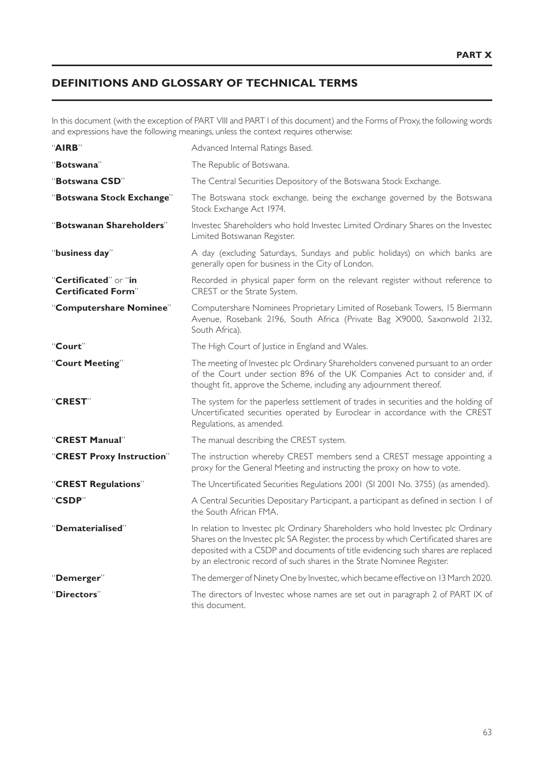# **DEFINITIONS AND GLOSSARY OF TECHNICAL TERMS**

In this document (with the exception of PART VIII and PART I of this document) and the Forms of Proxy, the following words and expressions have the following meanings, unless the context requires otherwise:

| "AIRB"                                             | Advanced Internal Ratings Based.                                                                                                                                                                                                                                                                                                       |
|----------------------------------------------------|----------------------------------------------------------------------------------------------------------------------------------------------------------------------------------------------------------------------------------------------------------------------------------------------------------------------------------------|
| "Botswana"                                         | The Republic of Botswana.                                                                                                                                                                                                                                                                                                              |
| "Botswana CSD"                                     | The Central Securities Depository of the Botswana Stock Exchange.                                                                                                                                                                                                                                                                      |
| "Botswana Stock Exchange"                          | The Botswana stock exchange, being the exchange governed by the Botswana<br>Stock Exchange Act 1974.                                                                                                                                                                                                                                   |
| "Botswanan Shareholders"                           | Investec Shareholders who hold Investec Limited Ordinary Shares on the Investec<br>Limited Botswanan Register.                                                                                                                                                                                                                         |
| "business day"                                     | A day (excluding Saturdays, Sundays and public holidays) on which banks are<br>generally open for business in the City of London.                                                                                                                                                                                                      |
| "Certificated" or "in<br><b>Certificated Form"</b> | Recorded in physical paper form on the relevant register without reference to<br>CREST or the Strate System.                                                                                                                                                                                                                           |
| "Computershare Nominee"                            | Computershare Nominees Proprietary Limited of Rosebank Towers, 15 Biermann<br>Avenue, Rosebank 2196, South Africa (Private Bag X9000, Saxonwold 2132,<br>South Africa).                                                                                                                                                                |
| "Court"                                            | The High Court of Justice in England and Wales.                                                                                                                                                                                                                                                                                        |
| "Court Meeting"                                    | The meeting of Investec plc Ordinary Shareholders convened pursuant to an order<br>of the Court under section 896 of the UK Companies Act to consider and, if<br>thought fit, approve the Scheme, including any adjournment thereof.                                                                                                   |
| "CREST"                                            | The system for the paperless settlement of trades in securities and the holding of<br>Uncertificated securities operated by Euroclear in accordance with the CREST<br>Regulations, as amended.                                                                                                                                         |
| "CREST Manual"                                     | The manual describing the CREST system.                                                                                                                                                                                                                                                                                                |
| "CREST Proxy Instruction"                          | The instruction whereby CREST members send a CREST message appointing a<br>proxy for the General Meeting and instructing the proxy on how to vote.                                                                                                                                                                                     |
| "CREST Regulations"                                | The Uncertificated Securities Regulations 2001 (SI 2001 No. 3755) (as amended).                                                                                                                                                                                                                                                        |
| "CSDP"                                             | A Central Securities Depositary Participant, a participant as defined in section 1 of<br>the South African FMA.                                                                                                                                                                                                                        |
| "Dematerialised"                                   | In relation to Investec plc Ordinary Shareholders who hold Investec plc Ordinary<br>Shares on the Investec plc SA Register, the process by which Certificated shares are<br>deposited with a CSDP and documents of title evidencing such shares are replaced<br>by an electronic record of such shares in the Strate Nominee Register. |
| "Demerger"                                         | The demerger of Ninety One by Investec, which became effective on 13 March 2020.                                                                                                                                                                                                                                                       |
| "Directors"                                        | The directors of Investec whose names are set out in paragraph 2 of PART IX of<br>this document.                                                                                                                                                                                                                                       |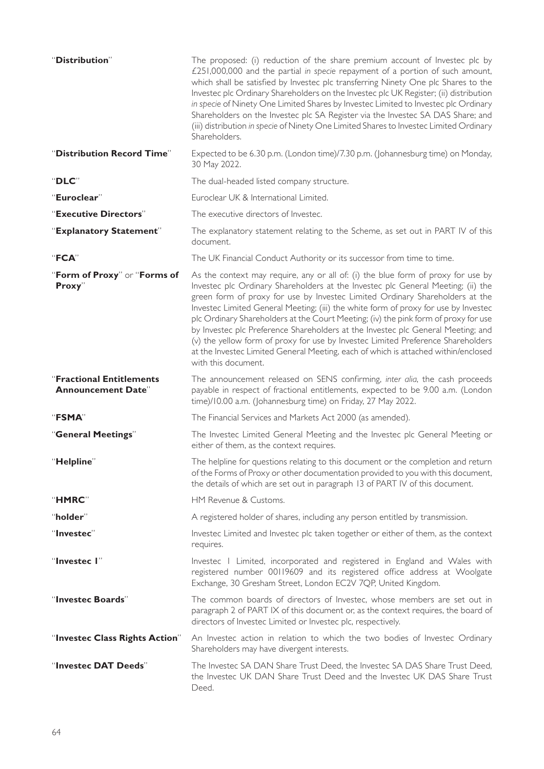| "Distribution"                                        | The proposed: (i) reduction of the share premium account of Investec plc by<br>£251,000,000 and the partial in specie repayment of a portion of such amount,<br>which shall be satisfied by Investec plc transferring Ninety One plc Shares to the<br>Investec plc Ordinary Shareholders on the Investec plc UK Register; (ii) distribution<br>in specie of Ninety One Limited Shares by Investec Limited to Investec plc Ordinary<br>Shareholders on the Investec plc SA Register via the Investec SA DAS Share; and<br>(iii) distribution in specie of Ninety One Limited Shares to Investec Limited Ordinary<br>Shareholders.                                                                                        |
|-------------------------------------------------------|-------------------------------------------------------------------------------------------------------------------------------------------------------------------------------------------------------------------------------------------------------------------------------------------------------------------------------------------------------------------------------------------------------------------------------------------------------------------------------------------------------------------------------------------------------------------------------------------------------------------------------------------------------------------------------------------------------------------------|
| "Distribution Record Time"                            | Expected to be 6.30 p.m. (London time)/7.30 p.m. (Johannesburg time) on Monday,<br>30 May 2022.                                                                                                                                                                                                                                                                                                                                                                                                                                                                                                                                                                                                                         |
| "DLC"                                                 | The dual-headed listed company structure.                                                                                                                                                                                                                                                                                                                                                                                                                                                                                                                                                                                                                                                                               |
| "Euroclear"                                           | Euroclear UK & International Limited.                                                                                                                                                                                                                                                                                                                                                                                                                                                                                                                                                                                                                                                                                   |
| "Executive Directors"                                 | The executive directors of Investec.                                                                                                                                                                                                                                                                                                                                                                                                                                                                                                                                                                                                                                                                                    |
| "Explanatory Statement"                               | The explanatory statement relating to the Scheme, as set out in PART IV of this<br>document.                                                                                                                                                                                                                                                                                                                                                                                                                                                                                                                                                                                                                            |
| "FCA"                                                 | The UK Financial Conduct Authority or its successor from time to time.                                                                                                                                                                                                                                                                                                                                                                                                                                                                                                                                                                                                                                                  |
| "Form of Proxy" or "Forms of<br>Proxy"                | As the context may require, any or all of: (i) the blue form of proxy for use by<br>Investec plc Ordinary Shareholders at the Investec plc General Meeting; (ii) the<br>green form of proxy for use by Investec Limited Ordinary Shareholders at the<br>Investec Limited General Meeting; (iii) the white form of proxy for use by Investec<br>plc Ordinary Shareholders at the Court Meeting; (iv) the pink form of proxy for use<br>by Investec plc Preference Shareholders at the Investec plc General Meeting; and<br>(v) the yellow form of proxy for use by Investec Limited Preference Shareholders<br>at the Investec Limited General Meeting, each of which is attached within/enclosed<br>with this document. |
| "Fractional Entitlements<br><b>Announcement Date"</b> | The announcement released on SENS confirming, inter alia, the cash proceeds<br>payable in respect of fractional entitlements, expected to be 9.00 a.m. (London<br>time)/10.00 a.m. (Johannesburg time) on Friday, 27 May 2022.                                                                                                                                                                                                                                                                                                                                                                                                                                                                                          |
| "FSMA"                                                | The Financial Services and Markets Act 2000 (as amended).                                                                                                                                                                                                                                                                                                                                                                                                                                                                                                                                                                                                                                                               |
| "General Meetings"                                    | The Investec Limited General Meeting and the Investec plc General Meeting or<br>either of them, as the context requires.                                                                                                                                                                                                                                                                                                                                                                                                                                                                                                                                                                                                |
| "Helpline"                                            | The helpline for questions relating to this document or the completion and return<br>of the Forms of Proxy or other documentation provided to you with this document,<br>the details of which are set out in paragraph 13 of PART IV of this document.                                                                                                                                                                                                                                                                                                                                                                                                                                                                  |
| "HMRC"                                                | HM Revenue & Customs.                                                                                                                                                                                                                                                                                                                                                                                                                                                                                                                                                                                                                                                                                                   |
| "holder"                                              | A registered holder of shares, including any person entitled by transmission.                                                                                                                                                                                                                                                                                                                                                                                                                                                                                                                                                                                                                                           |
| "Investec"                                            | Investec Limited and Investec plc taken together or either of them, as the context<br>requires.                                                                                                                                                                                                                                                                                                                                                                                                                                                                                                                                                                                                                         |
| "Investec I"                                          | Investec I Limited, incorporated and registered in England and Wales with<br>registered number 00119609 and its registered office address at Woolgate<br>Exchange, 30 Gresham Street, London EC2V 7QP, United Kingdom.                                                                                                                                                                                                                                                                                                                                                                                                                                                                                                  |
| "Investec Boards"                                     | The common boards of directors of Investec, whose members are set out in<br>paragraph 2 of PART IX of this document or, as the context requires, the board of                                                                                                                                                                                                                                                                                                                                                                                                                                                                                                                                                           |
|                                                       | directors of Investec Limited or Investec plc, respectively.                                                                                                                                                                                                                                                                                                                                                                                                                                                                                                                                                                                                                                                            |
| "Investec Class Rights Action"                        | An Investec action in relation to which the two bodies of Investec Ordinary<br>Shareholders may have divergent interests.                                                                                                                                                                                                                                                                                                                                                                                                                                                                                                                                                                                               |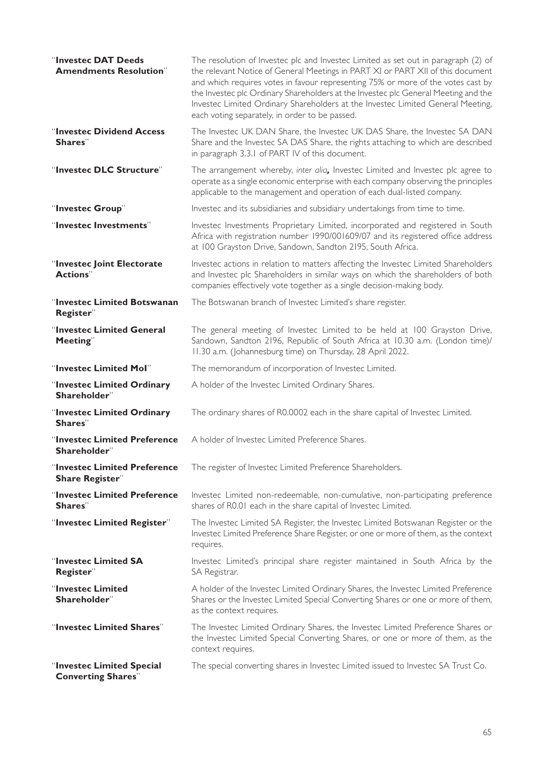| "Investec DAT Deeds<br><b>Amendments Resolution"</b>   | The resolution of Investec plc and Investec Limited as set out in paragraph (2) of<br>the relevant Notice of General Meetings in PART XI or PART XII of this document<br>and which requires votes in favour representing 75% or more of the votes cast by<br>the Investec plc Ordinary Shareholders at the Investec plc General Meeting and the<br>Investec Limited Ordinary Shareholders at the Investec Limited General Meeting,<br>each voting separately, in order to be passed. |
|--------------------------------------------------------|--------------------------------------------------------------------------------------------------------------------------------------------------------------------------------------------------------------------------------------------------------------------------------------------------------------------------------------------------------------------------------------------------------------------------------------------------------------------------------------|
| "Investec Dividend Access<br>Shares"                   | The Investec UK DAN Share, the Investec UK DAS Share, the Investec SA DAN<br>Share and the Investec SA DAS Share, the rights attaching to which are described<br>in paragraph 3.3.1 of PART IV of this document.                                                                                                                                                                                                                                                                     |
| "Investec DLC Structure"                               | The arrangement whereby, inter alia, Investec Limited and Investec plc agree to<br>operate as a single economic enterprise with each company observing the principles<br>applicable to the management and operation of each dual-listed company.                                                                                                                                                                                                                                     |
| "Investec Group"                                       | Investec and its subsidiaries and subsidiary undertakings from time to time.                                                                                                                                                                                                                                                                                                                                                                                                         |
| "Investec Investments"                                 | Investec Investments Proprietary Limited, incorporated and registered in South<br>Africa with registration number 1990/001609/07 and its registered office address<br>at 100 Grayston Drive, Sandown, Sandton 2195, South Africa.                                                                                                                                                                                                                                                    |
| "Investec Joint Electorate<br><b>Actions"</b>          | Investec actions in relation to matters affecting the Investec Limited Shareholders<br>and Investec plc Shareholders in similar ways on which the shareholders of both<br>companies effectively vote together as a single decision-making body.                                                                                                                                                                                                                                      |
| "Investec Limited Botswanan<br>Register"               | The Botswanan branch of Investec Limited's share register.                                                                                                                                                                                                                                                                                                                                                                                                                           |
| "Investec Limited General<br>Meeting"                  | The general meeting of Investec Limited to be held at 100 Grayston Drive,<br>Sandown, Sandton 2196, Republic of South Africa at 10.30 a.m. (London time)/<br>11.30 a.m. (Johannesburg time) on Thursday, 28 April 2022.                                                                                                                                                                                                                                                              |
| "Investec Limited Mol"                                 | The memorandum of incorporation of Investec Limited.                                                                                                                                                                                                                                                                                                                                                                                                                                 |
| "Investec Limited Ordinary<br>Shareholder"             | A holder of the Investec Limited Ordinary Shares.                                                                                                                                                                                                                                                                                                                                                                                                                                    |
| "Investec Limited Ordinary<br>Shares"                  | The ordinary shares of R0.0002 each in the share capital of Investec Limited.                                                                                                                                                                                                                                                                                                                                                                                                        |
| "Investec Limited Preference<br>Shareholder"           | A holder of Investec Limited Preference Shares.                                                                                                                                                                                                                                                                                                                                                                                                                                      |
| "Investec Limited Preference<br><b>Share Register"</b> | The register of Investec Limited Preference Shareholders.                                                                                                                                                                                                                                                                                                                                                                                                                            |
| "Investec Limited Preference<br>Shares"                | Investec Limited non-redeemable, non-cumulative, non-participating preference<br>shares of R0.01 each in the share capital of Investec Limited.                                                                                                                                                                                                                                                                                                                                      |
| "Investec Limited Register"                            | The Investec Limited SA Register, the Investec Limited Botswanan Register or the<br>Investec Limited Preference Share Register, or one or more of them, as the context<br>requires.                                                                                                                                                                                                                                                                                                  |
| "Investec Limited SA<br>Register"                      | Investec Limited's principal share register maintained in South Africa by the<br>SA Registrar.                                                                                                                                                                                                                                                                                                                                                                                       |
| "Investec Limited<br>Shareholder"                      | A holder of the Investec Limited Ordinary Shares, the Investec Limited Preference<br>Shares or the Investec Limited Special Converting Shares or one or more of them,<br>as the context requires.                                                                                                                                                                                                                                                                                    |
| "Investec Limited Shares"                              | The Investec Limited Ordinary Shares, the Investec Limited Preference Shares or<br>the Investec Limited Special Converting Shares, or one or more of them, as the<br>context requires.                                                                                                                                                                                                                                                                                               |
| "Investec Limited Special<br><b>Converting Shares"</b> | The special converting shares in Investec Limited issued to Investec SA Trust Co.                                                                                                                                                                                                                                                                                                                                                                                                    |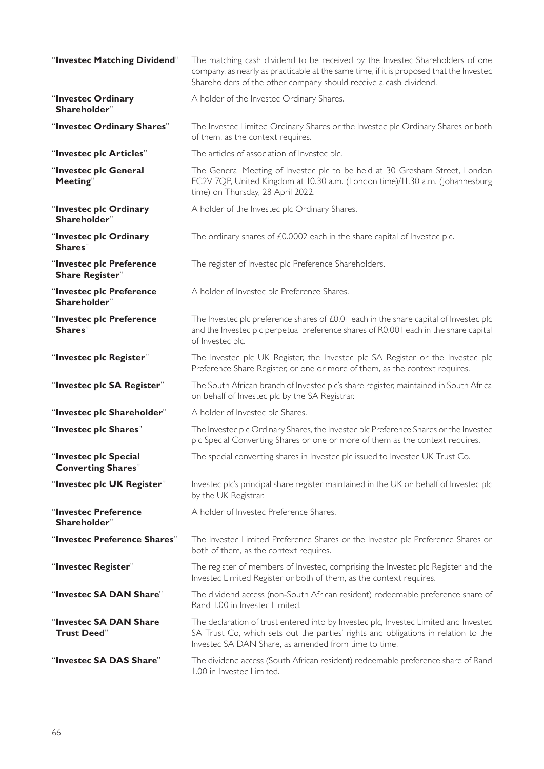| "Investec Matching Dividend"                       | The matching cash dividend to be received by the Investec Shareholders of one<br>company, as nearly as practicable at the same time, if it is proposed that the Investec<br>Shareholders of the other company should receive a cash dividend. |
|----------------------------------------------------|-----------------------------------------------------------------------------------------------------------------------------------------------------------------------------------------------------------------------------------------------|
| "Investec Ordinary<br>Shareholder"                 | A holder of the Investec Ordinary Shares.                                                                                                                                                                                                     |
| "Investec Ordinary Shares"                         | The Investec Limited Ordinary Shares or the Investec plc Ordinary Shares or both<br>of them, as the context requires.                                                                                                                         |
| "Investec plc Articles"                            | The articles of association of Investec plc.                                                                                                                                                                                                  |
| "Investec plc General<br>Meeting"                  | The General Meeting of Investec plc to be held at 30 Gresham Street, London<br>EC2V 7QP, United Kingdom at 10.30 a.m. (London time)/11.30 a.m. (Johannesburg<br>time) on Thursday, 28 April 2022.                                             |
| "Investec plc Ordinary<br>Shareholder"             | A holder of the Investec plc Ordinary Shares.                                                                                                                                                                                                 |
| "Investec plc Ordinary<br>Shares"                  | The ordinary shares of £0.0002 each in the share capital of Investec plc.                                                                                                                                                                     |
| "Investec plc Preference<br><b>Share Register"</b> | The register of Investec plc Preference Shareholders.                                                                                                                                                                                         |
| "Investec plc Preference<br>Shareholder"           | A holder of Investec plc Preference Shares.                                                                                                                                                                                                   |
| "Investec plc Preference<br>Shares"                | The Investec plc preference shares of £0.01 each in the share capital of Investec plc<br>and the Investec plc perpetual preference shares of R0.001 each in the share capital<br>of Investec plc.                                             |
| "Investec plc Register"                            | The Investec plc UK Register, the Investec plc SA Register or the Investec plc<br>Preference Share Register, or one or more of them, as the context requires.                                                                                 |
| "Investec plc SA Register"                         | The South African branch of Investec plc's share register, maintained in South Africa<br>on behalf of Investec plc by the SA Registrar.                                                                                                       |
| "Investec plc Shareholder"                         | A holder of Investec plc Shares.                                                                                                                                                                                                              |
| "Investec plc Shares"                              | The Investec plc Ordinary Shares, the Investec plc Preference Shares or the Investec<br>plc Special Converting Shares or one or more of them as the context requires.                                                                         |
| "Investec plc Special<br><b>Converting Shares"</b> | The special converting shares in Investec plc issued to Investec UK Trust Co.                                                                                                                                                                 |
| "Investec plc UK Register"                         | Investec plc's principal share register maintained in the UK on behalf of Investec plc<br>by the UK Registrar.                                                                                                                                |
| "Investec Preference<br>Shareholder"               | A holder of Investec Preference Shares.                                                                                                                                                                                                       |
| "Investec Preference Shares"                       | The Investec Limited Preference Shares or the Investec plc Preference Shares or<br>both of them, as the context requires.                                                                                                                     |
| "Investec Register"                                | The register of members of Investec, comprising the Investec plc Register and the<br>Investec Limited Register or both of them, as the context requires.                                                                                      |
| "Investec SA DAN Share"                            | The dividend access (non-South African resident) redeemable preference share of<br>Rand 1.00 in Investec Limited.                                                                                                                             |
| "Investec SA DAN Share<br><b>Trust Deed"</b>       | The declaration of trust entered into by Investec plc, Investec Limited and Investec<br>SA Trust Co, which sets out the parties' rights and obligations in relation to the<br>Investec SA DAN Share, as amended from time to time.            |
| "Investec SA DAS Share"                            | The dividend access (South African resident) redeemable preference share of Rand<br>1.00 in Investec Limited.                                                                                                                                 |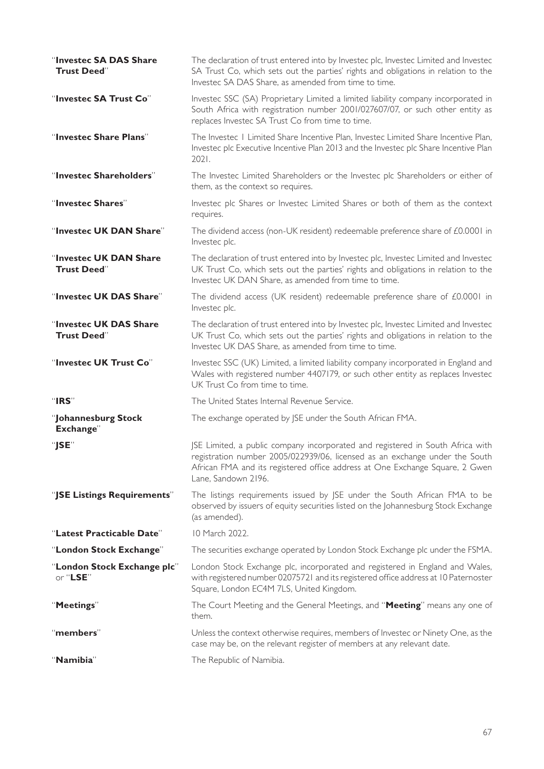| "Investec SA DAS Share<br><b>Trust Deed"</b> | The declaration of trust entered into by Investec plc, Investec Limited and Investec<br>SA Trust Co, which sets out the parties' rights and obligations in relation to the<br>Investec SA DAS Share, as amended from time to time.                                   |
|----------------------------------------------|----------------------------------------------------------------------------------------------------------------------------------------------------------------------------------------------------------------------------------------------------------------------|
| "Investec SA Trust Co"                       | Investec SSC (SA) Proprietary Limited a limited liability company incorporated in<br>South Africa with registration number 2001/027607/07, or such other entity as<br>replaces Investec SA Trust Co from time to time.                                               |
| "Investec Share Plans"                       | The Investec   Limited Share Incentive Plan, Investec Limited Share Incentive Plan,<br>Investec plc Executive Incentive Plan 2013 and the Investec plc Share Incentive Plan<br>2021.                                                                                 |
| "Investec Shareholders"                      | The Investec Limited Shareholders or the Investec plc Shareholders or either of<br>them, as the context so requires.                                                                                                                                                 |
| "Investec Shares"                            | Investec plc Shares or Investec Limited Shares or both of them as the context<br>requires.                                                                                                                                                                           |
| "Investec UK DAN Share"                      | The dividend access (non-UK resident) redeemable preference share of £0.0001 in<br>Investec plc.                                                                                                                                                                     |
| "Investec UK DAN Share<br><b>Trust Deed"</b> | The declaration of trust entered into by Investec plc, Investec Limited and Investec<br>UK Trust Co, which sets out the parties' rights and obligations in relation to the<br>Investec UK DAN Share, as amended from time to time.                                   |
| "Investec UK DAS Share"                      | The dividend access (UK resident) redeemable preference share of £0.0001 in<br>Investec plc.                                                                                                                                                                         |
| "Investec UK DAS Share<br><b>Trust Deed"</b> | The declaration of trust entered into by Investec plc, Investec Limited and Investec<br>UK Trust Co, which sets out the parties' rights and obligations in relation to the<br>Investec UK DAS Share, as amended from time to time.                                   |
| "Investec UK Trust Co"                       | Investec SSC (UK) Limited, a limited liability company incorporated in England and<br>Wales with registered number 4407179, or such other entity as replaces Investec<br>UK Trust Co from time to time.                                                              |
| "IRS"                                        | The United States Internal Revenue Service.                                                                                                                                                                                                                          |
| "Johannesburg Stock<br>Exchange"             | The exchange operated by JSE under the South African FMA.                                                                                                                                                                                                            |
| "JSE"                                        | JSE Limited, a public company incorporated and registered in South Africa with<br>registration number 2005/022939/06, licensed as an exchange under the South<br>African FMA and its registered office address at One Exchange Square, 2 Gwen<br>Lane, Sandown 2196. |
| "JSE Listings Requirements"                  | The listings requirements issued by JSE under the South African FMA to be<br>observed by issuers of equity securities listed on the Johannesburg Stock Exchange<br>(as amended).                                                                                     |
| "Latest Practicable Date"                    | 10 March 2022.                                                                                                                                                                                                                                                       |
| "London Stock Exchange"                      | The securities exchange operated by London Stock Exchange plc under the FSMA.                                                                                                                                                                                        |
| "London Stock Exchange plc"<br>or "LSE"      | London Stock Exchange plc, incorporated and registered in England and Wales,<br>with registered number 02075721 and its registered office address at 10 Paternoster<br>Square, London EC4M 7LS, United Kingdom.                                                      |
| "Meetings"                                   | The Court Meeting and the General Meetings, and "Meeting" means any one of<br>them.                                                                                                                                                                                  |
| "members"                                    | Unless the context otherwise requires, members of Investec or Ninety One, as the<br>case may be, on the relevant register of members at any relevant date.                                                                                                           |
| "Namibia"                                    | The Republic of Namibia.                                                                                                                                                                                                                                             |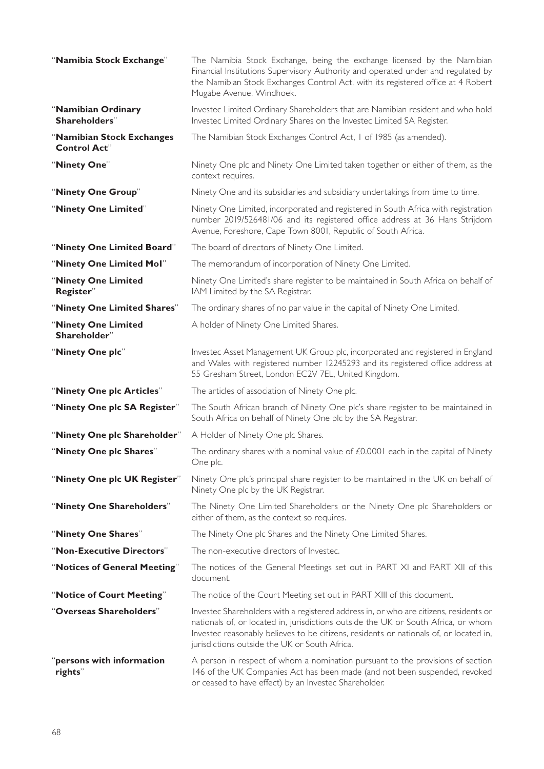| "Namibia Stock Exchange"                         | The Namibia Stock Exchange, being the exchange licensed by the Namibian<br>Financial Institutions Supervisory Authority and operated under and regulated by<br>the Namibian Stock Exchanges Control Act, with its registered office at 4 Robert<br>Mugabe Avenue, Windhoek.                                            |
|--------------------------------------------------|------------------------------------------------------------------------------------------------------------------------------------------------------------------------------------------------------------------------------------------------------------------------------------------------------------------------|
| "Namibian Ordinary<br>Shareholders"              | Investec Limited Ordinary Shareholders that are Namibian resident and who hold<br>Investec Limited Ordinary Shares on the Investec Limited SA Register.                                                                                                                                                                |
| "Namibian Stock Exchanges<br><b>Control Act"</b> | The Namibian Stock Exchanges Control Act, 1 of 1985 (as amended).                                                                                                                                                                                                                                                      |
| "Ninety One"                                     | Ninety One plc and Ninety One Limited taken together or either of them, as the<br>context requires.                                                                                                                                                                                                                    |
| "Ninety One Group"                               | Ninety One and its subsidiaries and subsidiary undertakings from time to time.                                                                                                                                                                                                                                         |
| "Ninety One Limited"                             | Ninety One Limited, incorporated and registered in South Africa with registration<br>number 2019/526481/06 and its registered office address at 36 Hans Strijdom<br>Avenue, Foreshore, Cape Town 8001, Republic of South Africa.                                                                                       |
| "Ninety One Limited Board"                       | The board of directors of Ninety One Limited.                                                                                                                                                                                                                                                                          |
| "Ninety One Limited Mol"                         | The memorandum of incorporation of Ninety One Limited.                                                                                                                                                                                                                                                                 |
| "Ninety One Limited<br>Register"                 | Ninety One Limited's share register to be maintained in South Africa on behalf of<br>IAM Limited by the SA Registrar.                                                                                                                                                                                                  |
| "Ninety One Limited Shares"                      | The ordinary shares of no par value in the capital of Ninety One Limited.                                                                                                                                                                                                                                              |
| "Ninety One Limited<br>Shareholder"              | A holder of Ninety One Limited Shares.                                                                                                                                                                                                                                                                                 |
| "Ninety One plc"                                 | Investec Asset Management UK Group plc, incorporated and registered in England<br>and Wales with registered number 12245293 and its registered office address at<br>55 Gresham Street, London EC2V 7EL, United Kingdom.                                                                                                |
| "Ninety One plc Articles"                        | The articles of association of Ninety One plc.                                                                                                                                                                                                                                                                         |
| "Ninety One plc SA Register"                     | The South African branch of Ninety One plc's share register to be maintained in<br>South Africa on behalf of Ninety One plc by the SA Registrar.                                                                                                                                                                       |
| "Ninety One plc Shareholder"                     | A Holder of Ninety One plc Shares.                                                                                                                                                                                                                                                                                     |
| "Ninety One plc Shares"                          | The ordinary shares with a nominal value of £0.0001 each in the capital of Ninety<br>One plc.                                                                                                                                                                                                                          |
| "Ninety One plc UK Register"                     | Ninety One plc's principal share register to be maintained in the UK on behalf of<br>Ninety One plc by the UK Registrar.                                                                                                                                                                                               |
| "Ninety One Shareholders"                        | The Ninety One Limited Shareholders or the Ninety One plc Shareholders or<br>either of them, as the context so requires.                                                                                                                                                                                               |
| "Ninety One Shares"                              | The Ninety One plc Shares and the Ninety One Limited Shares.                                                                                                                                                                                                                                                           |
| "Non-Executive Directors"                        | The non-executive directors of Investec.                                                                                                                                                                                                                                                                               |
| "Notices of General Meeting"                     | The notices of the General Meetings set out in PART XI and PART XII of this<br>document.                                                                                                                                                                                                                               |
| "Notice of Court Meeting"                        | The notice of the Court Meeting set out in PART XIII of this document.                                                                                                                                                                                                                                                 |
| "Overseas Shareholders"                          | Investec Shareholders with a registered address in, or who are citizens, residents or<br>nationals of, or located in, jurisdictions outside the UK or South Africa, or whom<br>Investec reasonably believes to be citizens, residents or nationals of, or located in,<br>jurisdictions outside the UK or South Africa. |
| "persons with information<br>rights"             | A person in respect of whom a nomination pursuant to the provisions of section<br>146 of the UK Companies Act has been made (and not been suspended, revoked<br>or ceased to have effect) by an Investec Shareholder.                                                                                                  |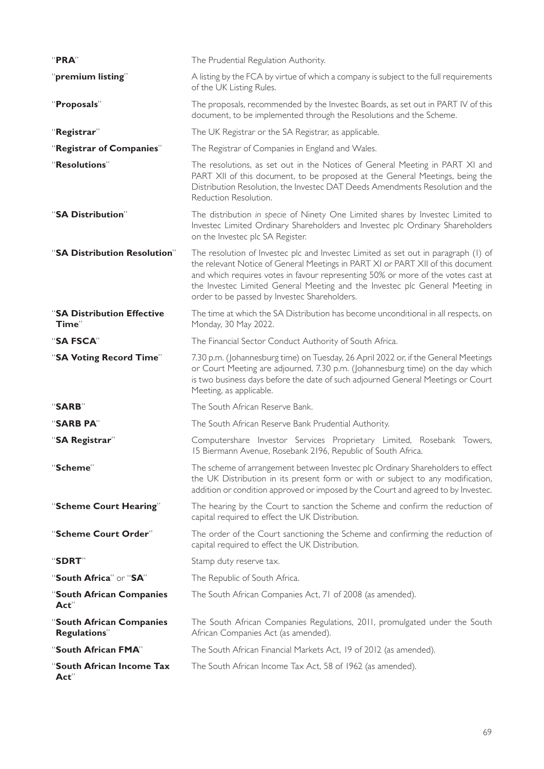| "PRA"                                           | The Prudential Regulation Authority.                                                                                                                                                                                                                                                                                                                                                      |
|-------------------------------------------------|-------------------------------------------------------------------------------------------------------------------------------------------------------------------------------------------------------------------------------------------------------------------------------------------------------------------------------------------------------------------------------------------|
| "premium listing"                               | A listing by the FCA by virtue of which a company is subject to the full requirements<br>of the UK Listing Rules.                                                                                                                                                                                                                                                                         |
| "Proposals"                                     | The proposals, recommended by the Investec Boards, as set out in PART IV of this<br>document, to be implemented through the Resolutions and the Scheme.                                                                                                                                                                                                                                   |
| "Registrar"                                     | The UK Registrar or the SA Registrar, as applicable.                                                                                                                                                                                                                                                                                                                                      |
| "Registrar of Companies"                        | The Registrar of Companies in England and Wales.                                                                                                                                                                                                                                                                                                                                          |
| "Resolutions"                                   | The resolutions, as set out in the Notices of General Meeting in PART XI and<br>PART XII of this document, to be proposed at the General Meetings, being the<br>Distribution Resolution, the Investec DAT Deeds Amendments Resolution and the<br>Reduction Resolution.                                                                                                                    |
| "SA Distribution"                               | The distribution in specie of Ninety One Limited shares by Investec Limited to<br>Investec Limited Ordinary Shareholders and Investec plc Ordinary Shareholders<br>on the Investec plc SA Register.                                                                                                                                                                                       |
| "SA Distribution Resolution"                    | The resolution of Investec plc and Investec Limited as set out in paragraph (I) of<br>the relevant Notice of General Meetings in PART XI or PART XII of this document<br>and which requires votes in favour representing 50% or more of the votes cast at<br>the Investec Limited General Meeting and the Investec plc General Meeting in<br>order to be passed by Investec Shareholders. |
| "SA Distribution Effective<br>Time"             | The time at which the SA Distribution has become unconditional in all respects, on<br>Monday, 30 May 2022.                                                                                                                                                                                                                                                                                |
| "SA FSCA"                                       | The Financial Sector Conduct Authority of South Africa.                                                                                                                                                                                                                                                                                                                                   |
| "SA Voting Record Time"                         | 7.30 p.m. (Johannesburg time) on Tuesday, 26 April 2022 or, if the General Meetings<br>or Court Meeting are adjourned, 7.30 p.m. (Johannesburg time) on the day which<br>is two business days before the date of such adjourned General Meetings or Court<br>Meeting, as applicable.                                                                                                      |
| <b>"SARB"</b>                                   | The South African Reserve Bank.                                                                                                                                                                                                                                                                                                                                                           |
| "SARB PA"                                       | The South African Reserve Bank Prudential Authority.                                                                                                                                                                                                                                                                                                                                      |
| "SA Registrar"                                  | Computershare Investor Services Proprietary Limited, Rosebank Towers,<br>15 Biermann Avenue, Rosebank 2196, Republic of South Africa.                                                                                                                                                                                                                                                     |
| "Scheme"                                        | The scheme of arrangement between Investec plc Ordinary Shareholders to effect<br>the UK Distribution in its present form or with or subject to any modification,<br>addition or condition approved or imposed by the Court and agreed to by Investec.                                                                                                                                    |
| "Scheme Court Hearing"                          | The hearing by the Court to sanction the Scheme and confirm the reduction of<br>capital required to effect the UK Distribution.                                                                                                                                                                                                                                                           |
| "Scheme Court Order"                            | The order of the Court sanctioning the Scheme and confirming the reduction of<br>capital required to effect the UK Distribution.                                                                                                                                                                                                                                                          |
| "SDRT"                                          | Stamp duty reserve tax.                                                                                                                                                                                                                                                                                                                                                                   |
| "South Africa" or "SA"                          | The Republic of South Africa.                                                                                                                                                                                                                                                                                                                                                             |
| "South African Companies<br>Act"                | The South African Companies Act, 71 of 2008 (as amended).                                                                                                                                                                                                                                                                                                                                 |
| "South African Companies<br><b>Regulations"</b> | The South African Companies Regulations, 2011, promulgated under the South<br>African Companies Act (as amended).                                                                                                                                                                                                                                                                         |
| "South African FMA"                             | The South African Financial Markets Act, 19 of 2012 (as amended).                                                                                                                                                                                                                                                                                                                         |
| "South African Income Tax<br>Act"               | The South African Income Tax Act, 58 of 1962 (as amended).                                                                                                                                                                                                                                                                                                                                |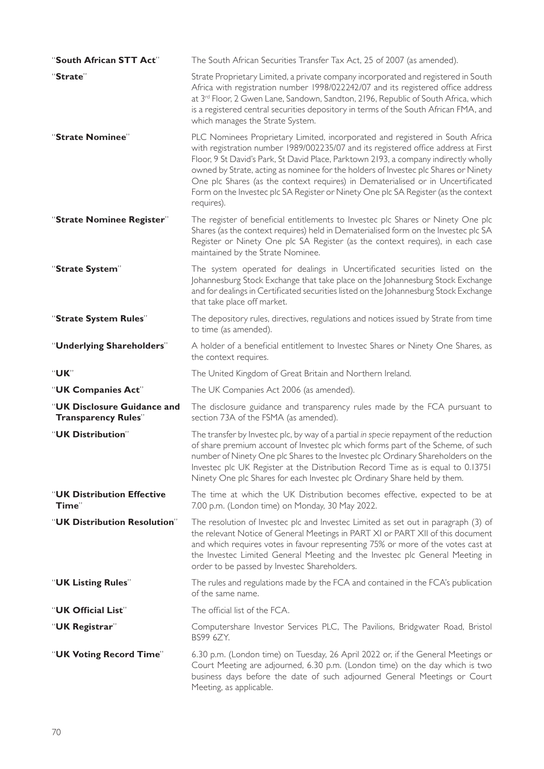| "South African STT Act"                                   | The South African Securities Transfer Tax Act, 25 of 2007 (as amended).                                                                                                                                                                                                                                                                                                                                                                                                                                                                   |
|-----------------------------------------------------------|-------------------------------------------------------------------------------------------------------------------------------------------------------------------------------------------------------------------------------------------------------------------------------------------------------------------------------------------------------------------------------------------------------------------------------------------------------------------------------------------------------------------------------------------|
| "Strate"                                                  | Strate Proprietary Limited, a private company incorporated and registered in South<br>Africa with registration number 1998/022242/07 and its registered office address<br>at 3rd Floor, 2 Gwen Lane, Sandown, Sandton, 2196, Republic of South Africa, which<br>is a registered central securities depository in terms of the South African FMA, and<br>which manages the Strate System.                                                                                                                                                  |
| "Strate Nominee"                                          | PLC Nominees Proprietary Limited, incorporated and registered in South Africa<br>with registration number 1989/002235/07 and its registered office address at First<br>Floor, 9 St David's Park, St David Place, Parktown 2193, a company indirectly wholly<br>owned by Strate, acting as nominee for the holders of Investec plc Shares or Ninety<br>One plc Shares (as the context requires) in Dematerialised or in Uncertificated<br>Form on the Investec plc SA Register or Ninety One plc SA Register (as the context<br>requires). |
| "Strate Nominee Register"                                 | The register of beneficial entitlements to Investec plc Shares or Ninety One plc<br>Shares (as the context requires) held in Dematerialised form on the Investec plc SA<br>Register or Ninety One plc SA Register (as the context requires), in each case<br>maintained by the Strate Nominee.                                                                                                                                                                                                                                            |
| "Strate System"                                           | The system operated for dealings in Uncertificated securities listed on the<br>Johannesburg Stock Exchange that take place on the Johannesburg Stock Exchange<br>and for dealings in Certificated securities listed on the Johannesburg Stock Exchange<br>that take place off market.                                                                                                                                                                                                                                                     |
| "Strate System Rules"                                     | The depository rules, directives, regulations and notices issued by Strate from time<br>to time (as amended).                                                                                                                                                                                                                                                                                                                                                                                                                             |
| "Underlying Shareholders"                                 | A holder of a beneficial entitlement to Investec Shares or Ninety One Shares, as<br>the context requires.                                                                                                                                                                                                                                                                                                                                                                                                                                 |
| <b>"UK"</b>                                               | The United Kingdom of Great Britain and Northern Ireland.                                                                                                                                                                                                                                                                                                                                                                                                                                                                                 |
| "UK Companies Act"                                        | The UK Companies Act 2006 (as amended).                                                                                                                                                                                                                                                                                                                                                                                                                                                                                                   |
| "UK Disclosure Guidance and<br><b>Transparency Rules"</b> | The disclosure guidance and transparency rules made by the FCA pursuant to<br>section 73A of the FSMA (as amended).                                                                                                                                                                                                                                                                                                                                                                                                                       |
| "UK Distribution"                                         | The transfer by Investec plc, by way of a partial in specie repayment of the reduction<br>of share premium account of Investec plc which forms part of the Scheme, of such<br>number of Ninety One plc Shares to the Investec plc Ordinary Shareholders on the<br>Investec plc UK Register at the Distribution Record Time as is equal to 0.13751<br>Ninety One plc Shares for each Investec plc Ordinary Share held by them.                                                                                                             |
| "UK Distribution Effective<br>Time"                       | The time at which the UK Distribution becomes effective, expected to be at<br>7.00 p.m. (London time) on Monday, 30 May 2022.                                                                                                                                                                                                                                                                                                                                                                                                             |
| "UK Distribution Resolution"                              | The resolution of Investec plc and Investec Limited as set out in paragraph (3) of<br>the relevant Notice of General Meetings in PART XI or PART XII of this document<br>and which requires votes in favour representing 75% or more of the votes cast at<br>the Investec Limited General Meeting and the Investec plc General Meeting in<br>order to be passed by Investec Shareholders.                                                                                                                                                 |
| "UK Listing Rules"                                        | The rules and regulations made by the FCA and contained in the FCA's publication<br>of the same name.                                                                                                                                                                                                                                                                                                                                                                                                                                     |
| "UK Official List"                                        | The official list of the FCA.                                                                                                                                                                                                                                                                                                                                                                                                                                                                                                             |
| "UK Registrar"                                            | Computershare Investor Services PLC, The Pavilions, Bridgwater Road, Bristol<br>BS99 6ZY.                                                                                                                                                                                                                                                                                                                                                                                                                                                 |
| "UK Voting Record Time"                                   | 6.30 p.m. (London time) on Tuesday, 26 April 2022 or, if the General Meetings or<br>Court Meeting are adjourned, 6.30 p.m. (London time) on the day which is two<br>business days before the date of such adjourned General Meetings or Court<br>Meeting, as applicable.                                                                                                                                                                                                                                                                  |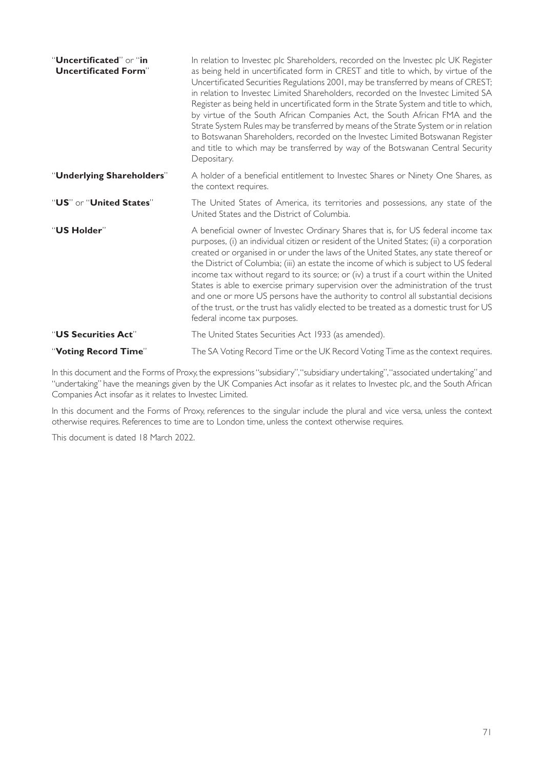| "Uncertificated" or "in<br><b>Uncertificated Form"</b> | In relation to Investec plc Shareholders, recorded on the Investec plc UK Register<br>as being held in uncertificated form in CREST and title to which, by virtue of the<br>Uncertificated Securities Regulations 2001, may be transferred by means of CREST;<br>in relation to Investec Limited Shareholders, recorded on the Investec Limited SA<br>Register as being held in uncertificated form in the Strate System and title to which,<br>by virtue of the South African Companies Act, the South African FMA and the<br>Strate System Rules may be transferred by means of the Strate System or in relation<br>to Botswanan Shareholders, recorded on the Investec Limited Botswanan Register<br>and title to which may be transferred by way of the Botswanan Central Security<br>Depositary. |
|--------------------------------------------------------|-------------------------------------------------------------------------------------------------------------------------------------------------------------------------------------------------------------------------------------------------------------------------------------------------------------------------------------------------------------------------------------------------------------------------------------------------------------------------------------------------------------------------------------------------------------------------------------------------------------------------------------------------------------------------------------------------------------------------------------------------------------------------------------------------------|
| "Underlying Shareholders"                              | A holder of a beneficial entitlement to Investec Shares or Ninety One Shares, as<br>the context requires.                                                                                                                                                                                                                                                                                                                                                                                                                                                                                                                                                                                                                                                                                             |
| "US" or "United States"                                | The United States of America, its territories and possessions, any state of the<br>United States and the District of Columbia.                                                                                                                                                                                                                                                                                                                                                                                                                                                                                                                                                                                                                                                                        |
| "US Holder"                                            | A beneficial owner of Investec Ordinary Shares that is, for US federal income tax<br>purposes, (i) an individual citizen or resident of the United States; (ii) a corporation<br>created or organised in or under the laws of the United States, any state thereof or<br>the District of Columbia; (iii) an estate the income of which is subject to US federal<br>income tax without regard to its source; or (iv) a trust if a court within the United<br>States is able to exercise primary supervision over the administration of the trust<br>and one or more US persons have the authority to control all substantial decisions<br>of the trust, or the trust has validly elected to be treated as a domestic trust for US<br>federal income tax purposes.                                      |
| "US Securities Act"                                    | The United States Securities Act 1933 (as amended).                                                                                                                                                                                                                                                                                                                                                                                                                                                                                                                                                                                                                                                                                                                                                   |
| "Voting Record Time"                                   | The SA Voting Record Time or the UK Record Voting Time as the context requires.                                                                                                                                                                                                                                                                                                                                                                                                                                                                                                                                                                                                                                                                                                                       |

In this document and the Forms of Proxy, the expressions "subsidiary", "subsidiary undertaking", "associated undertaking" and "undertaking" have the meanings given by the UK Companies Act insofar as it relates to Investec plc, and the South African Companies Act insofar as it relates to Investec Limited.

In this document and the Forms of Proxy, references to the singular include the plural and vice versa, unless the context otherwise requires. References to time are to London time, unless the context otherwise requires.

This document is dated 18 March 2022.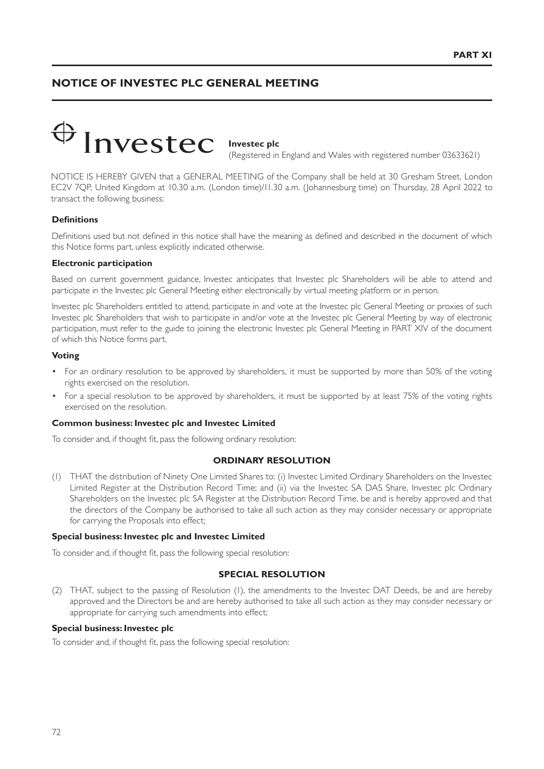# **NOTICE OF INVESTEC PLC GENERAL MEETING**



(Registered in England and Wales with registered number 03633621)

NOTICE IS HEREBY GIVEN that a GENERAL MEETING of the Company shall be held at 30 Gresham Street, London EC2V 7QP, United Kingdom at 10.30 a.m. (London time)/11.30 a.m. (Johannesburg time) on Thursday, 28 April 2022 to transact the following business:

#### **Definitions**

Definitions used but not defined in this notice shall have the meaning as defined and described in the document of which this Notice forms part, unless explicitly indicated otherwise.

#### **Electronic participation**

Based on current government guidance, Investec anticipates that Investec plc Shareholders will be able to attend and participate in the Investec plc General Meeting either electronically by virtual meeting platform or in person.

Investec plc Shareholders entitled to attend, participate in and vote at the Investec plc General Meeting or proxies of such Investec plc Shareholders that wish to participate in and/or vote at the Investec plc General Meeting by way of electronic participation, must refer to the guide to joining the electronic Investec plc General Meeting in PART XIV of the document of which this Notice forms part.

#### **Voting**

- For an ordinary resolution to be approved by shareholders, it must be supported by more than 50% of the voting rights exercised on the resolution.
- For a special resolution to be approved by shareholders, it must be supported by at least 75% of the voting rights exercised on the resolution.

#### **Common business: Investec plc and Investec Limited**

To consider and, if thought fit, pass the following ordinary resolution:

#### **ORDINARY RESOLUTION**

(1) THAT the distribution of Ninety One Limited Shares to: (i) Investec Limited Ordinary Shareholders on the Investec Limited Register at the Distribution Record Time; and (ii) via the Investec SA DAS Share, Investec plc Ordinary Shareholders on the Investec plc SA Register at the Distribution Record Time, be and is hereby approved and that the directors of the Company be authorised to take all such action as they may consider necessary or appropriate for carrying the Proposals into effect;

#### **Special business: Investec plc and Investec Limited**

To consider and, if thought fit, pass the following special resolution:

#### **SPECIAL RESOLUTION**

(2) THAT, subject to the passing of Resolution (1), the amendments to the Investec DAT Deeds, be and are hereby approved and the Directors be and are hereby authorised to take all such action as they may consider necessary or appropriate for carrying such amendments into effect;

#### **Special business: Investec plc**

To consider and, if thought fit, pass the following special resolution: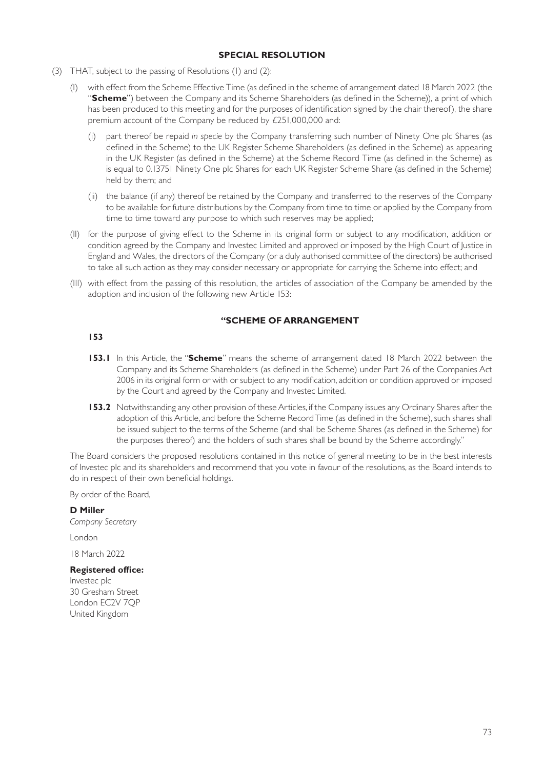## **SPECIAL RESOLUTION**

- (3) THAT, subject to the passing of Resolutions (1) and (2):
	- with effect from the Scheme Effective Time (as defined in the scheme of arrangement dated 18 March 2022 (the "**Scheme**") between the Company and its Scheme Shareholders (as defined in the Scheme)), a print of which has been produced to this meeting and for the purposes of identification signed by the chair thereof), the share premium account of the Company be reduced by £251,000,000 and:
		- (i) part thereof be repaid *in specie* by the Company transferring such number of Ninety One plc Shares (as defined in the Scheme) to the UK Register Scheme Shareholders (as defined in the Scheme) as appearing in the UK Register (as defined in the Scheme) at the Scheme Record Time (as defined in the Scheme) as is equal to 0.13751 Ninety One plc Shares for each UK Register Scheme Share (as defined in the Scheme) held by them; and
		- (ii) the balance (if any) thereof be retained by the Company and transferred to the reserves of the Company to be available for future distributions by the Company from time to time or applied by the Company from time to time toward any purpose to which such reserves may be applied;
	- (II) for the purpose of giving effect to the Scheme in its original form or subject to any modification, addition or condition agreed by the Company and Investec Limited and approved or imposed by the High Court of Justice in England and Wales, the directors of the Company (or a duly authorised committee of the directors) be authorised to take all such action as they may consider necessary or appropriate for carrying the Scheme into effect; and
	- (III) with effect from the passing of this resolution, the articles of association of the Company be amended by the adoption and inclusion of the following new Article 153:

## **"SCHEME OF ARRANGEMENT**

## **153**

- **153.1** In this Article, the "**Scheme**" means the scheme of arrangement dated 18 March 2022 between the Company and its Scheme Shareholders (as defined in the Scheme) under Part 26 of the Companies Act 2006 in its original form or with or subject to any modification, addition or condition approved or imposed by the Court and agreed by the Company and Investec Limited.
- **153.2** Notwithstanding any other provision of these Articles, if the Company issues any Ordinary Shares after the adoption of this Article, and before the Scheme Record Time (as defined in the Scheme), such shares shall be issued subject to the terms of the Scheme (and shall be Scheme Shares (as defined in the Scheme) for the purposes thereof) and the holders of such shares shall be bound by the Scheme accordingly."

The Board considers the proposed resolutions contained in this notice of general meeting to be in the best interests of Investec plc and its shareholders and recommend that you vote in favour of the resolutions, as the Board intends to do in respect of their own beneficial holdings.

By order of the Board,

**D Miller**

*Company Secretary*

London

18 March 2022

## **Registered office:**

Investec plc 30 Gresham Street London EC2V 7QP United Kingdom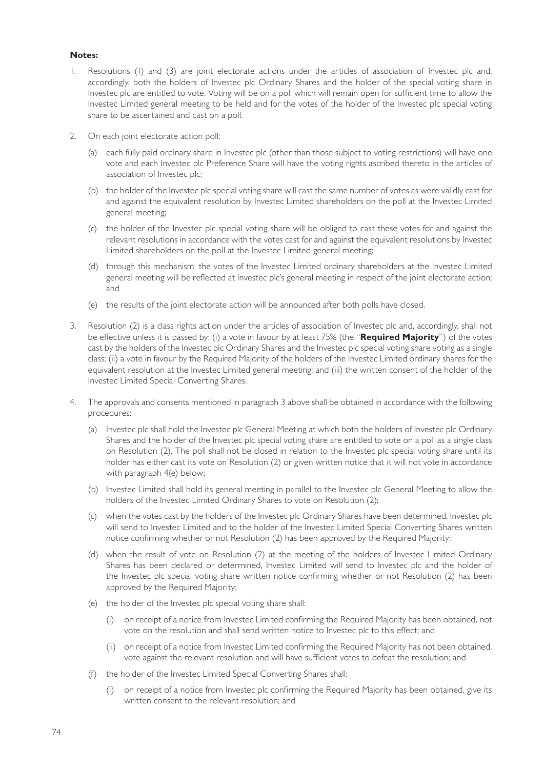## **Notes:**

- 1. Resolutions (1) and (3) are joint electorate actions under the articles of association of Investec plc and, accordingly, both the holders of Investec plc Ordinary Shares and the holder of the special voting share in Investec plc are entitled to vote. Voting will be on a poll which will remain open for sufficient time to allow the Investec Limited general meeting to be held and for the votes of the holder of the Investec plc special voting share to be ascertained and cast on a poll.
- 2. On each joint electorate action poll:
	- (a) each fully paid ordinary share in Investec plc (other than those subject to voting restrictions) will have one vote and each Investec plc Preference Share will have the voting rights ascribed thereto in the articles of association of Investec plc;
	- (b) the holder of the Investec plc special voting share will cast the same number of votes as were validly cast for and against the equivalent resolution by Investec Limited shareholders on the poll at the Investec Limited general meeting;
	- (c) the holder of the Investec plc special voting share will be obliged to cast these votes for and against the relevant resolutions in accordance with the votes cast for and against the equivalent resolutions by Investec Limited shareholders on the poll at the Investec Limited general meeting;
	- (d) through this mechanism, the votes of the Investec Limited ordinary shareholders at the Investec Limited general meeting will be reflected at Investec plc's general meeting in respect of the joint electorate action; and
	- (e) the results of the joint electorate action will be announced after both polls have closed.
- 3. Resolution (2) is a class rights action under the articles of association of Investec plc and, accordingly, shall not be effective unless it is passed by: (i) a vote in favour by at least 75% (the "**Required Majority**") of the votes cast by the holders of the Investec plc Ordinary Shares and the Investec plc special voting share voting as a single class; (ii) a vote in favour by the Required Majority of the holders of the Investec Limited ordinary shares for the equivalent resolution at the Investec Limited general meeting; and (iii) the written consent of the holder of the Investec Limited Special Converting Shares.
- 4. The approvals and consents mentioned in paragraph 3 above shall be obtained in accordance with the following procedures:
	- (a) Investec plc shall hold the Investec plc General Meeting at which both the holders of Investec plc Ordinary Shares and the holder of the Investec plc special voting share are entitled to vote on a poll as a single class on Resolution (2). The poll shall not be closed in relation to the Investec plc special voting share until its holder has either cast its vote on Resolution (2) or given written notice that it will not vote in accordance with paragraph 4(e) below;
	- (b) Investec Limited shall hold its general meeting in parallel to the Investec plc General Meeting to allow the holders of the Investec Limited Ordinary Shares to vote on Resolution (2);
	- (c) when the votes cast by the holders of the Investec plc Ordinary Shares have been determined, Investec plc will send to Investec Limited and to the holder of the Investec Limited Special Converting Shares written notice confirming whether or not Resolution (2) has been approved by the Required Majority;
	- (d) when the result of vote on Resolution (2) at the meeting of the holders of Investec Limited Ordinary Shares has been declared or determined, Investec Limited will send to Investec plc and the holder of the Investec plc special voting share written notice confirming whether or not Resolution (2) has been approved by the Required Majority;
	- (e) the holder of the Investec plc special voting share shall:
		- (i) on receipt of a notice from Investec Limited confirming the Required Majority has been obtained, not vote on the resolution and shall send written notice to Investec plc to this effect; and
		- (ii) on receipt of a notice from Investec Limited confirming the Required Majority has not been obtained, vote against the relevant resolution and will have sufficient votes to defeat the resolution; and
	- (f) the holder of the Investec Limited Special Converting Shares shall:
		- (i) on receipt of a notice from Investec plc confirming the Required Majority has been obtained, give its written consent to the relevant resolution; and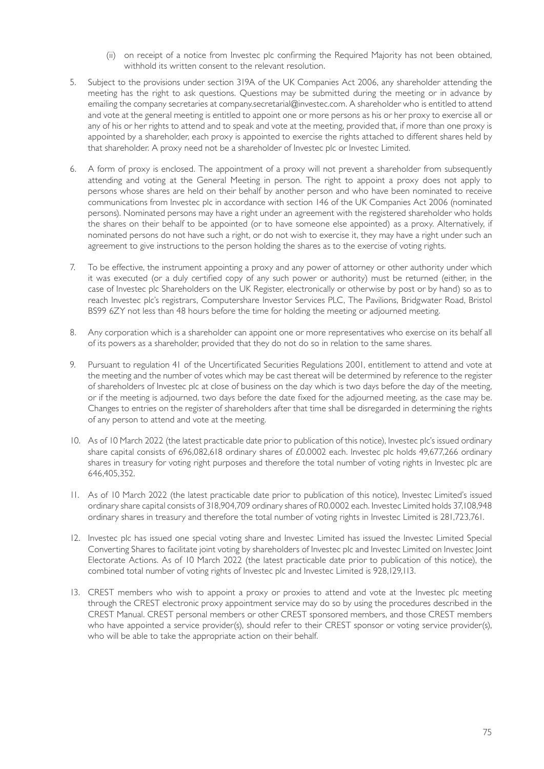- (ii) on receipt of a notice from Investec plc confirming the Required Majority has not been obtained, withhold its written consent to the relevant resolution.
- 5. Subject to the provisions under section 319A of the UK Companies Act 2006, any shareholder attending the meeting has the right to ask questions. Questions may be submitted during the meeting or in advance by emailing the company secretaries at company.secretarial@investec.com. A shareholder who is entitled to attend and vote at the general meeting is entitled to appoint one or more persons as his or her proxy to exercise all or any of his or her rights to attend and to speak and vote at the meeting, provided that, if more than one proxy is appointed by a shareholder, each proxy is appointed to exercise the rights attached to different shares held by that shareholder. A proxy need not be a shareholder of Investec plc or Investec Limited.
- 6. A form of proxy is enclosed. The appointment of a proxy will not prevent a shareholder from subsequently attending and voting at the General Meeting in person. The right to appoint a proxy does not apply to persons whose shares are held on their behalf by another person and who have been nominated to receive communications from Investec plc in accordance with section 146 of the UK Companies Act 2006 (nominated persons). Nominated persons may have a right under an agreement with the registered shareholder who holds the shares on their behalf to be appointed (or to have someone else appointed) as a proxy. Alternatively, if nominated persons do not have such a right, or do not wish to exercise it, they may have a right under such an agreement to give instructions to the person holding the shares as to the exercise of voting rights.
- 7. To be effective, the instrument appointing a proxy and any power of attorney or other authority under which it was executed (or a duly certified copy of any such power or authority) must be returned (either, in the case of Investec plc Shareholders on the UK Register, electronically or otherwise by post or by hand) so as to reach Investec plc's registrars, Computershare Investor Services PLC, The Pavilions, Bridgwater Road, Bristol BS99 6ZY not less than 48 hours before the time for holding the meeting or adjourned meeting.
- 8. Any corporation which is a shareholder can appoint one or more representatives who exercise on its behalf all of its powers as a shareholder, provided that they do not do so in relation to the same shares.
- 9. Pursuant to regulation 41 of the Uncertificated Securities Regulations 2001, entitlement to attend and vote at the meeting and the number of votes which may be cast thereat will be determined by reference to the register of shareholders of Investec plc at close of business on the day which is two days before the day of the meeting, or if the meeting is adjourned, two days before the date fixed for the adjourned meeting, as the case may be. Changes to entries on the register of shareholders after that time shall be disregarded in determining the rights of any person to attend and vote at the meeting.
- 10. As of 10 March 2022 (the latest practicable date prior to publication of this notice), Investec plc's issued ordinary share capital consists of 696,082,618 ordinary shares of £0.0002 each. Investec plc holds 49,677,266 ordinary shares in treasury for voting right purposes and therefore the total number of voting rights in Investec plc are 646,405,352.
- 11. As of 10 March 2022 (the latest practicable date prior to publication of this notice), Investec Limited's issued ordinary share capital consists of 318,904,709 ordinary shares of R0.0002 each. Investec Limited holds 37,108,948 ordinary shares in treasury and therefore the total number of voting rights in Investec Limited is 281,723,761.
- 12. Investec plc has issued one special voting share and Investec Limited has issued the Investec Limited Special Converting Shares to facilitate joint voting by shareholders of Investec plc and Investec Limited on Investec Joint Electorate Actions. As of 10 March 2022 (the latest practicable date prior to publication of this notice), the combined total number of voting rights of Investec plc and Investec Limited is 928,129,113.
- 13. CREST members who wish to appoint a proxy or proxies to attend and vote at the Investec plc meeting through the CREST electronic proxy appointment service may do so by using the procedures described in the CREST Manual. CREST personal members or other CREST sponsored members, and those CREST members who have appointed a service provider(s), should refer to their CREST sponsor or voting service provider(s), who will be able to take the appropriate action on their behalf.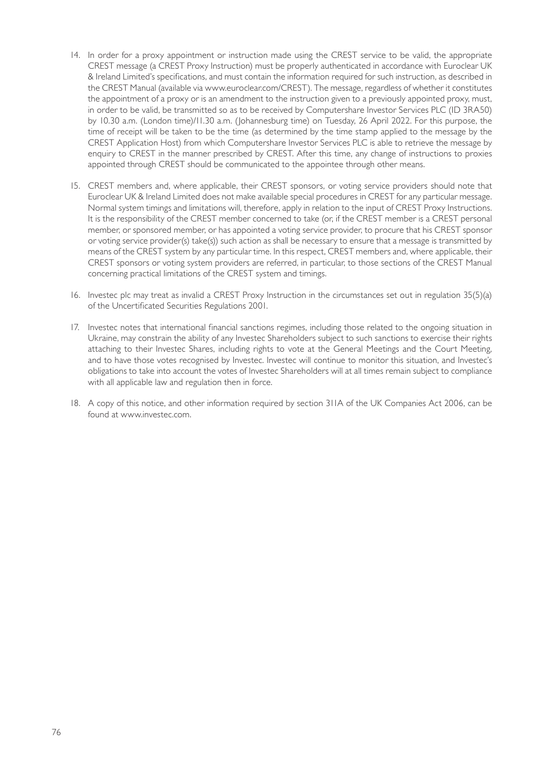- 14. In order for a proxy appointment or instruction made using the CREST service to be valid, the appropriate CREST message (a CREST Proxy Instruction) must be properly authenticated in accordance with Euroclear UK & Ireland Limited's specifications, and must contain the information required for such instruction, as described in the CREST Manual (available via www.euroclear.com/CREST). The message, regardless of whether it constitutes the appointment of a proxy or is an amendment to the instruction given to a previously appointed proxy, must, in order to be valid, be transmitted so as to be received by Computershare Investor Services PLC (ID 3RA50) by 10.30 a.m. (London time)/11.30 a.m. (Johannesburg time) on Tuesday, 26 April 2022. For this purpose, the time of receipt will be taken to be the time (as determined by the time stamp applied to the message by the CREST Application Host) from which Computershare Investor Services PLC is able to retrieve the message by enquiry to CREST in the manner prescribed by CREST. After this time, any change of instructions to proxies appointed through CREST should be communicated to the appointee through other means.
- 15. CREST members and, where applicable, their CREST sponsors, or voting service providers should note that Euroclear UK & Ireland Limited does not make available special procedures in CREST for any particular message. Normal system timings and limitations will, therefore, apply in relation to the input of CREST Proxy Instructions. It is the responsibility of the CREST member concerned to take (or, if the CREST member is a CREST personal member, or sponsored member, or has appointed a voting service provider, to procure that his CREST sponsor or voting service provider(s) take(s)) such action as shall be necessary to ensure that a message is transmitted by means of the CREST system by any particular time. In this respect, CREST members and, where applicable, their CREST sponsors or voting system providers are referred, in particular, to those sections of the CREST Manual concerning practical limitations of the CREST system and timings.
- 16. Investec plc may treat as invalid a CREST Proxy Instruction in the circumstances set out in regulation 35(5)(a) of the Uncertificated Securities Regulations 2001.
- 17. Investec notes that international financial sanctions regimes, including those related to the ongoing situation in Ukraine, may constrain the ability of any Investec Shareholders subject to such sanctions to exercise their rights attaching to their Investec Shares, including rights to vote at the General Meetings and the Court Meeting, and to have those votes recognised by Investec. Investec will continue to monitor this situation, and Investec's obligations to take into account the votes of Investec Shareholders will at all times remain subject to compliance with all applicable law and regulation then in force.
- 18. A copy of this notice, and other information required by section 311A of the UK Companies Act 2006, can be found at www.investec.com.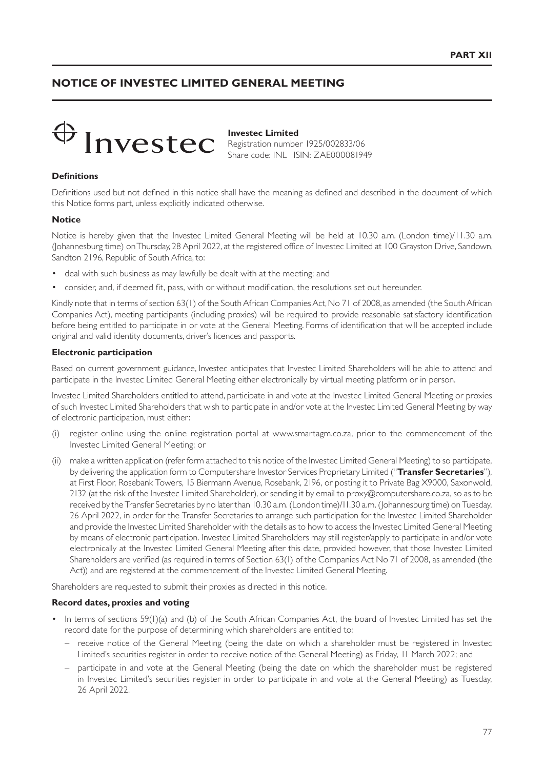# **NOTICE OF INVESTEC LIMITED GENERAL MEETING**



**Investec Limited** Registration number 1925/002833/06 Share code: INL ISIN: ZAE000081949

#### **Definitions**

Definitions used but not defined in this notice shall have the meaning as defined and described in the document of which this Notice forms part, unless explicitly indicated otherwise.

## **Notice**

Notice is hereby given that the Investec Limited General Meeting will be held at 10.30 a.m. (London time)/11.30 a.m. (Johannesburg time) on Thursday, 28 April 2022, at the registered office of Investec Limited at 100 Grayston Drive, Sandown, Sandton 2196, Republic of South Africa, to:

- deal with such business as may lawfully be dealt with at the meeting; and
- consider, and, if deemed fit, pass, with or without modification, the resolutions set out hereunder.

Kindly note that in terms of section 63(1) of the South African Companies Act, No 71 of 2008, as amended (the South African Companies Act), meeting participants (including proxies) will be required to provide reasonable satisfactory identification before being entitled to participate in or vote at the General Meeting. Forms of identification that will be accepted include original and valid identity documents, driver's licences and passports.

## **Electronic participation**

Based on current government guidance, Investec anticipates that Investec Limited Shareholders will be able to attend and participate in the Investec Limited General Meeting either electronically by virtual meeting platform or in person.

Investec Limited Shareholders entitled to attend, participate in and vote at the Investec Limited General Meeting or proxies of such Investec Limited Shareholders that wish to participate in and/or vote at the Investec Limited General Meeting by way of electronic participation, must either:

- (i) register online using the online registration portal at www.smartagm.co.za, prior to the commencement of the Investec Limited General Meeting; or
- (ii) make a written application (refer form attached to this notice of the Investec Limited General Meeting) to so participate, by delivering the application form to Computershare Investor Services Proprietary Limited ("**Transfer Secretaries**"), at First Floor, Rosebank Towers, 15 Biermann Avenue, Rosebank, 2196, or posting it to Private Bag X9000, Saxonwold, 2132 (at the risk of the Investec Limited Shareholder), or sending it by email to proxy@computershare.co.za, so as to be received by the Transfer Secretaries by no later than 10.30 a.m. (London time)/11.30 a.m. (Johannesburg time) on Tuesday, 26 April 2022, in order for the Transfer Secretaries to arrange such participation for the Investec Limited Shareholder and provide the Investec Limited Shareholder with the details as to how to access the Investec Limited General Meeting by means of electronic participation. Investec Limited Shareholders may still register/apply to participate in and/or vote electronically at the Investec Limited General Meeting after this date, provided however, that those Investec Limited Shareholders are verified (as required in terms of Section 63(1) of the Companies Act No 71 of 2008, as amended (the Act)) and are registered at the commencement of the Investec Limited General Meeting.

Shareholders are requested to submit their proxies as directed in this notice.

#### **Record dates, proxies and voting**

- In terms of sections 59(I)(a) and (b) of the South African Companies Act, the board of Investec Limited has set the record date for the purpose of determining which shareholders are entitled to:
	- receive notice of the General Meeting (being the date on which a shareholder must be registered in Investec Limited's securities register in order to receive notice of the General Meeting) as Friday, 11 March 2022; and
	- participate in and vote at the General Meeting (being the date on which the shareholder must be registered in Investec Limited's securities register in order to participate in and vote at the General Meeting) as Tuesday, 26 April 2022.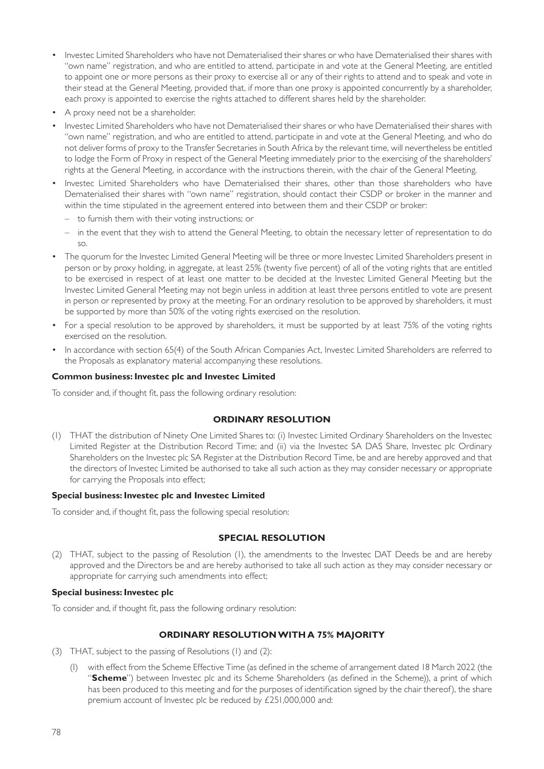- Investec Limited Shareholders who have not Dematerialised their shares or who have Dematerialised their shares with "own name" registration, and who are entitled to attend, participate in and vote at the General Meeting, are entitled to appoint one or more persons as their proxy to exercise all or any of their rights to attend and to speak and vote in their stead at the General Meeting, provided that, if more than one proxy is appointed concurrently by a shareholder, each proxy is appointed to exercise the rights attached to different shares held by the shareholder.
- A proxy need not be a shareholder.
- Investec Limited Shareholders who have not Dematerialised their shares or who have Dematerialised their shares with "own name" registration, and who are entitled to attend, participate in and vote at the General Meeting, and who do not deliver forms of proxy to the Transfer Secretaries in South Africa by the relevant time, will nevertheless be entitled to lodge the Form of Proxy in respect of the General Meeting immediately prior to the exercising of the shareholders' rights at the General Meeting, in accordance with the instructions therein, with the chair of the General Meeting.
- Investec Limited Shareholders who have Dematerialised their shares, other than those shareholders who have Dematerialised their shares with "own name" registration, should contact their CSDP or broker in the manner and within the time stipulated in the agreement entered into between them and their CSDP or broker:
	- to furnish them with their voting instructions; or
	- in the event that they wish to attend the General Meeting, to obtain the necessary letter of representation to do so.
- The quorum for the Investec Limited General Meeting will be three or more Investec Limited Shareholders present in person or by proxy holding, in aggregate, at least 25% (twenty five percent) of all of the voting rights that are entitled to be exercised in respect of at least one matter to be decided at the Investec Limited General Meeting but the Investec Limited General Meeting may not begin unless in addition at least three persons entitled to vote are present in person or represented by proxy at the meeting. For an ordinary resolution to be approved by shareholders, it must be supported by more than 50% of the voting rights exercised on the resolution.
- For a special resolution to be approved by shareholders, it must be supported by at least 75% of the voting rights exercised on the resolution.
- In accordance with section 65(4) of the South African Companies Act, Investec Limited Shareholders are referred to the Proposals as explanatory material accompanying these resolutions.

## **Common business: Investec plc and Investec Limited**

To consider and, if thought fit, pass the following ordinary resolution:

## **ORDINARY RESOLUTION**

(1) THAT the distribution of Ninety One Limited Shares to: (i) Investec Limited Ordinary Shareholders on the Investec Limited Register at the Distribution Record Time; and (ii) via the Investec SA DAS Share, Investec plc Ordinary Shareholders on the Investec plc SA Register at the Distribution Record Time, be and are hereby approved and that the directors of Investec Limited be authorised to take all such action as they may consider necessary or appropriate for carrying the Proposals into effect;

#### **Special business: Investec plc and Investec Limited**

To consider and, if thought fit, pass the following special resolution:

#### **SPECIAL RESOLUTION**

(2) THAT, subject to the passing of Resolution (1), the amendments to the Investec DAT Deeds be and are hereby approved and the Directors be and are hereby authorised to take all such action as they may consider necessary or appropriate for carrying such amendments into effect;

#### **Special business: Investec plc**

To consider and, if thought fit, pass the following ordinary resolution:

## **ORDINARY RESOLUTION WITH A 75% MAJORITY**

- (3) THAT, subject to the passing of Resolutions (1) and (2):
	- (I) with effect from the Scheme Effective Time (as defined in the scheme of arrangement dated 18 March 2022 (the "**Scheme**") between Investec plc and its Scheme Shareholders (as defined in the Scheme)), a print of which has been produced to this meeting and for the purposes of identification signed by the chair thereof), the share premium account of Investec plc be reduced by £251,000,000 and: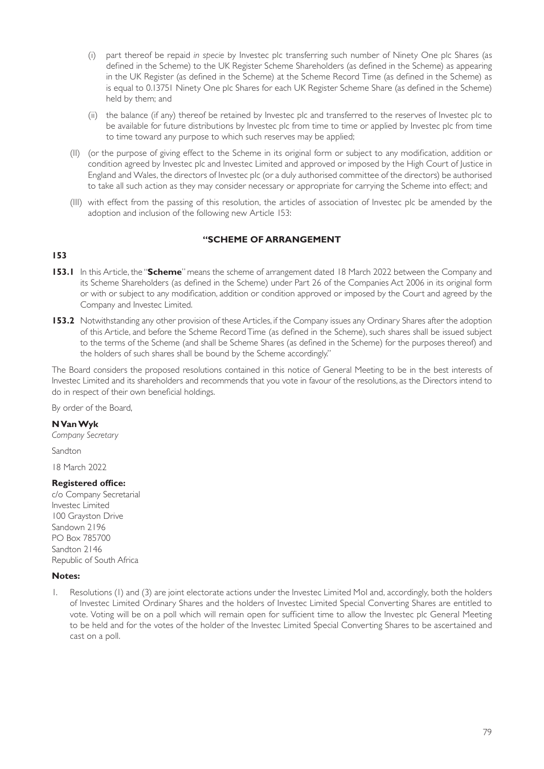- (i) part thereof be repaid *in specie* by Investec plc transferring such number of Ninety One plc Shares (as defined in the Scheme) to the UK Register Scheme Shareholders (as defined in the Scheme) as appearing in the UK Register (as defined in the Scheme) at the Scheme Record Time (as defined in the Scheme) as is equal to 0.13751 Ninety One plc Shares for each UK Register Scheme Share (as defined in the Scheme) held by them; and
- (ii) the balance (if any) thereof be retained by Investec plc and transferred to the reserves of Investec plc to be available for future distributions by Investec plc from time to time or applied by Investec plc from time to time toward any purpose to which such reserves may be applied;
- (II) (or the purpose of giving effect to the Scheme in its original form or subject to any modification, addition or condition agreed by Investec plc and Investec Limited and approved or imposed by the High Court of Justice in England and Wales, the directors of Investec plc (or a duly authorised committee of the directors) be authorised to take all such action as they may consider necessary or appropriate for carrying the Scheme into effect; and
- (III) with effect from the passing of this resolution, the articles of association of Investec plc be amended by the adoption and inclusion of the following new Article 153:

## **"SCHEME OF ARRANGEMENT**

## **153**

- **153.1** In this Article, the "**Scheme**" means the scheme of arrangement dated 18 March 2022 between the Company and its Scheme Shareholders (as defined in the Scheme) under Part 26 of the Companies Act 2006 in its original form or with or subject to any modification, addition or condition approved or imposed by the Court and agreed by the Company and Investec Limited.
- **153.2** Notwithstanding any other provision of these Articles, if the Company issues any Ordinary Shares after the adoption of this Article, and before the Scheme Record Time (as defined in the Scheme), such shares shall be issued subject to the terms of the Scheme (and shall be Scheme Shares (as defined in the Scheme) for the purposes thereof) and the holders of such shares shall be bound by the Scheme accordingly."

The Board considers the proposed resolutions contained in this notice of General Meeting to be in the best interests of Investec Limited and its shareholders and recommends that you vote in favour of the resolutions, as the Directors intend to do in respect of their own beneficial holdings.

By order of the Board,

## **N Van Wyk**

*Company Secretary*

Sandton

18 March 2022

#### **Registered office:**

c/o Company Secretarial Investec Limited 100 Grayston Drive Sandown 2196 PO Box 785700 Sandton 2146 Republic of South Africa

#### **Notes:**

1. Resolutions (1) and (3) are joint electorate actions under the Investec Limited MoI and, accordingly, both the holders of Investec Limited Ordinary Shares and the holders of Investec Limited Special Converting Shares are entitled to vote. Voting will be on a poll which will remain open for sufficient time to allow the Investec plc General Meeting to be held and for the votes of the holder of the Investec Limited Special Converting Shares to be ascertained and cast on a poll.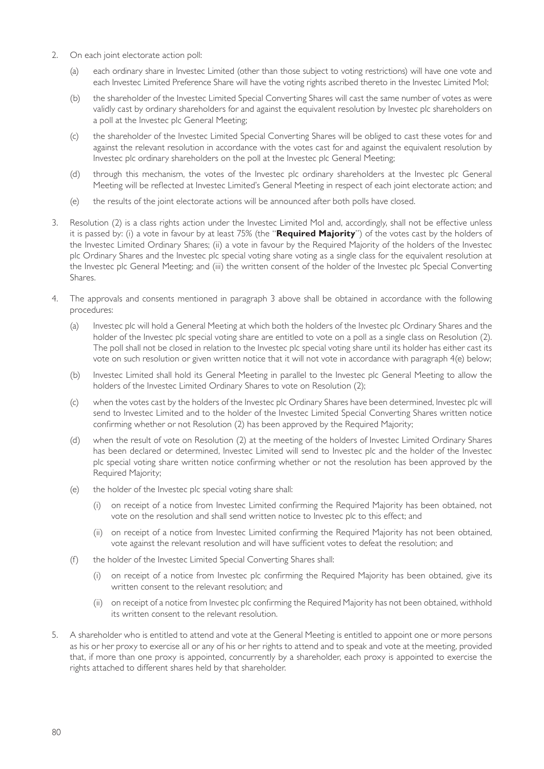- 2. On each joint electorate action poll:
	- (a) each ordinary share in Investec Limited (other than those subject to voting restrictions) will have one vote and each Investec Limited Preference Share will have the voting rights ascribed thereto in the Investec Limited MoI;
	- (b) the shareholder of the Investec Limited Special Converting Shares will cast the same number of votes as were validly cast by ordinary shareholders for and against the equivalent resolution by Investec plc shareholders on a poll at the Investec plc General Meeting;
	- (c) the shareholder of the Investec Limited Special Converting Shares will be obliged to cast these votes for and against the relevant resolution in accordance with the votes cast for and against the equivalent resolution by Investec plc ordinary shareholders on the poll at the Investec plc General Meeting;
	- (d) through this mechanism, the votes of the Investec plc ordinary shareholders at the Investec plc General Meeting will be reflected at Investec Limited's General Meeting in respect of each joint electorate action; and
	- (e) the results of the joint electorate actions will be announced after both polls have closed.
- 3. Resolution (2) is a class rights action under the Investec Limited MoI and, accordingly, shall not be effective unless it is passed by: (i) a vote in favour by at least 75% (the "**Required Majority**") of the votes cast by the holders of the Investec Limited Ordinary Shares; (ii) a vote in favour by the Required Majority of the holders of the Investec plc Ordinary Shares and the Investec plc special voting share voting as a single class for the equivalent resolution at the Investec plc General Meeting; and (iii) the written consent of the holder of the Investec plc Special Converting Shares.
- 4. The approvals and consents mentioned in paragraph 3 above shall be obtained in accordance with the following procedures:
	- (a) Investec plc will hold a General Meeting at which both the holders of the Investec plc Ordinary Shares and the holder of the Investec plc special voting share are entitled to vote on a poll as a single class on Resolution (2). The poll shall not be closed in relation to the Investec plc special voting share until its holder has either cast its vote on such resolution or given written notice that it will not vote in accordance with paragraph 4(e) below;
	- (b) Investec Limited shall hold its General Meeting in parallel to the Investec plc General Meeting to allow the holders of the Investec Limited Ordinary Shares to vote on Resolution (2);
	- (c) when the votes cast by the holders of the Investec plc Ordinary Shares have been determined, Investec plc will send to Investec Limited and to the holder of the Investec Limited Special Converting Shares written notice confirming whether or not Resolution (2) has been approved by the Required Majority;
	- (d) when the result of vote on Resolution (2) at the meeting of the holders of Investec Limited Ordinary Shares has been declared or determined, Investec Limited will send to Investec plc and the holder of the Investec plc special voting share written notice confirming whether or not the resolution has been approved by the Required Majority;
	- (e) the holder of the Investec plc special voting share shall:
		- (i) on receipt of a notice from Investec Limited confirming the Required Majority has been obtained, not vote on the resolution and shall send written notice to Investec plc to this effect; and
		- (ii) on receipt of a notice from Investec Limited confirming the Required Majority has not been obtained, vote against the relevant resolution and will have sufficient votes to defeat the resolution; and
	- (f) the holder of the Investec Limited Special Converting Shares shall:
		- (i) on receipt of a notice from Investec plc confirming the Required Majority has been obtained, give its written consent to the relevant resolution; and
		- (ii) on receipt of a notice from Investec plc confirming the Required Majority has not been obtained, withhold its written consent to the relevant resolution.
- 5. A shareholder who is entitled to attend and vote at the General Meeting is entitled to appoint one or more persons as his or her proxy to exercise all or any of his or her rights to attend and to speak and vote at the meeting, provided that, if more than one proxy is appointed, concurrently by a shareholder, each proxy is appointed to exercise the rights attached to different shares held by that shareholder.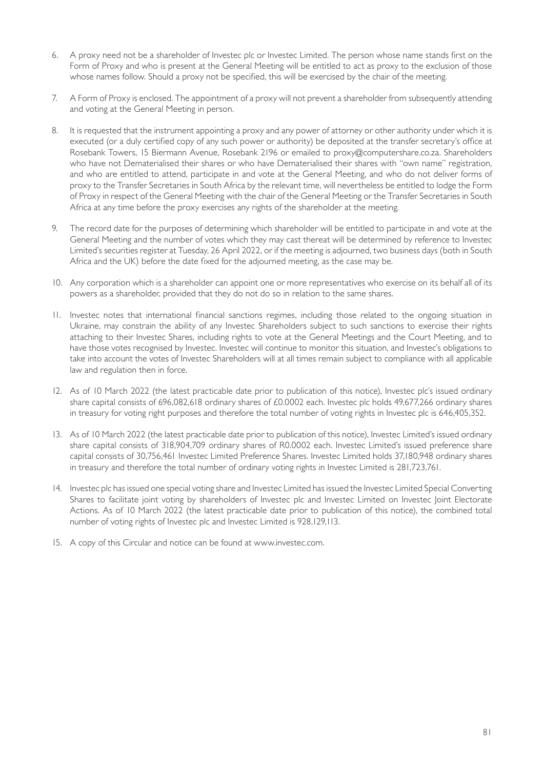- 6. A proxy need not be a shareholder of Investec plc or Investec Limited. The person whose name stands first on the Form of Proxy and who is present at the General Meeting will be entitled to act as proxy to the exclusion of those whose names follow. Should a proxy not be specified, this will be exercised by the chair of the meeting.
- 7. A Form of Proxy is enclosed. The appointment of a proxy will not prevent a shareholder from subsequently attending and voting at the General Meeting in person.
- 8. It is requested that the instrument appointing a proxy and any power of attorney or other authority under which it is executed (or a duly certified copy of any such power or authority) be deposited at the transfer secretary's office at Rosebank Towers, 15 Biermann Avenue, Rosebank 2196 or emailed to proxy@computershare.co.za. Shareholders who have not Dematerialised their shares or who have Dematerialised their shares with "own name" registration, and who are entitled to attend, participate in and vote at the General Meeting, and who do not deliver forms of proxy to the Transfer Secretaries in South Africa by the relevant time, will nevertheless be entitled to lodge the Form of Proxy in respect of the General Meeting with the chair of the General Meeting or the Transfer Secretaries in South Africa at any time before the proxy exercises any rights of the shareholder at the meeting.
- 9. The record date for the purposes of determining which shareholder will be entitled to participate in and vote at the General Meeting and the number of votes which they may cast thereat will be determined by reference to Investec Limited's securities register at Tuesday, 26 April 2022, or if the meeting is adjourned, two business days (both in South Africa and the UK) before the date fixed for the adjourned meeting, as the case may be.
- 10. Any corporation which is a shareholder can appoint one or more representatives who exercise on its behalf all of its powers as a shareholder, provided that they do not do so in relation to the same shares.
- 11. Investec notes that international financial sanctions regimes, including those related to the ongoing situation in Ukraine, may constrain the ability of any Investec Shareholders subject to such sanctions to exercise their rights attaching to their Investec Shares, including rights to vote at the General Meetings and the Court Meeting, and to have those votes recognised by Investec. Investec will continue to monitor this situation, and Investec's obligations to take into account the votes of Investec Shareholders will at all times remain subject to compliance with all applicable law and regulation then in force.
- 12. As of 10 March 2022 (the latest practicable date prior to publication of this notice), Investec plc's issued ordinary share capital consists of 696,082,618 ordinary shares of £0.0002 each. Investec plc holds 49,677,266 ordinary shares in treasury for voting right purposes and therefore the total number of voting rights in Investec plc is 646,405,352.
- 13. As of 10 March 2022 (the latest practicable date prior to publication of this notice), Investec Limited's issued ordinary share capital consists of 318,904,709 ordinary shares of R0.0002 each. Investec Limited's issued preference share capital consists of 30,756,461 Investec Limited Preference Shares. Investec Limited holds 37,180,948 ordinary shares in treasury and therefore the total number of ordinary voting rights in Investec Limited is 281,723,761.
- 14. Investec plc has issued one special voting share and Investec Limited has issued the Investec Limited Special Converting Shares to facilitate joint voting by shareholders of Investec plc and Investec Limited on Investec Joint Electorate Actions. As of 10 March 2022 (the latest practicable date prior to publication of this notice), the combined total number of voting rights of Investec plc and Investec Limited is 928,129,113.
- 15. A copy of this Circular and notice can be found at www.investec.com.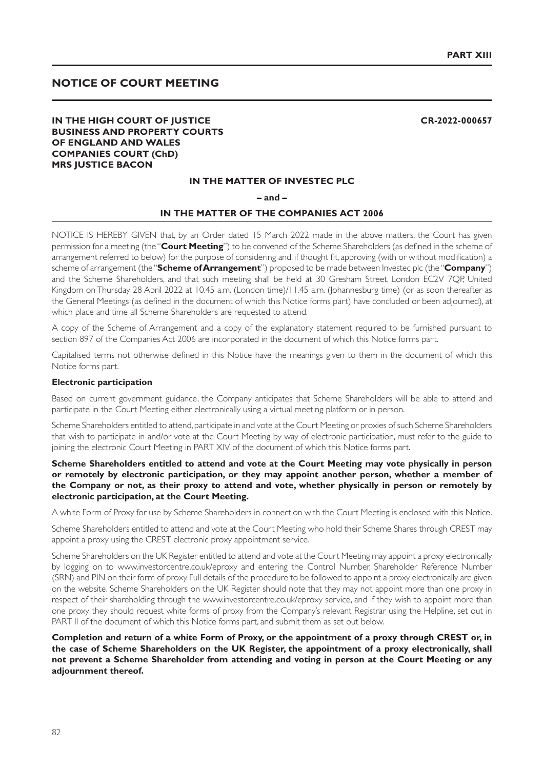**CR-2022-000657**

## **NOTICE OF COURT MEETING**

## **IN THE HIGH COURT OF JUSTICE BUSINESS AND PROPERTY COURTS OF ENGLAND AND WALES COMPANIES COURT (ChD) MRS JUSTICE BACON**

#### **IN THE MATTER OF INVESTEC PLC**

**– and –**

#### **IN THE MATTER OF THE COMPANIES ACT 2006**

NOTICE IS HEREBY GIVEN that, by an Order dated 15 March 2022 made in the above matters, the Court has given permission for a meeting (the "**Court Meeting**") to be convened of the Scheme Shareholders (as defined in the scheme of arrangement referred to below) for the purpose of considering and, if thought fit, approving (with or without modification) a scheme of arrangement (the "**Scheme of Arrangement**") proposed to be made between Investec plc (the "**Company**") and the Scheme Shareholders, and that such meeting shall be held at 30 Gresham Street, London EC2V 7QP, United Kingdom on Thursday, 28 April 2022 at 10.45 a.m. (London time)/11.45 a.m. (Johannesburg time) (or as soon thereafter as the General Meetings (as defined in the document of which this Notice forms part) have concluded or been adjourned), at which place and time all Scheme Shareholders are requested to attend.

A copy of the Scheme of Arrangement and a copy of the explanatory statement required to be furnished pursuant to section 897 of the Companies Act 2006 are incorporated in the document of which this Notice forms part.

Capitalised terms not otherwise defined in this Notice have the meanings given to them in the document of which this Notice forms part.

#### **Electronic participation**

Based on current government guidance, the Company anticipates that Scheme Shareholders will be able to attend and participate in the Court Meeting either electronically using a virtual meeting platform or in person.

Scheme Shareholders entitled to attend, participate in and vote at the Court Meeting or proxies of such Scheme Shareholders that wish to participate in and/or vote at the Court Meeting by way of electronic participation, must refer to the guide to joining the electronic Court Meeting in PART XIV of the document of which this Notice forms part.

## **Scheme Shareholders entitled to attend and vote at the Court Meeting may vote physically in person or remotely by electronic participation, or they may appoint another person, whether a member of the Company or not, as their proxy to attend and vote, whether physically in person or remotely by electronic participation, at the Court Meeting.**

A white Form of Proxy for use by Scheme Shareholders in connection with the Court Meeting is enclosed with this Notice.

Scheme Shareholders entitled to attend and vote at the Court Meeting who hold their Scheme Shares through CREST may appoint a proxy using the CREST electronic proxy appointment service.

Scheme Shareholders on the UK Register entitled to attend and vote at the Court Meeting may appoint a proxy electronically by logging on to www.investorcentre.co.uk/eproxy and entering the Control Number, Shareholder Reference Number (SRN) and PIN on their form of proxy. Full details of the procedure to be followed to appoint a proxy electronically are given on the website. Scheme Shareholders on the UK Register should note that they may not appoint more than one proxy in respect of their shareholding through the www.investorcentre.co.uk/eproxy service, and if they wish to appoint more than one proxy they should request white forms of proxy from the Company's relevant Registrar using the Helpline, set out in PART II of the document of which this Notice forms part, and submit them as set out below.

**Completion and return of a white Form of Proxy, or the appointment of a proxy through CREST or, in the case of Scheme Shareholders on the UK Register, the appointment of a proxy electronically, shall not prevent a Scheme Shareholder from attending and voting in person at the Court Meeting or any adjournment thereof.**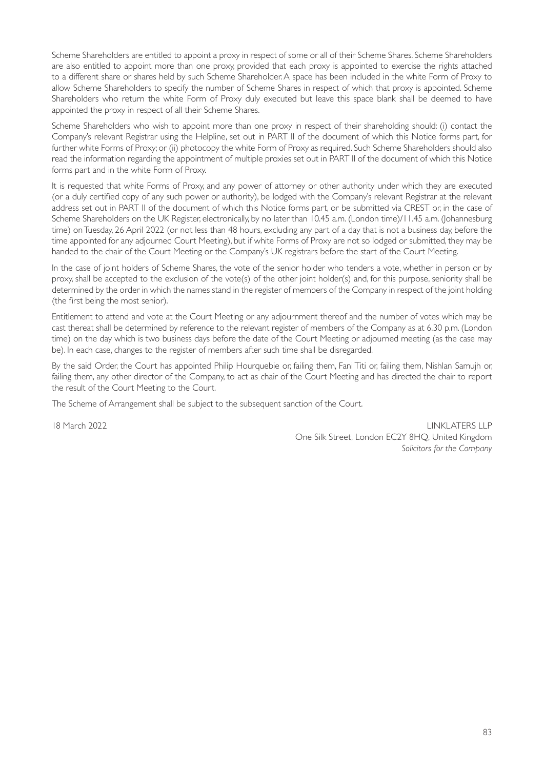Scheme Shareholders are entitled to appoint a proxy in respect of some or all of their Scheme Shares. Scheme Shareholders are also entitled to appoint more than one proxy, provided that each proxy is appointed to exercise the rights attached to a different share or shares held by such Scheme Shareholder. A space has been included in the white Form of Proxy to allow Scheme Shareholders to specify the number of Scheme Shares in respect of which that proxy is appointed. Scheme Shareholders who return the white Form of Proxy duly executed but leave this space blank shall be deemed to have appointed the proxy in respect of all their Scheme Shares.

Scheme Shareholders who wish to appoint more than one proxy in respect of their shareholding should: (i) contact the Company's relevant Registrar using the Helpline, set out in PART II of the document of which this Notice forms part, for further white Forms of Proxy; or (ii) photocopy the white Form of Proxy as required. Such Scheme Shareholders should also read the information regarding the appointment of multiple proxies set out in PART II of the document of which this Notice forms part and in the white Form of Proxy.

It is requested that white Forms of Proxy, and any power of attorney or other authority under which they are executed (or a duly certified copy of any such power or authority), be lodged with the Company's relevant Registrar at the relevant address set out in PART II of the document of which this Notice forms part, or be submitted via CREST or, in the case of Scheme Shareholders on the UK Register, electronically, by no later than 10.45 a.m. (London time)/11.45 a.m. (Johannesburg time) on Tuesday, 26 April 2022 (or not less than 48 hours, excluding any part of a day that is not a business day, before the time appointed for any adjourned Court Meeting), but if white Forms of Proxy are not so lodged or submitted, they may be handed to the chair of the Court Meeting or the Company's UK registrars before the start of the Court Meeting.

In the case of joint holders of Scheme Shares, the vote of the senior holder who tenders a vote, whether in person or by proxy, shall be accepted to the exclusion of the vote(s) of the other joint holder(s) and, for this purpose, seniority shall be determined by the order in which the names stand in the register of members of the Company in respect of the joint holding (the first being the most senior).

Entitlement to attend and vote at the Court Meeting or any adjournment thereof and the number of votes which may be cast thereat shall be determined by reference to the relevant register of members of the Company as at 6.30 p.m. (London time) on the day which is two business days before the date of the Court Meeting or adjourned meeting (as the case may be). In each case, changes to the register of members after such time shall be disregarded.

By the said Order, the Court has appointed Philip Hourquebie or, failing them, Fani Titi or, failing them, Nishlan Samujh or, failing them, any other director of the Company, to act as chair of the Court Meeting and has directed the chair to report the result of the Court Meeting to the Court.

The Scheme of Arrangement shall be subject to the subsequent sanction of the Court.

18 March 2022 LINKLATERS LLP One Silk Street, London EC2Y 8HQ, United Kingdom *Solicitors for the Company*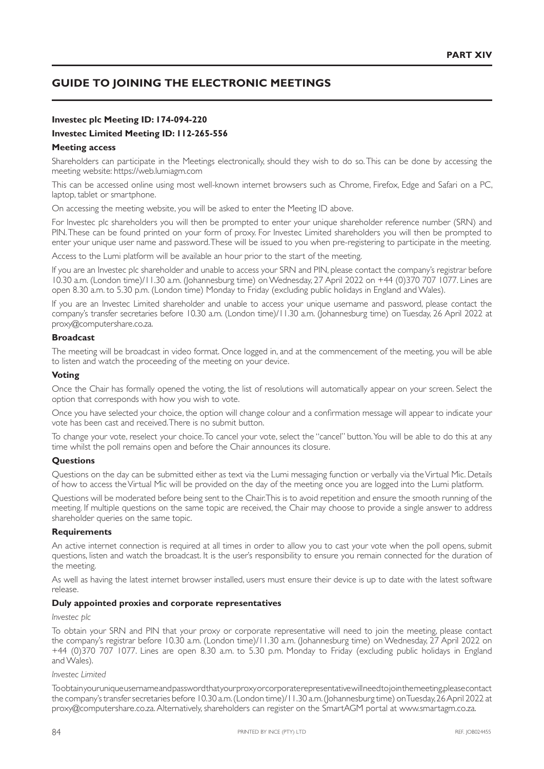# **GUIDE TO JOINING THE ELECTRONIC MEETINGS**

## **Investec plc Meeting ID: 174-094-220**

#### **Investec Limited Meeting ID: 112-265-556**

#### **Meeting access**

Shareholders can participate in the Meetings electronically, should they wish to do so. This can be done by accessing the meeting website: https://web.lumiagm.com

This can be accessed online using most well-known internet browsers such as Chrome, Firefox, Edge and Safari on a PC, laptop, tablet or smartphone.

On accessing the meeting website, you will be asked to enter the Meeting ID above.

For Investec plc shareholders you will then be prompted to enter your unique shareholder reference number (SRN) and PIN. These can be found printed on your form of proxy. For Investec Limited shareholders you will then be prompted to enter your unique user name and password. These will be issued to you when pre-registering to participate in the meeting.

Access to the Lumi platform will be available an hour prior to the start of the meeting.

If you are an Investec plc shareholder and unable to access your SRN and PIN, please contact the company's registrar before 10.30 a.m. (London time)/11.30 a.m. (Johannesburg time) on Wednesday, 27 April 2022 on +44 (0)370 707 1077. Lines are open 8.30 a.m. to 5.30 p.m. (London time) Monday to Friday (excluding public holidays in England and Wales).

If you are an Investec Limited shareholder and unable to access your unique username and password, please contact the company's transfer secretaries before 10.30 a.m. (London time)/11.30 a.m. (Johannesburg time) on Tuesday, 26 April 2022 at proxy@computershare.co.za.

#### **Broadcast**

The meeting will be broadcast in video format. Once logged in, and at the commencement of the meeting, you will be able to listen and watch the proceeding of the meeting on your device.

#### **Voting**

Once the Chair has formally opened the voting, the list of resolutions will automatically appear on your screen. Select the option that corresponds with how you wish to vote.

Once you have selected your choice, the option will change colour and a confirmation message will appear to indicate your vote has been cast and received. There is no submit button.

To change your vote, reselect your choice. To cancel your vote, select the "cancel" button. You will be able to do this at any time whilst the poll remains open and before the Chair announces its closure.

#### **Questions**

Questions on the day can be submitted either as text via the Lumi messaging function or verbally via the Virtual Mic. Details of how to access the Virtual Mic will be provided on the day of the meeting once you are logged into the Lumi platform.

Questions will be moderated before being sent to the Chair. This is to avoid repetition and ensure the smooth running of the meeting. If multiple questions on the same topic are received, the Chair may choose to provide a single answer to address shareholder queries on the same topic.

#### **Requirements**

An active internet connection is required at all times in order to allow you to cast your vote when the poll opens, submit questions, listen and watch the broadcast. It is the user's responsibility to ensure you remain connected for the duration of the meeting.

As well as having the latest internet browser installed, users must ensure their device is up to date with the latest software release.

#### **Duly appointed proxies and corporate representatives**

#### *Investec plc*

To obtain your SRN and PIN that your proxy or corporate representative will need to join the meeting, please contact the company's registrar before 10.30 a.m. (London time)/11.30 a.m. (Johannesburg time) on Wednesday, 27 April 2022 on +44 (0)370 707 1077. Lines are open 8.30 a.m. to 5.30 p.m. Monday to Friday (excluding public holidays in England and Wales).

#### *Investec Limited*

To obtain your unique username and password that your proxy or corporate representative will need to join the meeting, please contact the company's transfer secretaries before 10.30 a.m. (London time)/11.30 a.m. (Johannesburg time) on Tuesday, 26 April 2022 at proxy@computershare.co.za. Alternatively, shareholders can register on the SmartAGM portal at www.smartagm.co.za.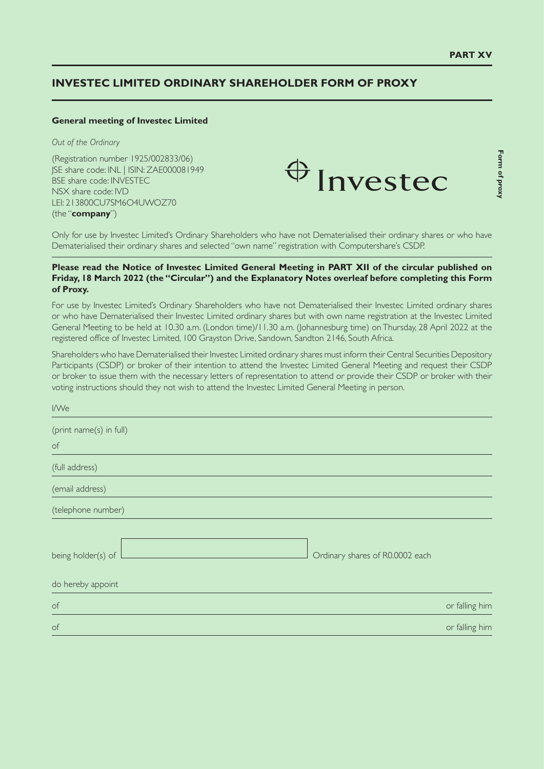## **INVESTEC LIMITED ORDINARY SHAREHOLDER FORM OF PROXY**

#### **General meeting of Investec Limited**

#### *Out of the Ordinary*

(Registration number 1925/002833/06) JSE share code: INL | ISIN: ZAE000081949 BSE share code: INVESTEC NSX share code: IVD LEI: 213800CU7SM6O4UWOZ70 (the "**company**")



Only for use by Investec Limited's Ordinary Shareholders who have not Dematerialised their ordinary shares or who have Dematerialised their ordinary shares and selected "own name" registration with Computershare's CSDP.

## **Please read the Notice of Investec Limited General Meeting in PART XII of the circular published on Friday, 18 March 2022 (the "Circular") and the Explanatory Notes overleaf before completing this Form of Proxy.**

For use by Investec Limited's Ordinary Shareholders who have not Dematerialised their Investec Limited ordinary shares or who have Dematerialised their Investec Limited ordinary shares but with own name registration at the Investec Limited General Meeting to be held at 10.30 a.m. (London time)/11.30 a.m. (Johannesburg time) on Thursday, 28 April 2022 at the registered office of Investec Limited, 100 Grayston Drive, Sandown, Sandton 2146, South Africa.

Shareholders who have Dematerialised their Investec Limited ordinary shares must inform their Central Securities Depository Participants (CSDP) or broker of their intention to attend the Investec Limited General Meeting and request their CSDP or broker to issue them with the necessary letters of representation to attend or provide their CSDP or broker with their voting instructions should they not wish to attend the Investec Limited General Meeting in person.

| I/We                    |                                 |                |
|-------------------------|---------------------------------|----------------|
| (print name(s) in full) |                                 |                |
| $\circ f$               |                                 |                |
| (full address)          |                                 |                |
| (email address)         |                                 |                |
| (telephone number)      |                                 |                |
|                         |                                 |                |
| being holder(s) of      | Ordinary shares of R0.0002 each |                |
| do hereby appoint       |                                 |                |
| $\circ$ f               |                                 | or falling him |
| of                      |                                 | or falling him |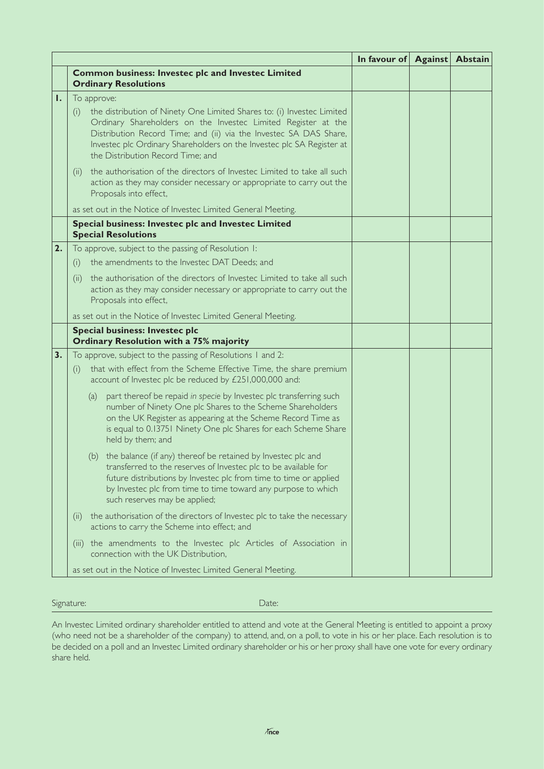|    |                                                                                                                                                                                                                                                                                                                                   |  | In favour of<br><b>Against</b> | <b>Abstain</b> |
|----|-----------------------------------------------------------------------------------------------------------------------------------------------------------------------------------------------------------------------------------------------------------------------------------------------------------------------------------|--|--------------------------------|----------------|
|    | <b>Common business: Investec plc and Investec Limited</b><br><b>Ordinary Resolutions</b>                                                                                                                                                                                                                                          |  |                                |                |
| Ι. | To approve:                                                                                                                                                                                                                                                                                                                       |  |                                |                |
|    | the distribution of Ninety One Limited Shares to: (i) Investec Limited<br>(i)<br>Ordinary Shareholders on the Investec Limited Register at the<br>Distribution Record Time; and (ii) via the Investec SA DAS Share,<br>Investec plc Ordinary Shareholders on the Investec plc SA Register at<br>the Distribution Record Time; and |  |                                |                |
|    | the authorisation of the directors of Investec Limited to take all such<br>(ii)<br>action as they may consider necessary or appropriate to carry out the<br>Proposals into effect,                                                                                                                                                |  |                                |                |
|    | as set out in the Notice of Investec Limited General Meeting.                                                                                                                                                                                                                                                                     |  |                                |                |
|    | Special business: Investec plc and Investec Limited<br><b>Special Resolutions</b>                                                                                                                                                                                                                                                 |  |                                |                |
| 2. | To approve, subject to the passing of Resolution 1:                                                                                                                                                                                                                                                                               |  |                                |                |
|    | the amendments to the Investec DAT Deeds; and<br>(i)                                                                                                                                                                                                                                                                              |  |                                |                |
|    | the authorisation of the directors of Investec Limited to take all such<br>(ii)<br>action as they may consider necessary or appropriate to carry out the<br>Proposals into effect,                                                                                                                                                |  |                                |                |
|    | as set out in the Notice of Investec Limited General Meeting.                                                                                                                                                                                                                                                                     |  |                                |                |
|    | <b>Special business: Investec plc</b><br><b>Ordinary Resolution with a 75% majority</b>                                                                                                                                                                                                                                           |  |                                |                |
| 3. | To approve, subject to the passing of Resolutions 1 and 2:                                                                                                                                                                                                                                                                        |  |                                |                |
|    | that with effect from the Scheme Effective Time, the share premium<br>(i)<br>account of Investec plc be reduced by £251,000,000 and:                                                                                                                                                                                              |  |                                |                |
|    | part thereof be repaid in specie by Investec plc transferring such<br>(a)<br>number of Ninety One plc Shares to the Scheme Shareholders<br>on the UK Register as appearing at the Scheme Record Time as<br>is equal to 0.13751 Ninety One plc Shares for each Scheme Share<br>held by them; and                                   |  |                                |                |
|    | (b) the balance (if any) thereof be retained by Investec plc and<br>transferred to the reserves of Investec plc to be available for<br>future distributions by Investec plc from time to time or applied<br>by Investec plc from time to time toward any purpose to which<br>such reserves may be applied;                        |  |                                |                |
|    | the authorisation of the directors of Investec plc to take the necessary<br>(11)<br>actions to carry the Scheme into effect; and                                                                                                                                                                                                  |  |                                |                |
|    | the amendments to the Investec plc Articles of Association in<br>(III)<br>connection with the UK Distribution,                                                                                                                                                                                                                    |  |                                |                |
|    | as set out in the Notice of Investec Limited General Meeting.                                                                                                                                                                                                                                                                     |  |                                |                |

Signature: Date: Date: Date: Date: Date: Date: Date: Date: Date: Date: Date: Date: Date: Date: Date: Date: Date: Date: Date: Date: Date: Date: Date: Date: Date: Date: Date: Date: Date: Date: Date: Date: Date: Date: Date: D

An Investec Limited ordinary shareholder entitled to attend and vote at the General Meeting is entitled to appoint a proxy (who need not be a shareholder of the company) to attend, and, on a poll, to vote in his or her place. Each resolution is to be decided on a poll and an Investec Limited ordinary shareholder or his or her proxy shall have one vote for every ordinary share held.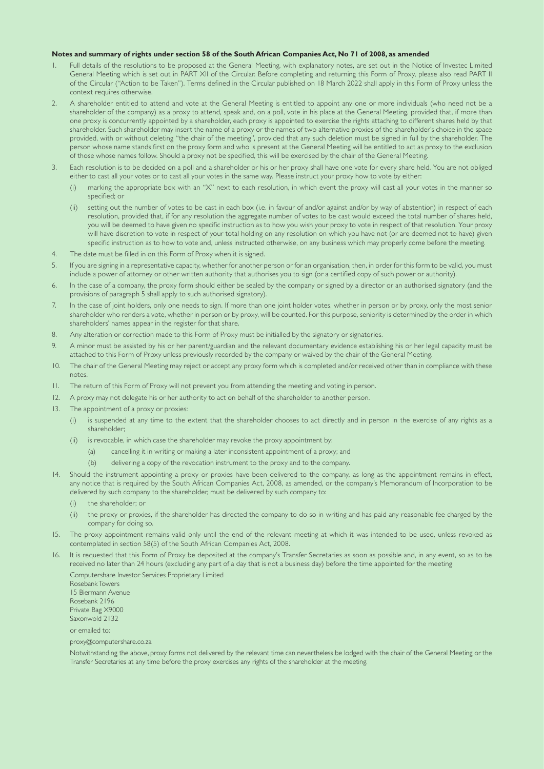#### **Notes and summary of rights under section 58 of the South African Companies Act, No 71 of 2008, as amended**

- 1. Full details of the resolutions to be proposed at the General Meeting, with explanatory notes, are set out in the Notice of Investec Limited General Meeting which is set out in PART XII of the Circular. Before completing and returning this Form of Proxy, please also read PART II of the Circular ("Action to be Taken"). Terms defined in the Circular published on 18 March 2022 shall apply in this Form of Proxy unless the context requires otherwise.
- 2. A shareholder entitled to attend and vote at the General Meeting is entitled to appoint any one or more individuals (who need not be a shareholder of the company) as a proxy to attend, speak and, on a poll, vote in his place at the General Meeting, provided that, if more than one proxy is concurrently appointed by a shareholder, each proxy is appointed to exercise the rights attaching to different shares held by that shareholder. Such shareholder may insert the name of a proxy or the names of two alternative proxies of the shareholder's choice in the space provided, with or without deleting "the chair of the meeting", provided that any such deletion must be signed in full by the shareholder. The person whose name stands first on the proxy form and who is present at the General Meeting will be entitled to act as proxy to the exclusion of those whose names follow. Should a proxy not be specified, this will be exercised by the chair of the General Meeting.
- 3. Each resolution is to be decided on a poll and a shareholder or his or her proxy shall have one vote for every share held. You are not obliged either to cast all your votes or to cast all your votes in the same way. Please instruct your proxy how to vote by either:
	- (i) marking the appropriate box with an "X" next to each resolution, in which event the proxy will cast all your votes in the manner so specified; or
	- (ii) setting out the number of votes to be cast in each box (i.e. in favour of and/or against and/or by way of abstention) in respect of each resolution, provided that, if for any resolution the aggregate number of votes to be cast would exceed the total number of shares held, you will be deemed to have given no specific instruction as to how you wish your proxy to vote in respect of that resolution. Your proxy will have discretion to vote in respect of your total holding on any resolution on which you have not (or are deemed not to have) given specific instruction as to how to vote and, unless instructed otherwise, on any business which may properly come before the meeting.
- 4. The date must be filled in on this Form of Proxy when it is signed.
- 5. If you are signing in a representative capacity, whether for another person or for an organisation, then, in order for this form to be valid, you must include a power of attorney or other written authority that authorises you to sign (or a certified copy of such power or authority).
- 6. In the case of a company, the proxy form should either be sealed by the company or signed by a director or an authorised signatory (and the provisions of paragraph 5 shall apply to such authorised signatory).
- 7. In the case of joint holders, only one needs to sign. If more than one joint holder votes, whether in person or by proxy, only the most senior shareholder who renders a vote, whether in person or by proxy, will be counted. For this purpose, seniority is determined by the order in which shareholders' names appear in the register for that share.
- 8. Any alteration or correction made to this Form of Proxy must be initialled by the signatory or signatories.
- 9. A minor must be assisted by his or her parent/guardian and the relevant documentary evidence establishing his or her legal capacity must be attached to this Form of Proxy unless previously recorded by the company or waived by the chair of the General Meeting.
- 10. The chair of the General Meeting may reject or accept any proxy form which is completed and/or received other than in compliance with these notes.
- 11. The return of this Form of Proxy will not prevent you from attending the meeting and voting in person.
- 12. A proxy may not delegate his or her authority to act on behalf of the shareholder to another person.
- 13. The appointment of a proxy or proxies:
	- (i) is suspended at any time to the extent that the shareholder chooses to act directly and in person in the exercise of any rights as a shareholder;
	- (ii) is revocable, in which case the shareholder may revoke the proxy appointment by:
		- (a) cancelling it in writing or making a later inconsistent appointment of a proxy; and
		- (b) delivering a copy of the revocation instrument to the proxy and to the company.
- 14. Should the instrument appointing a proxy or proxies have been delivered to the company, as long as the appointment remains in effect, any notice that is required by the South African Companies Act, 2008, as amended, or the company's Memorandum of Incorporation to be delivered by such company to the shareholder, must be delivered by such company to:
	- (i) the shareholder; or
	- (ii) the proxy or proxies, if the shareholder has directed the company to do so in writing and has paid any reasonable fee charged by the company for doing so.
- 15. The proxy appointment remains valid only until the end of the relevant meeting at which it was intended to be used, unless revoked as contemplated in section 58(5) of the South African Companies Act, 2008.
- 16. It is requested that this Form of Proxy be deposited at the company's Transfer Secretaries as soon as possible and, in any event, so as to be received no later than 24 hours (excluding any part of a day that is not a business day) before the time appointed for the meeting:

Computershare Investor Services Proprietary Limited Rosebank Towers 15 Biermann Avenue Rosebank 2196

Private Bag X9000 Saxonwold 2132

or emailed to:

proxy@computershare.co.za

Notwithstanding the above, proxy forms not delivered by the relevant time can nevertheless be lodged with the chair of the General Meeting or the Transfer Secretaries at any time before the proxy exercises any rights of the shareholder at the meeting.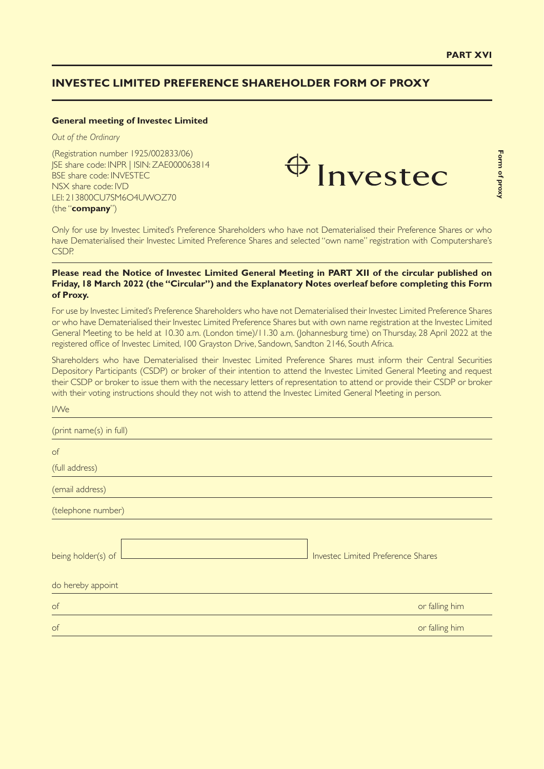# **INVESTEC LIMITED PREFERENCE SHAREHOLDER FORM OF PROXY**

#### **General meeting of Investec Limited**

#### *Out of the Ordinary*

(Registration number 1925/002833/06) JSE share code: INPR | ISIN: ZAE000063814 BSE share code: INVESTEC NSX share code: IVD LEI: 213800CU7SM6O4UWOZ70 (the "**company**")



Only for use by Investec Limited's Preference Shareholders who have not Dematerialised their Preference Shares or who have Dematerialised their Investec Limited Preference Shares and selected "own name" registration with Computershare's CSDP.

#### **Please read the Notice of Investec Limited General Meeting in PART XII of the circular published on Friday, 18 March 2022 (the "Circular") and the Explanatory Notes overleaf before completing this Form of Proxy.**

For use by Investec Limited's Preference Shareholders who have not Dematerialised their Investec Limited Preference Shares or who have Dematerialised their Investec Limited Preference Shares but with own name registration at the Investec Limited General Meeting to be held at 10.30 a.m. (London time)/11.30 a.m. (Johannesburg time) on Thursday, 28 April 2022 at the registered office of Investec Limited, 100 Grayston Drive, Sandown, Sandton 2146, South Africa.

Shareholders who have Dematerialised their Investec Limited Preference Shares must inform their Central Securities Depository Participants (CSDP) or broker of their intention to attend the Investec Limited General Meeting and request their CSDP or broker to issue them with the necessary letters of representation to attend or provide their CSDP or broker with their voting instructions should they not wish to attend the Investec Limited General Meeting in person.

| I/We                                                                          |                |
|-------------------------------------------------------------------------------|----------------|
| (print name(s) in full)                                                       |                |
| $\circ f$                                                                     |                |
| (full address)                                                                |                |
| (email address)                                                               |                |
| (telephone number)                                                            |                |
| being holder(s) of<br>Investec Limited Preference Shares<br>do hereby appoint |                |
| $\circ f$                                                                     | or falling him |
| $\circ$ f                                                                     | or falling him |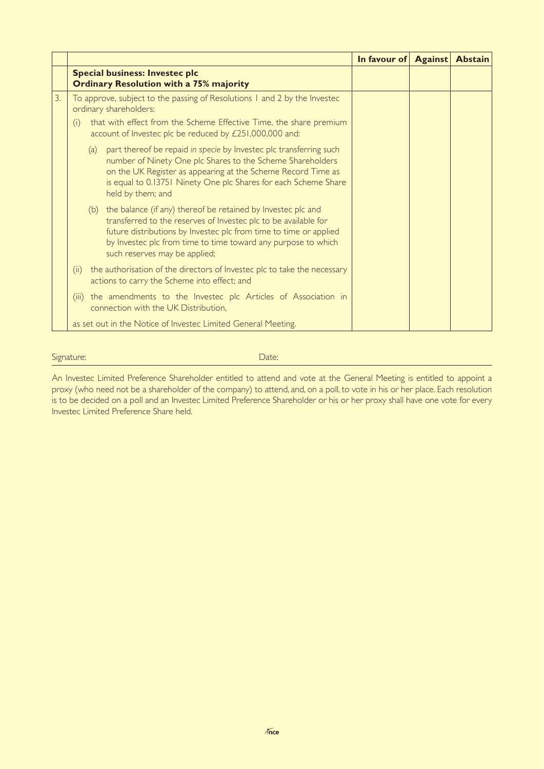|    |                                                                                                                                                                                                                                                                                                            | In favour of Against | <b>Abstain</b> |
|----|------------------------------------------------------------------------------------------------------------------------------------------------------------------------------------------------------------------------------------------------------------------------------------------------------------|----------------------|----------------|
|    | <b>Special business: Investec plc</b><br><b>Ordinary Resolution with a 75% majority</b>                                                                                                                                                                                                                    |                      |                |
| 3. | To approve, subject to the passing of Resolutions 1 and 2 by the Investec<br>ordinary shareholders:                                                                                                                                                                                                        |                      |                |
|    | that with effect from the Scheme Effective Time, the share premium<br>(i)<br>account of Investec plc be reduced by £251,000,000 and:                                                                                                                                                                       |                      |                |
|    | (a) part thereof be repaid in specie by Investec plc transferring such<br>number of Ninety One plc Shares to the Scheme Shareholders<br>on the UK Register as appearing at the Scheme Record Time as<br>is equal to 0.13751 Ninety One plc Shares for each Scheme Share<br>held by them; and               |                      |                |
|    | (b) the balance (if any) thereof be retained by Investec plc and<br>transferred to the reserves of Investec plc to be available for<br>future distributions by Investec plc from time to time or applied<br>by Investec plc from time to time toward any purpose to which<br>such reserves may be applied; |                      |                |
|    | the authorisation of the directors of Investec plc to take the necessary<br>(ii)<br>actions to carry the Scheme into effect; and                                                                                                                                                                           |                      |                |
|    | the amendments to the Investec plc Articles of Association in<br>(iii)<br>connection with the UK Distribution,                                                                                                                                                                                             |                      |                |
|    | as set out in the Notice of Investec Limited General Meeting.                                                                                                                                                                                                                                              |                      |                |

Signature: Date: Date: Date: Date: Date: Date: Date: Date: Date: Date: Date: Date: Date: Date: Date: Date: Date: Date: Date: Date: Date: Date: Date: Date: Date: Date: Date: Date: Date: Date: Date: Date: Date: Date: Date: D

An Investec Limited Preference Shareholder entitled to attend and vote at the General Meeting is entitled to appoint a proxy (who need not be a shareholder of the company) to attend, and, on a poll, to vote in his or her place. Each resolution is to be decided on a poll and an Investec Limited Preference Shareholder or his or her proxy shall have one vote for every Investec Limited Preference Share held.